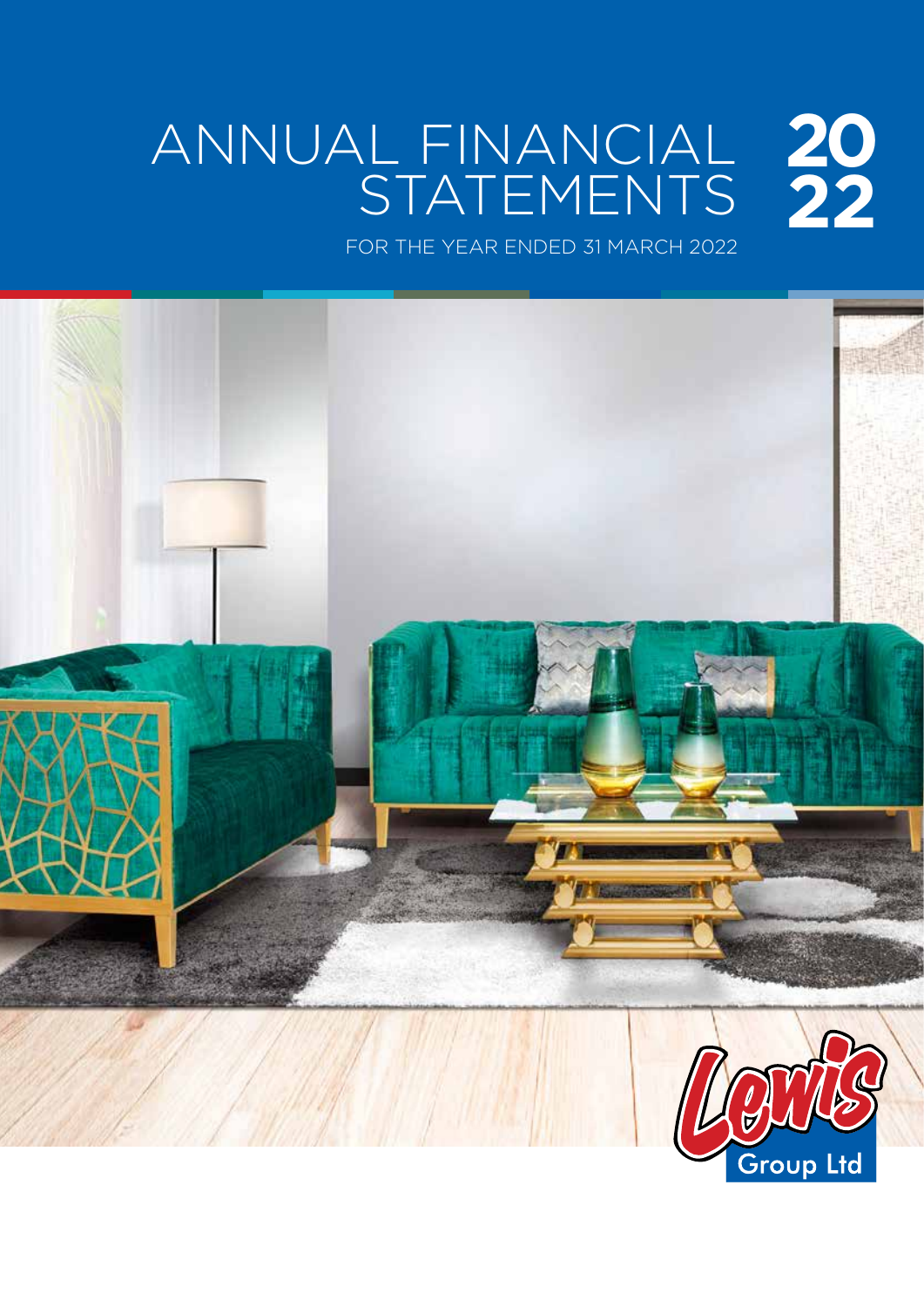## ANNUAL FINANCIAL STATEMENTS **20 22**

FOR THE YEAR ENDED 31 MARCH 2022

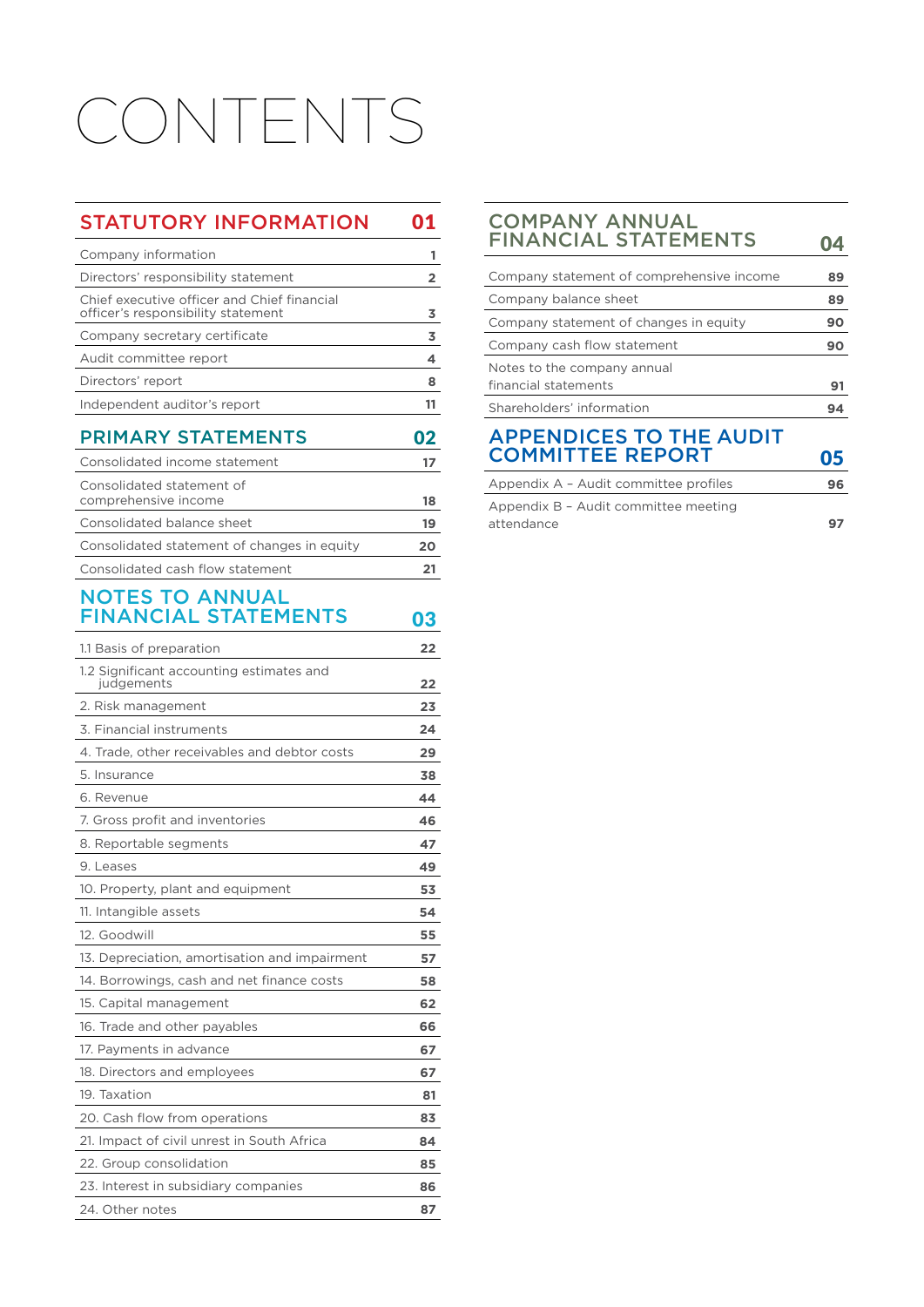# CONTENTS

## STATUTORY INFORMATION 01

| Company information                                                               |  |
|-----------------------------------------------------------------------------------|--|
| Directors' responsibility statement                                               |  |
| Chief executive officer and Chief financial<br>officer's responsibility statement |  |
| Company secretary certificate                                                     |  |
| Audit committee report                                                            |  |
| Directors' report                                                                 |  |
| Independent auditor's report                                                      |  |
|                                                                                   |  |

## PRIMARY STATEMENTS 02

| Consolidated income statement                     |          |
|---------------------------------------------------|----------|
| Consolidated statement of<br>comprehensive income |          |
| Consolidated balance sheet                        | 18<br>19 |
| Consolidated statement of changes in equity       |          |
| Consolidated cash flow statement                  |          |

## NOTES TO ANNUAL FINANCIAL STATEMENTS 03

| 1.1 Basis of preparation                               | 22 |
|--------------------------------------------------------|----|
| 1.2 Significant accounting estimates and<br>judgements | 22 |
| 2. Risk management                                     | 23 |
| 3. Financial instruments                               | 24 |
| 4. Trade, other receivables and debtor costs           | 29 |
| 5. Insurance                                           | 38 |
| 6. Revenue                                             | 44 |
| 7. Gross profit and inventories                        | 46 |
| 8. Reportable segments                                 | 47 |
| 9. Leases                                              | 49 |
| 10. Property, plant and equipment                      | 53 |
| 11. Intangible assets                                  | 54 |
| 12. Goodwill                                           | 55 |
| 13. Depreciation, amortisation and impairment          | 57 |
| 14. Borrowings, cash and net finance costs             | 58 |
| 15. Capital management                                 | 62 |
| 16. Trade and other payables                           | 66 |
| 17. Payments in advance                                | 67 |
| 18. Directors and employees                            | 67 |
| 19. Taxation                                           | 81 |
| 20. Cash flow from operations                          | 83 |
| 21. Impact of civil unrest in South Africa             | 84 |
| 22. Group consolidation                                | 85 |
| 23. Interest in subsidiary companies                   | 86 |
| 24. Other notes                                        | 87 |
|                                                        |    |

## COMPANY ANNUAL FINANCIAL STATEMENTS 04

| Company statement of comprehensive income | 89 |
|-------------------------------------------|----|
| Company balance sheet                     | 89 |
| Company statement of changes in equity    | 90 |
| Company cash flow statement               | 90 |
| Notes to the company annual               |    |
| financial statements                      | 91 |
| Shareholders' information                 | 94 |
| <b>APPENDICES TO THE AUDIT</b>            |    |
| <b>COMMITTEE REPORT</b>                   | 05 |
| Appendix A - Audit committee profiles     | 96 |
| Appendix B - Audit committee meeting      |    |

attendance **97**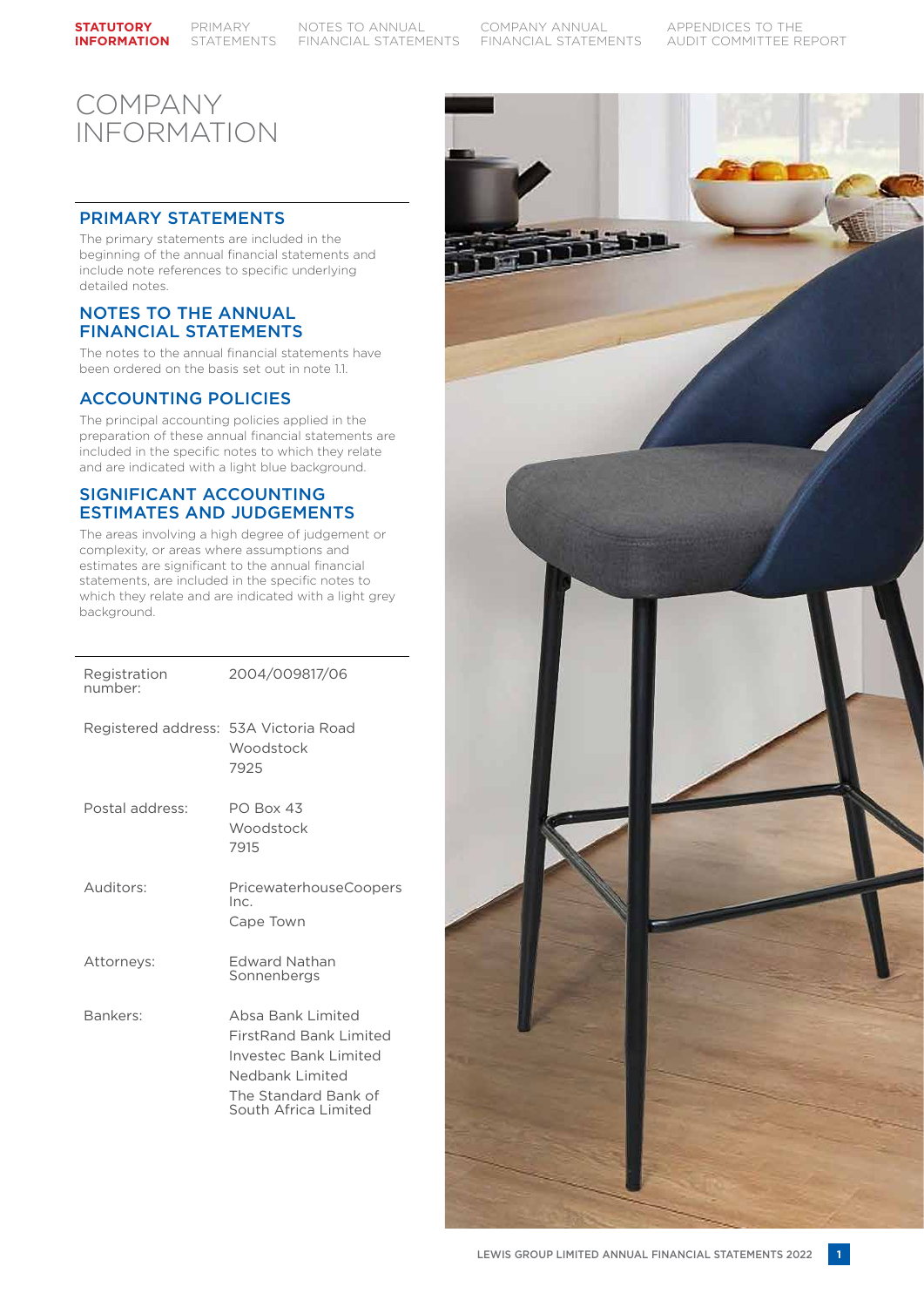#### **STATUTORY INFORMATION**

PRIMARY STATEMENTS

NOTES TO ANNUAL FINANCIAL STATEMENTS

COMPANY ANNUAL FINANCIAL STATEMENTS APPENDICES TO THE AUDIT COMMITTEE REPORT

## COMPANY INFORMATION

## PRIMARY STATEMENTS

The primary statements are included in the beginning of the annual financial statements and include note references to specific underlying detailed notes.

## NOTES TO THE ANNUAL FINANCIAL STATEMENTS

The notes to the annual financial statements have been ordered on the basis set out in note 1.1.

## ACCOUNTING POLICIES

The principal accounting policies applied in the preparation of these annual financial statements are included in the specific notes to which they relate and are indicated with a light blue background.

### SIGNIFICANT ACCOUNTING ESTIMATES AND JUDGEMENTS

The areas involving a high degree of judgement or complexity, or areas where assumptions and estimates are significant to the annual financial statements, are included in the specific notes to which they relate and are indicated with a light grey background.

| Registration<br>number:               | 2004/009817/06                                                                                                                                        |
|---------------------------------------|-------------------------------------------------------------------------------------------------------------------------------------------------------|
| Registered address: 53A Victoria Road | Woodstock<br>7925                                                                                                                                     |
| Postal address:                       | PO Box 43<br>Woodstock<br>7915                                                                                                                        |
| Auditors:                             | PricewaterhouseCoopers<br>Inc.<br>Cape Town                                                                                                           |
| Attorneys:                            | <b>Edward Nathan</b><br>Sonnenbergs                                                                                                                   |
| Bankers:                              | Absa Bank Limited<br><b>FirstRand Bank Limited</b><br><b>Investec Bank Limited</b><br>Nedbank Limited<br>The Standard Bank of<br>South Africa Limited |

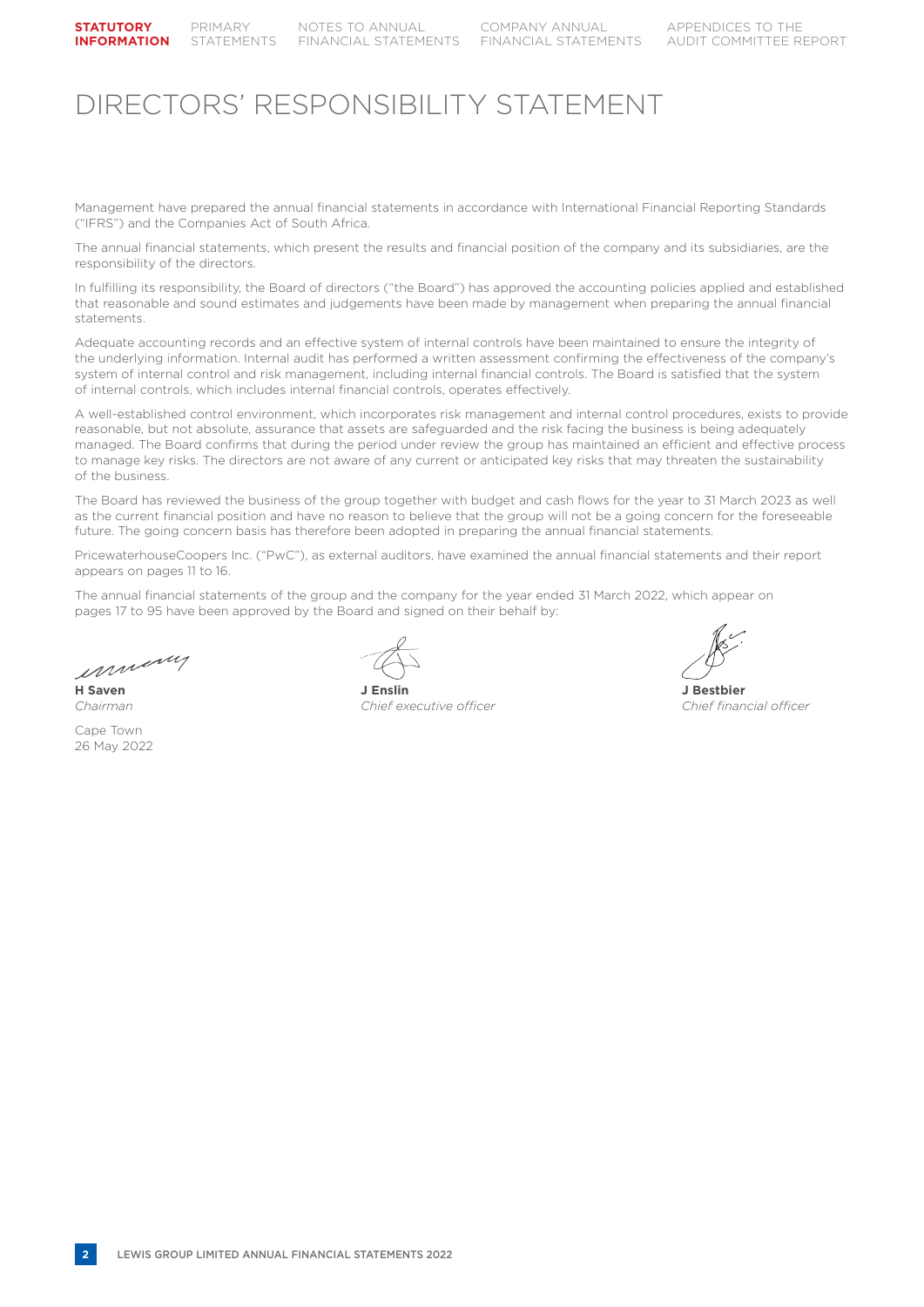## DIRECTORS' RESPONSIBILITY STATEMENT

Management have prepared the annual financial statements in accordance with International Financial Reporting Standards ("IFRS") and the Companies Act of South Africa.

The annual financial statements, which present the results and financial position of the company and its subsidiaries, are the responsibility of the directors.

In fulfilling its responsibility, the Board of directors ("the Board") has approved the accounting policies applied and established that reasonable and sound estimates and judgements have been made by management when preparing the annual financial statements.

Adequate accounting records and an effective system of internal controls have been maintained to ensure the integrity of the underlying information. Internal audit has performed a written assessment confirming the effectiveness of the company's system of internal control and risk management, including internal financial controls. The Board is satisfied that the system of internal controls, which includes internal financial controls, operates effectively.

A well-established control environment, which incorporates risk management and internal control procedures, exists to provide reasonable, but not absolute, assurance that assets are safeguarded and the risk facing the business is being adequately managed. The Board confirms that during the period under review the group has maintained an efficient and effective process to manage key risks. The directors are not aware of any current or anticipated key risks that may threaten the sustainability of the business.

The Board has reviewed the business of the group together with budget and cash flows for the year to 31 March 2023 as well as the current financial position and have no reason to believe that the group will not be a going concern for the foreseeable future. The going concern basis has therefore been adopted in preparing the annual financial statements.

PricewaterhouseCoopers Inc. ("PwC"), as external auditors, have examined the annual financial statements and their report appears on pages 11 to 16.

The annual financial statements of the group and the company for the year ended 31 March 2022, which appear on pages 17 to 95 have been approved by the Board and signed on their behalf by:

inning

Cape Town 26 May 2022



**H Saven J Enslin J Bestbier** *Chairman Chief executive officer Chief financial officer*

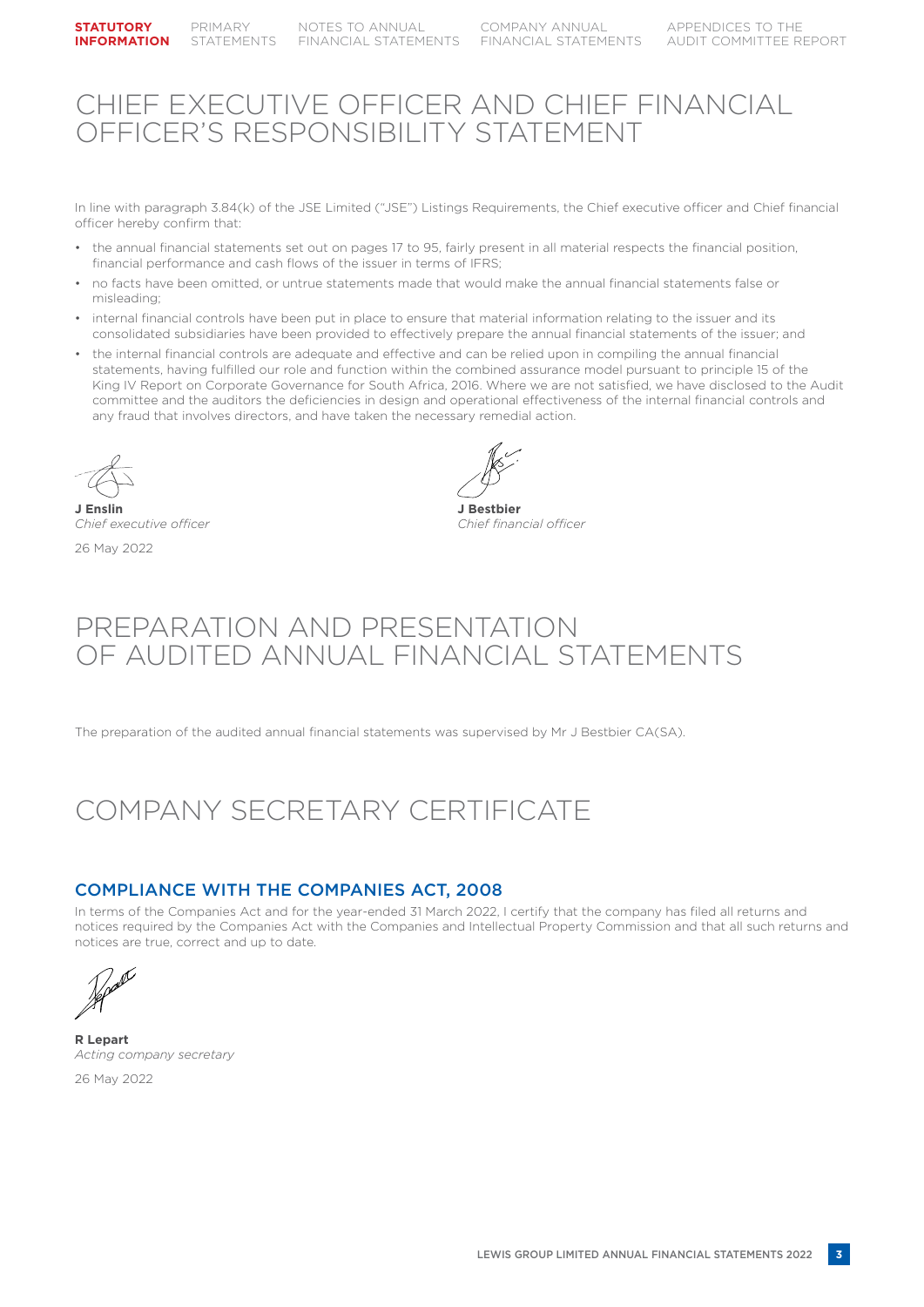## CHIEF EXECUTIVE OFFICER AND CHIEF FINANCIAL OFFICER'S RESPONSIBILITY STATEMENT

In line with paragraph 3.84(k) of the JSE Limited ("JSE") Listings Requirements, the Chief executive officer and Chief financial officer hereby confirm that:

- the annual financial statements set out on pages 17 to 95, fairly present in all material respects the financial position, financial performance and cash flows of the issuer in terms of IFRS;
- no facts have been omitted, or untrue statements made that would make the annual financial statements false or misleading;
- internal financial controls have been put in place to ensure that material information relating to the issuer and its consolidated subsidiaries have been provided to effectively prepare the annual financial statements of the issuer; and
- the internal financial controls are adequate and effective and can be relied upon in compiling the annual financial statements, having fulfilled our role and function within the combined assurance model pursuant to principle 15 of the King IV Report on Corporate Governance for South Africa, 2016. Where we are not satisfied, we have disclosed to the Audit committee and the auditors the deficiencies in design and operational effectiveness of the internal financial controls and any fraud that involves directors, and have taken the necessary remedial action.

**J Enslin J Bestbier** *Chief executive officer Chief financial officer* 26 May 2022

## PREPARATION AND PRESENTATION OF AUDITED ANNUAL FINANCIAL STATEMENTS

The preparation of the audited annual financial statements was supervised by Mr J Bestbier CA(SA).

## COMPANY SECRETARY CERTIFICATE

## COMPLIANCE WITH THE COMPANIES ACT, 2008

In terms of the Companies Act and for the year-ended 31 March 2022, I certify that the company has filed all returns and notices required by the Companies Act with the Companies and Intellectual Property Commission and that all such returns and notices are true, correct and up to date.

**R Lepart** *Acting company secretary*

26 May 2022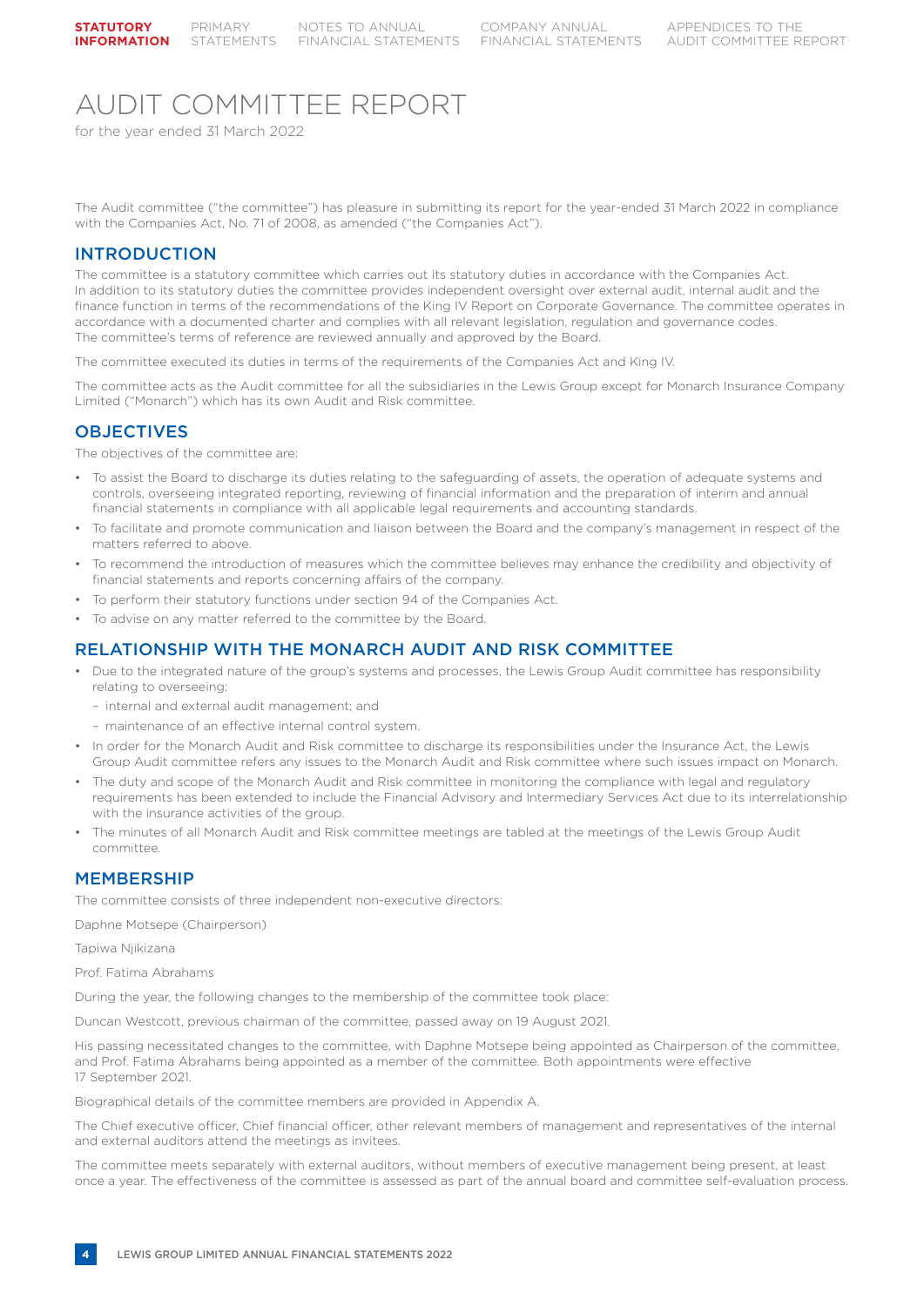## AUDIT COMMITTEE REPORT

for the year ended 31 March 2022

The Audit committee ("the committee") has pleasure in submitting its report for the year-ended 31 March 2022 in compliance with the Companies Act, No. 71 of 2008, as amended ("the Companies Act").

## INTRODUCTION

The committee is a statutory committee which carries out its statutory duties in accordance with the Companies Act. In addition to its statutory duties the committee provides independent oversight over external audit, internal audit and the finance function in terms of the recommendations of the King IV Report on Corporate Governance. The committee operates in accordance with a documented charter and complies with all relevant legislation, regulation and governance codes. The committee's terms of reference are reviewed annually and approved by the Board.

The committee executed its duties in terms of the requirements of the Companies Act and King IV.

The committee acts as the Audit committee for all the subsidiaries in the Lewis Group except for Monarch Insurance Company Limited ("Monarch") which has its own Audit and Risk committee.

### **OBJECTIVES**

The objectives of the committee are:

- To assist the Board to discharge its duties relating to the safeguarding of assets, the operation of adequate systems and controls, overseeing integrated reporting, reviewing of financial information and the preparation of interim and annual financial statements in compliance with all applicable legal requirements and accounting standards.
- To facilitate and promote communication and liaison between the Board and the company's management in respect of the matters referred to above.
- To recommend the introduction of measures which the committee believes may enhance the credibility and objectivity of financial statements and reports concerning affairs of the company.
- To perform their statutory functions under section 94 of the Companies Act.
- To advise on any matter referred to the committee by the Board.

### RELATIONSHIP WITH THE MONARCH AUDIT AND RISK COMMITTEE

- Due to the integrated nature of the group's systems and processes, the Lewis Group Audit committee has responsibility relating to overseeing:
	- internal and external audit management; and
	- maintenance of an effective internal control system.
- In order for the Monarch Audit and Risk committee to discharge its responsibilities under the Insurance Act, the Lewis Group Audit committee refers any issues to the Monarch Audit and Risk committee where such issues impact on Monarch.
- The duty and scope of the Monarch Audit and Risk committee in monitoring the compliance with legal and regulatory requirements has been extended to include the Financial Advisory and Intermediary Services Act due to its interrelationship with the insurance activities of the group.
- The minutes of all Monarch Audit and Risk committee meetings are tabled at the meetings of the Lewis Group Audit committee.

### MEMBERSHIP

The committee consists of three independent non-executive directors:

Daphne Motsepe (Chairperson)

Tapiwa Njikizana

Prof. Fatima Abrahams

During the year, the following changes to the membership of the committee took place:

Duncan Westcott, previous chairman of the committee, passed away on 19 August 2021.

His passing necessitated changes to the committee, with Daphne Motsepe being appointed as Chairperson of the committee, and Prof. Fatima Abrahams being appointed as a member of the committee. Both appointments were effective 17 September 2021.

Biographical details of the committee members are provided in Appendix A.

The Chief executive officer, Chief financial officer, other relevant members of management and representatives of the internal and external auditors attend the meetings as invitees.

The committee meets separately with external auditors, without members of executive management being present, at least once a year. The effectiveness of the committee is assessed as part of the annual board and committee self-evaluation process.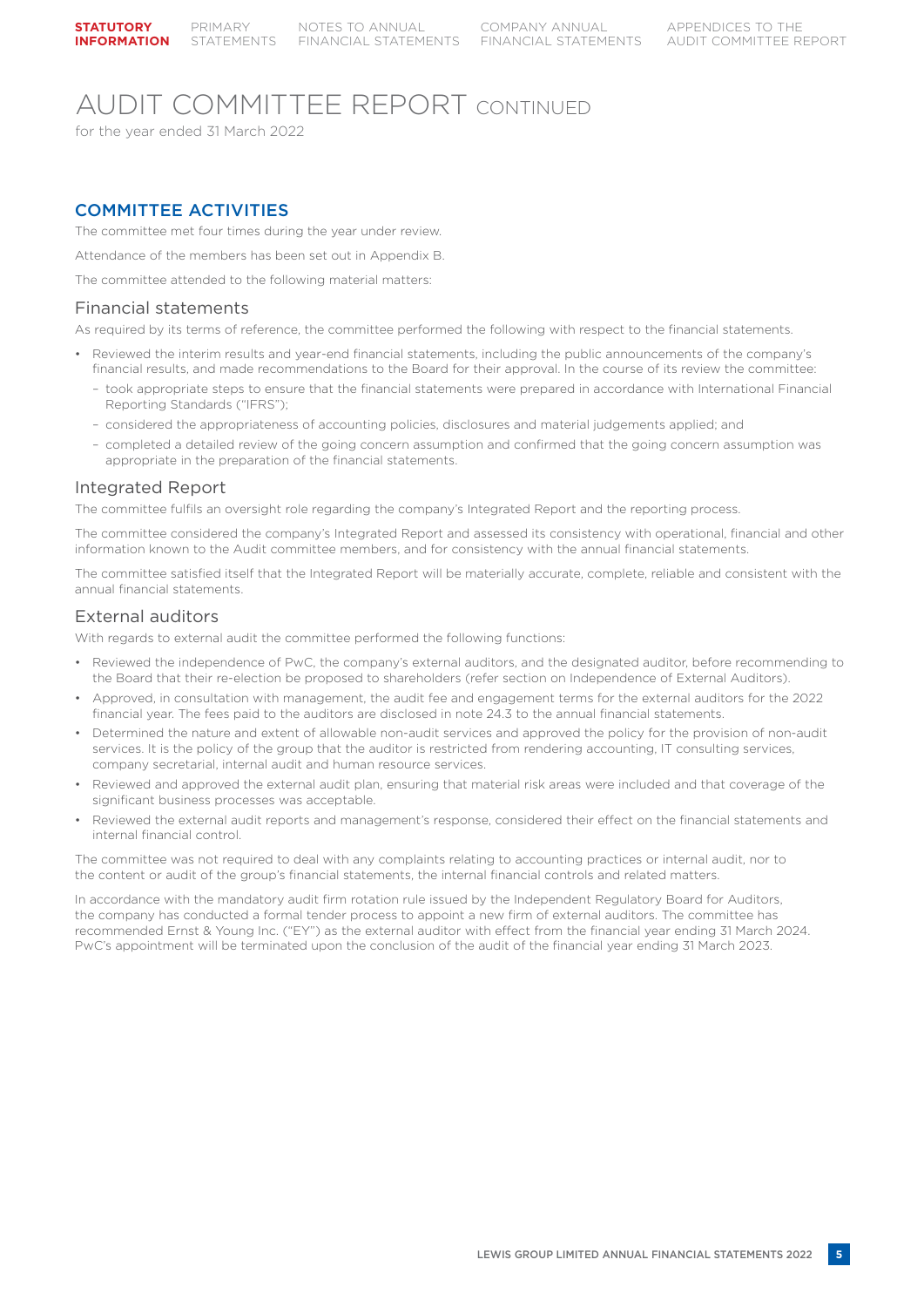## AUDIT COMMITTEE REPORT CONTINUED

for the year ended 31 March 2022

## COMMITTEE ACTIVITIES

The committee met four times during the year under review.

Attendance of the members has been set out in Appendix B.

The committee attended to the following material matters:

### Financial statements

As required by its terms of reference, the committee performed the following with respect to the financial statements.

- Reviewed the interim results and year-end financial statements, including the public announcements of the company's financial results, and made recommendations to the Board for their approval. In the course of its review the committee:
	- took appropriate steps to ensure that the financial statements were prepared in accordance with International Financial Reporting Standards ("IFRS");
	- considered the appropriateness of accounting policies, disclosures and material judgements applied; and
	- completed a detailed review of the going concern assumption and confirmed that the going concern assumption was appropriate in the preparation of the financial statements.

#### Integrated Report

The committee fulfils an oversight role regarding the company's Integrated Report and the reporting process.

The committee considered the company's Integrated Report and assessed its consistency with operational, financial and other information known to the Audit committee members, and for consistency with the annual financial statements.

The committee satisfied itself that the Integrated Report will be materially accurate, complete, reliable and consistent with the annual financial statements.

## External auditors

With regards to external audit the committee performed the following functions:

- Reviewed the independence of PwC, the company's external auditors, and the designated auditor, before recommending to the Board that their re-election be proposed to shareholders (refer section on Independence of External Auditors).
- Approved, in consultation with management, the audit fee and engagement terms for the external auditors for the 2022 financial year. The fees paid to the auditors are disclosed in note 24.3 to the annual financial statements.
- Determined the nature and extent of allowable non-audit services and approved the policy for the provision of non-audit services. It is the policy of the group that the auditor is restricted from rendering accounting, IT consulting services, company secretarial, internal audit and human resource services.
- Reviewed and approved the external audit plan, ensuring that material risk areas were included and that coverage of the significant business processes was acceptable.
- Reviewed the external audit reports and management's response, considered their effect on the financial statements and internal financial control.

The committee was not required to deal with any complaints relating to accounting practices or internal audit, nor to the content or audit of the group's financial statements, the internal financial controls and related matters.

In accordance with the mandatory audit firm rotation rule issued by the Independent Regulatory Board for Auditors, the company has conducted a formal tender process to appoint a new firm of external auditors. The committee has recommended Ernst & Young Inc. ("EY") as the external auditor with effect from the financial year ending 31 March 2024. PwC's appointment will be terminated upon the conclusion of the audit of the financial year ending 31 March 2023.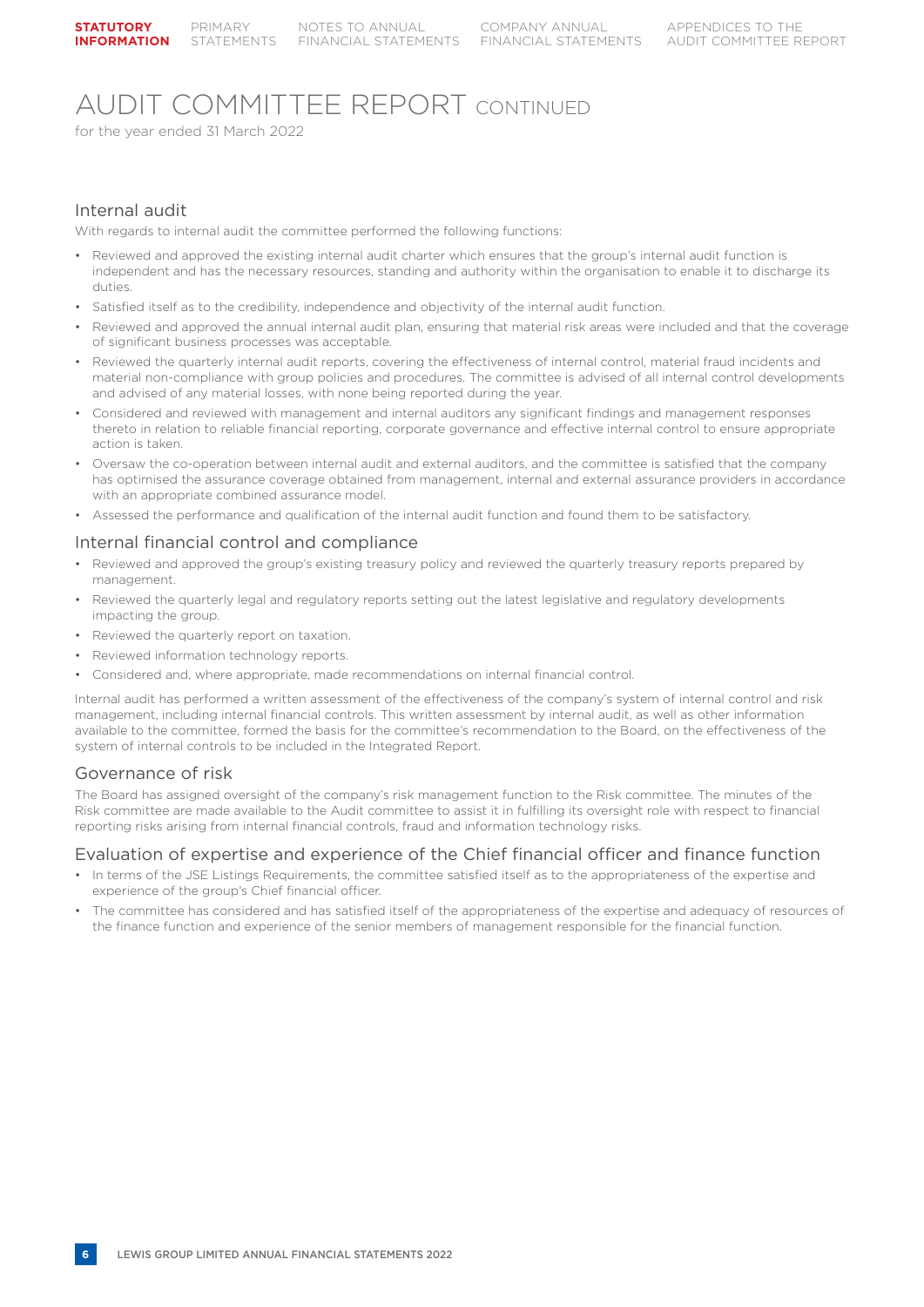## AUDIT COMMITTEE REPORT CONTINUED

for the year ended 31 March 2022

## Internal audit

With regards to internal audit the committee performed the following functions:

- Reviewed and approved the existing internal audit charter which ensures that the group's internal audit function is independent and has the necessary resources, standing and authority within the organisation to enable it to discharge its duties
- Satisfied itself as to the credibility, independence and objectivity of the internal audit function.
- Reviewed and approved the annual internal audit plan, ensuring that material risk areas were included and that the coverage of significant business processes was acceptable.
- Reviewed the quarterly internal audit reports, covering the effectiveness of internal control, material fraud incidents and material non-compliance with group policies and procedures. The committee is advised of all internal control developments and advised of any material losses, with none being reported during the year.
- Considered and reviewed with management and internal auditors any significant findings and management responses thereto in relation to reliable financial reporting, corporate governance and effective internal control to ensure appropriate action is taken.
- Oversaw the co-operation between internal audit and external auditors, and the committee is satisfied that the company has optimised the assurance coverage obtained from management, internal and external assurance providers in accordance with an appropriate combined assurance model.
- Assessed the performance and qualification of the internal audit function and found them to be satisfactory.

### Internal financial control and compliance

- Reviewed and approved the group's existing treasury policy and reviewed the quarterly treasury reports prepared by management.
- Reviewed the quarterly legal and regulatory reports setting out the latest legislative and regulatory developments impacting the group.
- Reviewed the quarterly report on taxation.
- Reviewed information technology reports.
- Considered and, where appropriate, made recommendations on internal financial control.

Internal audit has performed a written assessment of the effectiveness of the company's system of internal control and risk management, including internal financial controls. This written assessment by internal audit, as well as other information available to the committee, formed the basis for the committee's recommendation to the Board, on the effectiveness of the system of internal controls to be included in the Integrated Report.

### Governance of risk

The Board has assigned oversight of the company's risk management function to the Risk committee. The minutes of the Risk committee are made available to the Audit committee to assist it in fulfilling its oversight role with respect to financial reporting risks arising from internal financial controls, fraud and information technology risks.

### Evaluation of expertise and experience of the Chief financial officer and finance function

- In terms of the JSE Listings Requirements, the committee satisfied itself as to the appropriateness of the expertise and experience of the group's Chief financial officer.
- The committee has considered and has satisfied itself of the appropriateness of the expertise and adequacy of resources of the finance function and experience of the senior members of management responsible for the financial function.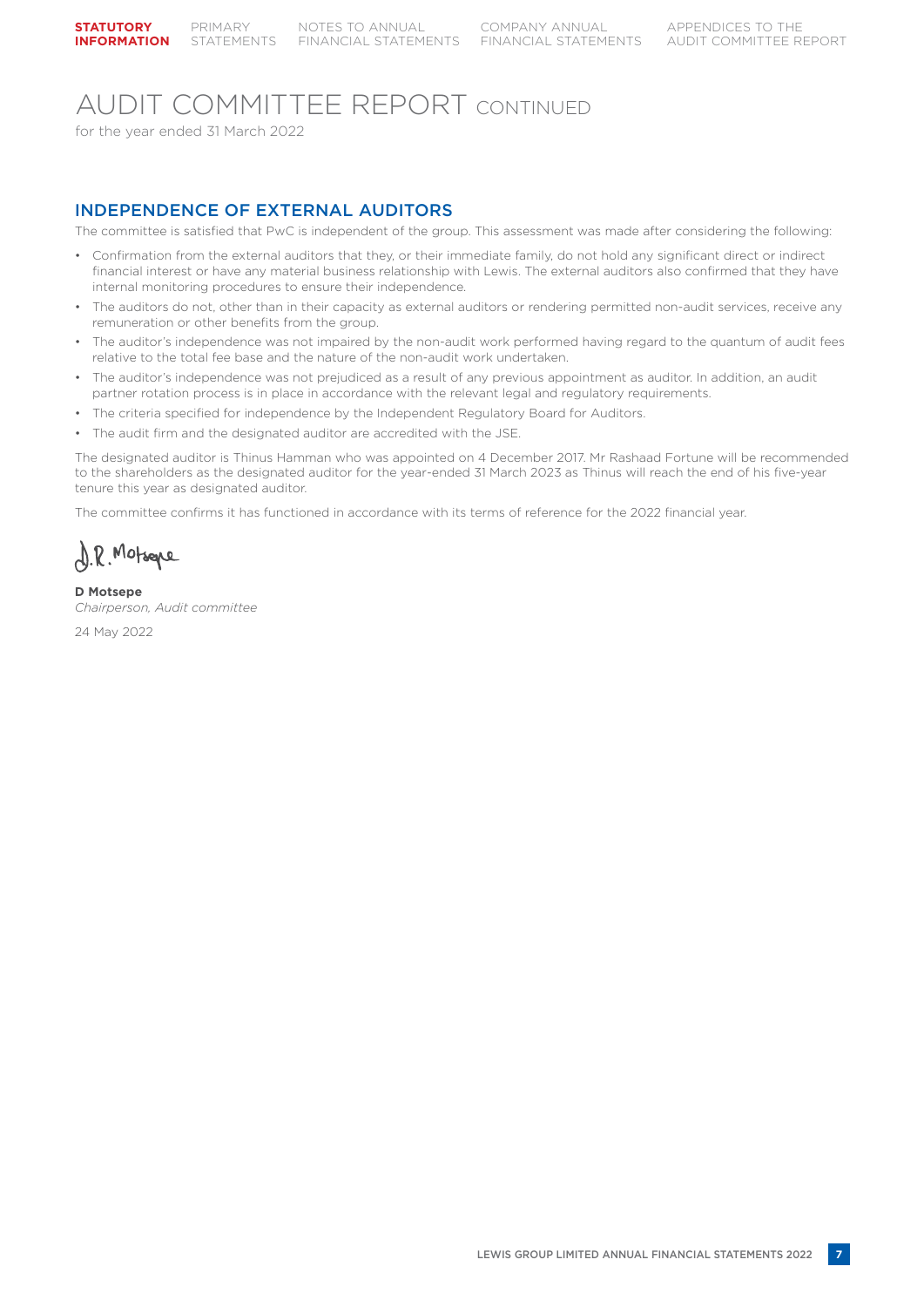## AUDIT COMMITTEE REPORT CONTINUED

for the year ended 31 March 2022

## INDEPENDENCE OF EXTERNAL AUDITORS

The committee is satisfied that PwC is independent of the group. This assessment was made after considering the following:

- Confirmation from the external auditors that they, or their immediate family, do not hold any significant direct or indirect financial interest or have any material business relationship with Lewis. The external auditors also confirmed that they have internal monitoring procedures to ensure their independence.
- The auditors do not, other than in their capacity as external auditors or rendering permitted non-audit services, receive any remuneration or other benefits from the group.
- The auditor's independence was not impaired by the non-audit work performed having regard to the quantum of audit fees relative to the total fee base and the nature of the non-audit work undertaken.
- The auditor's independence was not prejudiced as a result of any previous appointment as auditor. In addition, an audit partner rotation process is in place in accordance with the relevant legal and regulatory requirements.
- The criteria specified for independence by the Independent Regulatory Board for Auditors.
- The audit firm and the designated auditor are accredited with the JSE.

The designated auditor is Thinus Hamman who was appointed on 4 December 2017. Mr Rashaad Fortune will be recommended to the shareholders as the designated auditor for the year-ended 31 March 2023 as Thinus will reach the end of his five-year tenure this year as designated auditor.

The committee confirms it has functioned in accordance with its terms of reference for the 2022 financial year.

D.R. Motsepe

**D Motsepe** *Chairperson, Audit committee*

24 May 2022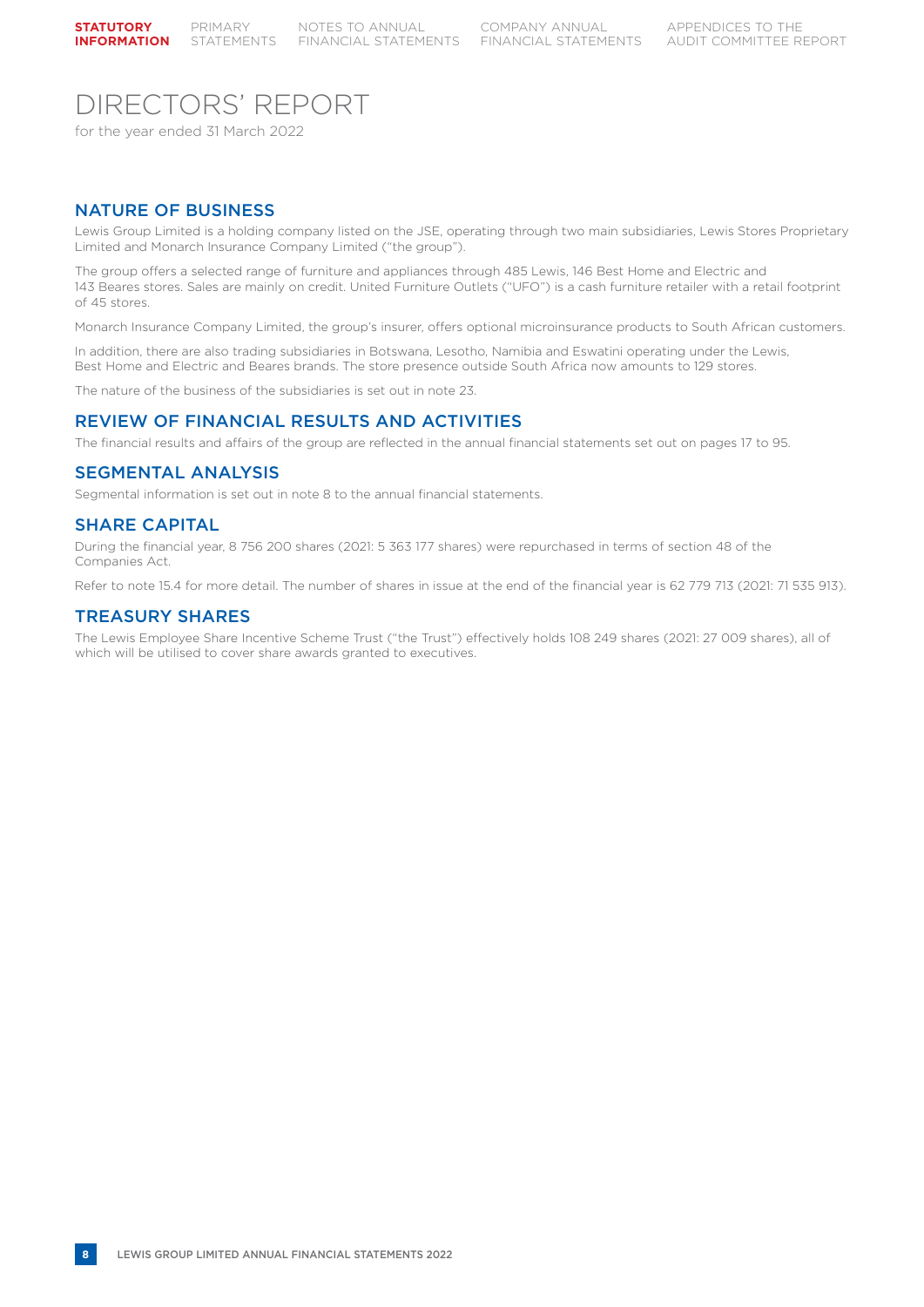## DIRECTORS' REPORT

for the year ended 31 March 2022

## NATURE OF BUSINESS

Lewis Group Limited is a holding company listed on the JSE, operating through two main subsidiaries, Lewis Stores Proprietary Limited and Monarch Insurance Company Limited ("the group").

The group offers a selected range of furniture and appliances through 485 Lewis, 146 Best Home and Electric and 143 Beares stores. Sales are mainly on credit. United Furniture Outlets ("UFO") is a cash furniture retailer with a retail footprint of 45 stores.

Monarch Insurance Company Limited, the group's insurer, offers optional microinsurance products to South African customers.

In addition, there are also trading subsidiaries in Botswana, Lesotho, Namibia and Eswatini operating under the Lewis, Best Home and Electric and Beares brands. The store presence outside South Africa now amounts to 129 stores.

The nature of the business of the subsidiaries is set out in note 23.

### REVIEW OF FINANCIAL RESULTS AND ACTIVITIES

The financial results and affairs of the group are reflected in the annual financial statements set out on pages 17 to 95.

### SEGMENTAL ANALYSIS

Segmental information is set out in note 8 to the annual financial statements.

#### SHARE CAPITAL

During the financial year, 8 756 200 shares (2021: 5 363 177 shares) were repurchased in terms of section 48 of the Companies Act.

Refer to note 15.4 for more detail. The number of shares in issue at the end of the financial year is 62 779 713 (2021: 71 535 913).

### TREASURY SHARES

The Lewis Employee Share Incentive Scheme Trust ("the Trust") effectively holds 108 249 shares (2021: 27 009 shares), all of which will be utilised to cover share awards granted to executives.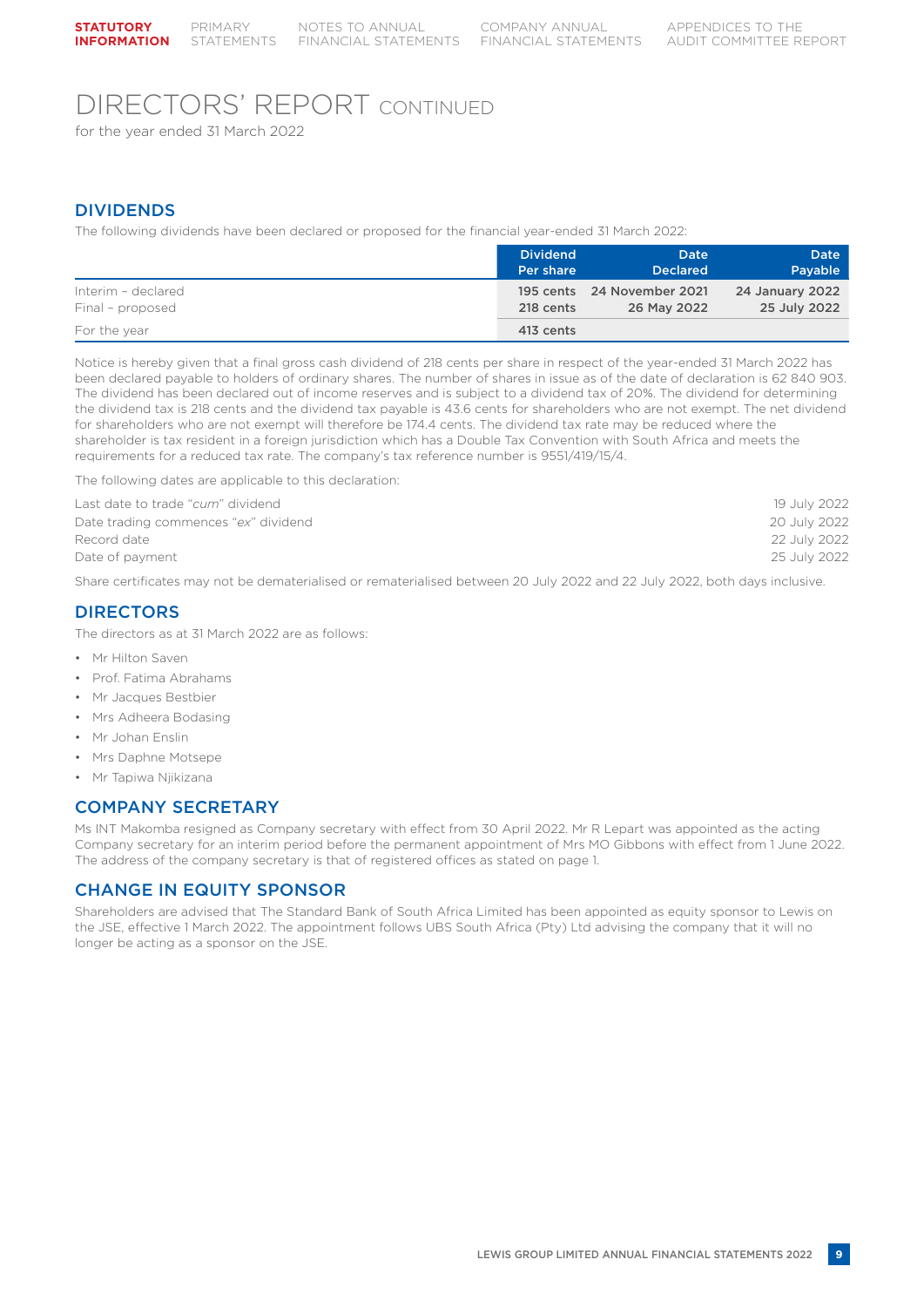## DIRECTORS' REPORT CONTINUED

for the year ended 31 March 2022

## DIVIDENDS

The following dividends have been declared or proposed for the financial year-ended 31 March 2022:

|                    | <b>Dividend</b> | Date                       | Date                   |
|--------------------|-----------------|----------------------------|------------------------|
|                    | Per share       | <b>Declared</b>            | Payable                |
| Interim - declared | 218 cents       | 195 cents 24 November 2021 | <b>24 January 2022</b> |
| Final - proposed   |                 | 26 May 2022                | 25 July 2022           |
| For the year       | 413 cents       |                            |                        |

Notice is hereby given that a final gross cash dividend of 218 cents per share in respect of the year-ended 31 March 2022 has been declared payable to holders of ordinary shares. The number of shares in issue as of the date of declaration is 62 840 903. The dividend has been declared out of income reserves and is subject to a dividend tax of 20%. The dividend for determining the dividend tax is 218 cents and the dividend tax payable is 43.6 cents for shareholders who are not exempt. The net dividend for shareholders who are not exempt will therefore be 174.4 cents. The dividend tax rate may be reduced where the shareholder is tax resident in a foreign jurisdiction which has a Double Tax Convention with South Africa and meets the requirements for a reduced tax rate. The company's tax reference number is 9551/419/15/4.

The following dates are applicable to this declaration:

| Last date to trade "cum" dividend    | 19 July 2022 |
|--------------------------------------|--------------|
| Date trading commences "ex" dividend | 20 July 2022 |
| Record date                          | 22 July 2022 |
| Date of payment                      | 25 July 2022 |
|                                      |              |

Share certificates may not be dematerialised or rematerialised between 20 July 2022 and 22 July 2022, both days inclusive.

## DIRECTORS

The directors as at 31 March 2022 are as follows:

- Mr Hilton Saven
- Prof. Fatima Abrahams
- Mr Jacques Bestbier
- Mrs Adheera Bodasing
- Mr Johan Enslin
- Mrs Daphne Motsepe
- Mr Tapiwa Njikizana

## COMPANY SECRETARY

Ms INT Makomba resigned as Company secretary with effect from 30 April 2022. Mr R Lepart was appointed as the acting Company secretary for an interim period before the permanent appointment of Mrs MO Gibbons with effect from 1 June 2022. The address of the company secretary is that of registered offices as stated on page 1.

## CHANGE IN EQUITY SPONSOR

Shareholders are advised that The Standard Bank of South Africa Limited has been appointed as equity sponsor to Lewis on the JSE, effective 1 March 2022. The appointment follows UBS South Africa (Pty) Ltd advising the company that it will no longer be acting as a sponsor on the JSE.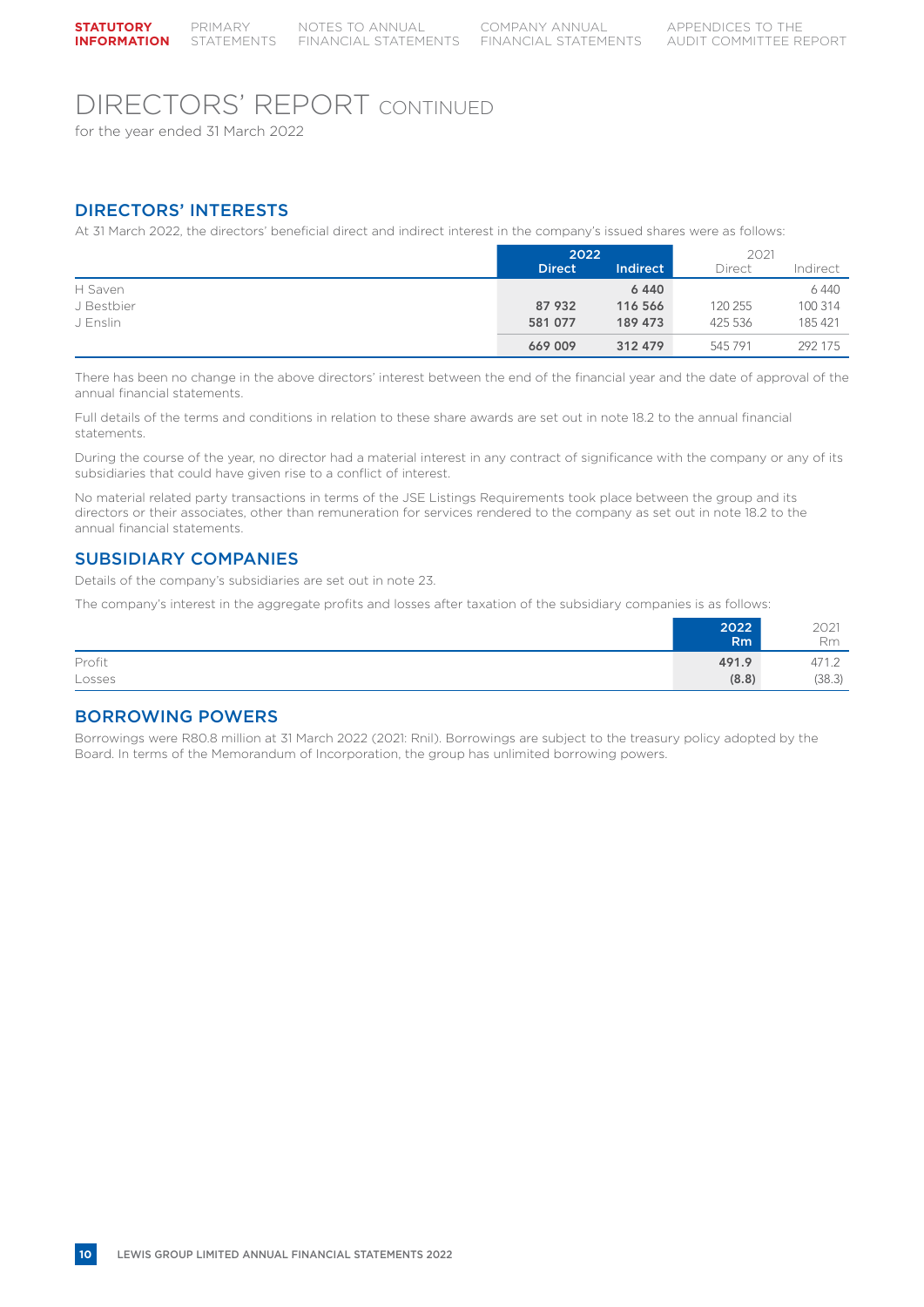## DIRECTORS' REPORT CONTINUED

for the year ended 31 March 2022

## DIRECTORS' INTERESTS

At 31 March 2022, the directors' beneficial direct and indirect interest in the company's issued shares were as follows:

|            |               | 2022     |         | 2021     |  |
|------------|---------------|----------|---------|----------|--|
|            | <b>Direct</b> | Indirect | Direct  | Indirect |  |
| H Saven    |               | 6440     |         | 6 4 4 0  |  |
| J Bestbier | 87 932        | 116 566  | 120 255 | 100 314  |  |
| J Enslin   | 581 077       | 189 473  | 425 536 | 185 421  |  |
|            | 669 009       | 312 479  | 545 791 | 292 175  |  |

There has been no change in the above directors' interest between the end of the financial year and the date of approval of the annual financial statements.

Full details of the terms and conditions in relation to these share awards are set out in note 18.2 to the annual financial statements.

During the course of the year, no director had a material interest in any contract of significance with the company or any of its subsidiaries that could have given rise to a conflict of interest.

No material related party transactions in terms of the JSE Listings Requirements took place between the group and its directors or their associates, other than remuneration for services rendered to the company as set out in note 18.2 to the annual financial statements.

## SUBSIDIARY COMPANIES

Details of the company's subsidiaries are set out in note 23.

The company's interest in the aggregate profits and losses after taxation of the subsidiary companies is as follows:

|        | 2022           | 2021<br>Rm |
|--------|----------------|------------|
|        | R <sub>m</sub> |            |
| Profit | 491.9          | 471.2      |
| Losses | (8.8)          | (38.3)     |

### BORROWING POWERS

Borrowings were R80.8 million at 31 March 2022 (2021: Rnil). Borrowings are subject to the treasury policy adopted by the Board. In terms of the Memorandum of Incorporation, the group has unlimited borrowing powers.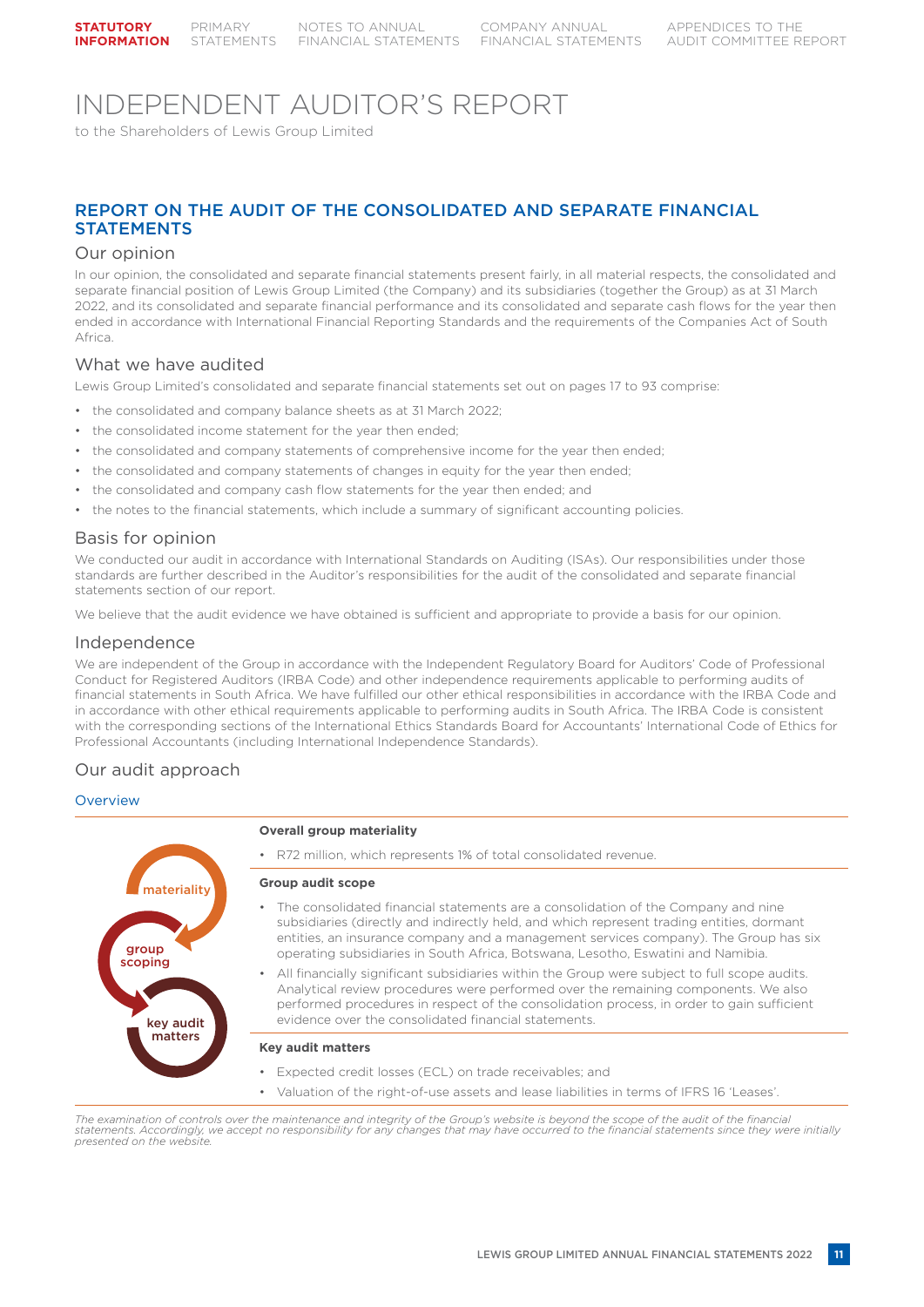## INDEPENDENT AUDITOR'S REPORT

to the Shareholders of Lewis Group Limited

## REPORT ON THE AUDIT OF THE CONSOLIDATED AND SEPARATE FINANCIAL **STATEMENTS**

#### Our opinion

In our opinion, the consolidated and separate financial statements present fairly, in all material respects, the consolidated and separate financial position of Lewis Group Limited (the Company) and its subsidiaries (together the Group) as at 31 March 2022, and its consolidated and separate financial performance and its consolidated and separate cash flows for the year then ended in accordance with International Financial Reporting Standards and the requirements of the Companies Act of South Africa.

### What we have audited

Lewis Group Limited's consolidated and separate financial statements set out on pages 17 to 93 comprise:

- the consolidated and company balance sheets as at 31 March 2022;
- the consolidated income statement for the year then ended;
- the consolidated and company statements of comprehensive income for the year then ended;
- the consolidated and company statements of changes in equity for the year then ended;
- the consolidated and company cash flow statements for the year then ended; and
- the notes to the financial statements, which include a summary of significant accounting policies.

### Basis for opinion

We conducted our audit in accordance with International Standards on Auditing (ISAs). Our responsibilities under those standards are further described in the Auditor's responsibilities for the audit of the consolidated and separate financial statements section of our report.

We believe that the audit evidence we have obtained is sufficient and appropriate to provide a basis for our opinion.

### Independence

We are independent of the Group in accordance with the Independent Regulatory Board for Auditors' Code of Professional Conduct for Registered Auditors (IRBA Code) and other independence requirements applicable to performing audits of financial statements in South Africa. We have fulfilled our other ethical responsibilities in accordance with the IRBA Code and in accordance with other ethical requirements applicable to performing audits in South Africa. The IRBA Code is consistent with the corresponding sections of the International Ethics Standards Board for Accountants' International Code of Ethics for Professional Accountants (including International Independence Standards).

### Our audit approach

#### **Overview**



- The consolidated financial statements are a consolidation of the Company and nine subsidiaries (directly and indirectly held, and which represent trading entities, dormant entities, an insurance company and a management services company). The Group has six
- All financially significant subsidiaries within the Group were subject to full scope audits. Analytical review procedures were performed over the remaining components. We also performed procedures in respect of the consolidation process, in order to gain sufficient
- Valuation of the right-of-use assets and lease liabilities in terms of IFRS 16 'Leases'.

*The examination of controls over the maintenance and integrity of the Group's website is beyond the scope of the audit of the financial statements. Accordingly, we accept no responsibility for any changes that may have occurred to the financial statements since they were initially presented on the website.*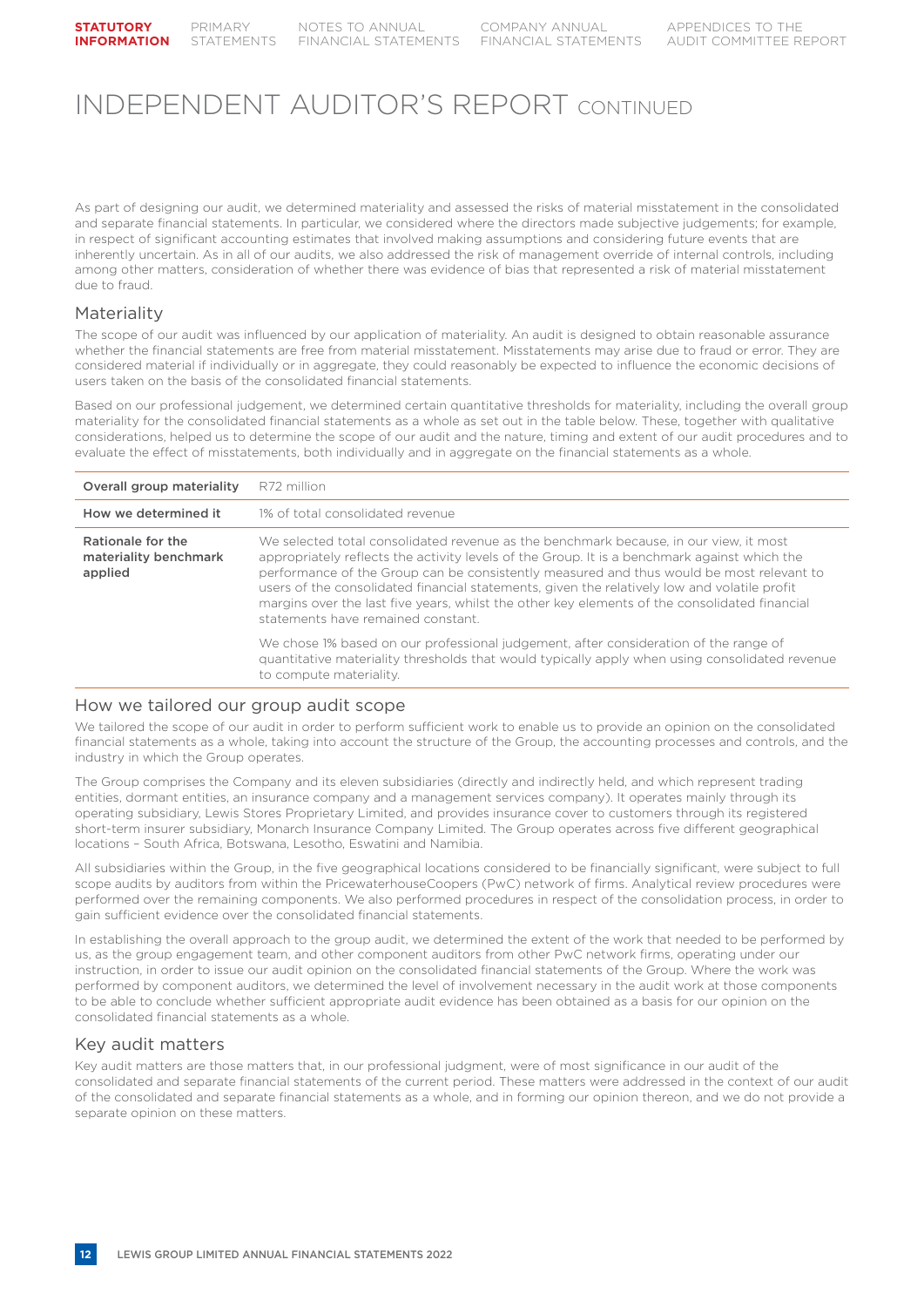As part of designing our audit, we determined materiality and assessed the risks of material misstatement in the consolidated and separate financial statements. In particular, we considered where the directors made subjective judgements; for example, in respect of significant accounting estimates that involved making assumptions and considering future events that are inherently uncertain. As in all of our audits, we also addressed the risk of management override of internal controls, including among other matters, consideration of whether there was evidence of bias that represented a risk of material misstatement due to fraud.

### Materiality

The scope of our audit was influenced by our application of materiality. An audit is designed to obtain reasonable assurance whether the financial statements are free from material misstatement. Misstatements may arise due to fraud or error. They are considered material if individually or in aggregate, they could reasonably be expected to influence the economic decisions of users taken on the basis of the consolidated financial statements.

Based on our professional judgement, we determined certain quantitative thresholds for materiality, including the overall group materiality for the consolidated financial statements as a whole as set out in the table below. These, together with qualitative considerations, helped us to determine the scope of our audit and the nature, timing and extent of our audit procedures and to evaluate the effect of misstatements, both individually and in aggregate on the financial statements as a whole.

| Overall group materiality                             | R72 million                                                                                                                                                                                                                                                                                                                                                                                                                                                                                                              |
|-------------------------------------------------------|--------------------------------------------------------------------------------------------------------------------------------------------------------------------------------------------------------------------------------------------------------------------------------------------------------------------------------------------------------------------------------------------------------------------------------------------------------------------------------------------------------------------------|
| How we determined it                                  | 1% of total consolidated revenue                                                                                                                                                                                                                                                                                                                                                                                                                                                                                         |
| Rationale for the<br>materiality benchmark<br>applied | We selected total consolidated revenue as the benchmark because, in our view, it most<br>appropriately reflects the activity levels of the Group. It is a benchmark against which the<br>performance of the Group can be consistently measured and thus would be most relevant to<br>users of the consolidated financial statements, given the relatively low and volatile profit<br>margins over the last five years, whilst the other key elements of the consolidated financial<br>statements have remained constant. |
|                                                       | We chose 1% based on our professional judgement, after consideration of the range of<br>quantitative materiality thresholds that would typically apply when using consolidated revenue<br>to compute materiality.                                                                                                                                                                                                                                                                                                        |

#### How we tailored our group audit scope

We tailored the scope of our audit in order to perform sufficient work to enable us to provide an opinion on the consolidated financial statements as a whole, taking into account the structure of the Group, the accounting processes and controls, and the industry in which the Group operates.

The Group comprises the Company and its eleven subsidiaries (directly and indirectly held, and which represent trading entities, dormant entities, an insurance company and a management services company). It operates mainly through its operating subsidiary, Lewis Stores Proprietary Limited, and provides insurance cover to customers through its registered short-term insurer subsidiary, Monarch Insurance Company Limited. The Group operates across five different geographical locations – South Africa, Botswana, Lesotho, Eswatini and Namibia.

All subsidiaries within the Group, in the five geographical locations considered to be financially significant, were subject to full scope audits by auditors from within the PricewaterhouseCoopers (PwC) network of firms. Analytical review procedures were performed over the remaining components. We also performed procedures in respect of the consolidation process, in order to gain sufficient evidence over the consolidated financial statements.

In establishing the overall approach to the group audit, we determined the extent of the work that needed to be performed by us, as the group engagement team, and other component auditors from other PwC network firms, operating under our instruction, in order to issue our audit opinion on the consolidated financial statements of the Group. Where the work was performed by component auditors, we determined the level of involvement necessary in the audit work at those components to be able to conclude whether sufficient appropriate audit evidence has been obtained as a basis for our opinion on the consolidated financial statements as a whole.

### Key audit matters

Key audit matters are those matters that, in our professional judgment, were of most significance in our audit of the consolidated and separate financial statements of the current period. These matters were addressed in the context of our audit of the consolidated and separate financial statements as a whole, and in forming our opinion thereon, and we do not provide a separate opinion on these matters.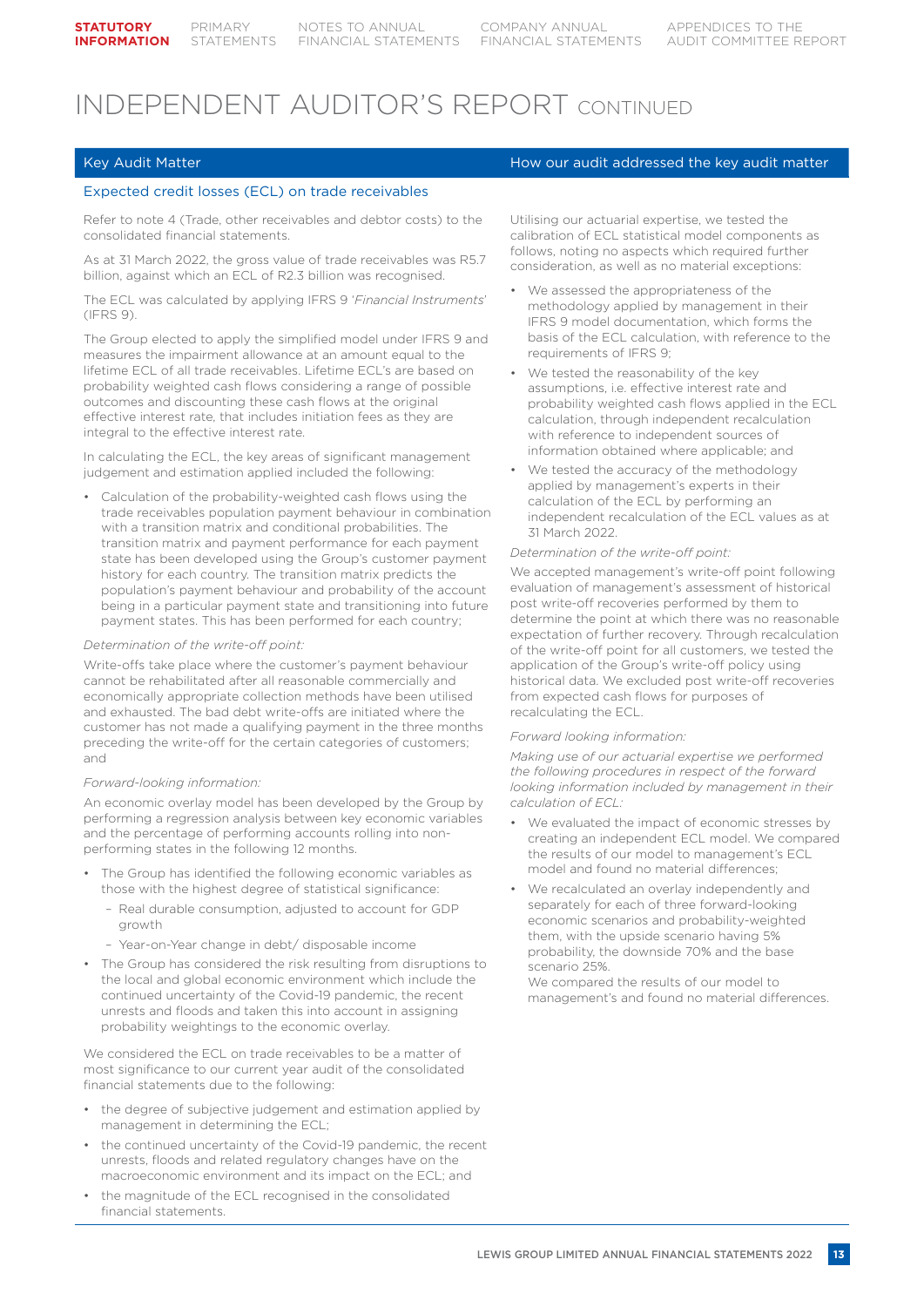#### Expected credit losses (ECL) on trade receivables

Refer to note 4 (Trade, other receivables and debtor costs) to the consolidated financial statements.

As at 31 March 2022, the gross value of trade receivables was R5.7 billion, against which an ECL of R2.3 billion was recognised.

The ECL was calculated by applying IFRS 9 '*Financial Instruments*' (IFRS 9).

The Group elected to apply the simplified model under IFRS 9 and measures the impairment allowance at an amount equal to the lifetime ECL of all trade receivables. Lifetime ECL's are based on probability weighted cash flows considering a range of possible outcomes and discounting these cash flows at the original effective interest rate, that includes initiation fees as they are integral to the effective interest rate.

In calculating the ECL, the key areas of significant management judgement and estimation applied included the following:

Calculation of the probability-weighted cash flows using the trade receivables population payment behaviour in combination with a transition matrix and conditional probabilities. The transition matrix and payment performance for each payment state has been developed using the Group's customer payment history for each country. The transition matrix predicts the population's payment behaviour and probability of the account being in a particular payment state and transitioning into future payment states. This has been performed for each country;

#### *Determination of the write-off point:*

Write-offs take place where the customer's payment behaviour cannot be rehabilitated after all reasonable commercially and economically appropriate collection methods have been utilised and exhausted. The bad debt write-offs are initiated where the customer has not made a qualifying payment in the three months preceding the write-off for the certain categories of customers; and

#### *Forward-looking information:*

An economic overlay model has been developed by the Group by performing a regression analysis between key economic variables and the percentage of performing accounts rolling into nonperforming states in the following 12 months.

- The Group has identified the following economic variables as those with the highest degree of statistical significance:
	- Real durable consumption, adjusted to account for GDP growth
	- Year-on-Year change in debt/ disposable income
- The Group has considered the risk resulting from disruptions to the local and global economic environment which include the continued uncertainty of the Covid-19 pandemic, the recent unrests and floods and taken this into account in assigning probability weightings to the economic overlay.

We considered the ECL on trade receivables to be a matter of most significance to our current year audit of the consolidated financial statements due to the following:

- the degree of subjective judgement and estimation applied by management in determining the ECL;
- the continued uncertainty of the Covid-19 pandemic, the recent unrests, floods and related regulatory changes have on the macroeconomic environment and its impact on the ECL; and
- the magnitude of the ECL recognised in the consolidated financial statements.

### Key Audit Matter How our audit addressed the key audit matter How our audit matter

Utilising our actuarial expertise, we tested the calibration of ECL statistical model components as follows, noting no aspects which required further consideration, as well as no material exceptions:

- We assessed the appropriateness of the methodology applied by management in their IFRS 9 model documentation, which forms the basis of the ECL calculation, with reference to the requirements of IFRS 9;
- We tested the reasonability of the key assumptions, i.e. effective interest rate and probability weighted cash flows applied in the ECL calculation, through independent recalculation with reference to independent sources of information obtained where applicable; and
- We tested the accuracy of the methodology applied by management's experts in their calculation of the ECL by performing an independent recalculation of the ECL values as at 31 March 2022.

#### *Determination of the write-off point:*

We accepted management's write-off point following evaluation of management's assessment of historical post write-off recoveries performed by them to determine the point at which there was no reasonable expectation of further recovery. Through recalculation of the write-off point for all customers, we tested the application of the Group's write-off policy using historical data. We excluded post write-off recoveries from expected cash flows for purposes of recalculating the ECL.

#### *Forward looking information:*

*Making use of our actuarial expertise we performed the following procedures in respect of the forward looking information included by management in their calculation of ECL:*

- We evaluated the impact of economic stresses by creating an independent ECL model. We compared the results of our model to management's ECL model and found no material differences;
- We recalculated an overlay independently and separately for each of three forward-looking economic scenarios and probability-weighted them, with the upside scenario having 5% probability, the downside 70% and the base scenario 25%.

We compared the results of our model to management's and found no material differences.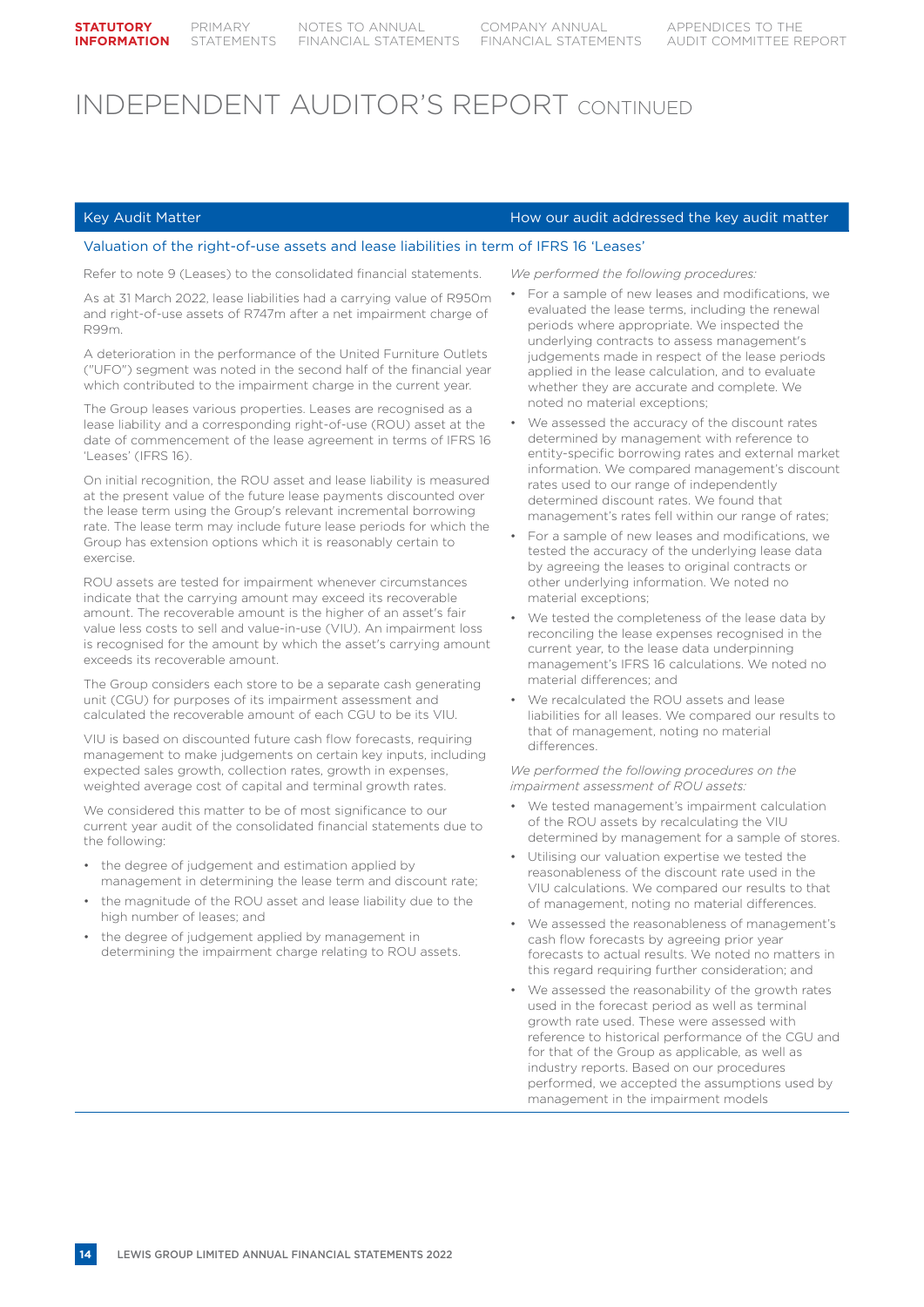#### Key Audit Matter How our audit addressed the key audit matter How our audit addressed the key audit matter

#### Valuation of the right-of-use assets and lease liabilities in term of IFRS 16 'Leases'

Refer to note 9 (Leases) to the consolidated financial statements.

As at 31 March 2022, lease liabilities had a carrying value of R950m and right-of-use assets of R747m after a net impairment charge of R99m.

A deterioration in the performance of the United Furniture Outlets ("UFO") segment was noted in the second half of the financial year which contributed to the impairment charge in the current year.

The Group leases various properties. Leases are recognised as a lease liability and a corresponding right-of-use (ROU) asset at the date of commencement of the lease agreement in terms of IFRS 16 'Leases' (IFRS 16).

On initial recognition, the ROU asset and lease liability is measured at the present value of the future lease payments discounted over the lease term using the Group's relevant incremental borrowing rate. The lease term may include future lease periods for which the Group has extension options which it is reasonably certain to exercise.

ROU assets are tested for impairment whenever circumstances indicate that the carrying amount may exceed its recoverable amount. The recoverable amount is the higher of an asset's fair value less costs to sell and value-in-use (VIU). An impairment loss is recognised for the amount by which the asset's carrying amount exceeds its recoverable amount.

The Group considers each store to be a separate cash generating unit (CGU) for purposes of its impairment assessment and calculated the recoverable amount of each CGU to be its VIU.

VIU is based on discounted future cash flow forecasts, requiring management to make judgements on certain key inputs, including expected sales growth, collection rates, growth in expenses, weighted average cost of capital and terminal growth rates.

We considered this matter to be of most significance to our current year audit of the consolidated financial statements due to the following:

- the degree of judgement and estimation applied by management in determining the lease term and discount rate;
- the magnitude of the ROU asset and lease liability due to the high number of leases; and
- the degree of judgement applied by management in determining the impairment charge relating to ROU assets.

*We performed the following procedures:*

- For a sample of new leases and modifications, we evaluated the lease terms, including the renewal periods where appropriate. We inspected the underlying contracts to assess management's judgements made in respect of the lease periods applied in the lease calculation, and to evaluate whether they are accurate and complete. We noted no material exceptions;
- We assessed the accuracy of the discount rates determined by management with reference to entity-specific borrowing rates and external market information. We compared management's discount rates used to our range of independently determined discount rates. We found that management's rates fell within our range of rates;
- For a sample of new leases and modifications, we tested the accuracy of the underlying lease data by agreeing the leases to original contracts or other underlying information. We noted no material exceptions;
- We tested the completeness of the lease data by reconciling the lease expenses recognised in the current year, to the lease data underpinning management's IFRS 16 calculations. We noted no material differences; and
- We recalculated the ROU assets and lease liabilities for all leases. We compared our results to that of management, noting no material differences.

*We performed the following procedures on the impairment assessment of ROU assets:*

- We tested management's impairment calculation of the ROU assets by recalculating the VIU determined by management for a sample of stores.
- Utilising our valuation expertise we tested the reasonableness of the discount rate used in the VIU calculations. We compared our results to that of management, noting no material differences.
- We assessed the reasonableness of management's cash flow forecasts by agreeing prior year forecasts to actual results. We noted no matters in this regard requiring further consideration; and
- We assessed the reasonability of the growth rates used in the forecast period as well as terminal growth rate used. These were assessed with reference to historical performance of the CGU and for that of the Group as applicable, as well as industry reports. Based on our procedures performed, we accepted the assumptions used by management in the impairment models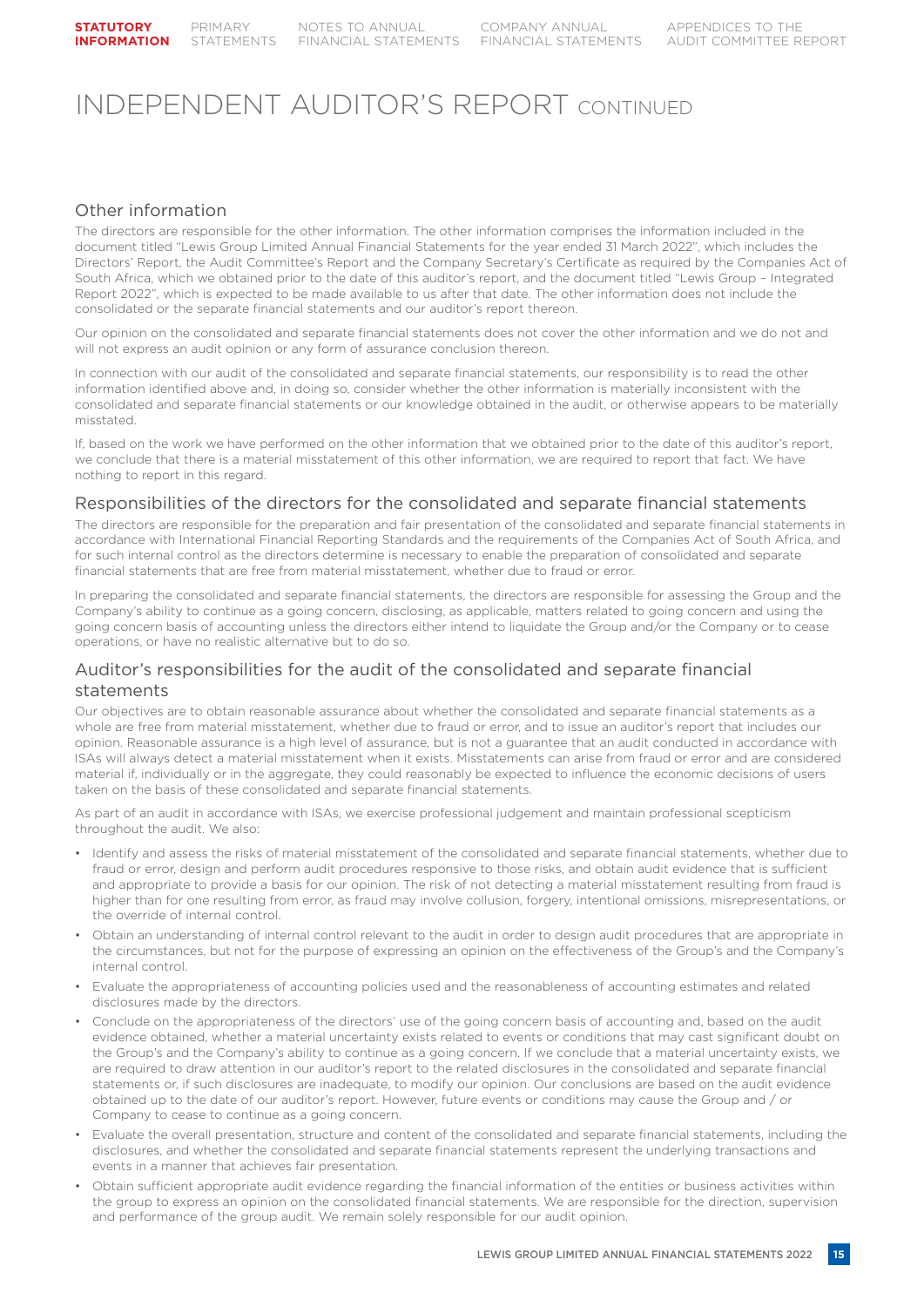### Other information

The directors are responsible for the other information. The other information comprises the information included in the document titled "Lewis Group Limited Annual Financial Statements for the year ended 31 March 2022", which includes the Directors' Report, the Audit Committee's Report and the Company Secretary's Certificate as required by the Companies Act of South Africa, which we obtained prior to the date of this auditor's report, and the document titled "Lewis Group – Integrated Report 2022", which is expected to be made available to us after that date. The other information does not include the consolidated or the separate financial statements and our auditor's report thereon.

Our opinion on the consolidated and separate financial statements does not cover the other information and we do not and will not express an audit opinion or any form of assurance conclusion thereon.

In connection with our audit of the consolidated and separate financial statements, our responsibility is to read the other information identified above and, in doing so, consider whether the other information is materially inconsistent with the consolidated and separate financial statements or our knowledge obtained in the audit, or otherwise appears to be materially misstated.

If, based on the work we have performed on the other information that we obtained prior to the date of this auditor's report, we conclude that there is a material misstatement of this other information, we are required to report that fact. We have nothing to report in this regard.

## Responsibilities of the directors for the consolidated and separate financial statements

The directors are responsible for the preparation and fair presentation of the consolidated and separate financial statements in accordance with International Financial Reporting Standards and the requirements of the Companies Act of South Africa, and for such internal control as the directors determine is necessary to enable the preparation of consolidated and separate financial statements that are free from material misstatement, whether due to fraud or error.

In preparing the consolidated and separate financial statements, the directors are responsible for assessing the Group and the Company's ability to continue as a going concern, disclosing, as applicable, matters related to going concern and using the going concern basis of accounting unless the directors either intend to liquidate the Group and/or the Company or to cease operations, or have no realistic alternative but to do so.

### Auditor's responsibilities for the audit of the consolidated and separate financial statements

Our objectives are to obtain reasonable assurance about whether the consolidated and separate financial statements as a whole are free from material misstatement, whether due to fraud or error, and to issue an auditor's report that includes our opinion. Reasonable assurance is a high level of assurance, but is not a guarantee that an audit conducted in accordance with ISAs will always detect a material misstatement when it exists. Misstatements can arise from fraud or error and are considered material if, individually or in the aggregate, they could reasonably be expected to influence the economic decisions of users taken on the basis of these consolidated and separate financial statements.

As part of an audit in accordance with ISAs, we exercise professional judgement and maintain professional scepticism throughout the audit. We also:

- Identify and assess the risks of material misstatement of the consolidated and separate financial statements, whether due to fraud or error, design and perform audit procedures responsive to those risks, and obtain audit evidence that is sufficient and appropriate to provide a basis for our opinion. The risk of not detecting a material misstatement resulting from fraud is higher than for one resulting from error, as fraud may involve collusion, forgery, intentional omissions, misrepresentations, or the override of internal control.
- Obtain an understanding of internal control relevant to the audit in order to design audit procedures that are appropriate in the circumstances, but not for the purpose of expressing an opinion on the effectiveness of the Group's and the Company's internal control.
- Evaluate the appropriateness of accounting policies used and the reasonableness of accounting estimates and related disclosures made by the directors.
- Conclude on the appropriateness of the directors' use of the going concern basis of accounting and, based on the audit evidence obtained, whether a material uncertainty exists related to events or conditions that may cast significant doubt on the Group's and the Company's ability to continue as a going concern. If we conclude that a material uncertainty exists, we are required to draw attention in our auditor's report to the related disclosures in the consolidated and separate financial statements or, if such disclosures are inadequate, to modify our opinion. Our conclusions are based on the audit evidence obtained up to the date of our auditor's report. However, future events or conditions may cause the Group and / or Company to cease to continue as a going concern.
- Evaluate the overall presentation, structure and content of the consolidated and separate financial statements, including the disclosures, and whether the consolidated and separate financial statements represent the underlying transactions and events in a manner that achieves fair presentation.
- Obtain sufficient appropriate audit evidence regarding the financial information of the entities or business activities within the group to express an opinion on the consolidated financial statements. We are responsible for the direction, supervision and performance of the group audit. We remain solely responsible for our audit opinion.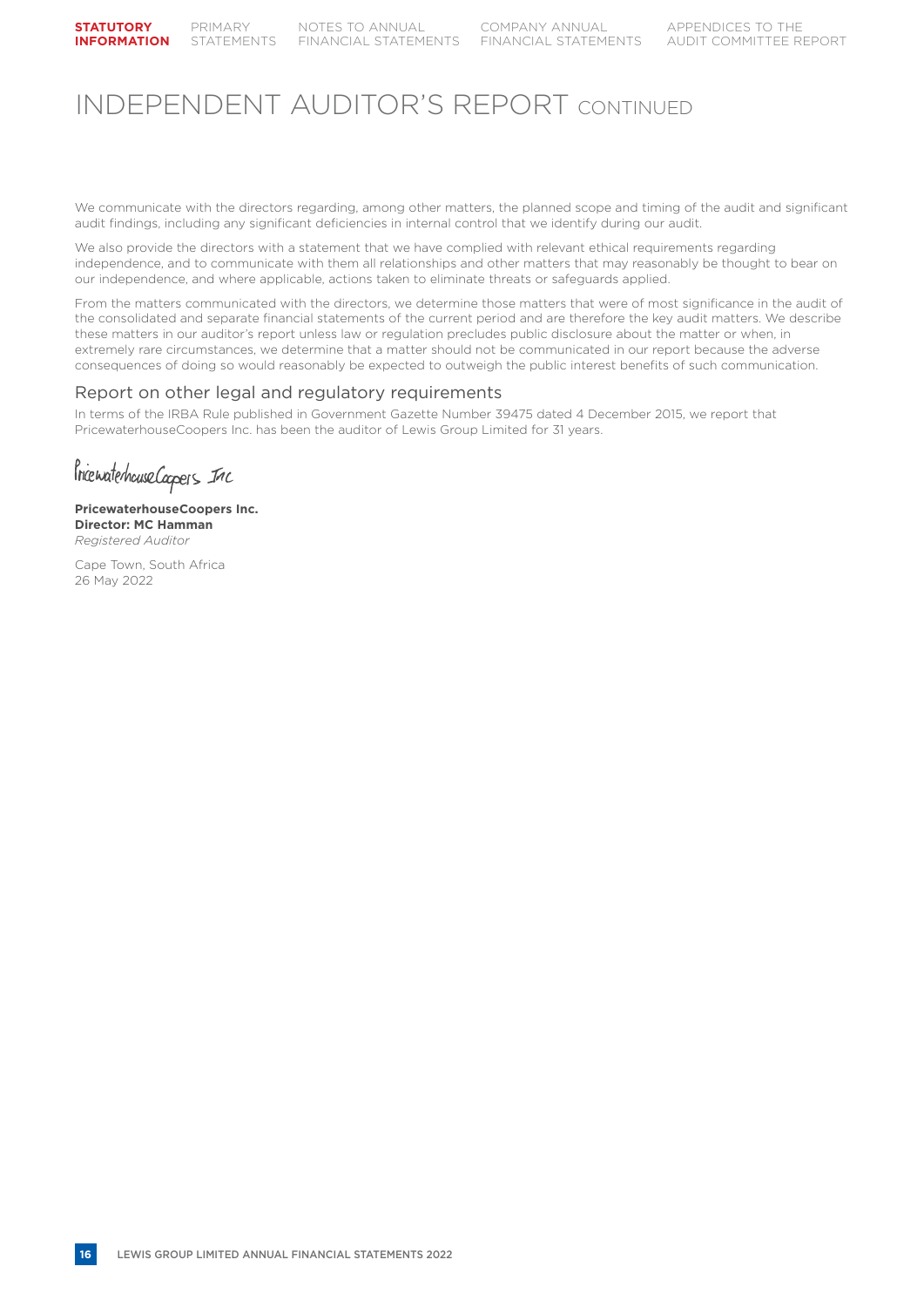We communicate with the directors regarding, among other matters, the planned scope and timing of the audit and significant audit findings, including any significant deficiencies in internal control that we identify during our audit.

We also provide the directors with a statement that we have complied with relevant ethical requirements regarding independence, and to communicate with them all relationships and other matters that may reasonably be thought to bear on our independence, and where applicable, actions taken to eliminate threats or safeguards applied.

From the matters communicated with the directors, we determine those matters that were of most significance in the audit of the consolidated and separate financial statements of the current period and are therefore the key audit matters. We describe these matters in our auditor's report unless law or regulation precludes public disclosure about the matter or when, in extremely rare circumstances, we determine that a matter should not be communicated in our report because the adverse consequences of doing so would reasonably be expected to outweigh the public interest benefits of such communication.

### Report on other legal and regulatory requirements

In terms of the IRBA Rule published in Government Gazette Number 39475 dated 4 December 2015, we report that PricewaterhouseCoopers Inc. has been the auditor of Lewis Group Limited for 31 years.

Prienaterhouse Coopers Inc

**PricewaterhouseCoopers Inc. Director: MC Hamman Registered Auditor** 

Cape Town, South Africa 26 May 2022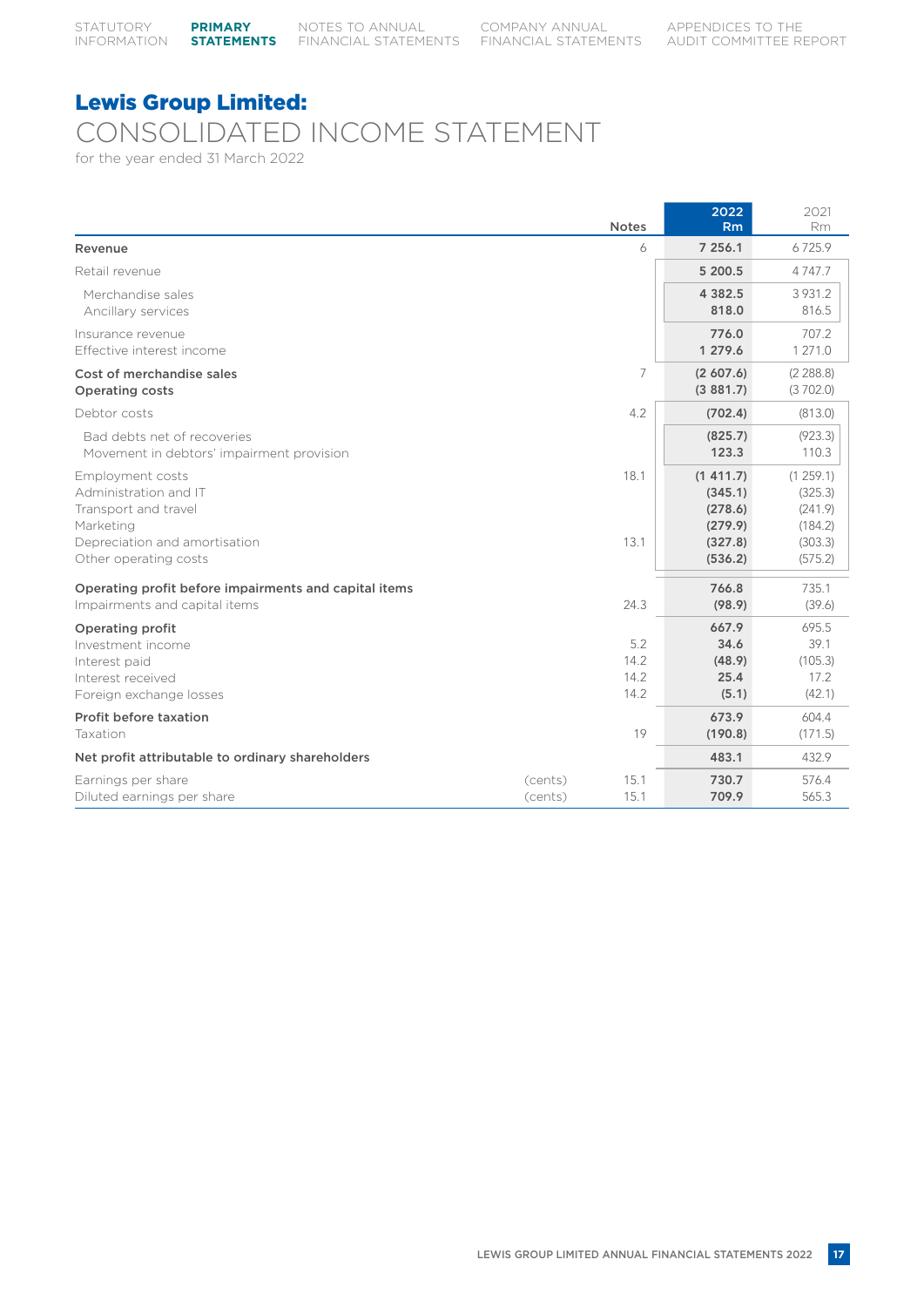## CONSOLIDATED INCOME STATEMENT

for the year ended 31 March 2022

|                                                                                                                                          |                    | <b>Notes</b>                | 2022<br>Rm                                                      | 2021<br>Rm                                                      |
|------------------------------------------------------------------------------------------------------------------------------------------|--------------------|-----------------------------|-----------------------------------------------------------------|-----------------------------------------------------------------|
| Revenue                                                                                                                                  |                    | 6                           | 7 256.1                                                         | 6725.9                                                          |
| Retail revenue                                                                                                                           |                    |                             | 5 200.5                                                         | 4747.7                                                          |
| Merchandise sales<br>Ancillary services                                                                                                  |                    |                             | 4 3 8 2.5<br>818.0                                              | 3 9 3 1 . 2<br>816.5                                            |
| Insurance revenue<br>Effective interest income                                                                                           |                    |                             | 776.0<br>1 279.6                                                | 707.2<br>1 271.0                                                |
| Cost of merchandise sales<br><b>Operating costs</b>                                                                                      |                    | 7                           | (2,607.6)<br>(3881.7)                                           | (2 288.8)<br>(3702.0)                                           |
| Debtor costs                                                                                                                             |                    | 4.2                         | (702.4)                                                         | (813.0)                                                         |
| Bad debts net of recoveries<br>Movement in debtors' impairment provision                                                                 |                    |                             | (825.7)<br>123.3                                                | (923.3)<br>110.3                                                |
| Employment costs<br>Administration and IT<br>Transport and travel<br>Marketing<br>Depreciation and amortisation<br>Other operating costs |                    | 18.1<br>13.1                | (1411.7)<br>(345.1)<br>(278.6)<br>(279.9)<br>(327.8)<br>(536.2) | (1259.1)<br>(325.3)<br>(241.9)<br>(184.2)<br>(303.3)<br>(575.2) |
| Operating profit before impairments and capital items<br>Impairments and capital items                                                   |                    | 24.3                        | 766.8<br>(98.9)                                                 | 735.1<br>(39.6)                                                 |
| <b>Operating profit</b><br>Investment income<br>Interest paid<br>Interest received<br>Foreign exchange losses                            |                    | 5.2<br>14.2<br>14.2<br>14.2 | 667.9<br>34.6<br>(48.9)<br>25.4<br>(5.1)                        | 695.5<br>39.1<br>(105.3)<br>17.2<br>(42.1)                      |
| Profit before taxation<br>Taxation                                                                                                       |                    | 19                          | 673.9<br>(190.8)                                                | 604.4<br>(171.5)                                                |
| Net profit attributable to ordinary shareholders                                                                                         |                    |                             | 483.1                                                           | 432.9                                                           |
| Earnings per share<br>Diluted earnings per share                                                                                         | (cents)<br>(cents) | 15.1<br>15.1                | 730.7<br>709.9                                                  | 576.4<br>565.3                                                  |

LEWIS GROUP LIMITED ANNUAL FINANCIAL STATEMENTS 2022 **17**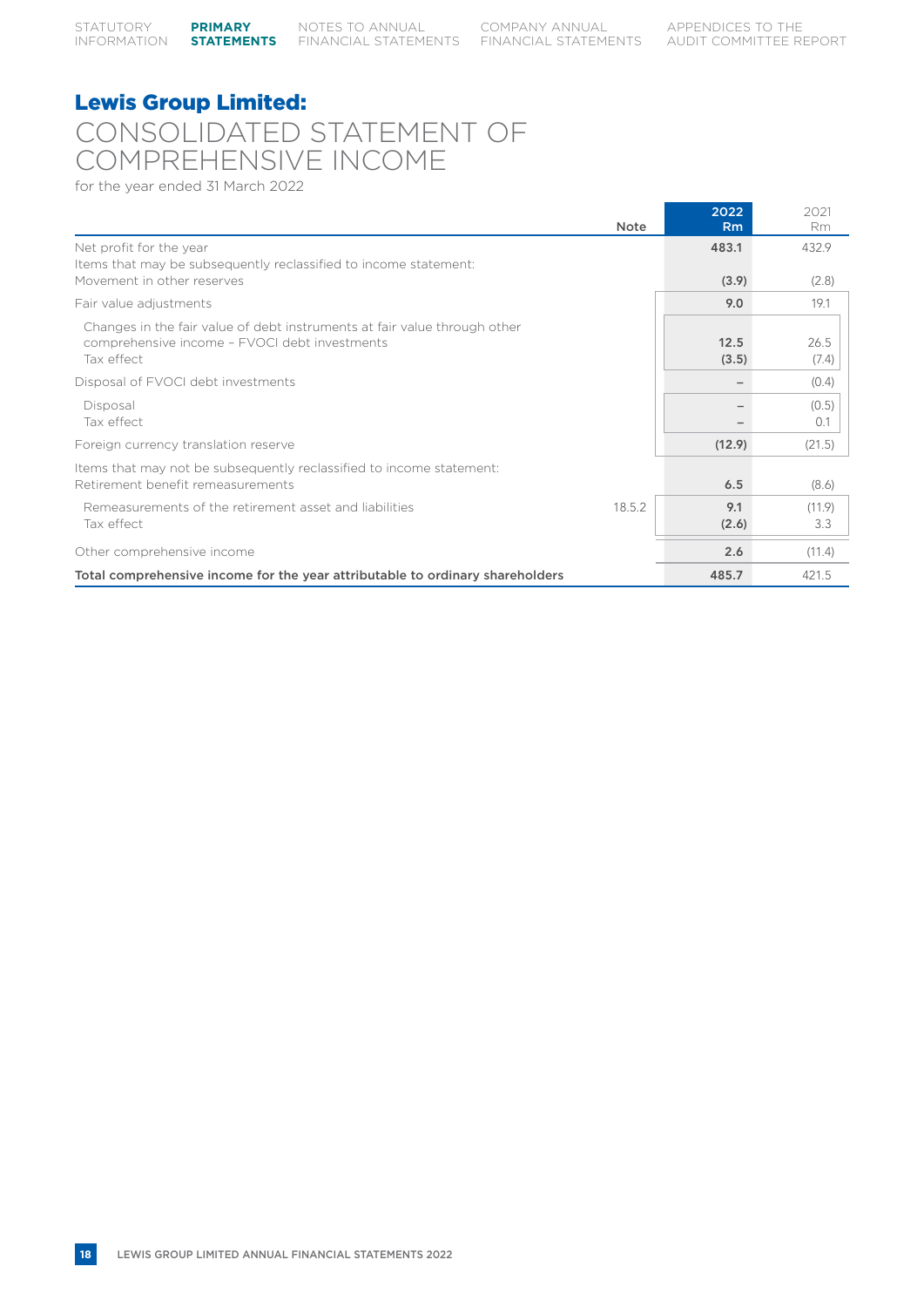## Lewis Group Limited: CONSOLIDATED STATEMENT OF COMPREHENSIVE INCOME

for the year ended 31 March 2022

|                                                                                                                                          | <b>Note</b> | 2022<br>Rm               | 2021<br>Rm    |
|------------------------------------------------------------------------------------------------------------------------------------------|-------------|--------------------------|---------------|
| Net profit for the year                                                                                                                  |             | 483.1                    | 432.9         |
| Items that may be subsequently reclassified to income statement:<br>Movement in other reserves                                           |             | (3.9)                    | (2.8)         |
| Fair value adjustments                                                                                                                   |             | 9.0                      | 19.1          |
| Changes in the fair value of debt instruments at fair value through other<br>comprehensive income - FVOCI debt investments<br>Tax effect |             | 12.5<br>(3.5)            | 26.5<br>(7.4) |
| Disposal of FVOCI debt investments                                                                                                       |             | $\overline{\phantom{0}}$ | (0.4)         |
| Disposal<br>Tax effect                                                                                                                   |             |                          | (0.5)<br>0.1  |
| Foreign currency translation reserve                                                                                                     |             | (12.9)                   | (21.5)        |
| Items that may not be subsequently reclassified to income statement:<br>Retirement benefit remeasurements                                |             | 6.5                      | (8.6)         |
| Remeasurements of the retirement asset and liabilities<br>Tax effect                                                                     | 18.5.2      | 9.1<br>(2.6)             | (11.9)<br>3.3 |
| Other comprehensive income                                                                                                               |             | 2.6                      | (11.4)        |
| Total comprehensive income for the year attributable to ordinary shareholders                                                            |             | 485.7                    | 421.5         |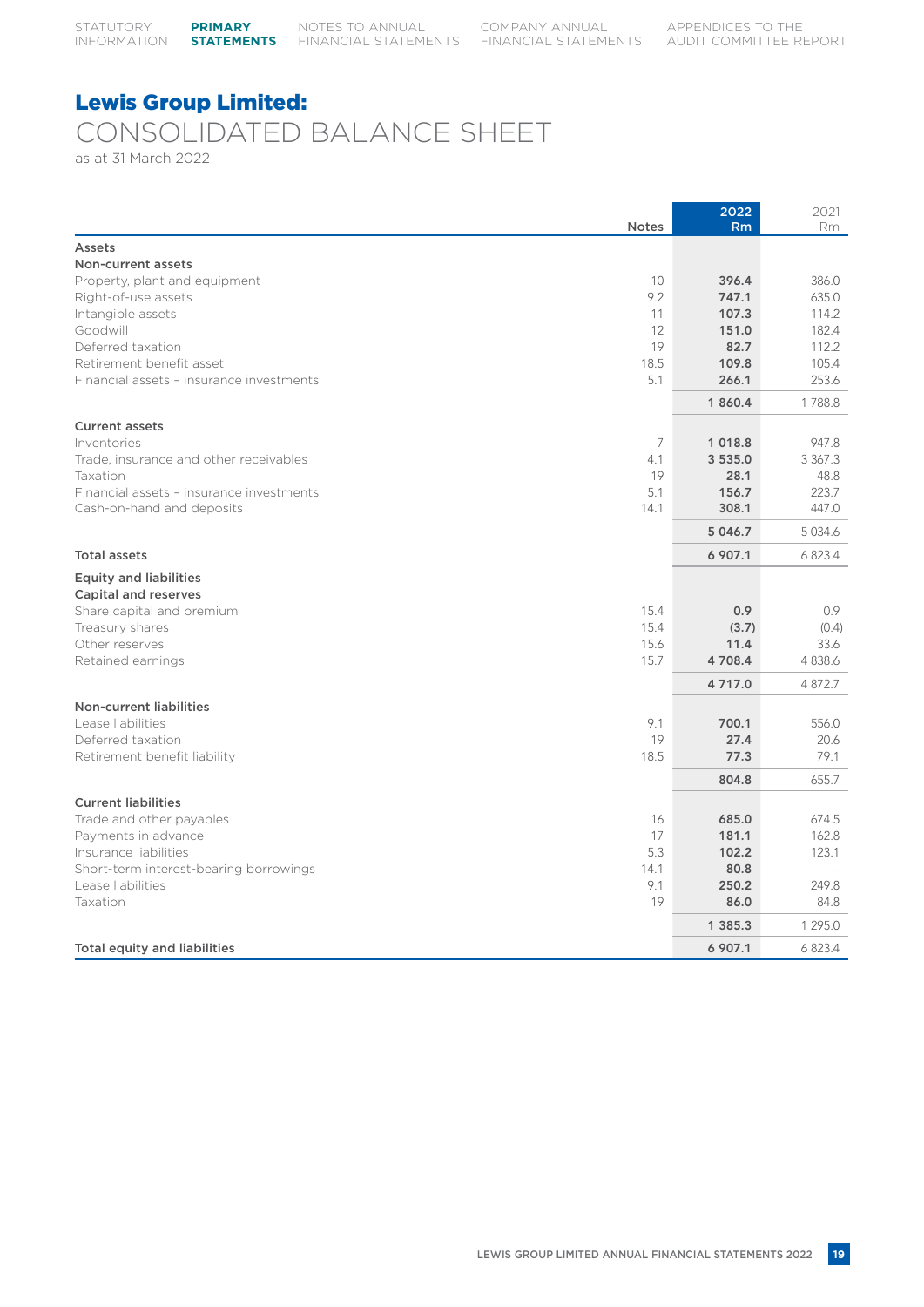## Lewis Group Limited: CONSOLIDATED BALANCE SHEET

as at 31 March 2022

| <b>Notes</b>                                                | 2022<br>Rm      | 2021<br>Rm          |
|-------------------------------------------------------------|-----------------|---------------------|
| Assets                                                      |                 |                     |
| Non-current assets                                          |                 |                     |
| 10<br>Property, plant and equipment                         | 396.4           | 386.0               |
| 9.2<br>Right-of-use assets                                  | 747.1           | 635.0               |
| Intangible assets<br>11                                     | 107.3           | 114.2               |
| Goodwill<br>12                                              | 151.0           | 182.4               |
| 19<br>Deferred taxation                                     | 82.7            | 112.2               |
| Retirement benefit asset<br>18.5                            | 109.8           | 105.4               |
| 5.1<br>Financial assets - insurance investments             | 266.1           | 253.6               |
|                                                             | 1 860.4         | 1788.8              |
| <b>Current assets</b>                                       |                 |                     |
| $\overline{7}$<br>Inventories                               | 1 0 1 8.8       | 947.8               |
| Trade, insurance and other receivables<br>4.1<br>19         | 3 535.0<br>28.1 | 3 3 6 7 . 3<br>48.8 |
| Taxation<br>5.1<br>Financial assets - insurance investments | 156.7           | 223.7               |
| Cash-on-hand and deposits<br>14.1                           | 308.1           | 447.0               |
|                                                             | 5 046.7         | 5 0 3 4 . 6         |
| <b>Total assets</b>                                         | 6 907.1         | 6823.4              |
|                                                             |                 |                     |
| <b>Equity and liabilities</b>                               |                 |                     |
| Capital and reserves                                        |                 |                     |
| 15.4<br>Share capital and premium<br>15.4                   | 0.9             | 0.9                 |
| Treasury shares<br>Other reserves<br>15.6                   | (3.7)<br>11.4   | (0.4)<br>33.6       |
| 15.7<br>Retained earnings                                   | 4708.4          | 4 8 3 8.6           |
|                                                             | 4 7 1 7 .0      | 4872.7              |
|                                                             |                 |                     |
| Non-current liabilities<br>Lease liabilities<br>9.1         | 700.1           | 556.0               |
| Deferred taxation<br>19                                     | 27.4            | 20.6                |
| Retirement benefit liability<br>18.5                        | 77.3            | 79.1                |
|                                                             | 804.8           | 655.7               |
| <b>Current liabilities</b>                                  |                 |                     |
| Trade and other payables<br>16                              | 685.0           | 674.5               |
| 17<br>Payments in advance                                   | 181.1           | 162.8               |
| 5.3<br>Insurance liabilities                                | 102.2           | 123.1               |
| Short-term interest-bearing borrowings<br>14.1              | 80.8            |                     |
| 9.1<br>Lease liabilities                                    | 250.2           | 249.8               |
| Taxation<br>19                                              | 86.0            | 84.8                |
|                                                             | 1 3 8 5 . 3     | 1 295.0             |
| <b>Total equity and liabilities</b>                         | 6 907.1         | 6823.4              |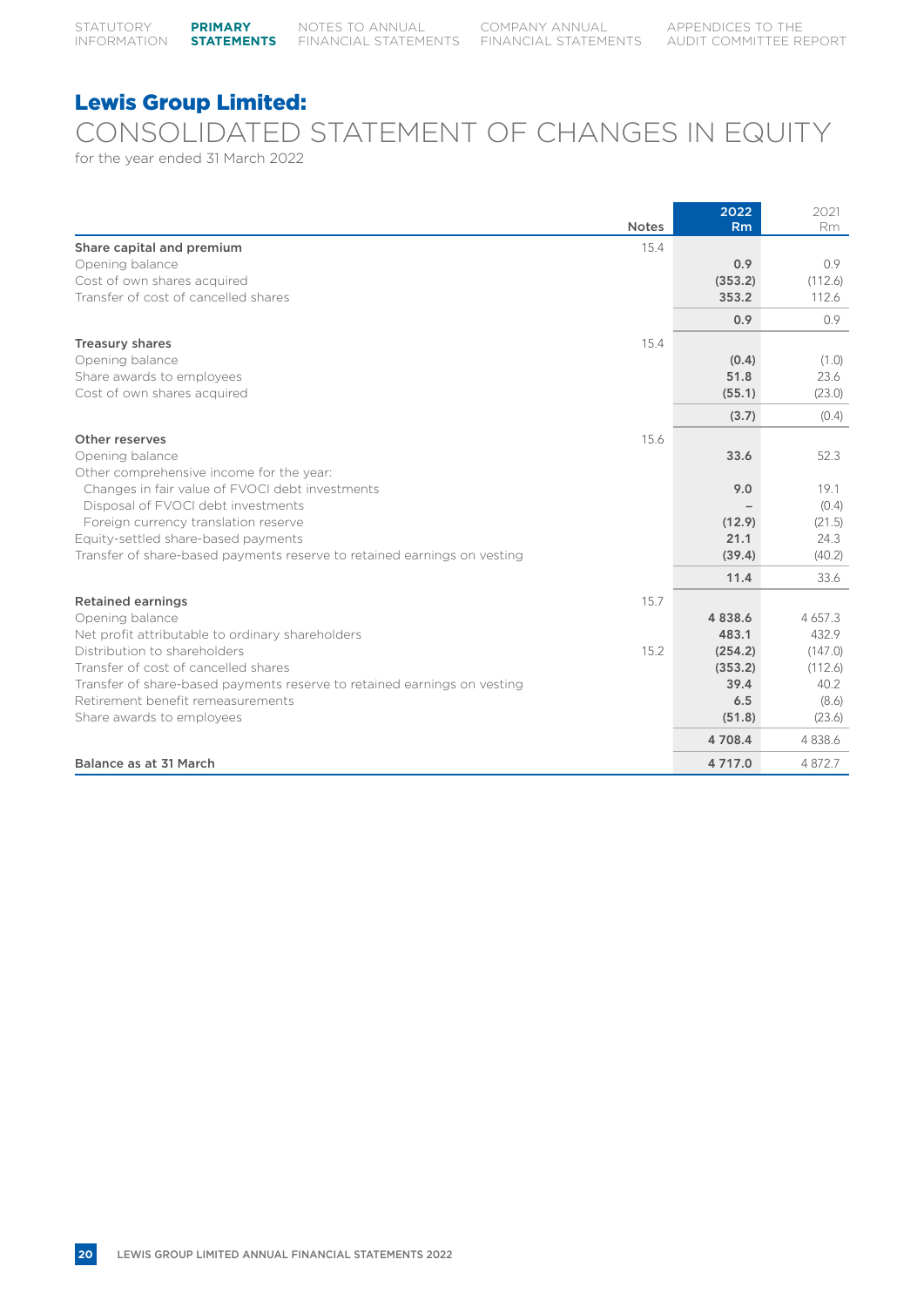## CONSOLIDATED STATEMENT OF CHANGES IN EQUITY

for the year ended 31 March 2022

|                                                                          | <b>Notes</b> | 2022<br>Rm | 2021<br>Rm  |
|--------------------------------------------------------------------------|--------------|------------|-------------|
| Share capital and premium                                                | 15.4         |            |             |
| Opening balance                                                          |              | 0.9        | 0.9         |
| Cost of own shares acquired                                              |              | (353.2)    | (112.6)     |
| Transfer of cost of cancelled shares                                     |              | 353.2      | 112.6       |
|                                                                          |              | 0.9        | 0.9         |
| <b>Treasury shares</b>                                                   | 15.4         |            |             |
| Opening balance                                                          |              | (0.4)      | (1.0)       |
| Share awards to employees                                                |              | 51.8       | 23.6        |
| Cost of own shares acquired                                              |              | (55.1)     | (23.0)      |
|                                                                          |              | (3.7)      | (0.4)       |
| Other reserves                                                           | 15.6         |            |             |
| Opening balance                                                          |              | 33.6       | 52.3        |
| Other comprehensive income for the year:                                 |              |            |             |
| Changes in fair value of FVOCI debt investments                          |              | 9.0        | 19.1        |
| Disposal of FVOCI debt investments                                       |              |            | (0.4)       |
| Foreign currency translation reserve                                     |              | (12.9)     | (21.5)      |
| Equity-settled share-based payments                                      |              | 21.1       | 24.3        |
| Transfer of share-based payments reserve to retained earnings on vesting |              | (39.4)     | (40.2)      |
|                                                                          |              | 11.4       | 33.6        |
| <b>Retained earnings</b>                                                 | 15.7         |            |             |
| Opening balance                                                          |              | 4838.6     | 4 6 5 7 . 3 |
| Net profit attributable to ordinary shareholders                         |              | 483.1      | 432.9       |
| Distribution to shareholders                                             | 15.2         | (254.2)    | (147.0)     |
| Transfer of cost of cancelled shares                                     |              | (353.2)    | (112.6)     |
| Transfer of share-based payments reserve to retained earnings on vesting |              | 39.4       | 40.2        |
| Retirement benefit remeasurements                                        |              | 6.5        | (8.6)       |
| Share awards to employees                                                |              | (51.8)     | (23.6)      |
|                                                                          |              | 4 708.4    | 4 8 3 8 . 6 |
| Balance as at 31 March                                                   |              | 4 717.0    | 4 872.7     |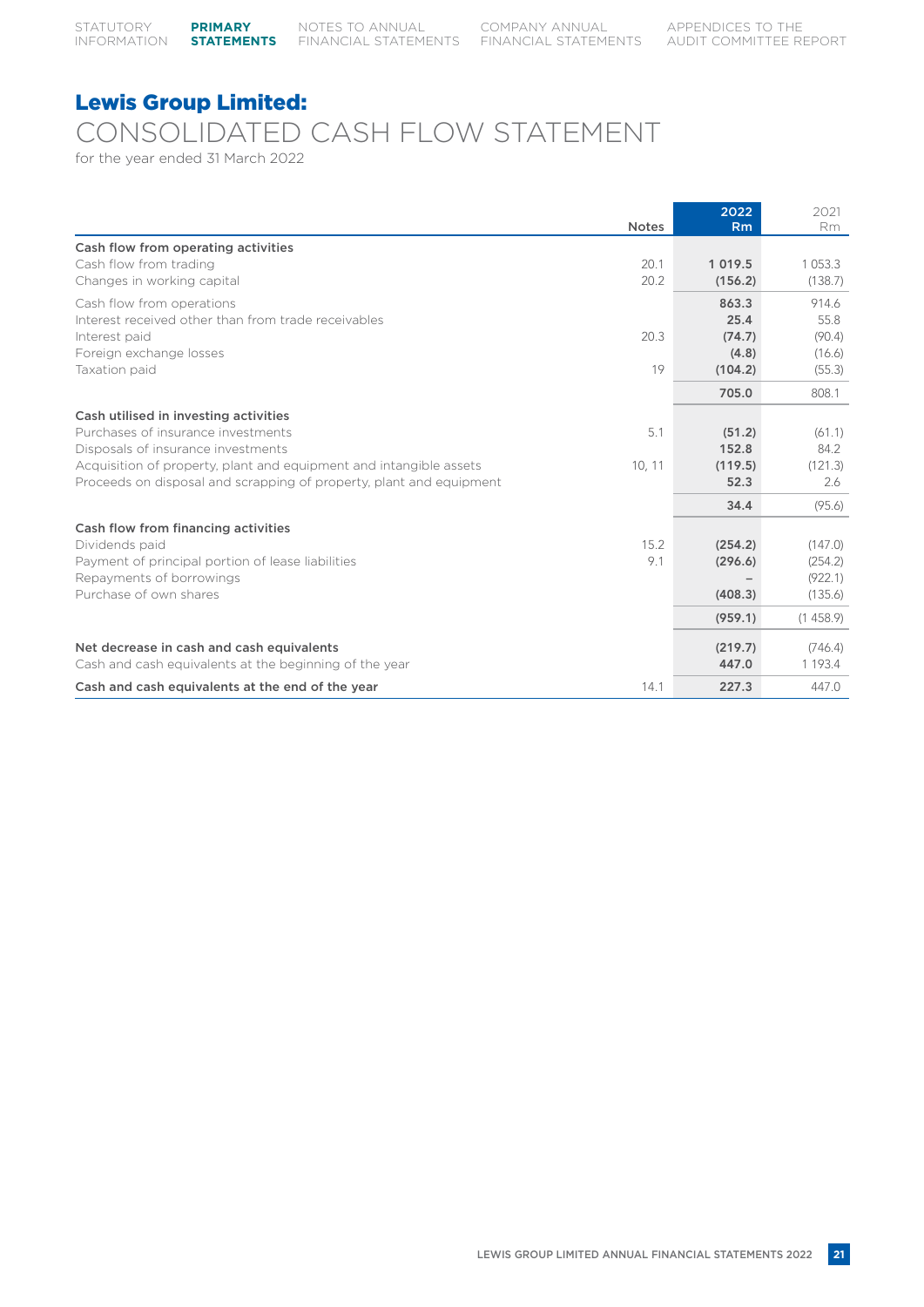## Lewis Group Limited: CONSOLIDATED CASH FLOW STATEMENT

for the year ended 31 March 2022

|                                                                     | <b>Notes</b> | 2022<br>Rm  | 2021<br>Rm  |
|---------------------------------------------------------------------|--------------|-------------|-------------|
| Cash flow from operating activities                                 |              |             |             |
| Cash flow from trading                                              | 20.1         | 1 0 1 9 . 5 | 1 0 5 3 . 3 |
| Changes in working capital                                          | 20.2         | (156.2)     | (138.7)     |
| Cash flow from operations                                           |              | 863.3       | 914.6       |
| Interest received other than from trade receivables                 |              | 25.4        | 55.8        |
| Interest paid                                                       | 20.3         | (74.7)      | (90.4)      |
| Foreign exchange losses                                             |              | (4.8)       | (16.6)      |
| Taxation paid                                                       | 19           | (104.2)     | (55.3)      |
|                                                                     |              | 705.0       | 808.1       |
| Cash utilised in investing activities                               |              |             |             |
| Purchases of insurance investments                                  | 5.1          | (51.2)      | (61.1)      |
| Disposals of insurance investments                                  |              | 152.8       | 84.2        |
| Acquisition of property, plant and equipment and intangible assets  | 10, 11       | (119.5)     | (121.3)     |
| Proceeds on disposal and scrapping of property, plant and equipment |              | 52.3        | 2.6         |
|                                                                     |              | 34.4        | (95.6)      |
| Cash flow from financing activities                                 |              |             |             |
| Dividends paid                                                      | 15.2         | (254.2)     | (147.0)     |
| Payment of principal portion of lease liabilities                   | 9.1          | (296.6)     | (254.2)     |
| Repayments of borrowings                                            |              |             | (922.1)     |
| Purchase of own shares                                              |              | (408.3)     | (135.6)     |
|                                                                     |              | (959.1)     | (1458.9)    |
| Net decrease in cash and cash equivalents                           |              | (219.7)     | (746.4)     |
| Cash and cash equivalents at the beginning of the year              |              | 447.0       | 1 1 9 3 . 4 |
| Cash and cash equivalents at the end of the year                    | 14.1         | 227.3       | 447.0       |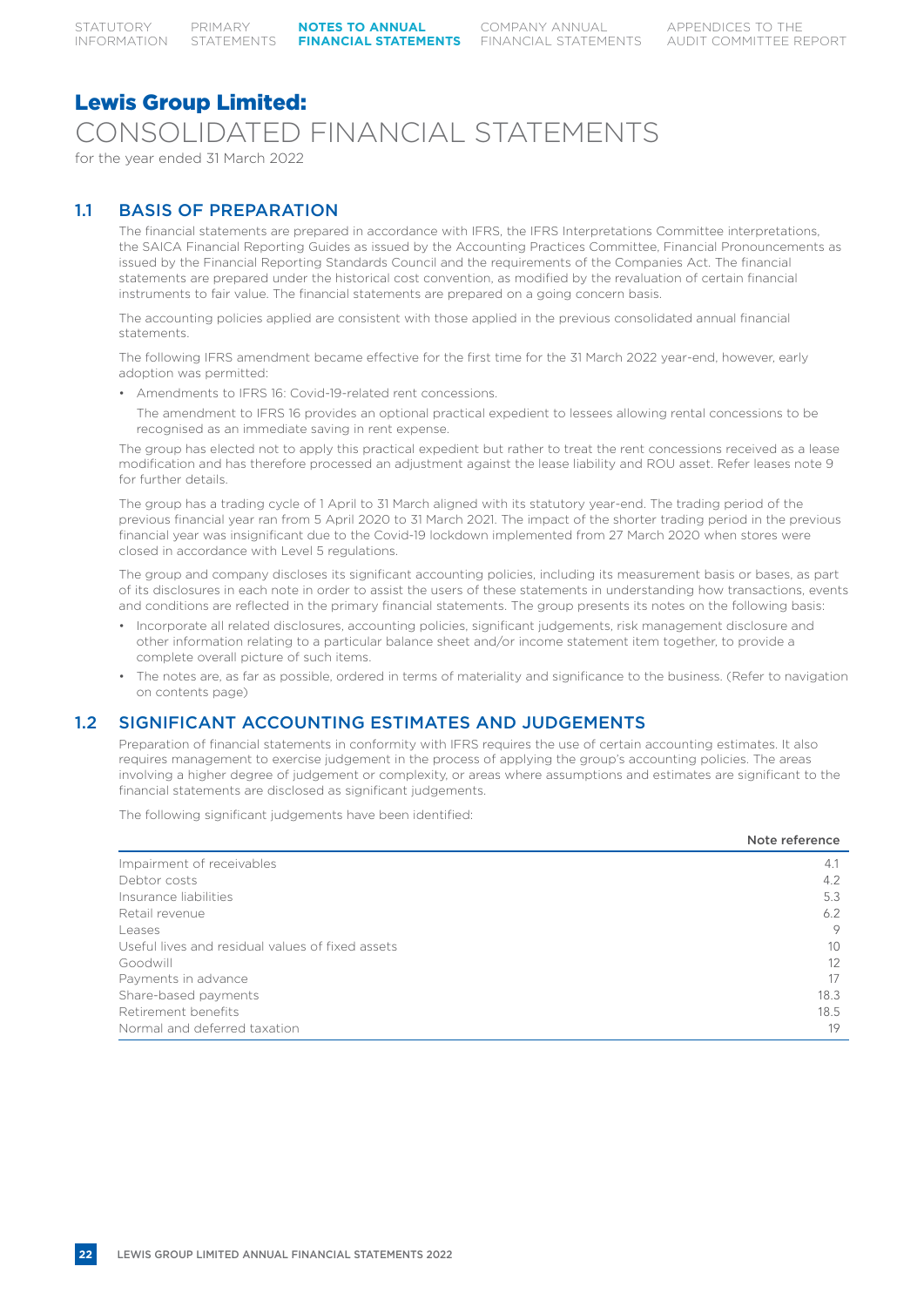## Lewis Group Limited: CONSOLIDATED FINANCIAL STATEMENTS

for the year ended 31 March 2022

## 1.1 BASIS OF PREPARATION

The financial statements are prepared in accordance with IFRS, the IFRS Interpretations Committee interpretations, the SAICA Financial Reporting Guides as issued by the Accounting Practices Committee, Financial Pronouncements as issued by the Financial Reporting Standards Council and the requirements of the Companies Act. The financial statements are prepared under the historical cost convention, as modified by the revaluation of certain financial instruments to fair value. The financial statements are prepared on a going concern basis.

The accounting policies applied are consistent with those applied in the previous consolidated annual financial statements.

The following IFRS amendment became effective for the first time for the 31 March 2022 year-end, however, early adoption was permitted:

• Amendments to IFRS 16: Covid-19-related rent concessions.

The amendment to IFRS 16 provides an optional practical expedient to lessees allowing rental concessions to be recognised as an immediate saving in rent expense.

The group has elected not to apply this practical expedient but rather to treat the rent concessions received as a lease modification and has therefore processed an adjustment against the lease liability and ROU asset. Refer leases note 9 for further details.

The group has a trading cycle of 1 April to 31 March aligned with its statutory year-end. The trading period of the previous financial year ran from 5 April 2020 to 31 March 2021. The impact of the shorter trading period in the previous financial year was insignificant due to the Covid-19 lockdown implemented from 27 March 2020 when stores were closed in accordance with Level 5 regulations.

The group and company discloses its significant accounting policies, including its measurement basis or bases, as part of its disclosures in each note in order to assist the users of these statements in understanding how transactions, events and conditions are reflected in the primary financial statements. The group presents its notes on the following basis:

- Incorporate all related disclosures, accounting policies, significant judgements, risk management disclosure and other information relating to a particular balance sheet and/or income statement item together, to provide a complete overall picture of such items.
- The notes are, as far as possible, ordered in terms of materiality and significance to the business. (Refer to navigation on contents page)

## 1.2 SIGNIFICANT ACCOUNTING ESTIMATES AND JUDGEMENTS

Preparation of financial statements in conformity with IFRS requires the use of certain accounting estimates. It also requires management to exercise judgement in the process of applying the group's accounting policies. The areas involving a higher degree of judgement or complexity, or areas where assumptions and estimates are significant to the financial statements are disclosed as significant judgements.

The following significant judgements have been identified:

|                                                  | Note reference |
|--------------------------------------------------|----------------|
| Impairment of receivables                        | 4.1            |
| Debtor costs                                     | 4.2            |
| Insurance liabilities                            | 5.3            |
| Retail revenue                                   | 6.2            |
| Leases                                           | 9              |
| Useful lives and residual values of fixed assets | 10             |
| Goodwill                                         | 12             |
| Payments in advance                              | 17             |
| Share-based payments                             | 18.3           |
| Retirement benefits                              | 18.5           |
| Normal and deferred taxation                     | 19             |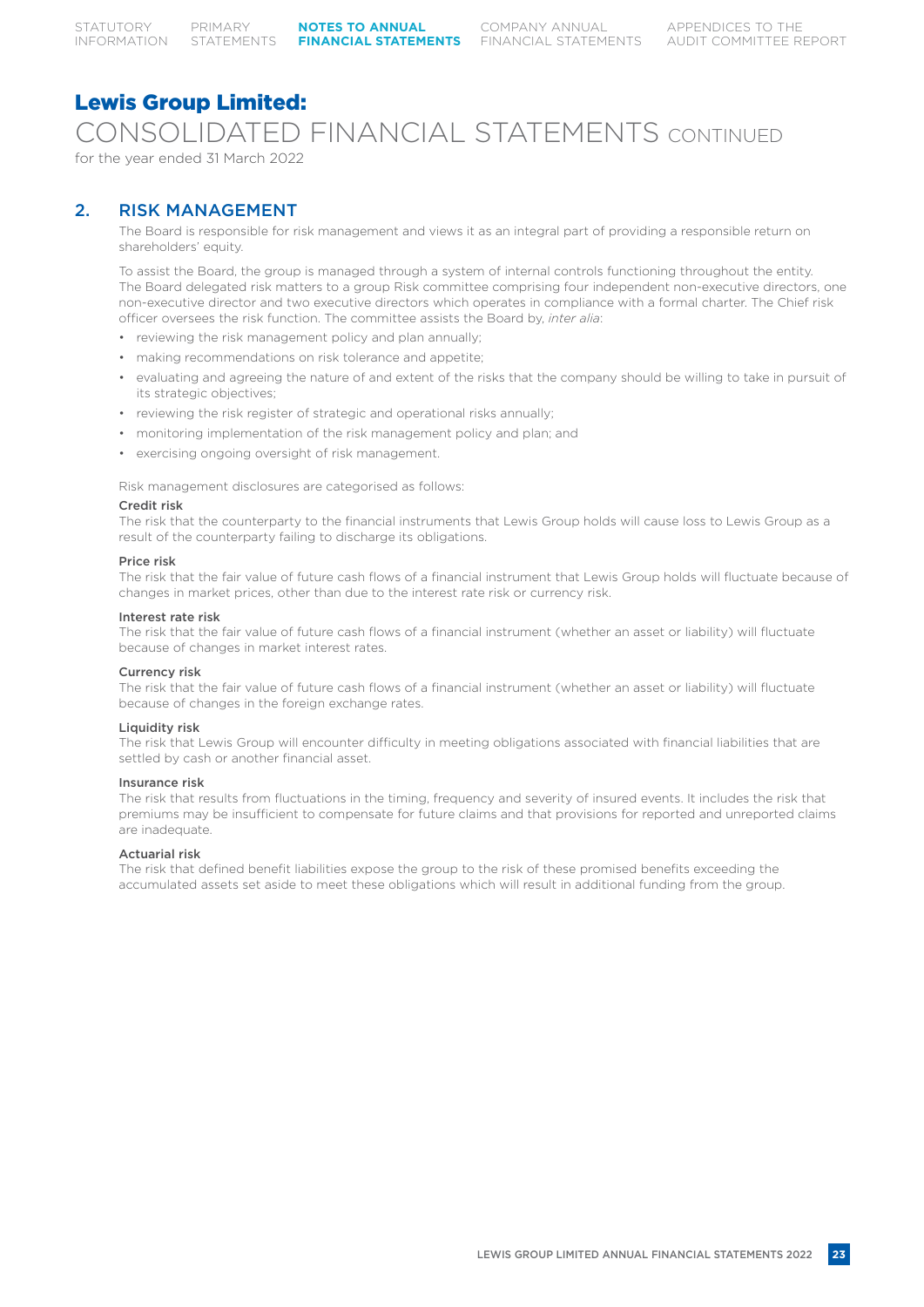CONSOLIDATED FINANCIAL STATEMENTS CONTINUED

for the year ended 31 March 2022

## 2. RISK MANAGEMENT

The Board is responsible for risk management and views it as an integral part of providing a responsible return on shareholders' equity.

To assist the Board, the group is managed through a system of internal controls functioning throughout the entity. The Board delegated risk matters to a group Risk committee comprising four independent non-executive directors, one non-executive director and two executive directors which operates in compliance with a formal charter. The Chief risk officer oversees the risk function. The committee assists the Board by, *inter alia*:

- reviewing the risk management policy and plan annually;
- making recommendations on risk tolerance and appetite;
- evaluating and agreeing the nature of and extent of the risks that the company should be willing to take in pursuit of its strategic objectives;
- reviewing the risk register of strategic and operational risks annually;
- monitoring implementation of the risk management policy and plan; and
- exercising ongoing oversight of risk management.

Risk management disclosures are categorised as follows:

#### Credit risk

The risk that the counterparty to the financial instruments that Lewis Group holds will cause loss to Lewis Group as a result of the counterparty failing to discharge its obligations.

#### Price risk

The risk that the fair value of future cash flows of a financial instrument that Lewis Group holds will fluctuate because of changes in market prices, other than due to the interest rate risk or currency risk.

#### Interest rate risk

The risk that the fair value of future cash flows of a financial instrument (whether an asset or liability) will fluctuate because of changes in market interest rates.

#### Currency risk

The risk that the fair value of future cash flows of a financial instrument (whether an asset or liability) will fluctuate because of changes in the foreign exchange rates.

#### Liquidity risk

The risk that Lewis Group will encounter difficulty in meeting obligations associated with financial liabilities that are settled by cash or another financial asset.

#### Insurance risk

The risk that results from fluctuations in the timing, frequency and severity of insured events. It includes the risk that premiums may be insufficient to compensate for future claims and that provisions for reported and unreported claims are inadequate.

#### Actuarial risk

The risk that defined benefit liabilities expose the group to the risk of these promised benefits exceeding the accumulated assets set aside to meet these obligations which will result in additional funding from the group.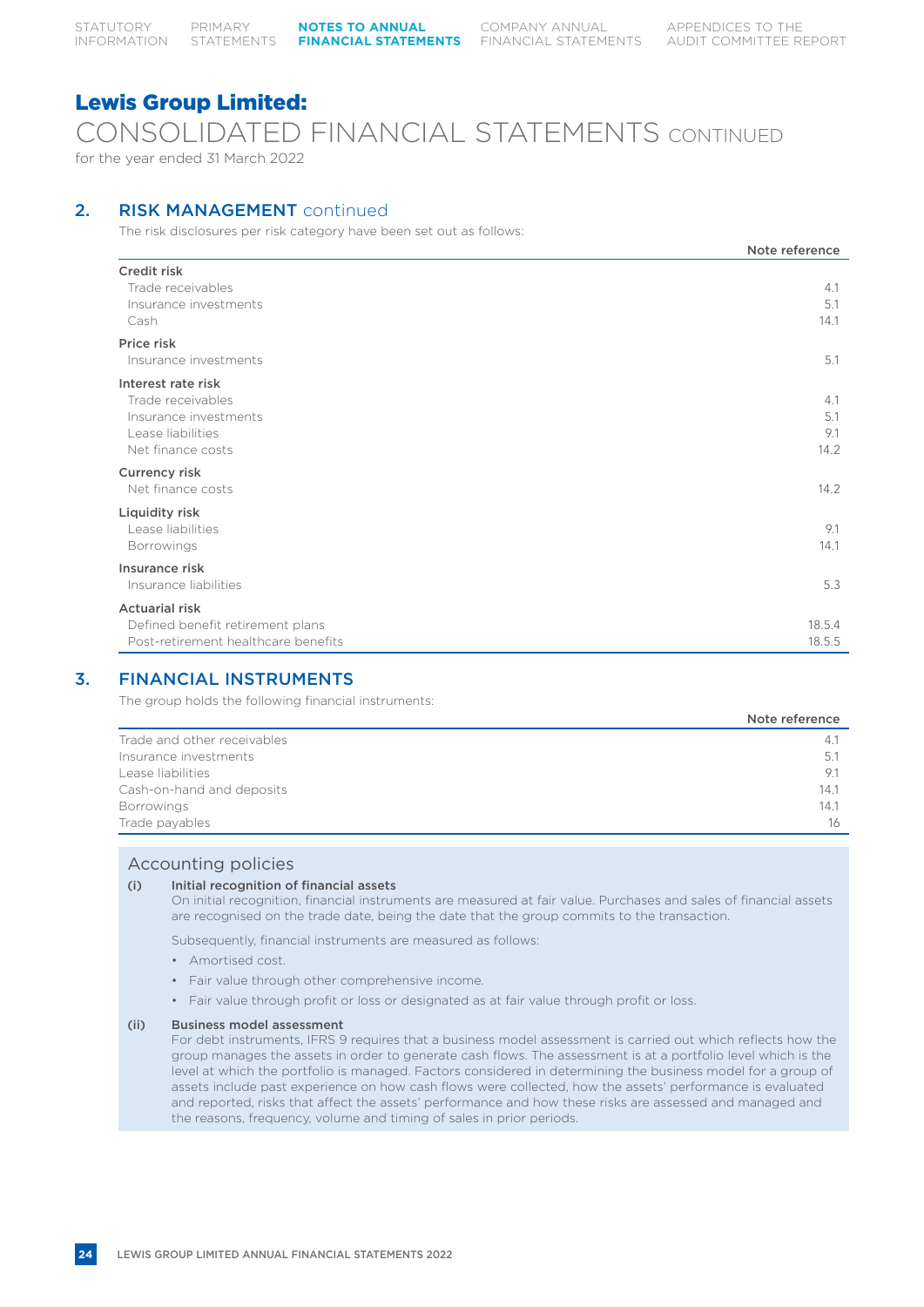## CONSOLIDATED FINANCIAL STATEMENTS CONTINUED

for the year ended 31 March 2022

## 2. RISK MANAGEMENT continued

The risk disclosures per risk category have been set out as follows:

|                                                                                                            | Note reference            |
|------------------------------------------------------------------------------------------------------------|---------------------------|
| Credit risk<br>Trade receivables<br>Insurance investments<br>Cash                                          | 4.1<br>5.1<br>14.1        |
| Price risk<br>Insurance investments                                                                        | 5.1                       |
| Interest rate risk<br>Trade receivables<br>Insurance investments<br>Lease liabilities<br>Net finance costs | 4.1<br>5.1<br>9.1<br>14.2 |
| Currency risk<br>Net finance costs                                                                         | 14.2                      |
| Liquidity risk<br>Lease liabilities<br>Borrowings                                                          | 9.1<br>14.1               |
| Insurance risk<br>Insurance liabilities                                                                    | 5.3                       |
| <b>Actuarial risk</b><br>Defined benefit retirement plans<br>Post-retirement healthcare benefits           | 18.5.4<br>18.5.5          |

## 3. FINANCIAL INSTRUMENTS

The group holds the following financial instruments:

|                             | Note reference |
|-----------------------------|----------------|
| Trade and other receivables | 4.1            |
| Insurance investments       | 5.1            |
| Lease liabilities           | 9.1            |
| Cash-on-hand and deposits   | 14.1           |
| <b>Borrowings</b>           | 14.1           |
| Trade payables              | 16             |

#### Accounting policies

#### (i) Initial recognition of financial assets

On initial recognition, financial instruments are measured at fair value. Purchases and sales of financial assets are recognised on the trade date, being the date that the group commits to the transaction.

Subsequently, financial instruments are measured as follows:

- Amortised cost.
- Fair value through other comprehensive income.
- Fair value through profit or loss or designated as at fair value through profit or loss.

#### (ii) Business model assessment

For debt instruments, IFRS 9 requires that a business model assessment is carried out which reflects how the group manages the assets in order to generate cash flows. The assessment is at a portfolio level which is the level at which the portfolio is managed. Factors considered in determining the business model for a group of assets include past experience on how cash flows were collected, how the assets' performance is evaluated and reported, risks that affect the assets' performance and how these risks are assessed and managed and the reasons, frequency, volume and timing of sales in prior periods.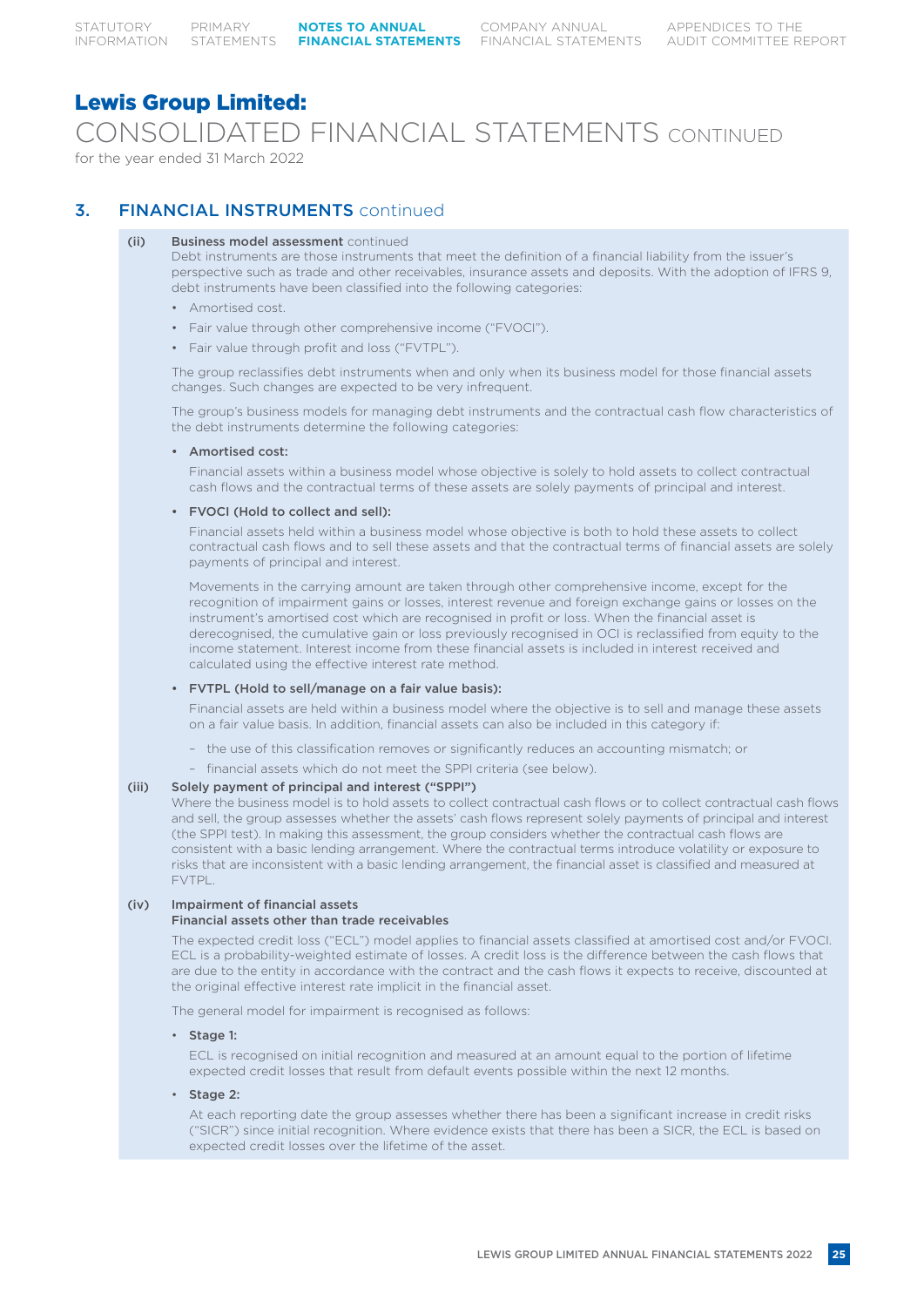CONSOLIDATED FINANCIAL STATEMENTS CONTINUED

for the year ended 31 March 2022

## 3. FINANCIAL INSTRUMENTS continued

#### (ii) Business model assessment continued

Debt instruments are those instruments that meet the definition of a financial liability from the issuer's perspective such as trade and other receivables, insurance assets and deposits. With the adoption of IFRS 9, debt instruments have been classified into the following categories:

- Amortised cost.
- Fair value through other comprehensive income ("FVOCI").
- Fair value through profit and loss ("FVTPL").

The group reclassifies debt instruments when and only when its business model for those financial assets changes. Such changes are expected to be very infrequent.

The group's business models for managing debt instruments and the contractual cash flow characteristics of the debt instruments determine the following categories:

#### • Amortised cost:

Financial assets within a business model whose objective is solely to hold assets to collect contractual cash flows and the contractual terms of these assets are solely payments of principal and interest.

#### • FVOCI (Hold to collect and sell):

Financial assets held within a business model whose objective is both to hold these assets to collect contractual cash flows and to sell these assets and that the contractual terms of financial assets are solely payments of principal and interest.

Movements in the carrying amount are taken through other comprehensive income, except for the recognition of impairment gains or losses, interest revenue and foreign exchange gains or losses on the instrument's amortised cost which are recognised in profit or loss. When the financial asset is derecognised, the cumulative gain or loss previously recognised in OCI is reclassified from equity to the income statement. Interest income from these financial assets is included in interest received and calculated using the effective interest rate method.

#### • FVTPL (Hold to sell/manage on a fair value basis):

Financial assets are held within a business model where the objective is to sell and manage these assets on a fair value basis. In addition, financial assets can also be included in this category if:

- the use of this classification removes or significantly reduces an accounting mismatch; or
- financial assets which do not meet the SPPI criteria (see below).

#### (iii) Solely payment of principal and interest ("SPPI")

Where the business model is to hold assets to collect contractual cash flows or to collect contractual cash flows and sell, the group assesses whether the assets' cash flows represent solely payments of principal and interest (the SPPI test). In making this assessment, the group considers whether the contractual cash flows are consistent with a basic lending arrangement. Where the contractual terms introduce volatility or exposure to risks that are inconsistent with a basic lending arrangement, the financial asset is classified and measured at FVTPL.

#### (iv) Impairment of financial assets

#### Financial assets other than trade receivables

The expected credit loss ("ECL") model applies to financial assets classified at amortised cost and/or FVOCI. ECL is a probability-weighted estimate of losses. A credit loss is the difference between the cash flows that are due to the entity in accordance with the contract and the cash flows it expects to receive, discounted at the original effective interest rate implicit in the financial asset.

The general model for impairment is recognised as follows:

#### • Stage 1:

ECL is recognised on initial recognition and measured at an amount equal to the portion of lifetime expected credit losses that result from default events possible within the next 12 months.

Stage 2:

At each reporting date the group assesses whether there has been a significant increase in credit risks ("SICR") since initial recognition. Where evidence exists that there has been a SICR, the ECL is based on expected credit losses over the lifetime of the asset.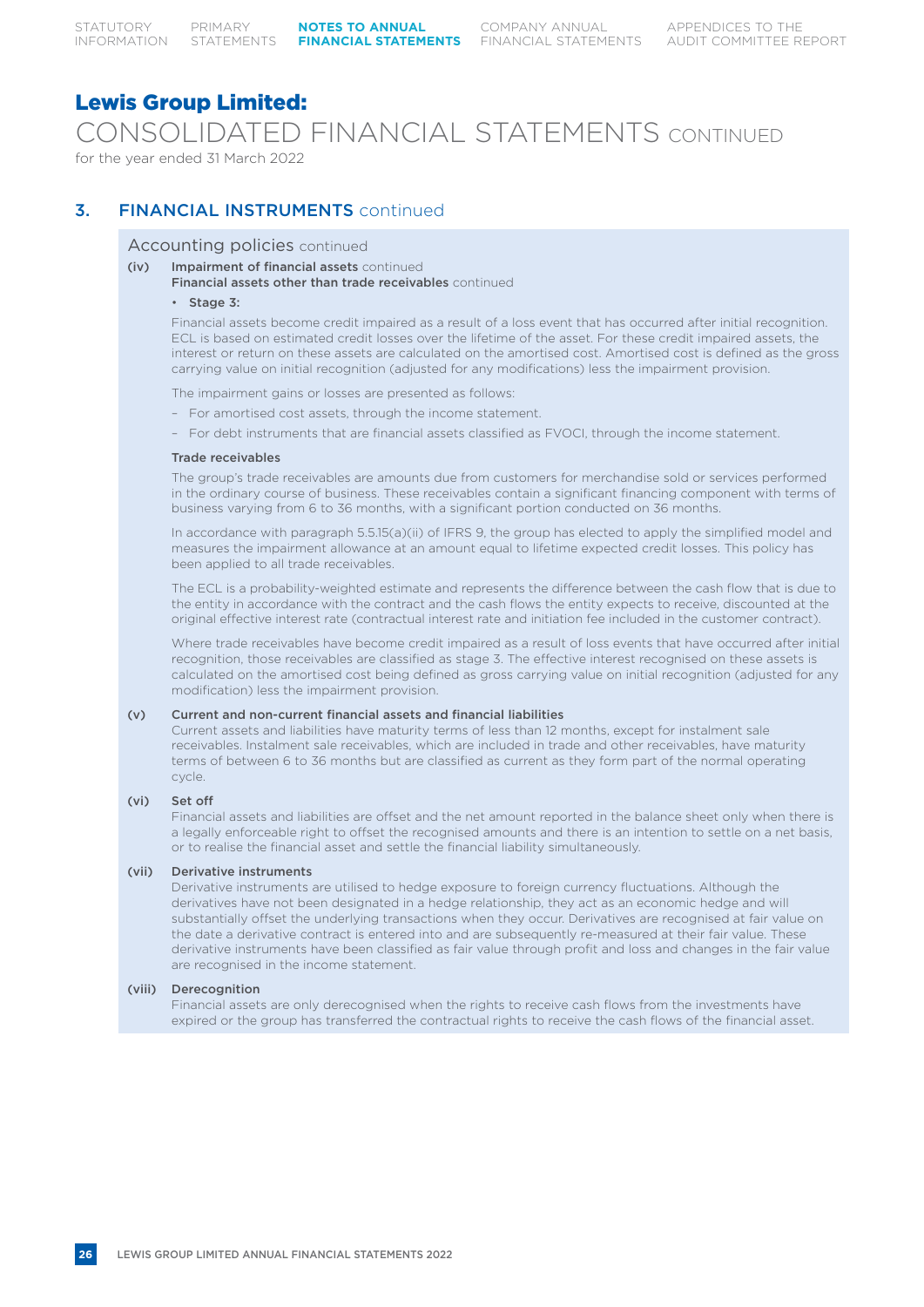CONSOLIDATED FINANCIAL STATEMENTS CONTINUED

for the year ended 31 March 2022

## 3. FINANCIAL INSTRUMENTS continued

#### Accounting policies continued

- (iv) Impairment of financial assets continued
	- Financial assets other than trade receivables continued

#### • Stage 3:

Financial assets become credit impaired as a result of a loss event that has occurred after initial recognition. ECL is based on estimated credit losses over the lifetime of the asset. For these credit impaired assets, the interest or return on these assets are calculated on the amortised cost. Amortised cost is defined as the gross carrying value on initial recognition (adjusted for any modifications) less the impairment provision.

The impairment gains or losses are presented as follows:

- For amortised cost assets, through the income statement.
- For debt instruments that are financial assets classified as FVOCI, through the income statement.

#### Trade receivables

The group's trade receivables are amounts due from customers for merchandise sold or services performed in the ordinary course of business. These receivables contain a significant financing component with terms of business varying from 6 to 36 months, with a significant portion conducted on 36 months.

In accordance with paragraph 5.5.15(a)(ii) of IFRS 9, the group has elected to apply the simplified model and measures the impairment allowance at an amount equal to lifetime expected credit losses. This policy has been applied to all trade receivables.

The ECL is a probability-weighted estimate and represents the difference between the cash flow that is due to the entity in accordance with the contract and the cash flows the entity expects to receive, discounted at the original effective interest rate (contractual interest rate and initiation fee included in the customer contract).

Where trade receivables have become credit impaired as a result of loss events that have occurred after initial recognition, those receivables are classified as stage 3. The effective interest recognised on these assets is calculated on the amortised cost being defined as gross carrying value on initial recognition (adjusted for any modification) less the impairment provision.

#### (v) Current and non-current financial assets and financial liabilities

Current assets and liabilities have maturity terms of less than 12 months, except for instalment sale receivables. Instalment sale receivables, which are included in trade and other receivables, have maturity terms of between 6 to 36 months but are classified as current as they form part of the normal operating cycle.

#### (vi) Set off

Financial assets and liabilities are offset and the net amount reported in the balance sheet only when there is a legally enforceable right to offset the recognised amounts and there is an intention to settle on a net basis, or to realise the financial asset and settle the financial liability simultaneously.

#### (vii) Derivative instruments

Derivative instruments are utilised to hedge exposure to foreign currency fluctuations. Although the derivatives have not been designated in a hedge relationship, they act as an economic hedge and will substantially offset the underlying transactions when they occur. Derivatives are recognised at fair value on the date a derivative contract is entered into and are subsequently re-measured at their fair value. These derivative instruments have been classified as fair value through profit and loss and changes in the fair value are recognised in the income statement.

#### (viii) Derecognition

Financial assets are only derecognised when the rights to receive cash flows from the investments have expired or the group has transferred the contractual rights to receive the cash flows of the financial asset.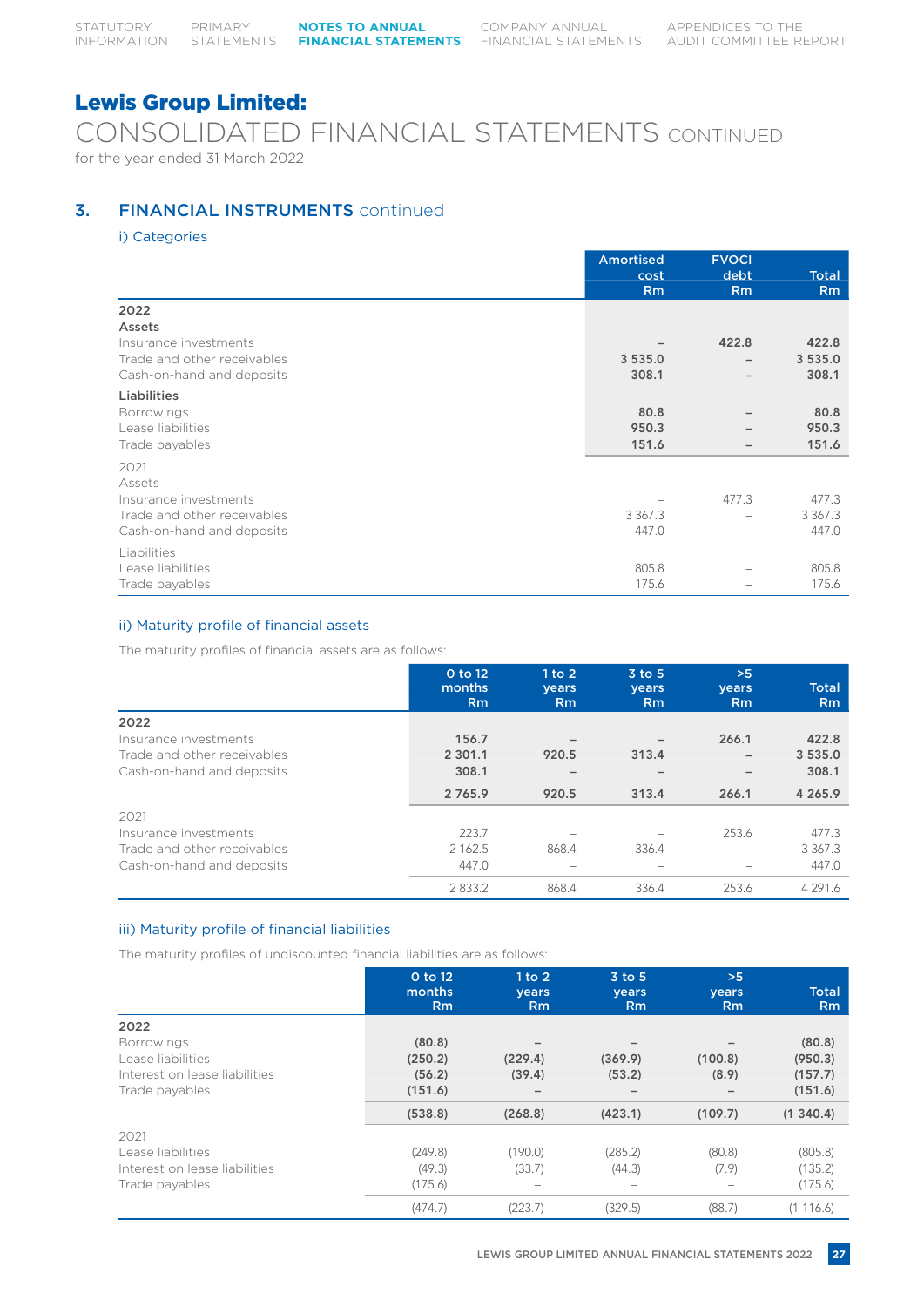CONSOLIDATED FINANCIAL STATEMENTS CONTINUED for the year ended 31 March 2022

## **3. FINANCIAL INSTRUMENTS** continued

i) Categories

|                             | <b>Amortised</b> | <b>FVOCI</b>             |                |
|-----------------------------|------------------|--------------------------|----------------|
|                             | cost             | debt                     | <b>Total</b>   |
|                             | <b>Rm</b>        | <b>Rm</b>                | R <sub>m</sub> |
| 2022                        |                  |                          |                |
| Assets                      |                  |                          |                |
| Insurance investments       |                  | 422.8                    | 422.8          |
| Trade and other receivables | 3 5 3 5 .0       | $\qquad \qquad -$        | 3 5 3 5 .0     |
| Cash-on-hand and deposits   | 308.1            | $\overline{\phantom{0}}$ | 308.1          |
| Liabilities                 |                  |                          |                |
| <b>Borrowings</b>           | 80.8             |                          | 80.8           |
| Lease liabilities           | 950.3            |                          | 950.3          |
| Trade payables              | 151.6            | $\overline{\phantom{0}}$ | 151.6          |
| 2021                        |                  |                          |                |
| Assets                      |                  |                          |                |
| Insurance investments       |                  | 477.3                    | 477.3          |
| Trade and other receivables | 3 3 6 7 . 3      | $\overline{\phantom{0}}$ | 3 3 6 7 . 3    |
| Cash-on-hand and deposits   | 447.0            | $\overline{\phantom{0}}$ | 447.0          |
| Liabilities                 |                  |                          |                |
| Lease liabilities           | 805.8            |                          | 805.8          |
| Trade payables              | 175.6            |                          | 175.6          |

### ii) Maturity profile of financial assets

The maturity profiles of financial assets are as follows:

|                             | 0 to 12<br>months | 1 to 2<br><b>vears</b>   | $3$ to $5$<br>years | >5<br><b>vears</b>       | <b>Total</b>   |
|-----------------------------|-------------------|--------------------------|---------------------|--------------------------|----------------|
|                             | Rm                | Rm                       | R <sub>m</sub>      | <b>Rm</b>                | R <sub>m</sub> |
| 2022                        |                   |                          |                     |                          |                |
| Insurance investments       | 156.7             |                          |                     | 266.1                    | 422.8          |
| Trade and other receivables | 2 301.1           | 920.5                    | 313.4               | $\overline{\phantom{m}}$ | 3 5 3 5 .0     |
| Cash-on-hand and deposits   | 308.1             |                          |                     |                          | 308.1          |
|                             | 2 7 6 5 . 9       | 920.5                    | 313.4               | 266.1                    | 4 265.9        |
| 2021                        |                   |                          |                     |                          |                |
| Insurance investments       | 223.7             |                          |                     | 253.6                    | 477.3          |
| Trade and other receivables | 2 1 6 2 .5        | 868.4                    | 336.4               | $\overline{\phantom{a}}$ | 3 3 6 7 . 3    |
| Cash-on-hand and deposits   | 447.0             | $\overline{\phantom{a}}$ |                     |                          | 447.0          |
|                             | 2833.2            | 868.4                    | 336.4               | 253.6                    | 4 2 9 1 . 6    |

### iii) Maturity profile of financial liabilities

The maturity profiles of undiscounted financial liabilities are as follows:

|                               | 0 to 12<br>months<br><b>Rm</b> | 1 to 2<br>years<br>Rm    | $3$ to $5$<br>years<br><b>Rm</b> | >5<br>years<br><b>Rm</b> | <b>Total</b><br><b>Rm</b> |
|-------------------------------|--------------------------------|--------------------------|----------------------------------|--------------------------|---------------------------|
| 2022                          |                                |                          |                                  |                          |                           |
| <b>Borrowings</b>             | (80.8)                         |                          |                                  |                          | (80.8)                    |
| Lease liabilities             | (250.2)                        | (229.4)                  | (369.9)                          | (100.8)                  | (950.3)                   |
| Interest on lease liabilities | (56.2)                         | (39.4)                   | (53.2)                           | (8.9)                    | (157.7)                   |
| Trade payables                | (151.6)                        |                          |                                  |                          | (151.6)                   |
|                               | (538.8)                        | (268.8)                  | (423.1)                          | (109.7)                  | (1, 340.4)                |
| 2021                          |                                |                          |                                  |                          |                           |
| Lease liabilities             | (249.8)                        | (190.0)                  | (285.2)                          | (80.8)                   | (805.8)                   |
| Interest on lease liabilities | (49.3)                         | (33.7)                   | (44.3)                           | (7.9)                    | (135.2)                   |
| Trade payables                | (175.6)                        | $\overline{\phantom{a}}$ |                                  |                          | (175.6)                   |
|                               | (474.7)                        | (223.7)                  | (329.5)                          | (88.7)                   | (1116.6)                  |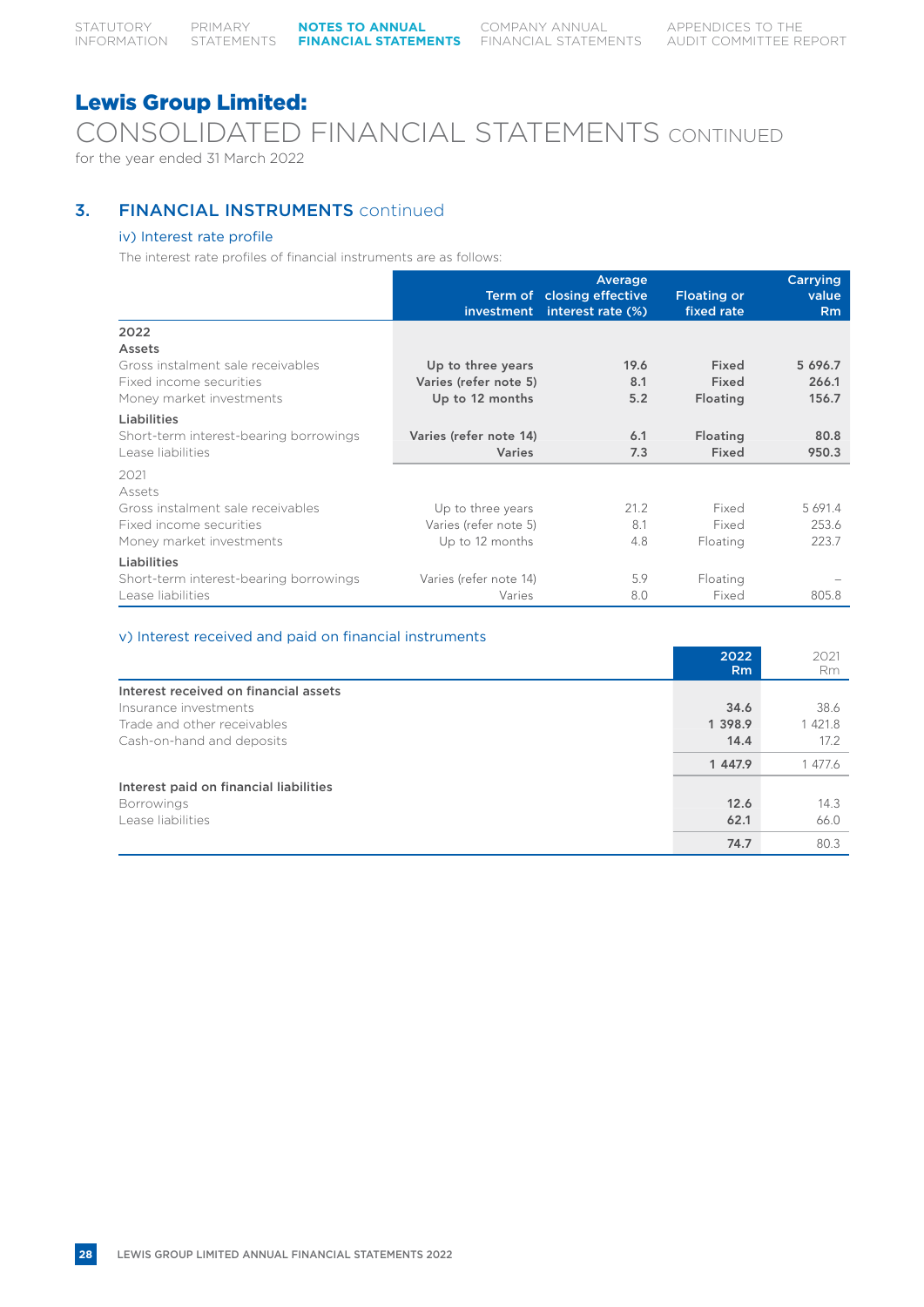CONSOLIDATED FINANCIAL STATEMENTS CONTINUED

for the year ended 31 March 2022

## **3. FINANCIAL INSTRUMENTS** continued

### iv) Interest rate profile

The interest rate profiles of financial instruments are as follows:

|                                        | <i>investment</i>      | Average<br>Term of closing effective<br>interest rate (%) | <b>Floating or</b><br>fixed rate | Carrying<br>value<br>Rm |
|----------------------------------------|------------------------|-----------------------------------------------------------|----------------------------------|-------------------------|
| 2022                                   |                        |                                                           |                                  |                         |
| Assets                                 |                        |                                                           |                                  |                         |
| Gross instalment sale receivables      | Up to three years      | 19.6                                                      | Fixed                            | 5 696.7                 |
| Fixed income securities                | Varies (refer note 5)  | 8.1                                                       | Fixed                            | 266.1                   |
| Money market investments               | Up to 12 months        | 5.2                                                       | Floating                         | 156.7                   |
| Liabilities                            |                        |                                                           |                                  |                         |
| Short-term interest-bearing borrowings | Varies (refer note 14) | 6.1                                                       | Floating                         | 80.8                    |
| Lease liabilities                      | <b>Varies</b>          | 7.3                                                       | Fixed                            | 950.3                   |
| 2021<br>Assets                         |                        |                                                           |                                  |                         |
| Gross instalment sale receivables      | Up to three years      | 21.2                                                      | Fixed                            | 5 691.4                 |
| Fixed income securities                | Varies (refer note 5)  | 8.1                                                       | Fixed                            | 253.6                   |
| Money market investments               | Up to 12 months        | 4.8                                                       | Floating                         | 223.7                   |
| Liabilities                            |                        |                                                           |                                  |                         |
| Short-term interest-bearing borrowings | Varies (refer note 14) | 5.9                                                       | Floating                         |                         |
| Lease liabilities                      | Varies                 | 8.0                                                       | Fixed                            | 805.8                   |

#### v) Interest received and paid on financial instruments

|                                        | 2022           | 2021      |
|----------------------------------------|----------------|-----------|
|                                        | R <sub>m</sub> | <b>Rm</b> |
| Interest received on financial assets  |                |           |
| Insurance investments                  | 34.6           | 38.6      |
| Trade and other receivables            | 1 3 9 8.9      | 1 421.8   |
| Cash-on-hand and deposits              | 14.4           | 17.2      |
|                                        | 1 447.9        | 1 477.6   |
| Interest paid on financial liabilities |                |           |
| <b>Borrowings</b>                      | 12.6           | 14.3      |
| Lease liabilities                      | 62.1           | 66.0      |
|                                        | 74.7           | 80.3      |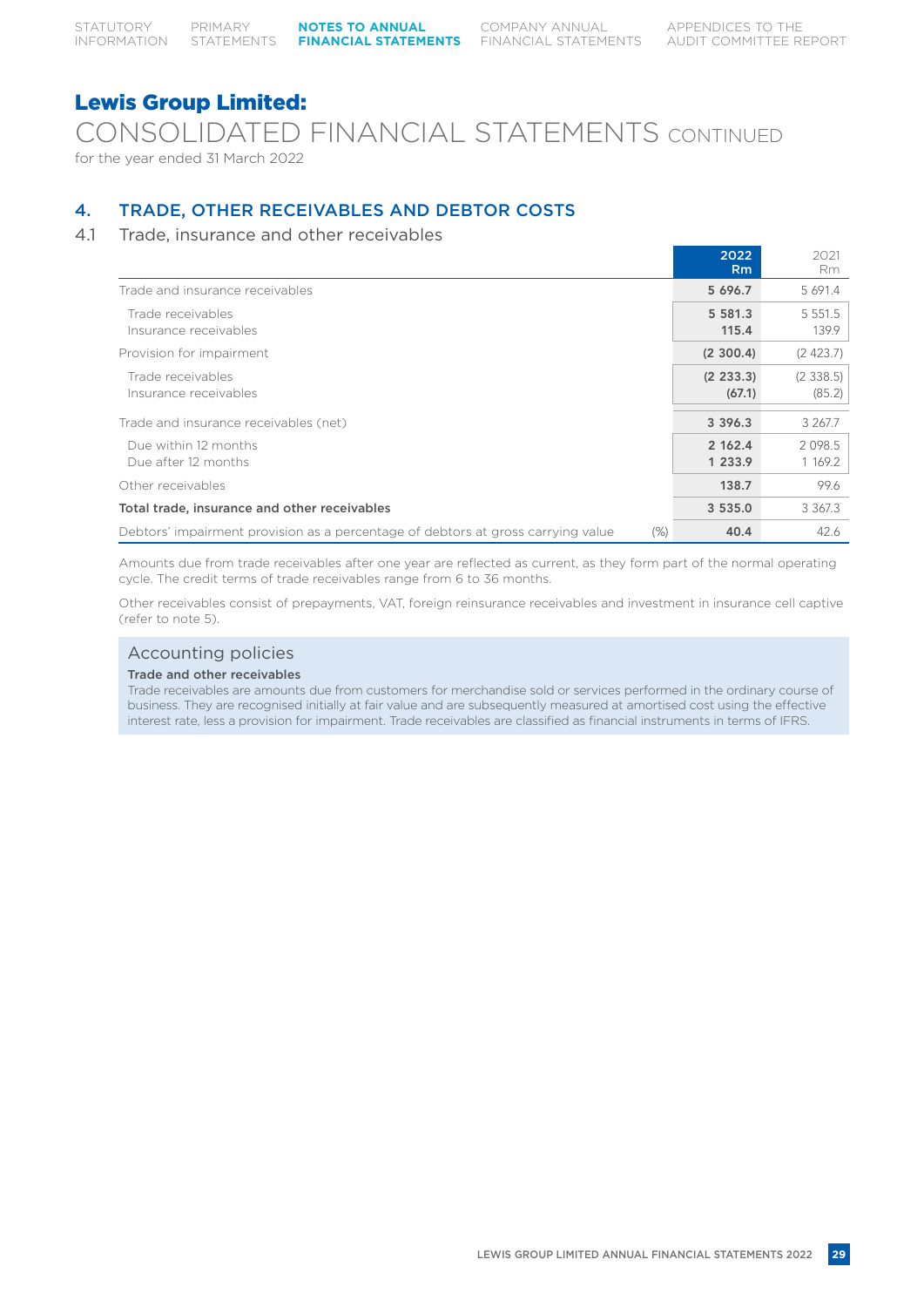CONSOLIDATED FINANCIAL STATEMENTS CONTINUED for the year ended 31 March 2022

## 4. TRADE, OTHER RECEIVABLES AND DEBTOR COSTS

## 4.1 Trade, insurance and other receivables

|                                                                                            | 2022<br>Rm           | 2021<br>Rm           |
|--------------------------------------------------------------------------------------------|----------------------|----------------------|
| Trade and insurance receivables                                                            | 5 696.7              | 5 691.4              |
| Trade receivables<br>Insurance receivables                                                 | 5 581.3<br>115.4     | 5 5 5 1 . 5<br>139.9 |
| Provision for impairment                                                                   | (2, 300.4)           | (2423.7)             |
| Trade receivables<br>Insurance receivables                                                 | (2, 233.3)<br>(67.1) | (2, 338.5)<br>(85.2) |
| Trade and insurance receivables (net)                                                      | 3 3 9 6 . 3          | 3 267.7              |
| Due within 12 months<br>Due after 12 months                                                | 2 162.4<br>1 233.9   | 2098.5<br>1 169.2    |
| Other receivables                                                                          | 138.7                | 99.6                 |
| Total trade, insurance and other receivables                                               | 3 5 3 5 .0           | 3 367.3              |
| Debtors' impairment provision as a percentage of debtors at gross carrying value<br>$(\%)$ | 40.4                 | 42.6                 |

Amounts due from trade receivables after one year are reflected as current, as they form part of the normal operating cycle. The credit terms of trade receivables range from 6 to 36 months.

Other receivables consist of prepayments, VAT, foreign reinsurance receivables and investment in insurance cell captive (refer to note 5).

### Accounting policies

#### Trade and other receivables

Trade receivables are amounts due from customers for merchandise sold or services performed in the ordinary course of business. They are recognised initially at fair value and are subsequently measured at amortised cost using the effective interest rate, less a provision for impairment. Trade receivables are classified as financial instruments in terms of IFRS.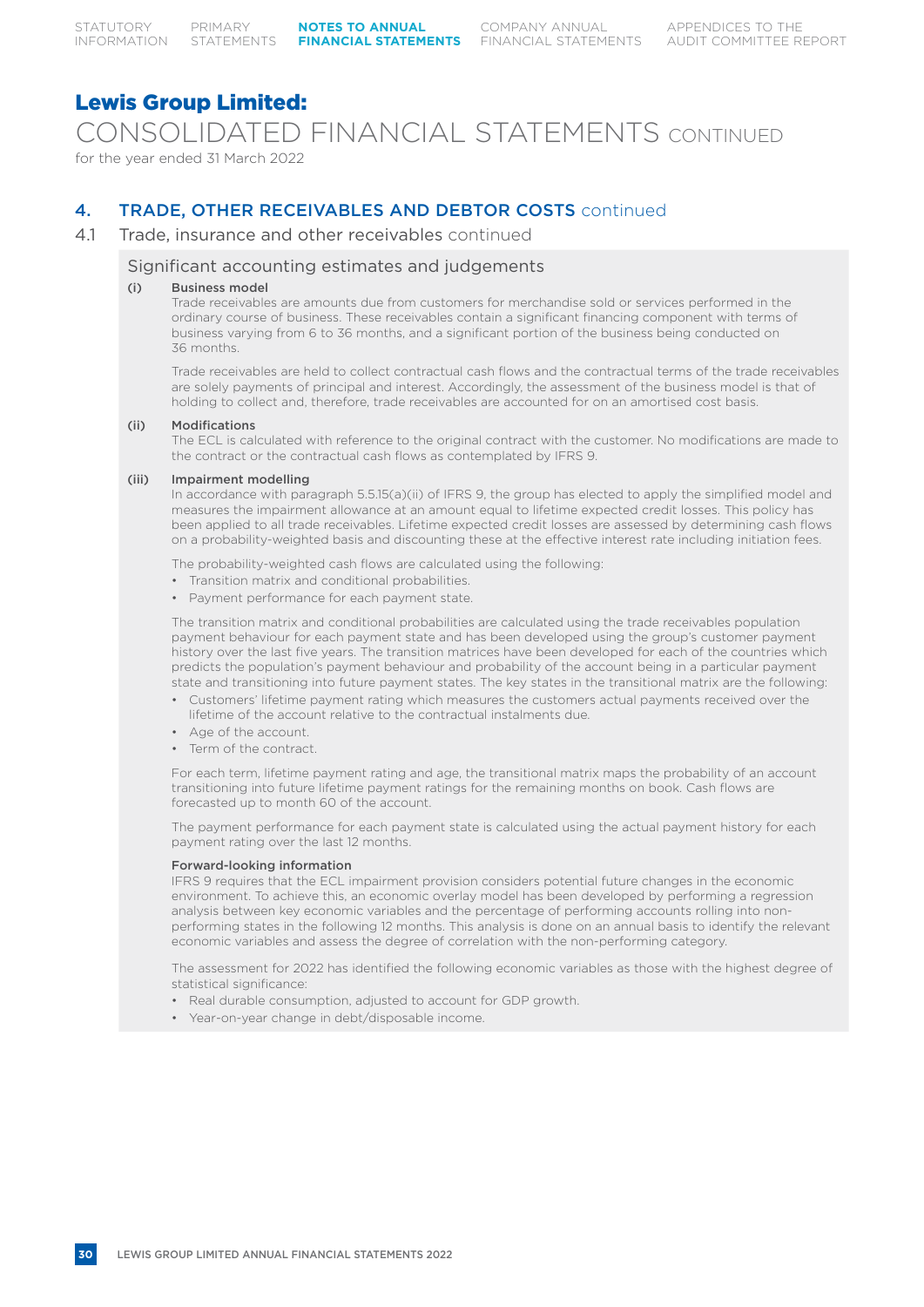CONSOLIDATED FINANCIAL STATEMENTS CONTINUED for the year ended 31 March 2022

## 4. TRADE, OTHER RECEIVABLES AND DEBTOR COSTS continued

### 4.1 Trade, insurance and other receivables continued

### Significant accounting estimates and judgements

#### (i) Business model

Trade receivables are amounts due from customers for merchandise sold or services performed in the ordinary course of business. These receivables contain a significant financing component with terms of business varying from 6 to 36 months, and a significant portion of the business being conducted on 36 months.

Trade receivables are held to collect contractual cash flows and the contractual terms of the trade receivables are solely payments of principal and interest. Accordingly, the assessment of the business model is that of holding to collect and, therefore, trade receivables are accounted for on an amortised cost basis.

#### (ii) Modifications

The ECL is calculated with reference to the original contract with the customer. No modifications are made to the contract or the contractual cash flows as contemplated by IFRS 9.

#### (iii) Impairment modelling

In accordance with paragraph 5.5.15(a)(ii) of IFRS 9, the group has elected to apply the simplified model and measures the impairment allowance at an amount equal to lifetime expected credit losses. This policy has been applied to all trade receivables. Lifetime expected credit losses are assessed by determining cash flows on a probability-weighted basis and discounting these at the effective interest rate including initiation fees.

The probability-weighted cash flows are calculated using the following:

- Transition matrix and conditional probabilities.
- Payment performance for each payment state.

The transition matrix and conditional probabilities are calculated using the trade receivables population payment behaviour for each payment state and has been developed using the group's customer payment history over the last five years. The transition matrices have been developed for each of the countries which predicts the population's payment behaviour and probability of the account being in a particular payment state and transitioning into future payment states. The key states in the transitional matrix are the following:

- Customers' lifetime payment rating which measures the customers actual payments received over the lifetime of the account relative to the contractual instalments due.
- Age of the account.
- Term of the contract.

For each term, lifetime payment rating and age, the transitional matrix maps the probability of an account transitioning into future lifetime payment ratings for the remaining months on book. Cash flows are forecasted up to month 60 of the account.

The payment performance for each payment state is calculated using the actual payment history for each payment rating over the last 12 months.

#### Forward-looking information

IFRS 9 requires that the ECL impairment provision considers potential future changes in the economic environment. To achieve this, an economic overlay model has been developed by performing a regression analysis between key economic variables and the percentage of performing accounts rolling into nonperforming states in the following 12 months. This analysis is done on an annual basis to identify the relevant economic variables and assess the degree of correlation with the non-performing category.

The assessment for 2022 has identified the following economic variables as those with the highest degree of statistical significance:

- Real durable consumption, adjusted to account for GDP growth.
- Year-on-year change in debt/disposable income.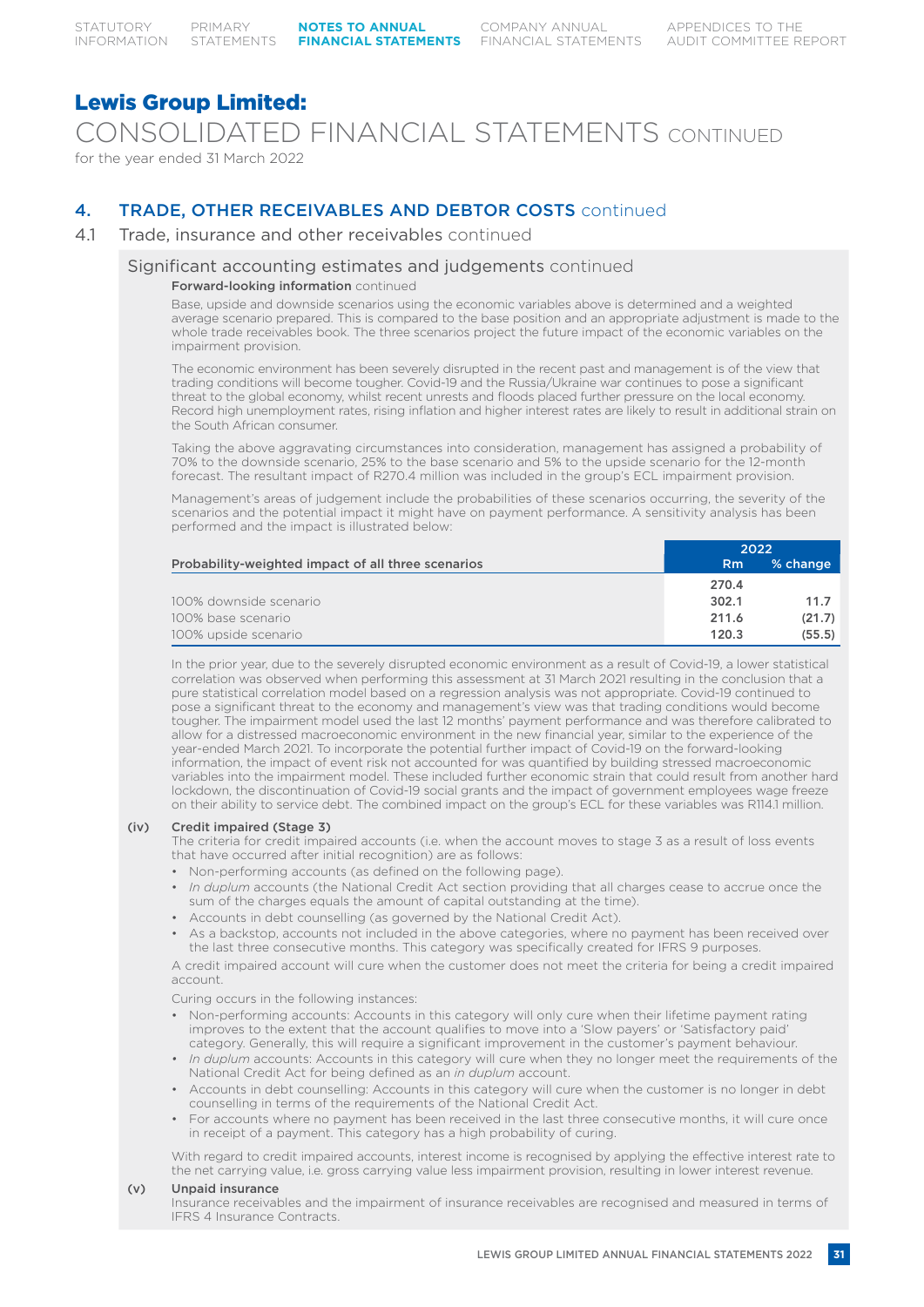CONSOLIDATED FINANCIAL STATEMENTS CONTINUED for the year ended 31 March 2022

## 4. TRADE, OTHER RECEIVABLES AND DEBTOR COSTS continued

## 4.1 Trade, insurance and other receivables continued

#### Significant accounting estimates and judgements continued

#### Forward-looking information continued

Base, upside and downside scenarios using the economic variables above is determined and a weighted average scenario prepared. This is compared to the base position and an appropriate adjustment is made to the whole trade receivables book. The three scenarios project the future impact of the economic variables on the impairment provision.

The economic environment has been severely disrupted in the recent past and management is of the view that trading conditions will become tougher. Covid-19 and the Russia/Ukraine war continues to pose a significant threat to the global economy, whilst recent unrests and floods placed further pressure on the local economy. Record high unemployment rates, rising inflation and higher interest rates are likely to result in additional strain on the South African consumer.

Taking the above aggravating circumstances into consideration, management has assigned a probability of 70% to the downside scenario, 25% to the base scenario and 5% to the upside scenario for the 12-month forecast. The resultant impact of R270.4 million was included in the group's ECL impairment provision.

Management's areas of judgement include the probabilities of these scenarios occurring, the severity of the scenarios and the potential impact it might have on payment performance. A sensitivity analysis has been performed and the impact is illustrated below:

|                                                    |           | 2022     |
|----------------------------------------------------|-----------|----------|
| Probability-weighted impact of all three scenarios | <b>Rm</b> | % change |
|                                                    | 270.4     |          |
| 100% downside scenario                             | 302.1     | 11.7     |
| 100% base scenario                                 | 211.6     | (21.7)   |
| 100% upside scenario                               | 120.3     | (55.5)   |

In the prior year, due to the severely disrupted economic environment as a result of Covid-19, a lower statistical correlation was observed when performing this assessment at 31 March 2021 resulting in the conclusion that a pure statistical correlation model based on a regression analysis was not appropriate. Covid-19 continued to pose a significant threat to the economy and management's view was that trading conditions would become tougher. The impairment model used the last 12 months' payment performance and was therefore calibrated to allow for a distressed macroeconomic environment in the new financial year, similar to the experience of the year-ended March 2021. To incorporate the potential further impact of Covid-19 on the forward-looking information, the impact of event risk not accounted for was quantified by building stressed macroeconomic variables into the impairment model. These included further economic strain that could result from another hard lockdown, the discontinuation of Covid-19 social grants and the impact of government employees wage freeze on their ability to service debt. The combined impact on the group's ECL for these variables was R114.1 million.

#### (iv) Credit impaired (Stage 3)

The criteria for credit impaired accounts (i.e. when the account moves to stage 3 as a result of loss events that have occurred after initial recognition) are as follows:

- Non-performing accounts (as defined on the following page).
- *In duplum* accounts (the National Credit Act section providing that all charges cease to accrue once the sum of the charges equals the amount of capital outstanding at the time).
- Accounts in debt counselling (as governed by the National Credit Act).
- As a backstop, accounts not included in the above categories, where no payment has been received over the last three consecutive months. This category was specifically created for IFRS 9 purposes.

A credit impaired account will cure when the customer does not meet the criteria for being a credit impaired account.

Curing occurs in the following instances:

- Non-performing accounts: Accounts in this category will only cure when their lifetime payment rating improves to the extent that the account qualifies to move into a 'Slow payers' or 'Satisfactory paid' category. Generally, this will require a significant improvement in the customer's payment behaviour.
- *• In duplum* accounts: Accounts in this category will cure when they no longer meet the requirements of the National Credit Act for being defined as an *in duplum* account.
- Accounts in debt counselling: Accounts in this category will cure when the customer is no longer in debt counselling in terms of the requirements of the National Credit Act.
- For accounts where no payment has been received in the last three consecutive months, it will cure once in receipt of a payment. This category has a high probability of curing.

With regard to credit impaired accounts, interest income is recognised by applying the effective interest rate to the net carrying value, i.e. gross carrying value less impairment provision, resulting in lower interest revenue.

#### (v) Unpaid insurance

Insurance receivables and the impairment of insurance receivables are recognised and measured in terms of IFRS 4 Insurance Contracts.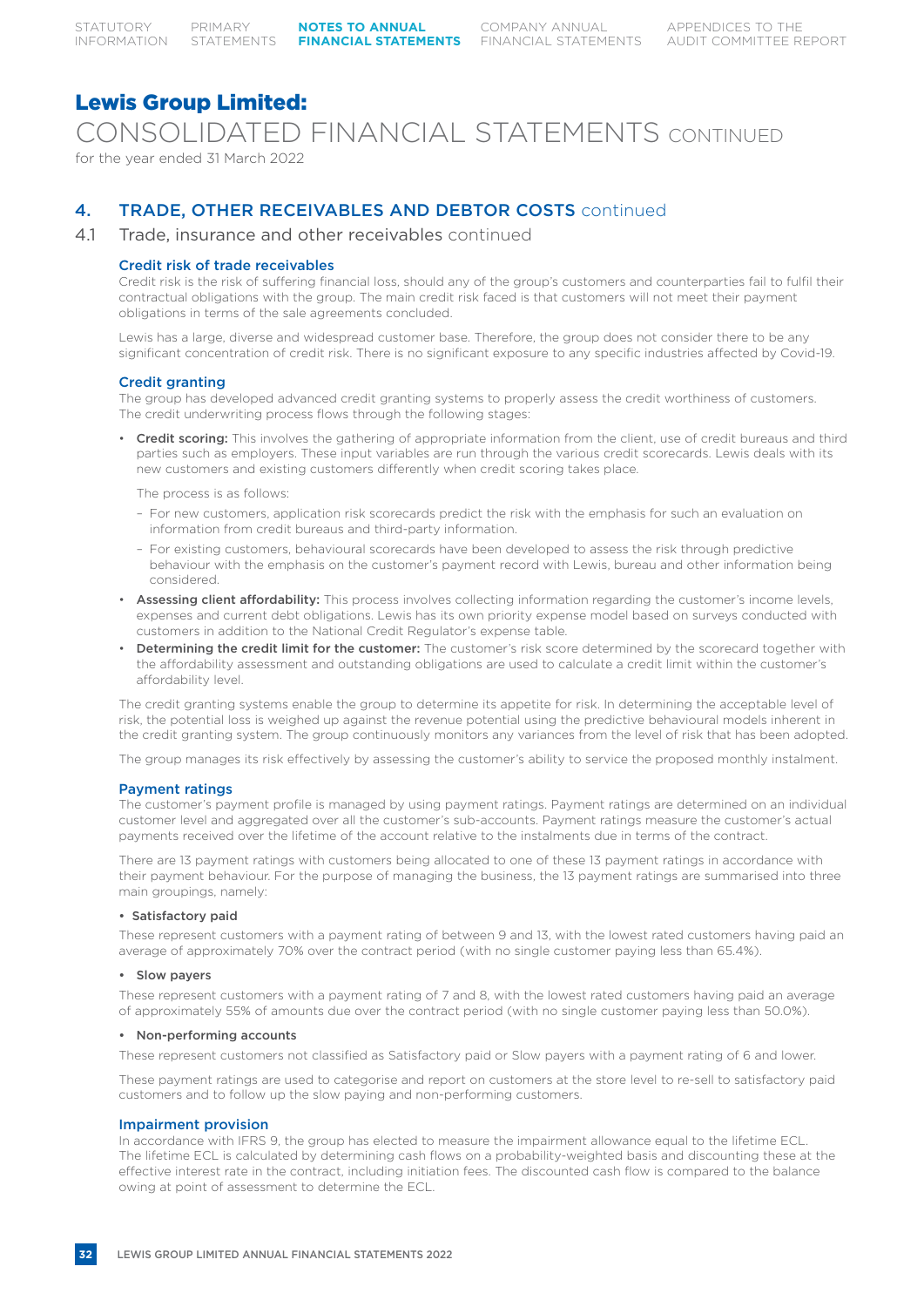CONSOLIDATED FINANCIAL STATEMENTS CONTINUED

for the year ended 31 March 2022

## 4. TRADE, OTHER RECEIVABLES AND DEBTOR COSTS continued

### 4.1 Trade, insurance and other receivables continued

#### Credit risk of trade receivables

Credit risk is the risk of suffering financial loss, should any of the group's customers and counterparties fail to fulfil their contractual obligations with the group. The main credit risk faced is that customers will not meet their payment obligations in terms of the sale agreements concluded.

Lewis has a large, diverse and widespread customer base. Therefore, the group does not consider there to be any significant concentration of credit risk. There is no significant exposure to any specific industries affected by Covid-19.

#### Credit granting

The group has developed advanced credit granting systems to properly assess the credit worthiness of customers. The credit underwriting process flows through the following stages:

• Credit scoring: This involves the gathering of appropriate information from the client, use of credit bureaus and third parties such as employers. These input variables are run through the various credit scorecards. Lewis deals with its new customers and existing customers differently when credit scoring takes place.

The process is as follows:

- For new customers, application risk scorecards predict the risk with the emphasis for such an evaluation on information from credit bureaus and third-party information.
- For existing customers, behavioural scorecards have been developed to assess the risk through predictive behaviour with the emphasis on the customer's payment record with Lewis, bureau and other information being considered.
- Assessing client affordability: This process involves collecting information regarding the customer's income levels, expenses and current debt obligations. Lewis has its own priority expense model based on surveys conducted with customers in addition to the National Credit Regulator's expense table.
- Determining the credit limit for the customer: The customer's risk score determined by the scorecard together with the affordability assessment and outstanding obligations are used to calculate a credit limit within the customer's affordability level.

The credit granting systems enable the group to determine its appetite for risk. In determining the acceptable level of risk, the potential loss is weighed up against the revenue potential using the predictive behavioural models inherent in the credit granting system. The group continuously monitors any variances from the level of risk that has been adopted.

The group manages its risk effectively by assessing the customer's ability to service the proposed monthly instalment.

#### Payment ratings

The customer's payment profile is managed by using payment ratings. Payment ratings are determined on an individual customer level and aggregated over all the customer's sub-accounts. Payment ratings measure the customer's actual payments received over the lifetime of the account relative to the instalments due in terms of the contract.

There are 13 payment ratings with customers being allocated to one of these 13 payment ratings in accordance with their payment behaviour. For the purpose of managing the business, the 13 payment ratings are summarised into three main groupings, namely:

#### • Satisfactory paid

These represent customers with a payment rating of between 9 and 13, with the lowest rated customers having paid an average of approximately 70% over the contract period (with no single customer paying less than 65.4%).

#### • Slow payers

These represent customers with a payment rating of 7 and 8, with the lowest rated customers having paid an average of approximately 55% of amounts due over the contract period (with no single customer paying less than 50.0%).

#### • Non-performing accounts

These represent customers not classified as Satisfactory paid or Slow payers with a payment rating of 6 and lower.

These payment ratings are used to categorise and report on customers at the store level to re-sell to satisfactory paid customers and to follow up the slow paying and non-performing customers.

#### Impairment provision

In accordance with IFRS 9, the group has elected to measure the impairment allowance equal to the lifetime ECL. The lifetime ECL is calculated by determining cash flows on a probability-weighted basis and discounting these at the effective interest rate in the contract, including initiation fees. The discounted cash flow is compared to the balance owing at point of assessment to determine the ECL.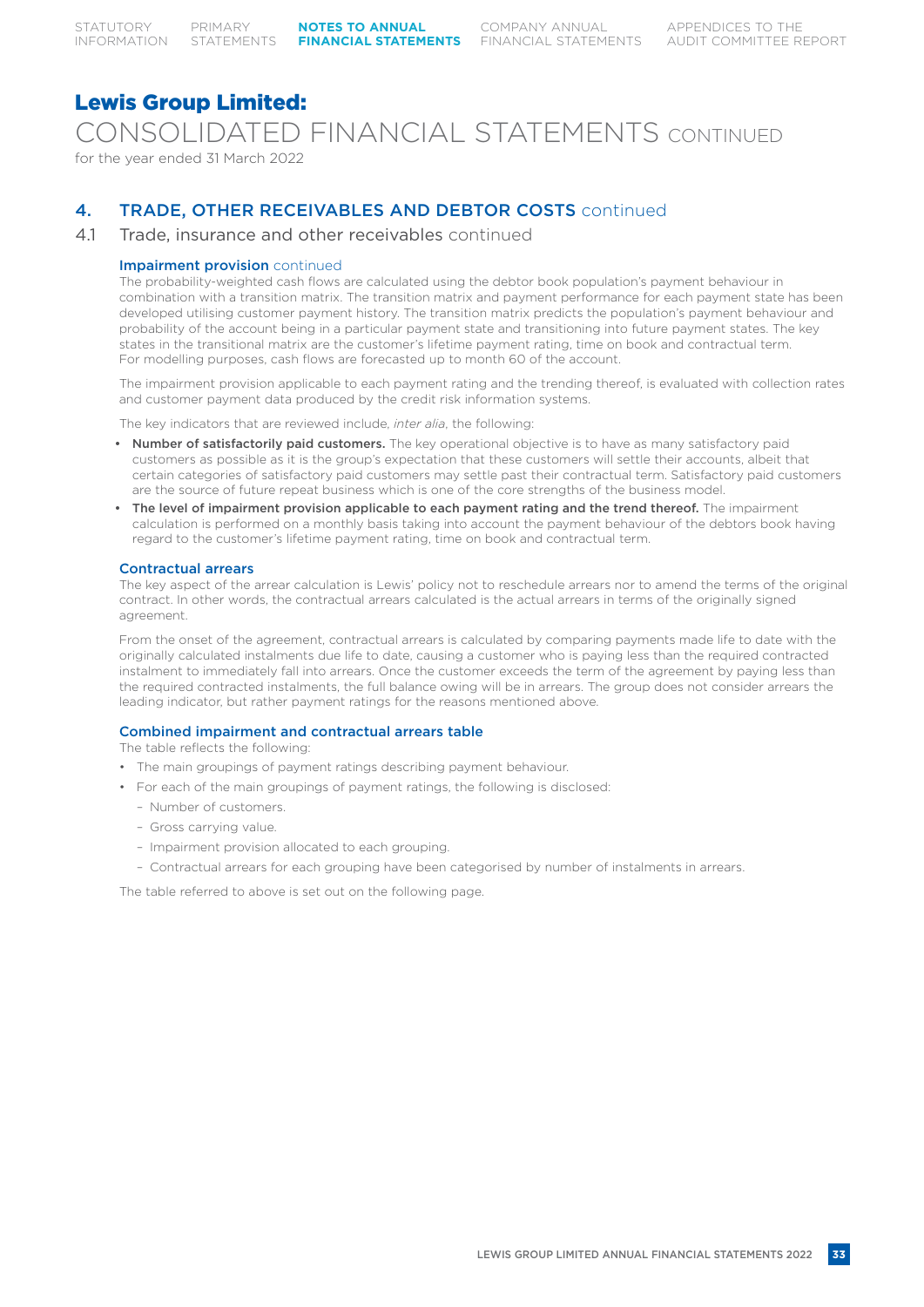CONSOLIDATED FINANCIAL STATEMENTS CONTINUED

for the year ended 31 March 2022

## 4. TRADE, OTHER RECEIVABLES AND DEBTOR COSTS continued

### 4.1 Trade, insurance and other receivables continued

#### Impairment provision continued

The probability-weighted cash flows are calculated using the debtor book population's payment behaviour in combination with a transition matrix. The transition matrix and payment performance for each payment state has been developed utilising customer payment history. The transition matrix predicts the population's payment behaviour and probability of the account being in a particular payment state and transitioning into future payment states. The key states in the transitional matrix are the customer's lifetime payment rating, time on book and contractual term. For modelling purposes, cash flows are forecasted up to month 60 of the account.

The impairment provision applicable to each payment rating and the trending thereof, is evaluated with collection rates and customer payment data produced by the credit risk information systems.

The key indicators that are reviewed include, *inter alia*, the following:

- Number of satisfactorily paid customers. The key operational objective is to have as many satisfactory paid customers as possible as it is the group's expectation that these customers will settle their accounts, albeit that certain categories of satisfactory paid customers may settle past their contractual term. Satisfactory paid customers are the source of future repeat business which is one of the core strengths of the business model.
- The level of impairment provision applicable to each payment rating and the trend thereof. The impairment calculation is performed on a monthly basis taking into account the payment behaviour of the debtors book having regard to the customer's lifetime payment rating, time on book and contractual term.

#### Contractual arrears

The key aspect of the arrear calculation is Lewis' policy not to reschedule arrears nor to amend the terms of the original contract. In other words, the contractual arrears calculated is the actual arrears in terms of the originally signed agreement.

From the onset of the agreement, contractual arrears is calculated by comparing payments made life to date with the originally calculated instalments due life to date, causing a customer who is paying less than the required contracted instalment to immediately fall into arrears. Once the customer exceeds the term of the agreement by paying less than the required contracted instalments, the full balance owing will be in arrears. The group does not consider arrears the leading indicator, but rather payment ratings for the reasons mentioned above.

#### Combined impairment and contractual arrears table

The table reflects the following:

- The main groupings of payment ratings describing payment behaviour.
- For each of the main groupings of payment ratings, the following is disclosed:
	- Number of customers.
	- Gross carrying value.
	- Impairment provision allocated to each grouping.
	- Contractual arrears for each grouping have been categorised by number of instalments in arrears.

The table referred to above is set out on the following page.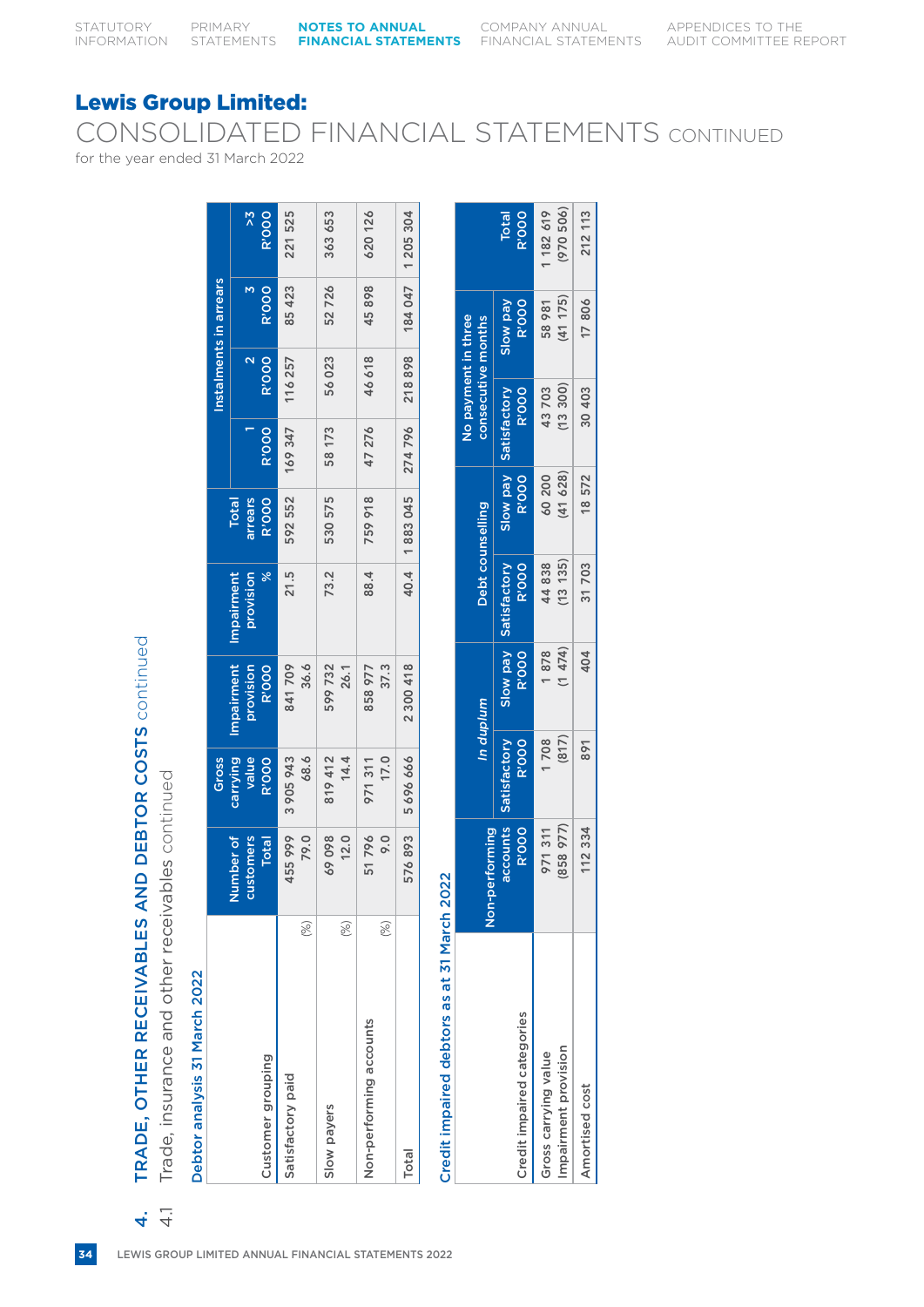$\sim$  1

## Lewis Group Limited:

CONSOLIDATED FINANCIAL STATEMENTS CONTINUED

for the year ended 31 March 2022

| Debtor analysis 31 March 2022 |               | Trade, insurance and other receivables continued | Gross                             |                                         |                                          |                                         |              |                                   | Instalments in arrears |                               |
|-------------------------------|---------------|--------------------------------------------------|-----------------------------------|-----------------------------------------|------------------------------------------|-----------------------------------------|--------------|-----------------------------------|------------------------|-------------------------------|
| Customer grouping             |               | Number of<br>customers<br>Total                  | carrying<br>value<br><b>R'000</b> | Impairment<br>provision<br><b>R'000</b> | provision<br>Impairment<br>$\frac{8}{3}$ | arrears<br><b>R'OOO</b><br><b>Total</b> | <b>R'000</b> | <b>R'000</b><br>$\mathbf{\Omega}$ | М<br><b>R'000</b>      | $\frac{1}{2}$<br><b>R'000</b> |
| Satisfactory paid             | (%)           | 455 999<br>79.0                                  | 3 905 943<br>68.6                 | 841709<br>36.6                          | 21.5                                     | 592 552                                 | 169347       | 116257                            | 85 423                 | 221525                        |
| Slow payers                   | (%)           | 69098<br>12.0                                    | 819 412<br>14.4                   | 599732<br>26.1                          | 73.2                                     | 530 575                                 | 58 173       | 56023                             | 52726                  | 363 653                       |
| Non-performing accounts       | $\mathcal{E}$ | 51796<br>9.0                                     | 17.0<br>971311                    | 37.3<br>858 977                         | 88.4                                     | 759918                                  | 47 276       | 46618                             | 45898                  | 620126                        |
| Total                         |               | 576893                                           | 5696666                           | 2 300 418                               | 40.4                                     | 1883045                                 | 274796       | 218898                            | 184 047                | 1 205 304                     |

| 1202            |
|-----------------|
|                 |
|                 |
|                 |
|                 |
| 31 March        |
|                 |
|                 |
|                 |
|                 |
|                 |
| I debtors as at |
|                 |
|                 |
|                 |
|                 |
|                 |
|                 |
|                 |
|                 |
| <u>ยู</u>       |
|                 |
|                 |
|                 |
|                 |
|                 |
| redit impaired  |
|                 |
|                 |
|                 |

| Credit impaired debtors as at 31 March 2022        |                          |                                     |                                 |                              |                                   |                                       |                                           |                              |
|----------------------------------------------------|--------------------------|-------------------------------------|---------------------------------|------------------------------|-----------------------------------|---------------------------------------|-------------------------------------------|------------------------------|
|                                                    | n-performing<br>ة<br>Z   |                                     | In duplum                       | Debt counselling             |                                   |                                       | No payment in three<br>consecutive months |                              |
| Credit impaired categories                         | accounts<br><b>R'000</b> | <b>R'000</b><br><b>Satisfactory</b> | <b>Slow pay</b><br><b>R'000</b> | <b>R'000</b><br>Satisfactory | <b>R'000</b>                      | <b>R'000</b><br>Slow pay Satisfactory | <b>R'000</b><br><b>Red MoIS</b>           | <b>R'OOO</b><br><b>Total</b> |
| mpairment provision<br><b>Bross carrying value</b> | (858 977)<br>971 311     | 1708<br>(817)                       | (1474)<br>1878                  | (1313)<br>44 838             | 628)<br>60 200<br>$\overline{41}$ | (13300)<br>43 703                     | (41 175)<br>58 981                        | (970506)<br>1 182 619        |
| Amortised cost                                     | 112 334                  | 891                                 | 404                             | 31 703                       | 18 572                            | 30 403                                | 17806                                     | 212 113                      |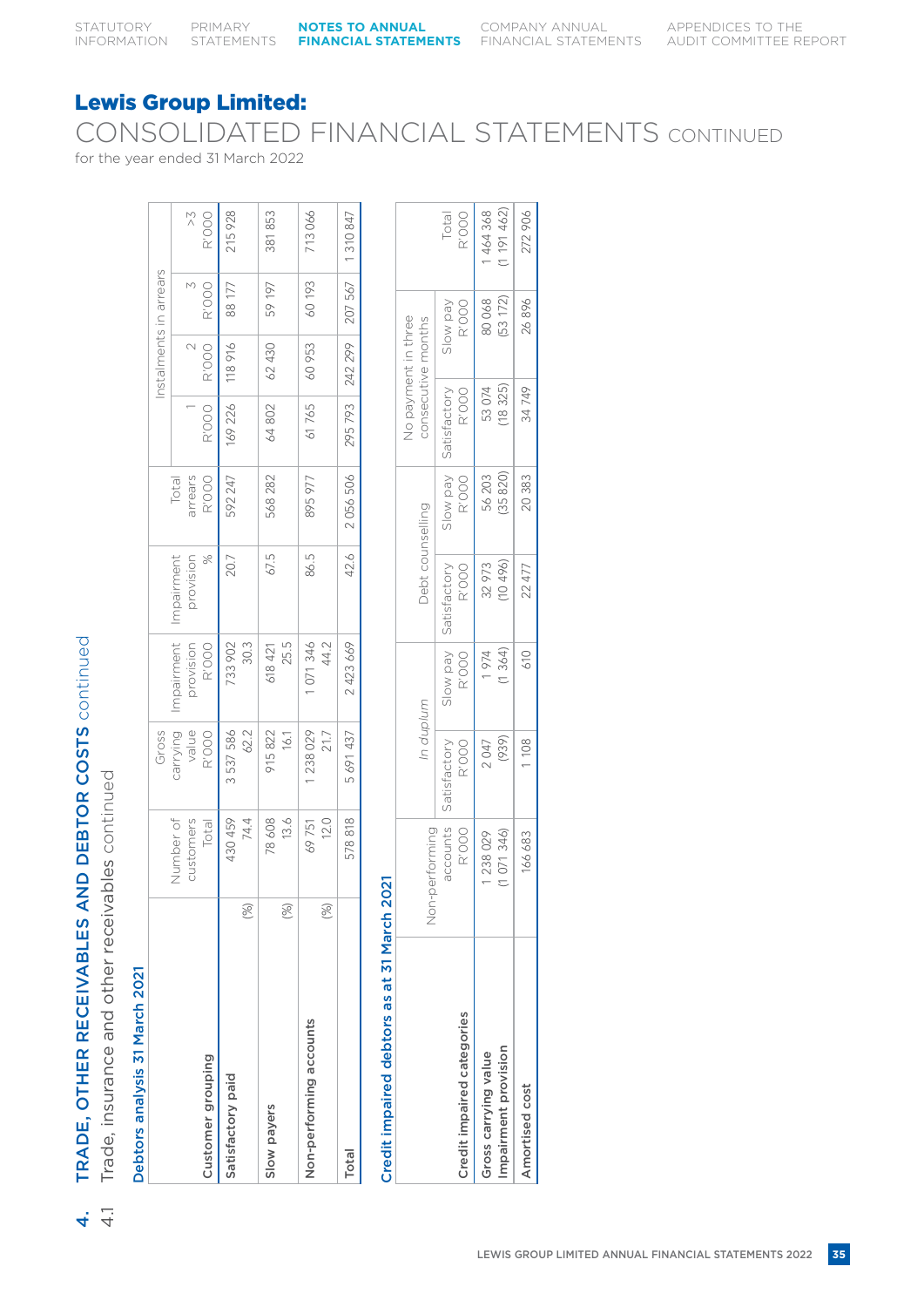CONSOLIDATED FINANCIAL STATEMENTS CONTINUED

for the year ended 31 March 2022

|                         |     |           | Gross     |            |               |         |         | Instalments in arrears |         |               |
|-------------------------|-----|-----------|-----------|------------|---------------|---------|---------|------------------------|---------|---------------|
|                         |     | Number of | carrying  | Impairment | Impairment    | Total   |         |                        |         |               |
|                         |     | customers | value     | provision  | provision     | arrears |         | $\sim$                 | M       | $\frac{1}{2}$ |
| Customer grouping       |     | Total     | R'OOO     | R'OOO      | $\frac{5}{6}$ | R'OOO   | R'OOO   | R'OOO                  | R'OOO   | R'OOO         |
| Satisfactory paid       |     | 430 459   | 3 537 586 | 733 902    | 20.7          | 592 247 | 169 226 | 118916                 | 88 177  | 215928        |
|                         | (%) | 74.4      | 62.2      | 30.3       |               |         |         |                        |         |               |
| Slow payers             |     | 78 608    | 915822    | 618 421    | 67.5          | 568 282 | 64 802  | 62 430                 | 59 197  | 381853        |
|                         | (%) | 13.6      | 16.1      | 25.5       |               |         |         |                        |         |               |
| Non-performing accounts |     | 69751     | 238 029   | 071346     | 86.5          | 895 977 | 61765   | 60 953                 | 60 193  | 713066        |
|                         | (%) | 12.0      | 21.7      | 44.2       |               |         |         |                        |         |               |
| Total                   |     | 578818    | 5691437   | 2 423 669  | 42.6          | 2056506 | 295 793 | 242 299                | 207 567 | 1310847       |
|                         |     |           |           |            |               |         |         |                        |         |               |

# Credit impaired debtors as at 31 March 2021

| <b>DEALER IN A RESERVE SERVE STRUMPORTS</b> |                        |                       |                   |                       |                   |                       |                                           |                        |
|---------------------------------------------|------------------------|-----------------------|-------------------|-----------------------|-------------------|-----------------------|-------------------------------------------|------------------------|
|                                             | performing<br>dor<br>S | In duplum             |                   | Debt counselling      |                   |                       | No payment in three<br>consecutive months |                        |
| Credit impaired categories                  | accounts<br>R'OOO      | Satisfactory<br>R'OOO | Ned Mojs<br>R'OOO | R'OOO<br>Satisfactory | Yed Mojs<br>R'OOO | Satisfactory<br>R'OOO | R'OOO<br>Slow pay                         | Total<br>R'OOO         |
| mpairment provision<br>Gross carrying value | (1071346)<br>1238029   | (939)<br>2047         | 1974<br>(1364)    | 32973<br>(10496)      | (35820)<br>56 203 | (18325)<br>53 074     | $(53\ 172)$<br>80068                      | (1 191 462)<br>1464368 |
| Amortised cost                              | 166 683                | 1108                  | 610               | 22 477                | 20 383            | 34 749                | 26896                                     | 272 906                |

 $4\frac{1}{4}$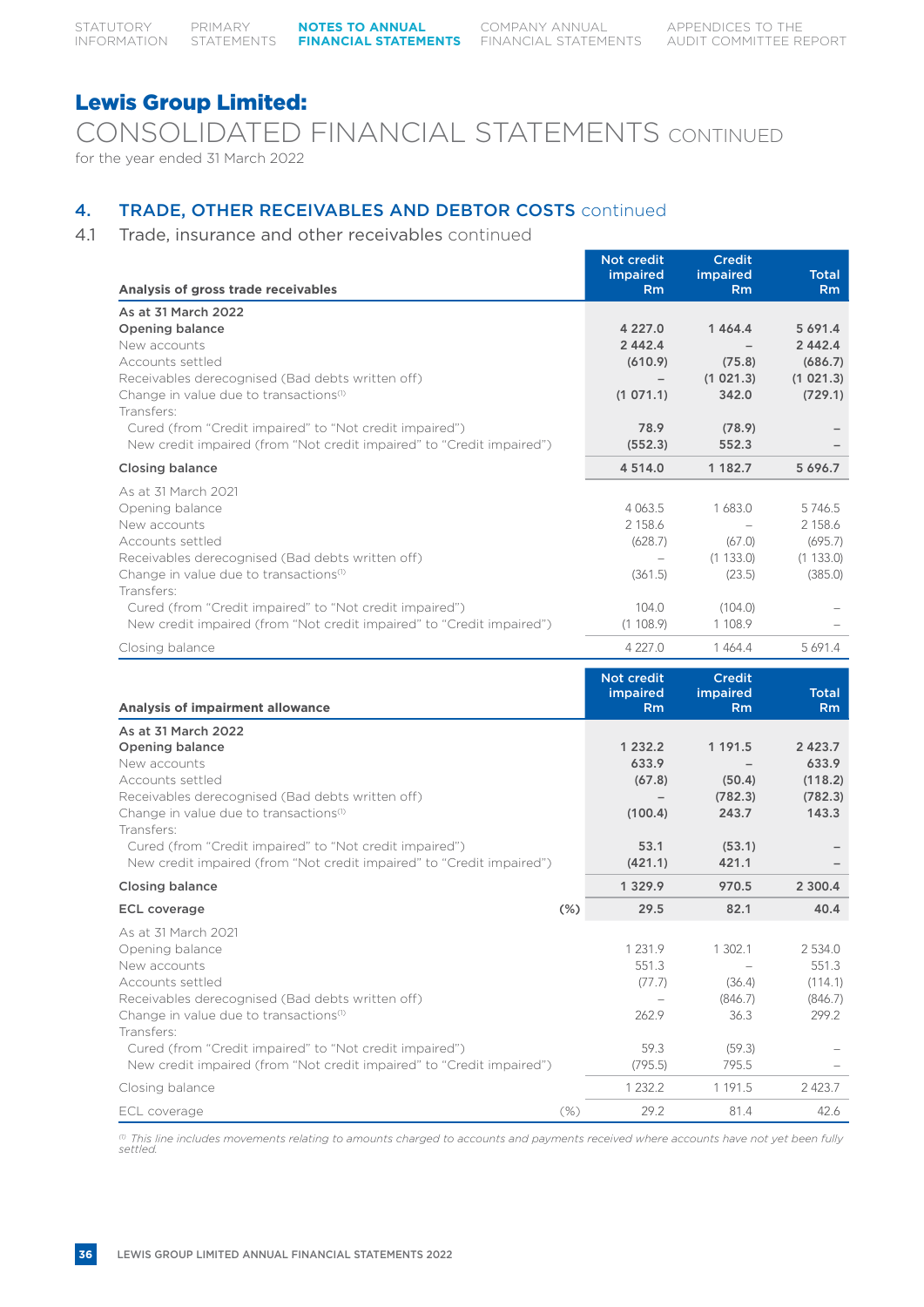CONSOLIDATED FINANCIAL STATEMENTS CONTINUED for the year ended 31 March 2022

# 4. TRADE, OTHER RECEIVABLES AND DEBTOR COSTS continued

4.1 Trade, insurance and other receivables continued

| Analysis of gross trade receivables                                                                                                                                                                                                                                                                                                           | <b>Not credit</b><br>impaired<br>Rm                       | <b>Credit</b><br>impaired<br>Rm                             | <b>Total</b><br>Rm                                       |
|-----------------------------------------------------------------------------------------------------------------------------------------------------------------------------------------------------------------------------------------------------------------------------------------------------------------------------------------------|-----------------------------------------------------------|-------------------------------------------------------------|----------------------------------------------------------|
| As at 31 March 2022<br><b>Opening balance</b><br>New accounts<br>Accounts settled<br>Receivables derecognised (Bad debts written off)<br>Change in value due to transactions <sup>(1)</sup><br>Transfers:<br>Cured (from "Credit impaired" to "Not credit impaired")                                                                          | 4 2 2 7 . 0<br>2 4 4 2 . 4<br>(610.9)<br>(1071.1)<br>78.9 | 1464.4<br>(75.8)<br>(1 021.3)<br>342.0<br>(78.9)            | 5 691.4<br>2 4 4 2 . 4<br>(686.7)<br>(1021.3)<br>(729.1) |
| New credit impaired (from "Not credit impaired" to "Credit impaired")                                                                                                                                                                                                                                                                         | (552.3)                                                   | 552.3                                                       |                                                          |
| <b>Closing balance</b>                                                                                                                                                                                                                                                                                                                        | 4 5 1 4 .0                                                | 1 1 8 2 . 7                                                 | 5 696.7                                                  |
| As at 31 March 2021<br>Opening balance<br>New accounts<br>Accounts settled<br>Receivables derecognised (Bad debts written off)<br>Change in value due to transactions <sup>(1)</sup><br>Transfers:                                                                                                                                            | 4 0 6 3.5<br>2 1 5 8.6<br>(628.7)<br>(361.5)              | 1683.0<br>$\equiv$<br>(67.0)<br>(1133.0)<br>(23.5)          | 5746.5<br>2 158.6<br>(695.7)<br>(1133.0)<br>(385.0)      |
| Cured (from "Credit impaired" to "Not credit impaired")<br>New credit impaired (from "Not credit impaired" to "Credit impaired")<br>Closing balance                                                                                                                                                                                           | 104.0<br>(1108.9)<br>4 2 2 7 .0                           | (104.0)<br>1 108.9<br>1464.4                                | 5 691.4                                                  |
|                                                                                                                                                                                                                                                                                                                                               |                                                           |                                                             |                                                          |
| <b>Analysis of impairment allowance</b>                                                                                                                                                                                                                                                                                                       | Not credit<br>impaired<br><b>Rm</b>                       | <b>Credit</b><br>impaired<br><b>Rm</b>                      | <b>Total</b><br>R <sub>m</sub>                           |
| As at 31 March 2022<br><b>Opening balance</b><br>New accounts<br>Accounts settled<br>Receivables derecognised (Bad debts written off)<br>Change in value due to transactions <sup>(1)</sup><br>Transfers:<br>Cured (from "Credit impaired" to "Not credit impaired")<br>New credit impaired (from "Not credit impaired" to "Credit impaired") | 1 232.2<br>633.9<br>(67.8)<br>(100.4)<br>53.1<br>(421.1)  | 1 1 9 1 .5<br>(50.4)<br>(782.3)<br>243.7<br>(53.1)<br>421.1 | 2 4 2 3 . 7<br>633.9<br>(118.2)<br>(782.3)<br>143.3      |
| <b>Closing balance</b>                                                                                                                                                                                                                                                                                                                        | 1 3 2 9 . 9                                               | 970.5                                                       | 2 300.4                                                  |
| $(\%)$<br><b>ECL coverage</b>                                                                                                                                                                                                                                                                                                                 | 29.5                                                      | 82.1                                                        | 40.4                                                     |
| As at 31 March 2021<br>Opening balance<br>New accounts<br>Accounts settled<br>Receivables derecognised (Bad debts written off)<br>Change in value due to transactions <sup>(1)</sup>                                                                                                                                                          | 1 2 3 1 . 9<br>551.3<br>(77.7)<br>262.9                   | 1 302.1<br>(36.4)<br>(846.7)<br>36.3                        | 2 534.0<br>551.3<br>(114.1)<br>(846.7)<br>299.2          |

ECL coverage (%) 29.2 81.4 42.6 *(1) This line includes movements relating to amounts charged to accounts and payments received where accounts have not yet been fully settled.*

New credit impaired (from "Not credit impaired" to "Credit impaired") (795.5) 795.5 – Closing balance 2423.7 2423.7

Cured (from "Credit impaired" to "Not credit impaired") 59.3 (59.3) –

Transfers: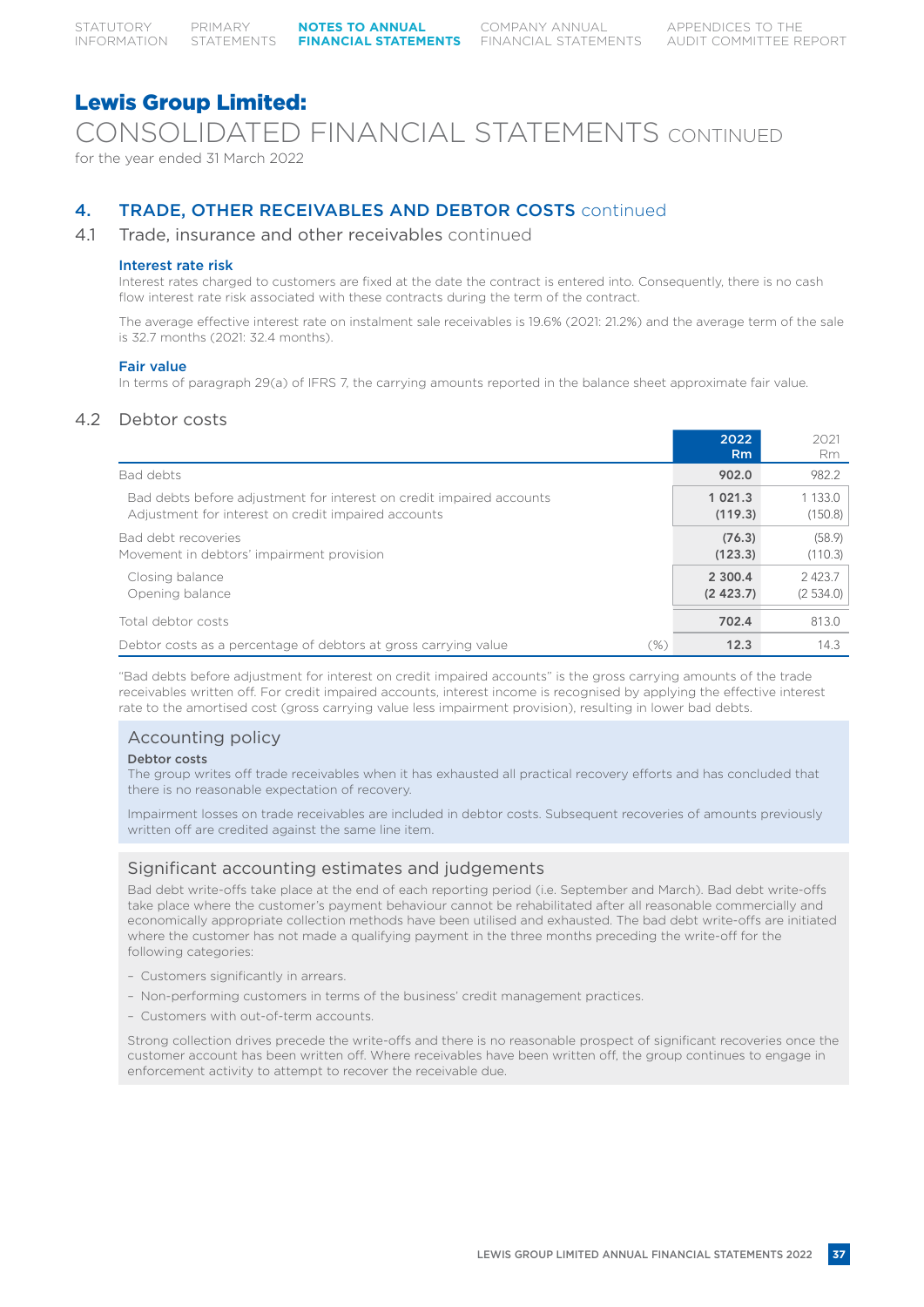CONSOLIDATED FINANCIAL STATEMENTS CONTINUED

for the year ended 31 March 2022

# 4. TRADE, OTHER RECEIVABLES AND DEBTOR COSTS continued

# 4.1 Trade, insurance and other receivables continued

# Interest rate risk

Interest rates charged to customers are fixed at the date the contract is entered into. Consequently, there is no cash flow interest rate risk associated with these contracts during the term of the contract.

The average effective interest rate on instalment sale receivables is 19.6% (2021: 21.2%) and the average term of the sale is 32.7 months (2021: 32.4 months).

# Fair value

In terms of paragraph 29(a) of IFRS 7, the carrying amounts reported in the balance sheet approximate fair value.

# 4.2 Debtor costs

|                                                                                                                             | 2022<br>Rm.            | 2021<br>Rm.            |
|-----------------------------------------------------------------------------------------------------------------------------|------------------------|------------------------|
| Bad debts                                                                                                                   | 902.0                  | 982.2                  |
| Bad debts before adjustment for interest on credit impaired accounts<br>Adjustment for interest on credit impaired accounts | 1 0 2 1 . 3<br>(119.3) | 1 1 3 3 . 0<br>(150.8) |
| Bad debt recoveries<br>Movement in debtors' impairment provision                                                            | (76.3)<br>(123.3)      | (58.9)<br>(110.3)      |
| Closing balance<br>Opening balance                                                                                          | 2 300.4<br>(2, 423.7)  | 2423.7<br>(2534.0)     |
| Total debtor costs                                                                                                          | 702.4                  | 813.0                  |
| Debtor costs as a percentage of debtors at gross carrying value<br>$(\%)$                                                   | 12.3                   | 14.3                   |

"Bad debts before adjustment for interest on credit impaired accounts" is the gross carrying amounts of the trade receivables written off. For credit impaired accounts, interest income is recognised by applying the effective interest rate to the amortised cost (gross carrying value less impairment provision), resulting in lower bad debts.

# Accounting policy

# Debtor costs

The group writes off trade receivables when it has exhausted all practical recovery efforts and has concluded that there is no reasonable expectation of recovery.

Impairment losses on trade receivables are included in debtor costs. Subsequent recoveries of amounts previously written off are credited against the same line item.

# Significant accounting estimates and judgements

Bad debt write-offs take place at the end of each reporting period (i.e. September and March). Bad debt write-offs take place where the customer's payment behaviour cannot be rehabilitated after all reasonable commercially and economically appropriate collection methods have been utilised and exhausted. The bad debt write-offs are initiated where the customer has not made a qualifying payment in the three months preceding the write-off for the following categories:

- Customers significantly in arrears.
- Non-performing customers in terms of the business' credit management practices.
- Customers with out-of-term accounts.

Strong collection drives precede the write-offs and there is no reasonable prospect of significant recoveries once the customer account has been written off. Where receivables have been written off, the group continues to engage in enforcement activity to attempt to recover the receivable due.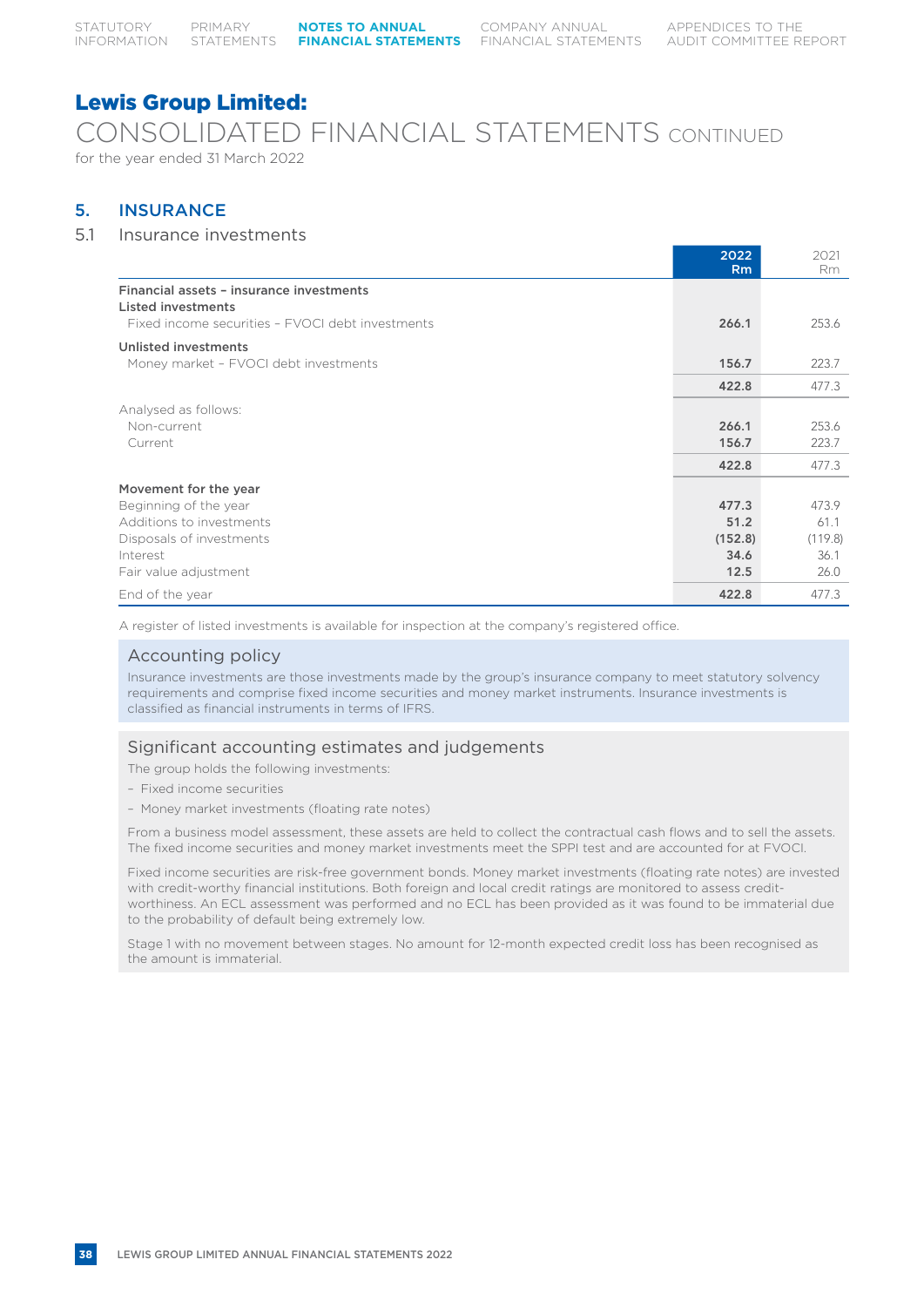# CONSOLIDATED FINANCIAL STATEMENTS CONTINUED

for the year ended 31 March 2022

# 5. INSURANCE

# 5.1 Insurance investments

|                                                                                                                    | 2022<br><b>Rm</b>       | 2021<br>Rm              |
|--------------------------------------------------------------------------------------------------------------------|-------------------------|-------------------------|
| Financial assets - insurance investments<br>Listed investments<br>Fixed income securities - FVOCI debt investments | 266.1                   | 253.6                   |
| Unlisted investments<br>Money market - FVOCI debt investments                                                      | 156.7                   | 223.7                   |
|                                                                                                                    | 422.8                   | 477.3                   |
| Analysed as follows:<br>Non-current<br>Current                                                                     | 266.1<br>156.7<br>422.8 | 253.6<br>223.7<br>477.3 |
| Movement for the year                                                                                              |                         |                         |
| Beginning of the year                                                                                              | 477.3                   | 473.9                   |
| Additions to investments                                                                                           | 51.2                    | 61.1                    |
| Disposals of investments                                                                                           | (152.8)                 | (119.8)                 |
| Interest                                                                                                           | 34.6                    | 36.1                    |
| Fair value adjustment                                                                                              | 12.5                    | 26.0                    |
| End of the year                                                                                                    | 422.8                   | 477.3                   |

A register of listed investments is available for inspection at the company's registered office.

# Accounting policy

Insurance investments are those investments made by the group's insurance company to meet statutory solvency requirements and comprise fixed income securities and money market instruments. Insurance investments is classified as financial instruments in terms of IFRS.

# Significant accounting estimates and judgements

The group holds the following investments:

- Fixed income securities
- Money market investments (floating rate notes)

From a business model assessment, these assets are held to collect the contractual cash flows and to sell the assets. The fixed income securities and money market investments meet the SPPI test and are accounted for at FVOCI.

Fixed income securities are risk-free government bonds. Money market investments (floating rate notes) are invested with credit-worthy financial institutions. Both foreign and local credit ratings are monitored to assess creditworthiness. An ECL assessment was performed and no ECL has been provided as it was found to be immaterial due to the probability of default being extremely low.

Stage 1 with no movement between stages. No amount for 12-month expected credit loss has been recognised as the amount is immaterial.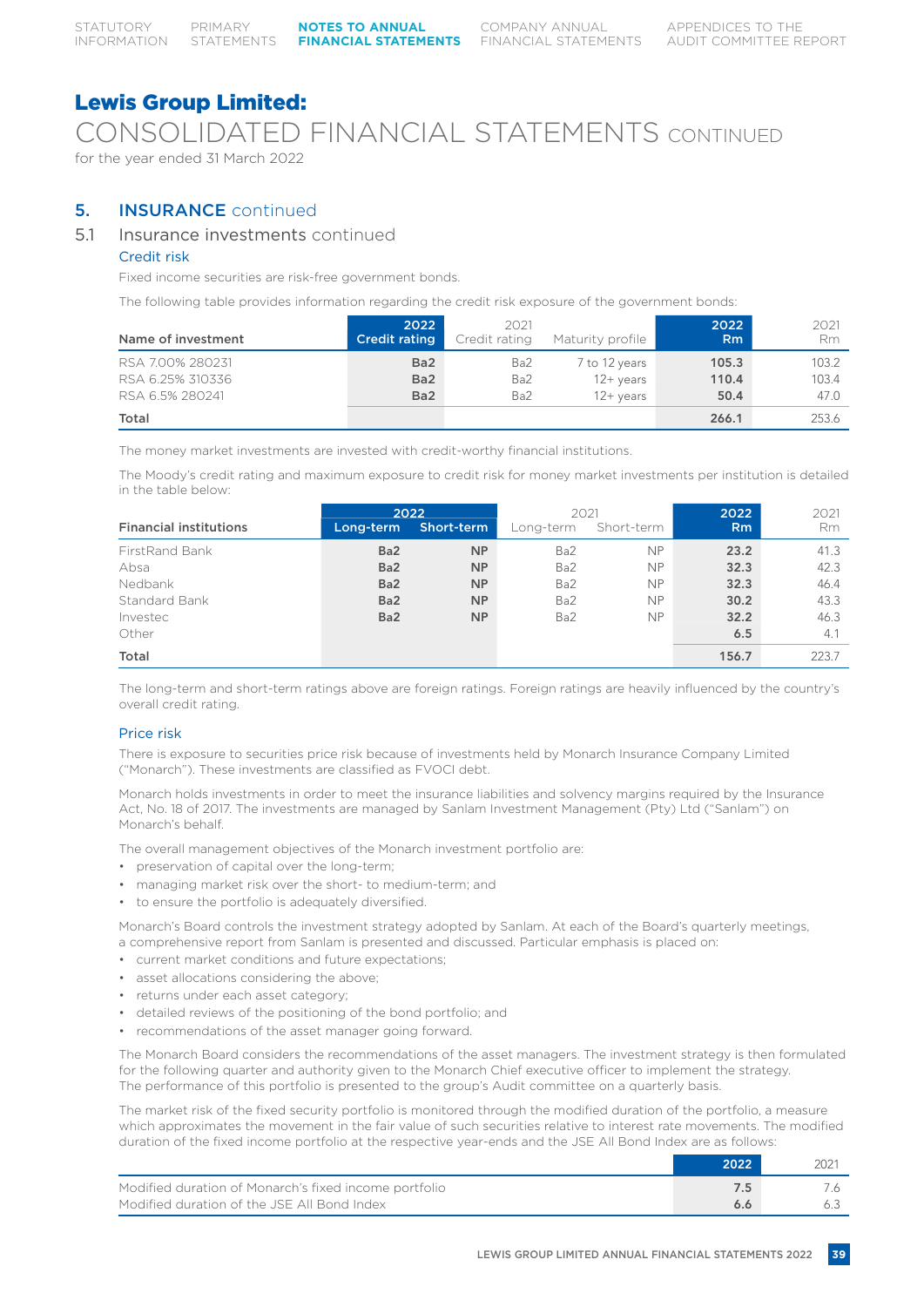CONSOLIDATED FINANCIAL STATEMENTS CONTINUED

for the year ended 31 March 2022

# 5. INSURANCE continued

# 5.1 Insurance investments continued

# Credit risk

Fixed income securities are risk-free government bonds.

The following table provides information regarding the credit risk exposure of the government bonds:

| Name of investment                                      | 2022<br><b>Credit rating</b>                          | 2021<br>Credit rating | Maturity profile                                      | 2022<br><b>Rm</b>      | 2021<br>Rm             |
|---------------------------------------------------------|-------------------------------------------------------|-----------------------|-------------------------------------------------------|------------------------|------------------------|
| RSA 7.00% 280231<br>RSA 6.25% 310336<br>RSA 6.5% 280241 | Ba <sub>2</sub><br>Ba <sub>2</sub><br>Ba <sub>2</sub> | Ba2<br>Ba2<br>Ba2     | 7 to 12 years<br>$12 + \mathrm{years}$<br>$12+$ years | 105.3<br>110.4<br>50.4 | 103.2<br>103.4<br>47.0 |
| Total                                                   |                                                       |                       |                                                       | 266.1                  | 253.6                  |

The money market investments are invested with credit-worthy financial institutions.

The Moody's credit rating and maximum exposure to credit risk for money market investments per institution is detailed in the table below:

| <b>Financial institutions</b> | Long-term       | 2022<br>Short-term | 2021<br>Long-term | Short-term | 2022<br>R <sub>m</sub> | 2021<br>Rm. |
|-------------------------------|-----------------|--------------------|-------------------|------------|------------------------|-------------|
|                               |                 |                    |                   |            |                        |             |
| FirstRand Bank                | Ba <sub>2</sub> | <b>NP</b>          | Ba2               | <b>NP</b>  | 23.2                   | 41.3        |
| Absa                          | Ba <sub>2</sub> | <b>NP</b>          | Ba2               | <b>NP</b>  | 32.3                   | 42.3        |
| Nedbank                       | Ba <sub>2</sub> | <b>NP</b>          | Ba2               | <b>NP</b>  | 32.3                   | 46.4        |
| Standard Bank                 | Ba <sub>2</sub> | <b>NP</b>          | Ba2               | <b>NP</b>  | 30.2                   | 43.3        |
| Investec                      | Ba <sub>2</sub> | <b>NP</b>          | Ba2               | <b>NP</b>  | 32.2                   | 46.3        |
| Other                         |                 |                    |                   |            | 6.5                    | 4.1         |
| Total                         |                 |                    |                   |            | 156.7                  | 223.7       |

The long-term and short-term ratings above are foreign ratings. Foreign ratings are heavily influenced by the country's overall credit rating.

# Price risk

There is exposure to securities price risk because of investments held by Monarch Insurance Company Limited ("Monarch"). These investments are classified as FVOCI debt.

Monarch holds investments in order to meet the insurance liabilities and solvency margins required by the Insurance Act, No. 18 of 2017. The investments are managed by Sanlam Investment Management (Pty) Ltd ("Sanlam") on Monarch's behalf.

The overall management objectives of the Monarch investment portfolio are:

- preservation of capital over the long-term;
- managing market risk over the short- to medium-term; and
- to ensure the portfolio is adequately diversified.

Monarch's Board controls the investment strategy adopted by Sanlam. At each of the Board's quarterly meetings, a comprehensive report from Sanlam is presented and discussed. Particular emphasis is placed on:

- current market conditions and future expectations;
- asset allocations considering the above;
- returns under each asset category;
- detailed reviews of the positioning of the bond portfolio; and
- recommendations of the asset manager going forward.

The Monarch Board considers the recommendations of the asset managers. The investment strategy is then formulated for the following quarter and authority given to the Monarch Chief executive officer to implement the strategy. The performance of this portfolio is presented to the group's Audit committee on a quarterly basis.

The market risk of the fixed security portfolio is monitored through the modified duration of the portfolio, a measure which approximates the movement in the fair value of such securities relative to interest rate movements. The modified duration of the fixed income portfolio at the respective year-ends and the JSE All Bond Index are as follows:

|                                                       | 2022 | 202. |
|-------------------------------------------------------|------|------|
| Modified duration of Monarch's fixed income portfolio |      |      |
| Modified duration of the JSE All Bond Index           |      |      |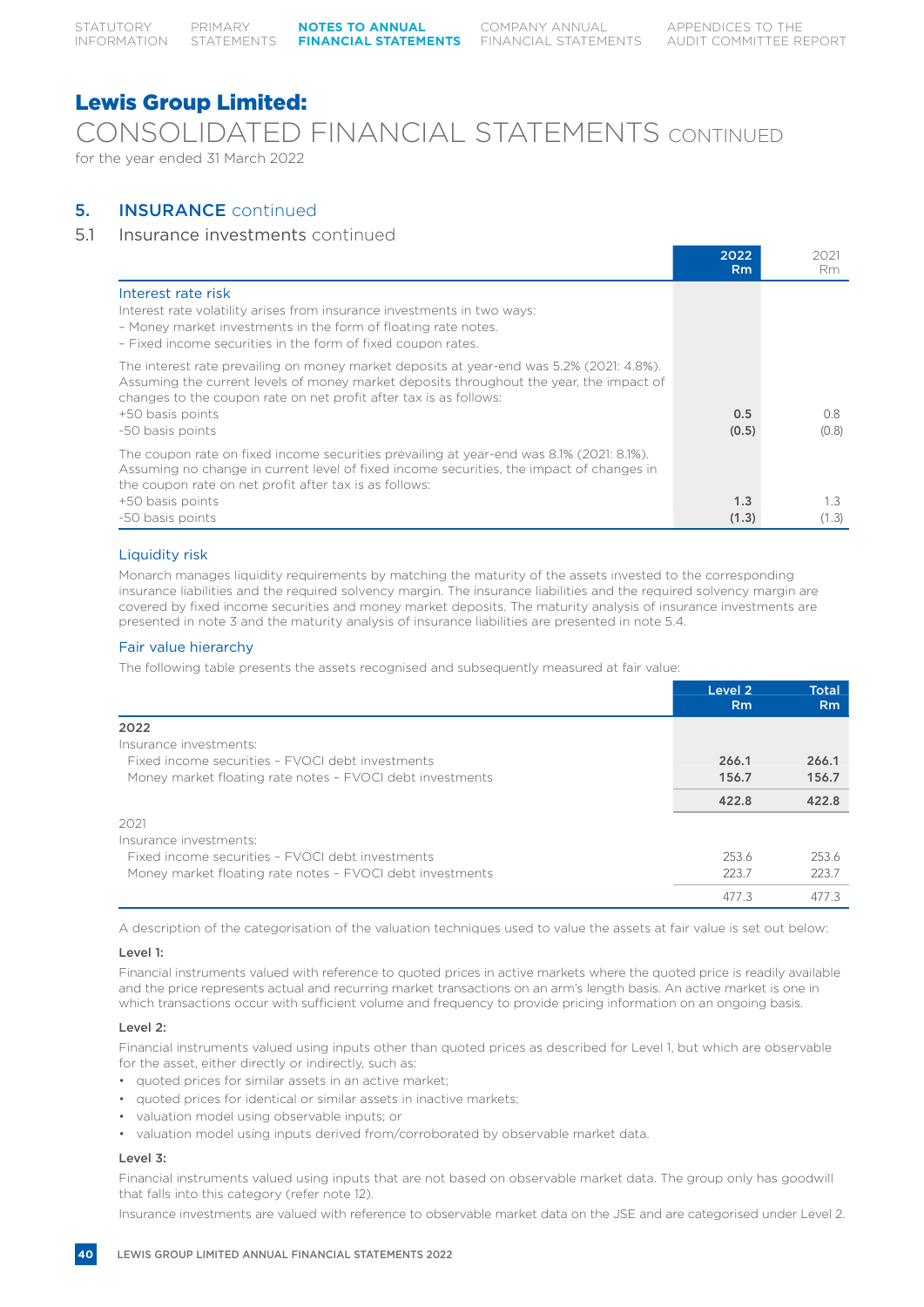COMPANY ANNUAL

# Lewis Group Limited:

CONSOLIDATED FINANCIAL STATEMENTS CONTINUED for the year ended 31 March 2022

# 5. INSURANCE continued

# 5.1 Insurance investments continued

|                                                                                                                                                                                                                                                                                                  | 2022<br>Rm   | 2021<br>Rm   |
|--------------------------------------------------------------------------------------------------------------------------------------------------------------------------------------------------------------------------------------------------------------------------------------------------|--------------|--------------|
| Interest rate risk<br>Interest rate volatility arises from insurance investments in two ways:<br>- Money market investments in the form of floating rate notes.<br>- Fixed income securities in the form of fixed coupon rates.                                                                  |              |              |
| The interest rate prevailing on money market deposits at year-end was 5.2% (2021: 4.8%).<br>Assuming the current levels of money market deposits throughout the year, the impact of<br>changes to the coupon rate on net profit after tax is as follows:<br>+50 basis points<br>-50 basis points | 0.5<br>(0.5) | 0.8<br>(0.8) |
| The coupon rate on fixed income securities prevailing at year-end was 8.1% (2021: 8.1%).<br>Assuming no change in current level of fixed income securities, the impact of changes in<br>the coupon rate on net profit after tax is as follows:                                                   |              |              |
| +50 basis points<br>-50 basis points                                                                                                                                                                                                                                                             | 1.3<br>(1.3) | 1.3<br>(1.3) |

# Liquidity risk

Monarch manages liquidity requirements by matching the maturity of the assets invested to the corresponding insurance liabilities and the required solvency margin. The insurance liabilities and the required solvency margin are covered by fixed income securities and money market deposits. The maturity analysis of insurance investments are presented in note 3 and the maturity analysis of insurance liabilities are presented in note 5.4.

# Fair value hierarchy

The following table presents the assets recognised and subsequently measured at fair value:

|                                                           | Level 2<br><b>Rm</b> | <b>Total</b><br>R <sub>m</sub> |
|-----------------------------------------------------------|----------------------|--------------------------------|
| 2022                                                      |                      |                                |
| Insurance investments:                                    |                      |                                |
| Fixed income securities - FVOCI debt investments          | 266.1                | 266.1                          |
| Money market floating rate notes - FVOCI debt investments | 156.7                | 156.7                          |
|                                                           | 422.8                | 422.8                          |
| 2021                                                      |                      |                                |
| Insurance investments:                                    |                      |                                |
| Fixed income securities - FVOCI debt investments          | 253.6                | 253.6                          |
| Money market floating rate notes - FVOCI debt investments | 2237                 | 223.7                          |
|                                                           | 477.3                | 477.3                          |

A description of the categorisation of the valuation techniques used to value the assets at fair value is set out below:

# Level 1:

Financial instruments valued with reference to quoted prices in active markets where the quoted price is readily available and the price represents actual and recurring market transactions on an arm's length basis. An active market is one in which transactions occur with sufficient volume and frequency to provide pricing information on an ongoing basis.

# Level 2:

Financial instruments valued using inputs other than quoted prices as described for Level 1, but which are observable for the asset, either directly or indirectly, such as:

- quoted prices for similar assets in an active market;
- quoted prices for identical or similar assets in inactive markets;
- valuation model using observable inputs; or
- valuation model using inputs derived from/corroborated by observable market data.

# Level 3:

Financial instruments valued using inputs that are not based on observable market data. The group only has goodwill that falls into this category (refer note 12).

Insurance investments are valued with reference to observable market data on the JSE and are categorised under Level 2.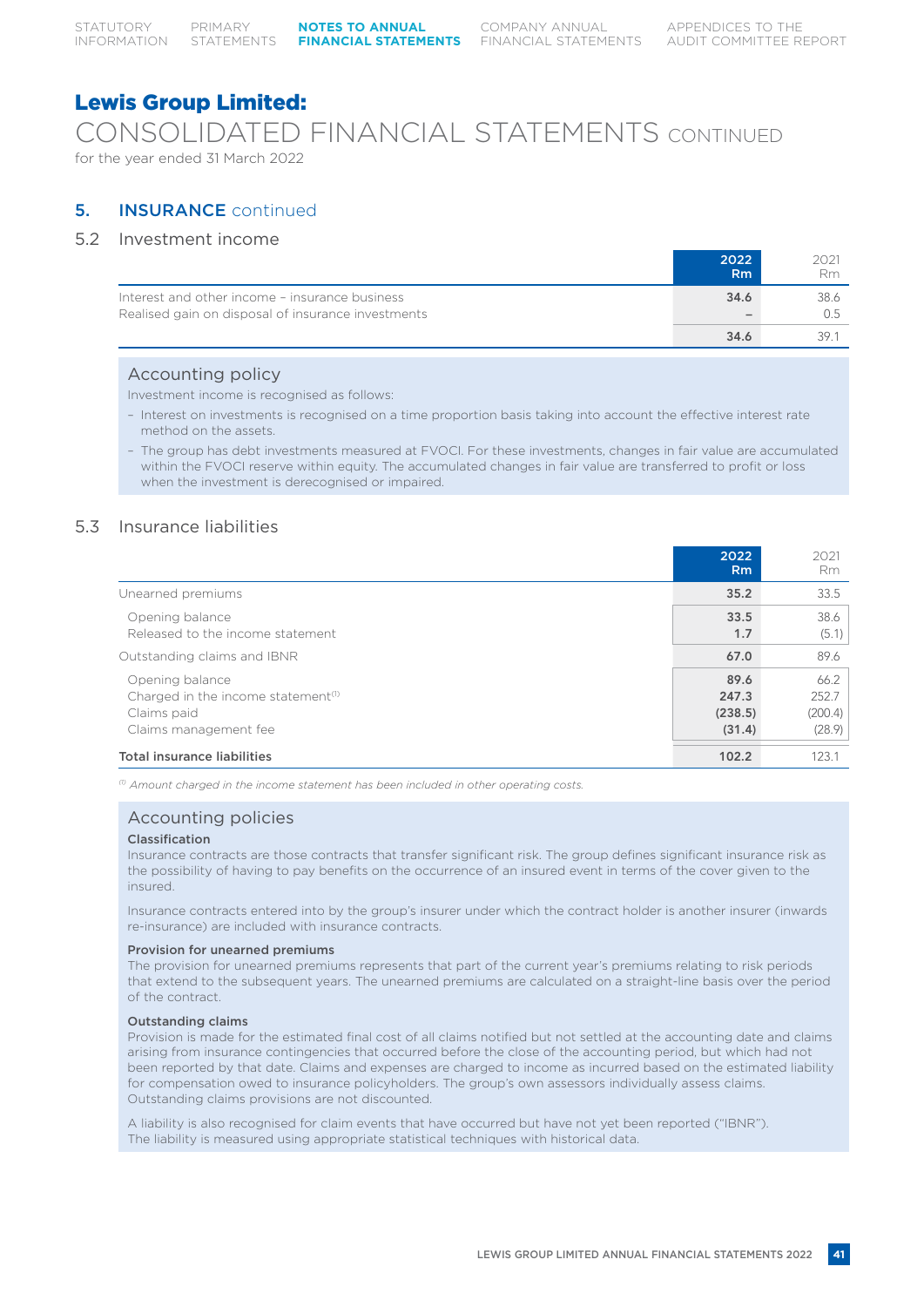CONSOLIDATED FINANCIAL STATEMENTS CONTINUED for the year ended 31 March 2022

# 5. INSURANCE continued

# 5.2 Investment income

|                                                    | 2022                     | 2021 |
|----------------------------------------------------|--------------------------|------|
|                                                    | R <sub>m</sub>           | Rm   |
| Interest and other income - insurance business     | 34.6                     | 38.6 |
| Realised gain on disposal of insurance investments | $\overline{\phantom{a}}$ |      |
|                                                    | 34.6                     | 39   |

# Accounting policy

Investment income is recognised as follows:

- Interest on investments is recognised on a time proportion basis taking into account the effective interest rate method on the assets.
- The group has debt investments measured at FVOCI. For these investments, changes in fair value are accumulated within the FVOCI reserve within equity. The accumulated changes in fair value are transferred to profit or loss when the investment is derecognised or impaired.

# 5.3 Insurance liabilities

|                                                                                                           | 2022<br>R <sub>m</sub>             | 2021<br><b>Rm</b>                  |
|-----------------------------------------------------------------------------------------------------------|------------------------------------|------------------------------------|
| Unearned premiums                                                                                         | 35.2                               | 33.5                               |
| Opening balance<br>Released to the income statement                                                       | 33.5<br>1.7                        | 38.6<br>(5.1)                      |
| Outstanding claims and IBNR                                                                               | 67.0                               | 89.6                               |
| Opening balance<br>Charged in the income statement <sup>(1)</sup><br>Claims paid<br>Claims management fee | 89.6<br>247.3<br>(238.5)<br>(31.4) | 66.2<br>252.7<br>(200.4)<br>(28.9) |
| <b>Total insurance liabilities</b>                                                                        | 102.2                              | 123.1                              |

*(1) Amount charged in the income statement has been included in other operating costs.*

# Accounting policies

# Classification

Insurance contracts are those contracts that transfer significant risk. The group defines significant insurance risk as the possibility of having to pay benefits on the occurrence of an insured event in terms of the cover given to the insured.

Insurance contracts entered into by the group's insurer under which the contract holder is another insurer (inwards re-insurance) are included with insurance contracts.

### Provision for unearned premiums

The provision for unearned premiums represents that part of the current year's premiums relating to risk periods that extend to the subsequent years. The unearned premiums are calculated on a straight-line basis over the period of the contract.

# Outstanding claims

Provision is made for the estimated final cost of all claims notified but not settled at the accounting date and claims arising from insurance contingencies that occurred before the close of the accounting period, but which had not been reported by that date. Claims and expenses are charged to income as incurred based on the estimated liability for compensation owed to insurance policyholders. The group's own assessors individually assess claims. Outstanding claims provisions are not discounted.

A liability is also recognised for claim events that have occurred but have not yet been reported ("IBNR"). The liability is measured using appropriate statistical techniques with historical data.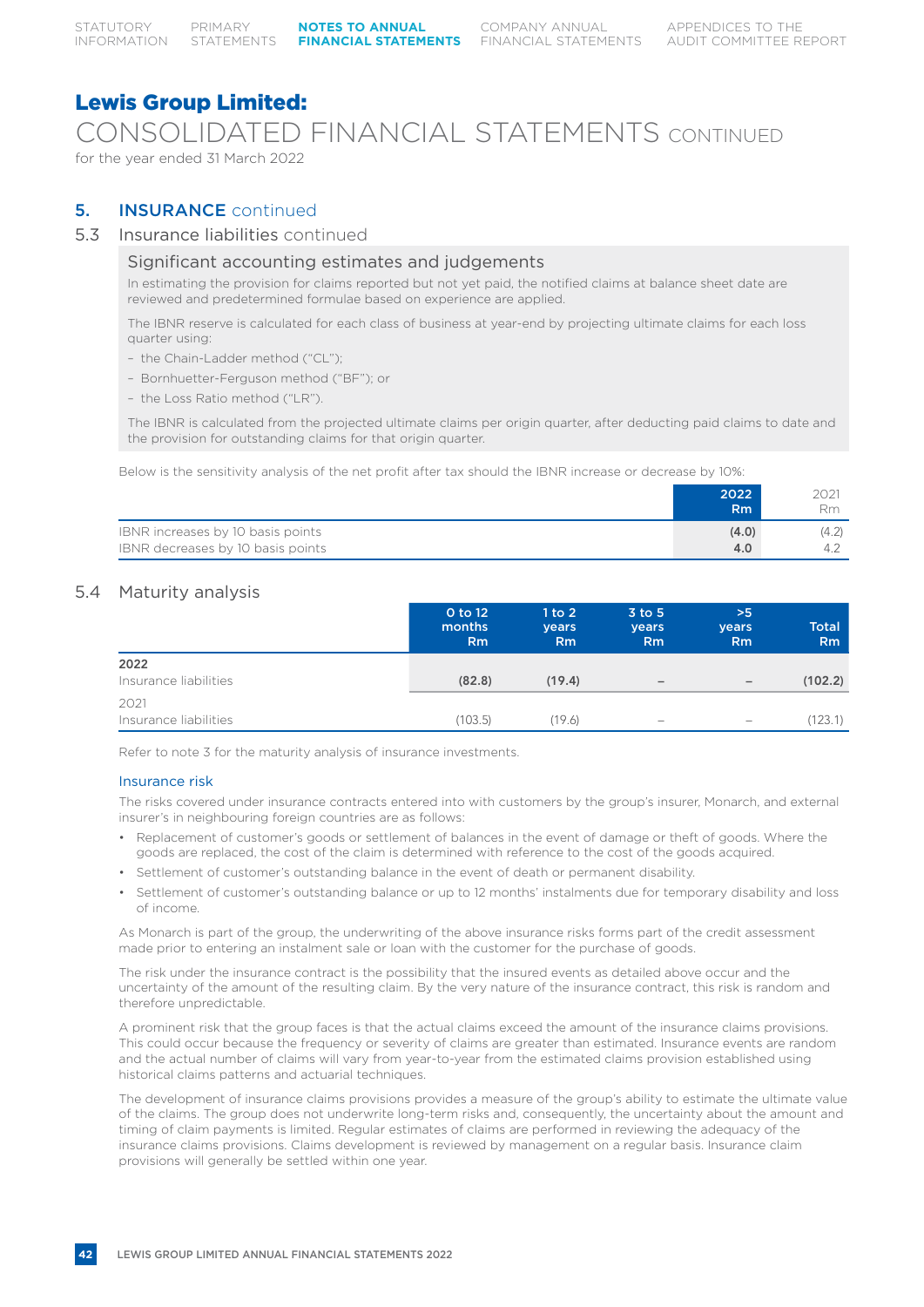CONSOLIDATED FINANCIAL STATEMENTS CONTINUED for the year ended 31 March 2022

# **5. INSURANCE** continued

# 5.3 Insurance liabilities continued

# Significant accounting estimates and judgements

In estimating the provision for claims reported but not yet paid, the notified claims at balance sheet date are reviewed and predetermined formulae based on experience are applied.

The IBNR reserve is calculated for each class of business at year-end by projecting ultimate claims for each loss quarter using:

- the Chain-Ladder method ("CL");
- Bornhuetter-Ferguson method ("BF"); or
- the Loss Ratio method ("LR").

The IBNR is calculated from the projected ultimate claims per origin quarter, after deducting paid claims to date and the provision for outstanding claims for that origin quarter.

Below is the sensitivity analysis of the net profit after tax should the IBNR increase or decrease by 10%:

|                                                                        | 2022<br><b>Rm</b> | 2021<br>Rm. |
|------------------------------------------------------------------------|-------------------|-------------|
| IBNR increases by 10 basis points<br>IBNR decreases by 10 basis points | (4.0)<br>4.0      | (4.2)       |

# 5.4 Maturity analysis

|                               | 0 to 12<br>months<br>Rm | 1 to 2<br><b>vears</b><br><b>Rm</b> | $3$ to $5$<br>years<br><b>Rm</b> | >5<br>years<br>Rm        | Total<br>R <sub>m</sub> |
|-------------------------------|-------------------------|-------------------------------------|----------------------------------|--------------------------|-------------------------|
| 2022<br>Insurance liabilities | (82.8)                  | (19.4)                              | $\qquad \qquad -$                | $\overline{\phantom{m}}$ | (102.2)                 |
| 2021<br>Insurance liabilities | (103.5)                 | (19.6)                              | $\overline{\phantom{0}}$         | $\overline{\phantom{m}}$ | (123.1)                 |

Refer to note 3 for the maturity analysis of insurance investments.

# Insurance risk

The risks covered under insurance contracts entered into with customers by the group's insurer, Monarch, and external insurer's in neighbouring foreign countries are as follows:

- Replacement of customer's goods or settlement of balances in the event of damage or theft of goods. Where the goods are replaced, the cost of the claim is determined with reference to the cost of the goods acquired.
- Settlement of customer's outstanding balance in the event of death or permanent disability.
- Settlement of customer's outstanding balance or up to 12 months' instalments due for temporary disability and loss of income.

As Monarch is part of the group, the underwriting of the above insurance risks forms part of the credit assessment made prior to entering an instalment sale or loan with the customer for the purchase of goods.

The risk under the insurance contract is the possibility that the insured events as detailed above occur and the uncertainty of the amount of the resulting claim. By the very nature of the insurance contract, this risk is random and therefore unpredictable.

A prominent risk that the group faces is that the actual claims exceed the amount of the insurance claims provisions. This could occur because the frequency or severity of claims are greater than estimated. Insurance events are random and the actual number of claims will vary from year-to-year from the estimated claims provision established using historical claims patterns and actuarial techniques.

The development of insurance claims provisions provides a measure of the group's ability to estimate the ultimate value of the claims. The group does not underwrite long-term risks and, consequently, the uncertainty about the amount and timing of claim payments is limited. Regular estimates of claims are performed in reviewing the adequacy of the insurance claims provisions. Claims development is reviewed by management on a regular basis. Insurance claim provisions will generally be settled within one year.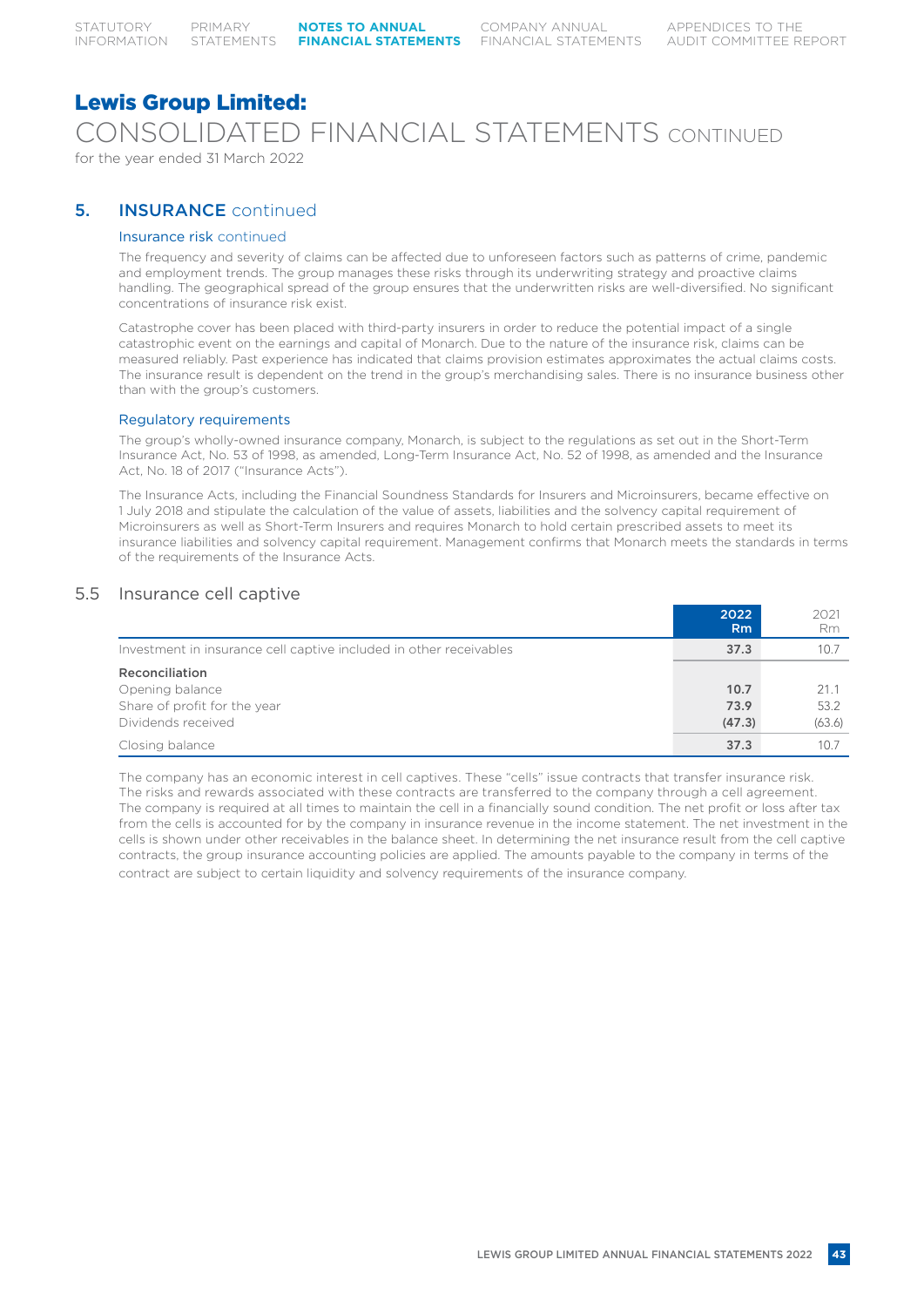# Lewis Group Limited: CONSOLIDATED FINANCIAL STATEMENTS CONTINUED for the year ended 31 March 2022

# 5. INSURANCE continued

# Insurance risk continued

The frequency and severity of claims can be affected due to unforeseen factors such as patterns of crime, pandemic and employment trends. The group manages these risks through its underwriting strategy and proactive claims handling. The geographical spread of the group ensures that the underwritten risks are well-diversified. No significant concentrations of insurance risk exist.

Catastrophe cover has been placed with third-party insurers in order to reduce the potential impact of a single catastrophic event on the earnings and capital of Monarch. Due to the nature of the insurance risk, claims can be measured reliably. Past experience has indicated that claims provision estimates approximates the actual claims costs. The insurance result is dependent on the trend in the group's merchandising sales. There is no insurance business other than with the group's customers.

# Regulatory requirements

The group's wholly-owned insurance company, Monarch, is subject to the regulations as set out in the Short-Term Insurance Act, No. 53 of 1998, as amended, Long-Term Insurance Act, No. 52 of 1998, as amended and the Insurance Act, No. 18 of 2017 ("Insurance Acts").

The Insurance Acts, including the Financial Soundness Standards for Insurers and Microinsurers, became effective on 1 July 2018 and stipulate the calculation of the value of assets, liabilities and the solvency capital requirement of Microinsurers as well as Short-Term Insurers and requires Monarch to hold certain prescribed assets to meet its insurance liabilities and solvency capital requirement. Management confirms that Monarch meets the standards in terms of the requirements of the Insurance Acts.

# 5.5 Insurance cell captive

|                                                                                         | 2022<br>R <sub>m</sub> | 2021<br>Rm             |
|-----------------------------------------------------------------------------------------|------------------------|------------------------|
| Investment in insurance cell captive included in other receivables                      | 37.3                   | 10.7                   |
| Reconciliation<br>Opening balance<br>Share of profit for the year<br>Dividends received | 10.7<br>73.9<br>(47.3) | 21.1<br>53.2<br>(63.6) |
| Closing balance                                                                         | 37.3                   | 10.7                   |

The company has an economic interest in cell captives. These "cells" issue contracts that transfer insurance risk. The risks and rewards associated with these contracts are transferred to the company through a cell agreement. The company is required at all times to maintain the cell in a financially sound condition. The net profit or loss after tax from the cells is accounted for by the company in insurance revenue in the income statement. The net investment in the cells is shown under other receivables in the balance sheet. In determining the net insurance result from the cell captive contracts, the group insurance accounting policies are applied. The amounts payable to the company in terms of the contract are subject to certain liquidity and solvency requirements of the insurance company.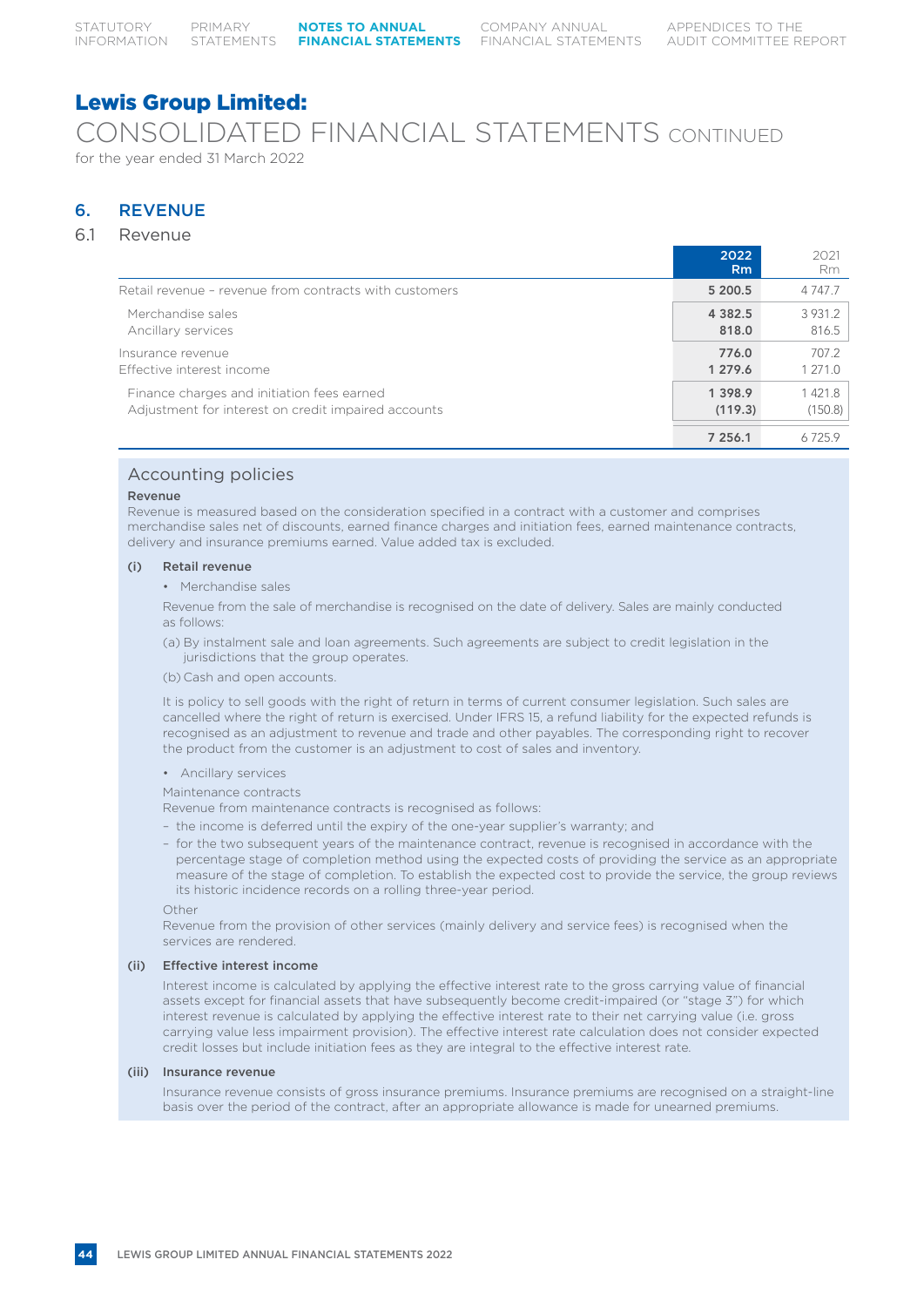# CONSOLIDATED FINANCIAL STATEMENTS CONTINUED for the year ended 31 March 2022

# 6. REVENUE

# 6.1 Revenue

|                                                        | 2022<br>Rm | 2021<br>Rm  |
|--------------------------------------------------------|------------|-------------|
| Retail revenue - revenue from contracts with customers | 5 200.5    | 4 7 4 7 .7  |
| Merchandise sales                                      | 4 3 8 2.5  | 3 9 3 1 . 2 |
| Ancillary services                                     | 818.0      | 816.5       |
| Insurance revenue                                      | 776.0      | 707.2       |
| Effective interest income                              | 1 279.6    | 1 271.0     |
| Finance charges and initiation fees earned             | 1 3 9 8.9  | 1421.8      |
| Adjustment for interest on credit impaired accounts    | (119.3)    | (150.8)     |
|                                                        | 7 256.1    | 6725.9      |

# Accounting policies

### Revenue

Revenue is measured based on the consideration specified in a contract with a customer and comprises merchandise sales net of discounts, earned finance charges and initiation fees, earned maintenance contracts, delivery and insurance premiums earned. Value added tax is excluded.

### (i) Retail revenue

• Merchandise sales

Revenue from the sale of merchandise is recognised on the date of delivery. Sales are mainly conducted as follows:

- (a) By instalment sale and loan agreements. Such agreements are subject to credit legislation in the jurisdictions that the group operates.
- (b) Cash and open accounts.

It is policy to sell goods with the right of return in terms of current consumer legislation. Such sales are cancelled where the right of return is exercised. Under IFRS 15, a refund liability for the expected refunds is recognised as an adjustment to revenue and trade and other payables. The corresponding right to recover the product from the customer is an adjustment to cost of sales and inventory.

• Ancillary services

### Maintenance contracts

Revenue from maintenance contracts is recognised as follows:

- the income is deferred until the expiry of the one-year supplier's warranty; and
- for the two subsequent years of the maintenance contract, revenue is recognised in accordance with the percentage stage of completion method using the expected costs of providing the service as an appropriate measure of the stage of completion. To establish the expected cost to provide the service, the group reviews its historic incidence records on a rolling three-year period.

Other

Revenue from the provision of other services (mainly delivery and service fees) is recognised when the services are rendered.

# (ii) Effective interest income

Interest income is calculated by applying the effective interest rate to the gross carrying value of financial assets except for financial assets that have subsequently become credit-impaired (or "stage 3") for which interest revenue is calculated by applying the effective interest rate to their net carrying value (i.e. gross carrying value less impairment provision). The effective interest rate calculation does not consider expected credit losses but include initiation fees as they are integral to the effective interest rate.

### (iii) Insurance revenue

Insurance revenue consists of gross insurance premiums. Insurance premiums are recognised on a straight-line basis over the period of the contract, after an appropriate allowance is made for unearned premiums.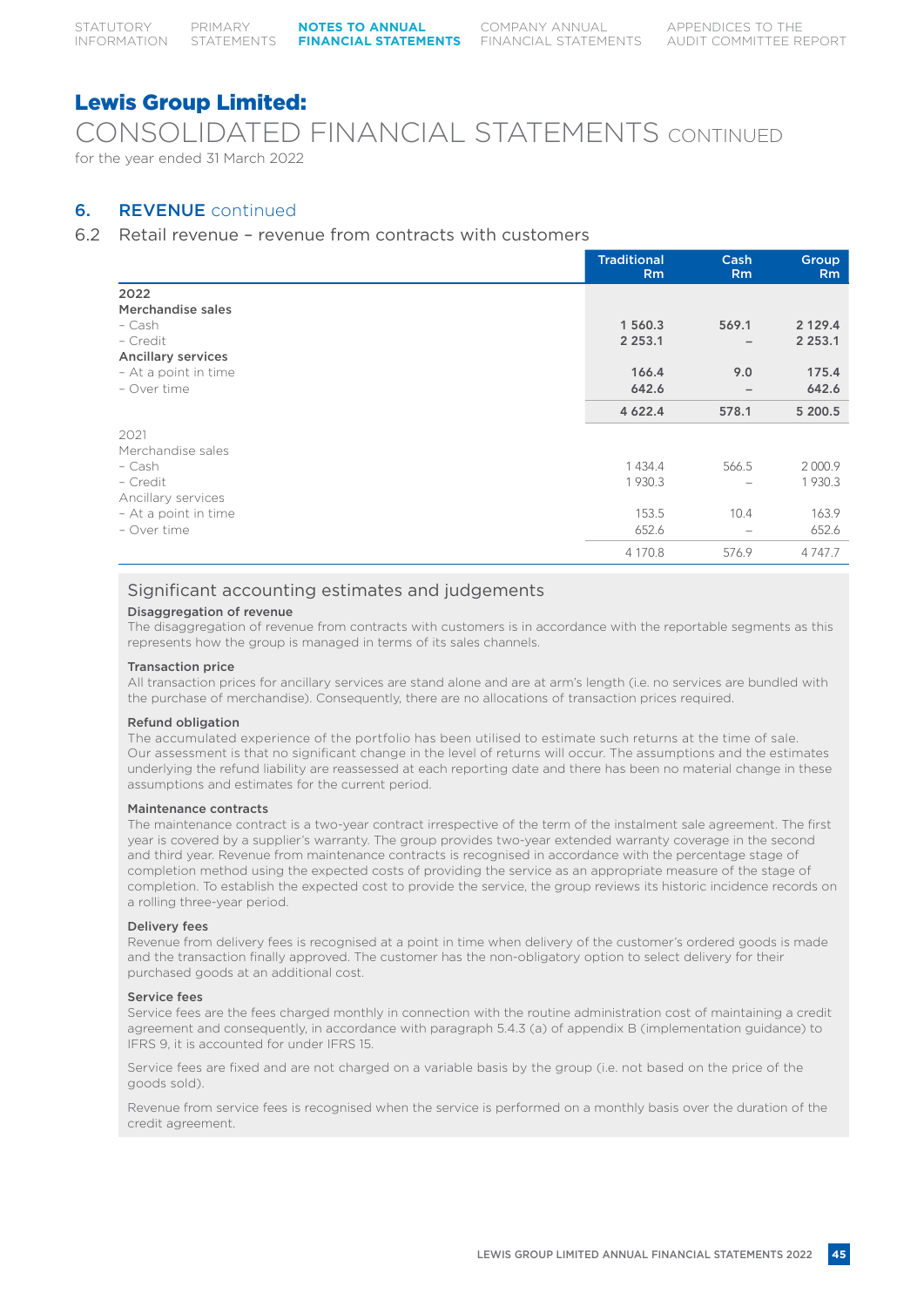CONSOLIDATED FINANCIAL STATEMENTS CONTINUED for the year ended 31 March 2022

# 6. REVENUE continued

# 6.2 Retail revenue – revenue from contracts with customers

|                           | <b>Traditional</b><br><b>Rm</b> | Cash<br><b>Rm</b>        | <b>Group</b><br>R <sub>m</sub> |
|---------------------------|---------------------------------|--------------------------|--------------------------------|
| 2022                      |                                 |                          |                                |
| Merchandise sales         |                                 |                          |                                |
| - Cash                    | 1 560.3                         | 569.1                    | 2 1 2 9 . 4                    |
| - Credit                  | 2 2 5 3 . 1                     | $\overline{\phantom{0}}$ | 2 2 5 3 . 1                    |
| <b>Ancillary services</b> |                                 |                          |                                |
| - At a point in time      | 166.4                           | 9.0                      | 175.4                          |
| - Over time               | 642.6                           | $\overline{\phantom{0}}$ | 642.6                          |
|                           | 4 6 2 2.4                       | 578.1                    | 5 200.5                        |
| 2021                      |                                 |                          |                                |
| Merchandise sales         |                                 |                          |                                |
| - Cash                    | 1 4 3 4 . 4                     | 566.5                    | 2 000.9                        |
| - Credit                  | 1 930.3                         |                          | 1930.3                         |
| Ancillary services        |                                 |                          |                                |
| - At a point in time      | 153.5                           | 10.4                     | 163.9                          |
| - Over time               | 652.6                           |                          | 652.6                          |
|                           | 4 170.8                         | 576.9                    | 4 7 4 7 .7                     |

# Significant accounting estimates and judgements

# Disaggregation of revenue

The disaggregation of revenue from contracts with customers is in accordance with the reportable segments as this represents how the group is managed in terms of its sales channels.

# Transaction price

All transaction prices for ancillary services are stand alone and are at arm's length (i.e. no services are bundled with the purchase of merchandise). Consequently, there are no allocations of transaction prices required.

# Refund obligation

The accumulated experience of the portfolio has been utilised to estimate such returns at the time of sale. Our assessment is that no significant change in the level of returns will occur. The assumptions and the estimates underlying the refund liability are reassessed at each reporting date and there has been no material change in these assumptions and estimates for the current period.

# Maintenance contracts

The maintenance contract is a two-year contract irrespective of the term of the instalment sale agreement. The first year is covered by a supplier's warranty. The group provides two-year extended warranty coverage in the second and third year. Revenue from maintenance contracts is recognised in accordance with the percentage stage of completion method using the expected costs of providing the service as an appropriate measure of the stage of completion. To establish the expected cost to provide the service, the group reviews its historic incidence records on a rolling three-year period.

# Delivery fees

Revenue from delivery fees is recognised at a point in time when delivery of the customer's ordered goods is made and the transaction finally approved. The customer has the non-obligatory option to select delivery for their purchased goods at an additional cost.

# Service fees

Service fees are the fees charged monthly in connection with the routine administration cost of maintaining a credit agreement and consequently, in accordance with paragraph 5.4.3 (a) of appendix B (implementation guidance) to IFRS 9, it is accounted for under IFRS 15.

Service fees are fixed and are not charged on a variable basis by the group (i.e. not based on the price of the goods sold).

Revenue from service fees is recognised when the service is performed on a monthly basis over the duration of the credit agreement.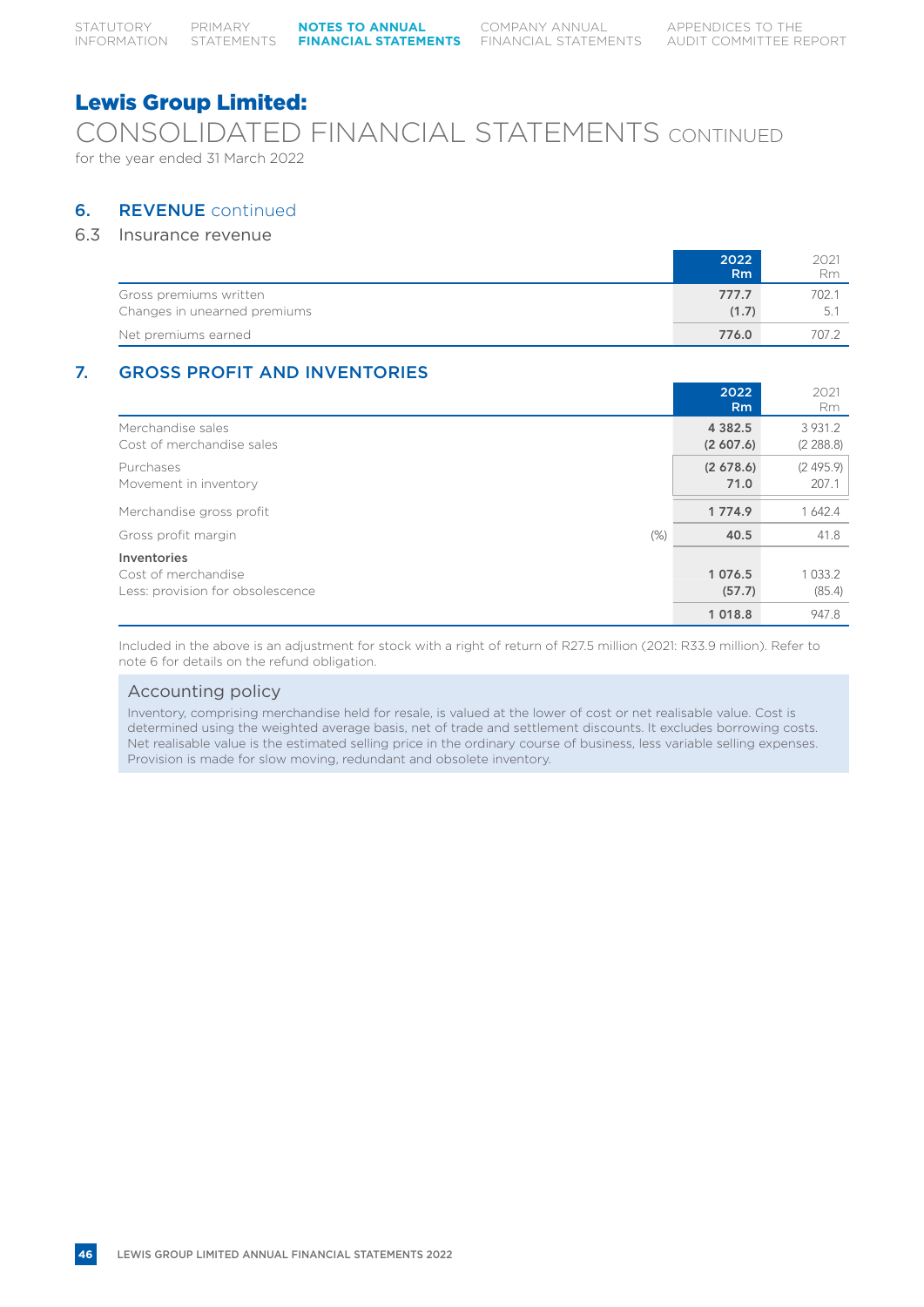CONSOLIDATED FINANCIAL STATEMENTS CONTINUED for the year ended 31 March 2022

# 6. REVENUE continued

# 6.3 Insurance revenue

|                              | 2022           | 2021  |
|------------------------------|----------------|-------|
|                              | R <sub>m</sub> | Rm    |
| Gross premiums written       | 777.7          | 702.1 |
| Changes in unearned premiums | (1.7)          |       |
| Net premiums earned          | 776.0          | 707.2 |

# 7. GROSS PROFIT AND INVENTORIES

|                                  | 2022<br>R <sub>m</sub> | 2021<br><b>Rm</b> |
|----------------------------------|------------------------|-------------------|
| Merchandise sales                | 4 3 8 2 . 5            | 3 9 3 1 . 2       |
| Cost of merchandise sales        | (2,607.6)              | (2, 288.8)        |
| Purchases                        | (2,678.6)              | (2495.9)          |
| Movement in inventory            | 71.0                   | 207.1             |
| Merchandise gross profit         | 1 7 7 4.9              | 1 642.4           |
| $(\%)$<br>Gross profit margin    | 40.5                   | 41.8              |
| Inventories                      | 1 0 7 6 .5             | 1 0 3 3 .2        |
| Cost of merchandise              | (57.7)                 | (85.4)            |
| Less: provision for obsolescence | 1 0 1 8.8              | 947.8             |

Included in the above is an adjustment for stock with a right of return of R27.5 million (2021: R33.9 million). Refer to note 6 for details on the refund obligation.

# Accounting policy

Inventory, comprising merchandise held for resale, is valued at the lower of cost or net realisable value. Cost is determined using the weighted average basis, net of trade and settlement discounts. It excludes borrowing costs. Net realisable value is the estimated selling price in the ordinary course of business, less variable selling expenses. Provision is made for slow moving, redundant and obsolete inventory.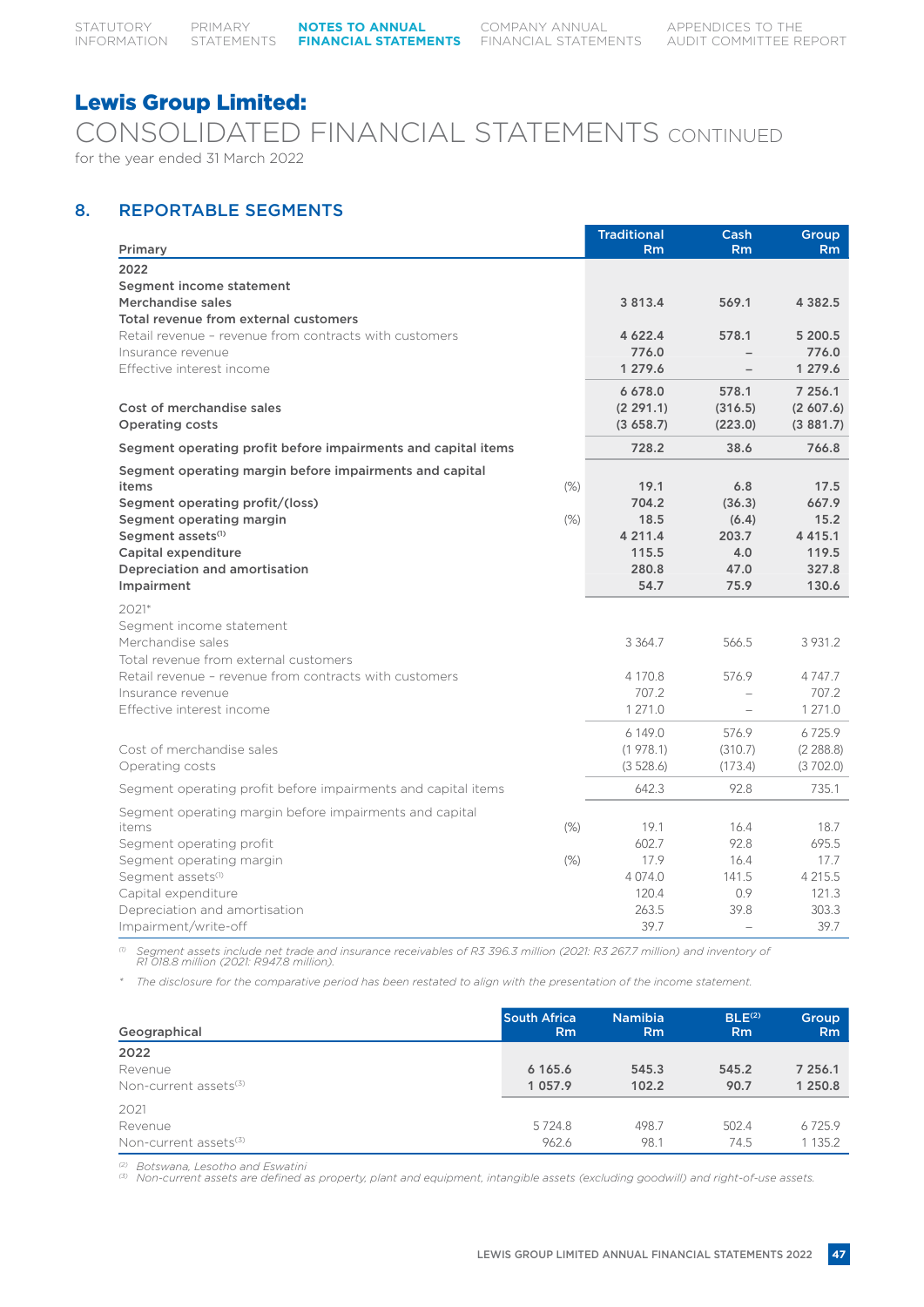CONSOLIDATED FINANCIAL STATEMENTS CONTINUED for the year ended 31 March 2022

# 8. REPORTABLE SEGMENTS

| 2022<br>Segment income statement<br>Merchandise sales<br>3 8 1 3 . 4<br>569.1<br>4 3 8 2 . 5<br>Total revenue from external customers<br>Retail revenue - revenue from contracts with customers<br>5 200.5<br>4 6 2 2.4<br>578.1<br>776.0<br>776.0<br>Insurance revenue<br>Effective interest income<br>1 279.6<br>1 279.6<br>7 256.1<br>6 678.0<br>578.1<br>Cost of merchandise sales<br>(2 291.1)<br>(316.5)<br>(2,607.6)<br><b>Operating costs</b><br>(3658.7)<br>(223.0)<br>(3881.7)<br>728.2<br>38.6<br>766.8<br>Segment operating profit before impairments and capital items<br>Segment operating margin before impairments and capital<br>19.1<br>17.5<br>items<br>(% )<br>6.8<br>704.2<br>667.9<br>Segment operating profit/(loss)<br>(36.3)<br>18.5<br>15.2<br>Segment operating margin<br>(%)<br>(6.4)<br>4 4 1 5 . 1<br>Segment assets <sup>(1)</sup><br>4 211.4<br>203.7<br>115.5<br>119.5<br>Capital expenditure<br>4.0<br>Depreciation and amortisation<br>280.8<br>327.8<br>47.0<br>54.7<br>75.9<br>130.6<br>Impairment<br>$2021*$<br>Segment income statement<br>Merchandise sales<br>566.5<br>3 3 6 4 . 7<br>3 9 3 1 . 2<br>Total revenue from external customers<br>Retail revenue - revenue from contracts with customers<br>4 170.8<br>576.9<br>4 7 4 7 . 7<br>707.2<br>707.2<br>Insurance revenue<br>1 271.0<br>1 271.0<br>Effective interest income<br>6 149.0<br>576.9<br>6725.9<br>Cost of merchandise sales<br>(1978.1)<br>(2, 288.8)<br>(310.7)<br>Operating costs<br>(3528.6)<br>(173.4)<br>(3702.0)<br>642.3<br>735.1<br>Segment operating profit before impairments and capital items<br>92.8<br>Segment operating margin before impairments and capital | Primary       | <b>Traditional</b><br>Rm | Cash<br>Rm | Group<br>Rm |
|----------------------------------------------------------------------------------------------------------------------------------------------------------------------------------------------------------------------------------------------------------------------------------------------------------------------------------------------------------------------------------------------------------------------------------------------------------------------------------------------------------------------------------------------------------------------------------------------------------------------------------------------------------------------------------------------------------------------------------------------------------------------------------------------------------------------------------------------------------------------------------------------------------------------------------------------------------------------------------------------------------------------------------------------------------------------------------------------------------------------------------------------------------------------------------------------------------------------------------------------------------------------------------------------------------------------------------------------------------------------------------------------------------------------------------------------------------------------------------------------------------------------------------------------------------------------------------------------------------------------------------------------------------------------------------------|---------------|--------------------------|------------|-------------|
|                                                                                                                                                                                                                                                                                                                                                                                                                                                                                                                                                                                                                                                                                                                                                                                                                                                                                                                                                                                                                                                                                                                                                                                                                                                                                                                                                                                                                                                                                                                                                                                                                                                                                        |               |                          |            |             |
|                                                                                                                                                                                                                                                                                                                                                                                                                                                                                                                                                                                                                                                                                                                                                                                                                                                                                                                                                                                                                                                                                                                                                                                                                                                                                                                                                                                                                                                                                                                                                                                                                                                                                        |               |                          |            |             |
|                                                                                                                                                                                                                                                                                                                                                                                                                                                                                                                                                                                                                                                                                                                                                                                                                                                                                                                                                                                                                                                                                                                                                                                                                                                                                                                                                                                                                                                                                                                                                                                                                                                                                        |               |                          |            |             |
|                                                                                                                                                                                                                                                                                                                                                                                                                                                                                                                                                                                                                                                                                                                                                                                                                                                                                                                                                                                                                                                                                                                                                                                                                                                                                                                                                                                                                                                                                                                                                                                                                                                                                        |               |                          |            |             |
|                                                                                                                                                                                                                                                                                                                                                                                                                                                                                                                                                                                                                                                                                                                                                                                                                                                                                                                                                                                                                                                                                                                                                                                                                                                                                                                                                                                                                                                                                                                                                                                                                                                                                        |               |                          |            |             |
|                                                                                                                                                                                                                                                                                                                                                                                                                                                                                                                                                                                                                                                                                                                                                                                                                                                                                                                                                                                                                                                                                                                                                                                                                                                                                                                                                                                                                                                                                                                                                                                                                                                                                        |               |                          |            |             |
|                                                                                                                                                                                                                                                                                                                                                                                                                                                                                                                                                                                                                                                                                                                                                                                                                                                                                                                                                                                                                                                                                                                                                                                                                                                                                                                                                                                                                                                                                                                                                                                                                                                                                        |               |                          |            |             |
|                                                                                                                                                                                                                                                                                                                                                                                                                                                                                                                                                                                                                                                                                                                                                                                                                                                                                                                                                                                                                                                                                                                                                                                                                                                                                                                                                                                                                                                                                                                                                                                                                                                                                        |               |                          |            |             |
|                                                                                                                                                                                                                                                                                                                                                                                                                                                                                                                                                                                                                                                                                                                                                                                                                                                                                                                                                                                                                                                                                                                                                                                                                                                                                                                                                                                                                                                                                                                                                                                                                                                                                        |               |                          |            |             |
|                                                                                                                                                                                                                                                                                                                                                                                                                                                                                                                                                                                                                                                                                                                                                                                                                                                                                                                                                                                                                                                                                                                                                                                                                                                                                                                                                                                                                                                                                                                                                                                                                                                                                        |               |                          |            |             |
|                                                                                                                                                                                                                                                                                                                                                                                                                                                                                                                                                                                                                                                                                                                                                                                                                                                                                                                                                                                                                                                                                                                                                                                                                                                                                                                                                                                                                                                                                                                                                                                                                                                                                        |               |                          |            |             |
|                                                                                                                                                                                                                                                                                                                                                                                                                                                                                                                                                                                                                                                                                                                                                                                                                                                                                                                                                                                                                                                                                                                                                                                                                                                                                                                                                                                                                                                                                                                                                                                                                                                                                        |               |                          |            |             |
|                                                                                                                                                                                                                                                                                                                                                                                                                                                                                                                                                                                                                                                                                                                                                                                                                                                                                                                                                                                                                                                                                                                                                                                                                                                                                                                                                                                                                                                                                                                                                                                                                                                                                        |               |                          |            |             |
|                                                                                                                                                                                                                                                                                                                                                                                                                                                                                                                                                                                                                                                                                                                                                                                                                                                                                                                                                                                                                                                                                                                                                                                                                                                                                                                                                                                                                                                                                                                                                                                                                                                                                        |               |                          |            |             |
|                                                                                                                                                                                                                                                                                                                                                                                                                                                                                                                                                                                                                                                                                                                                                                                                                                                                                                                                                                                                                                                                                                                                                                                                                                                                                                                                                                                                                                                                                                                                                                                                                                                                                        |               |                          |            |             |
|                                                                                                                                                                                                                                                                                                                                                                                                                                                                                                                                                                                                                                                                                                                                                                                                                                                                                                                                                                                                                                                                                                                                                                                                                                                                                                                                                                                                                                                                                                                                                                                                                                                                                        |               |                          |            |             |
|                                                                                                                                                                                                                                                                                                                                                                                                                                                                                                                                                                                                                                                                                                                                                                                                                                                                                                                                                                                                                                                                                                                                                                                                                                                                                                                                                                                                                                                                                                                                                                                                                                                                                        |               |                          |            |             |
|                                                                                                                                                                                                                                                                                                                                                                                                                                                                                                                                                                                                                                                                                                                                                                                                                                                                                                                                                                                                                                                                                                                                                                                                                                                                                                                                                                                                                                                                                                                                                                                                                                                                                        |               |                          |            |             |
|                                                                                                                                                                                                                                                                                                                                                                                                                                                                                                                                                                                                                                                                                                                                                                                                                                                                                                                                                                                                                                                                                                                                                                                                                                                                                                                                                                                                                                                                                                                                                                                                                                                                                        |               |                          |            |             |
|                                                                                                                                                                                                                                                                                                                                                                                                                                                                                                                                                                                                                                                                                                                                                                                                                                                                                                                                                                                                                                                                                                                                                                                                                                                                                                                                                                                                                                                                                                                                                                                                                                                                                        |               |                          |            |             |
|                                                                                                                                                                                                                                                                                                                                                                                                                                                                                                                                                                                                                                                                                                                                                                                                                                                                                                                                                                                                                                                                                                                                                                                                                                                                                                                                                                                                                                                                                                                                                                                                                                                                                        |               |                          |            |             |
|                                                                                                                                                                                                                                                                                                                                                                                                                                                                                                                                                                                                                                                                                                                                                                                                                                                                                                                                                                                                                                                                                                                                                                                                                                                                                                                                                                                                                                                                                                                                                                                                                                                                                        |               |                          |            |             |
|                                                                                                                                                                                                                                                                                                                                                                                                                                                                                                                                                                                                                                                                                                                                                                                                                                                                                                                                                                                                                                                                                                                                                                                                                                                                                                                                                                                                                                                                                                                                                                                                                                                                                        |               |                          |            |             |
|                                                                                                                                                                                                                                                                                                                                                                                                                                                                                                                                                                                                                                                                                                                                                                                                                                                                                                                                                                                                                                                                                                                                                                                                                                                                                                                                                                                                                                                                                                                                                                                                                                                                                        |               |                          |            |             |
|                                                                                                                                                                                                                                                                                                                                                                                                                                                                                                                                                                                                                                                                                                                                                                                                                                                                                                                                                                                                                                                                                                                                                                                                                                                                                                                                                                                                                                                                                                                                                                                                                                                                                        |               |                          |            |             |
|                                                                                                                                                                                                                                                                                                                                                                                                                                                                                                                                                                                                                                                                                                                                                                                                                                                                                                                                                                                                                                                                                                                                                                                                                                                                                                                                                                                                                                                                                                                                                                                                                                                                                        |               |                          |            |             |
|                                                                                                                                                                                                                                                                                                                                                                                                                                                                                                                                                                                                                                                                                                                                                                                                                                                                                                                                                                                                                                                                                                                                                                                                                                                                                                                                                                                                                                                                                                                                                                                                                                                                                        |               |                          |            |             |
|                                                                                                                                                                                                                                                                                                                                                                                                                                                                                                                                                                                                                                                                                                                                                                                                                                                                                                                                                                                                                                                                                                                                                                                                                                                                                                                                                                                                                                                                                                                                                                                                                                                                                        |               |                          |            |             |
|                                                                                                                                                                                                                                                                                                                                                                                                                                                                                                                                                                                                                                                                                                                                                                                                                                                                                                                                                                                                                                                                                                                                                                                                                                                                                                                                                                                                                                                                                                                                                                                                                                                                                        |               |                          |            |             |
|                                                                                                                                                                                                                                                                                                                                                                                                                                                                                                                                                                                                                                                                                                                                                                                                                                                                                                                                                                                                                                                                                                                                                                                                                                                                                                                                                                                                                                                                                                                                                                                                                                                                                        |               |                          |            |             |
|                                                                                                                                                                                                                                                                                                                                                                                                                                                                                                                                                                                                                                                                                                                                                                                                                                                                                                                                                                                                                                                                                                                                                                                                                                                                                                                                                                                                                                                                                                                                                                                                                                                                                        | (% )<br>items | 19.1                     | 16.4       | 18.7        |
| 602.7<br>92.8<br>695.5<br>Segment operating profit                                                                                                                                                                                                                                                                                                                                                                                                                                                                                                                                                                                                                                                                                                                                                                                                                                                                                                                                                                                                                                                                                                                                                                                                                                                                                                                                                                                                                                                                                                                                                                                                                                     |               |                          |            |             |
| 17.9<br>$(\%)$<br>16.4<br>17.7<br>Segment operating margin                                                                                                                                                                                                                                                                                                                                                                                                                                                                                                                                                                                                                                                                                                                                                                                                                                                                                                                                                                                                                                                                                                                                                                                                                                                                                                                                                                                                                                                                                                                                                                                                                             |               |                          |            |             |
| 4 0 7 4 .0<br>141.5<br>4 215.5<br>Segment assets <sup>(1)</sup>                                                                                                                                                                                                                                                                                                                                                                                                                                                                                                                                                                                                                                                                                                                                                                                                                                                                                                                                                                                                                                                                                                                                                                                                                                                                                                                                                                                                                                                                                                                                                                                                                        |               |                          |            |             |
| 121.3<br>Capital expenditure<br>120.4<br>0.9<br>263.5<br>39.8<br>303.3                                                                                                                                                                                                                                                                                                                                                                                                                                                                                                                                                                                                                                                                                                                                                                                                                                                                                                                                                                                                                                                                                                                                                                                                                                                                                                                                                                                                                                                                                                                                                                                                                 |               |                          |            |             |
| Depreciation and amortisation<br>39.7<br>39.7<br>Impairment/write-off<br>$\overline{\phantom{a}}$                                                                                                                                                                                                                                                                                                                                                                                                                                                                                                                                                                                                                                                                                                                                                                                                                                                                                                                                                                                                                                                                                                                                                                                                                                                                                                                                                                                                                                                                                                                                                                                      |               |                          |            |             |

*(1) Segment assets include net trade and insurance receivables of R3 396.3 million (2021: R3 267.7 million) and inventory of R1 018.8 million (2021: R947.8 million).*

*\* The disclosure for the comparative period has been restated to align with the presentation of the income statement.*

| Geographical                      | <b>South Africa</b><br>Rm | <b>Namibia</b><br>R <sub>m</sub> | BLE <sup>(2)</sup><br><b>Rm</b> | Group<br><b>Rm</b> |
|-----------------------------------|---------------------------|----------------------------------|---------------------------------|--------------------|
| 2022                              |                           |                                  |                                 |                    |
| Revenue                           | 6 165.6                   | 545.3                            | 545.2                           | 7 256.1            |
| Non-current assets <sup>(3)</sup> | 1 0 5 7 . 9               | 102.2                            | 90.7                            | 1 250.8            |
| 2021                              |                           |                                  |                                 |                    |
| Revenue                           | 5724.8                    | 498.7                            | 502.4                           | 6725.9             |
| Non-current assets $(3)$          | 962.6                     | 98.1                             | 74.5                            | 1 1 3 5 . 2        |

*(2) Botswana, Lesotho and Eswatini (3) Non-current assets are defined as property, plant and equipment, intangible assets (excluding goodwill) and right-of-use assets.*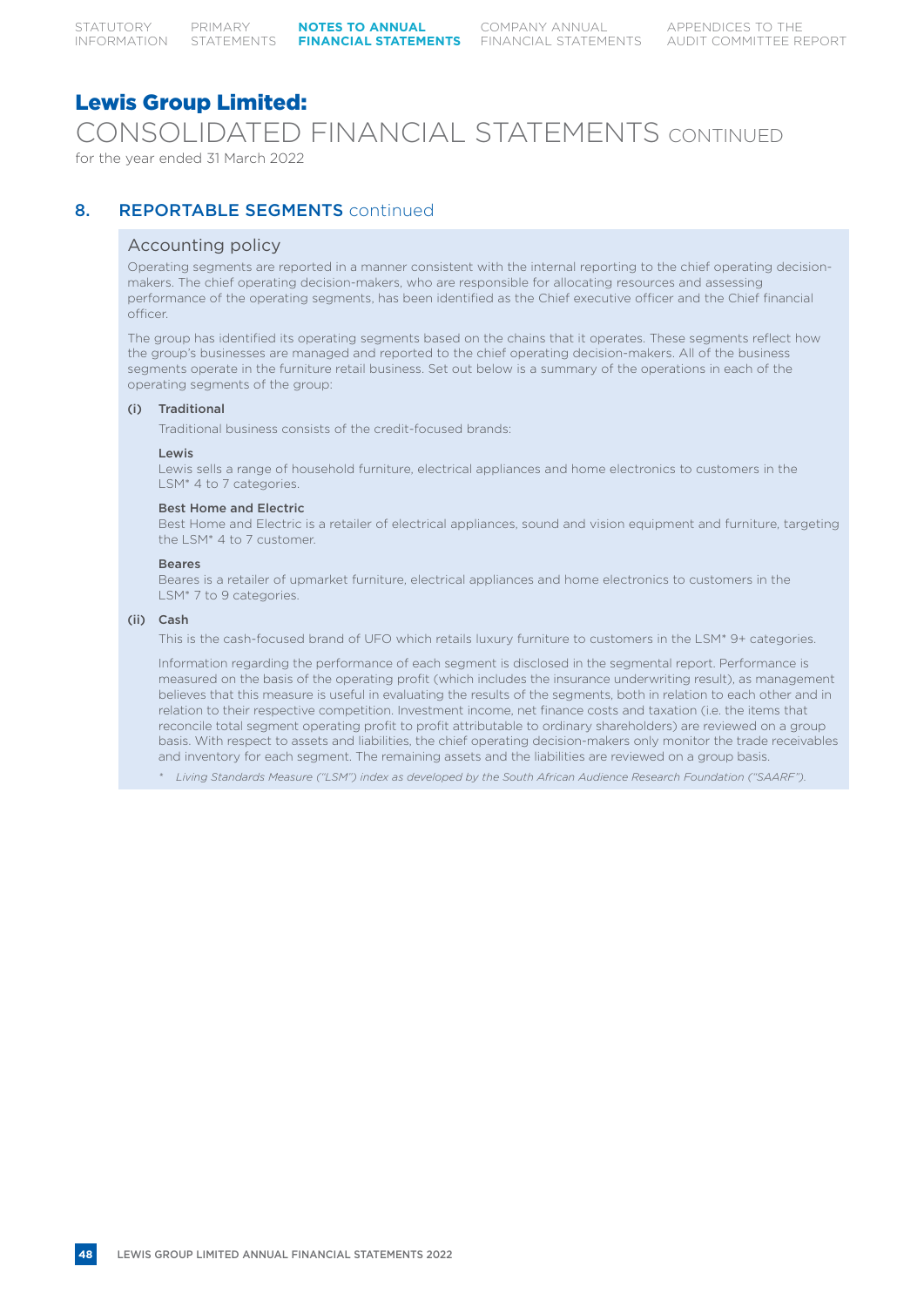COMPANY ANNUAL

# Lewis Group Limited:

CONSOLIDATED FINANCIAL STATEMENTS CONTINUED

for the year ended 31 March 2022

# 8. REPORTABLE SEGMENTS continued

# Accounting policy

Operating segments are reported in a manner consistent with the internal reporting to the chief operating decisionmakers. The chief operating decision-makers, who are responsible for allocating resources and assessing performance of the operating segments, has been identified as the Chief executive officer and the Chief financial officer.

The group has identified its operating segments based on the chains that it operates. These segments reflect how the group's businesses are managed and reported to the chief operating decision-makers. All of the business segments operate in the furniture retail business. Set out below is a summary of the operations in each of the operating segments of the group:

### (i) Traditional

Traditional business consists of the credit-focused brands:

### Lewis

Lewis sells a range of household furniture, electrical appliances and home electronics to customers in the LSM\* 4 to 7 categories.

### Best Home and Electric

Best Home and Electric is a retailer of electrical appliances, sound and vision equipment and furniture, targeting the LSM\* 4 to 7 customer.

### Beares

Beares is a retailer of upmarket furniture, electrical appliances and home electronics to customers in the LSM<sup>\*</sup> 7 to 9 categories.

# (ii) Cash

This is the cash-focused brand of UFO which retails luxury furniture to customers in the LSM\* 9+ categories.

Information regarding the performance of each segment is disclosed in the segmental report. Performance is measured on the basis of the operating profit (which includes the insurance underwriting result), as management believes that this measure is useful in evaluating the results of the segments, both in relation to each other and in relation to their respective competition. Investment income, net finance costs and taxation (i.e. the items that reconcile total segment operating profit to profit attributable to ordinary shareholders) are reviewed on a group basis. With respect to assets and liabilities, the chief operating decision-makers only monitor the trade receivables and inventory for each segment. The remaining assets and the liabilities are reviewed on a group basis.

*\* Living Standards Measure ("LSM") index as developed by the South African Audience Research Foundation ("SAARF").*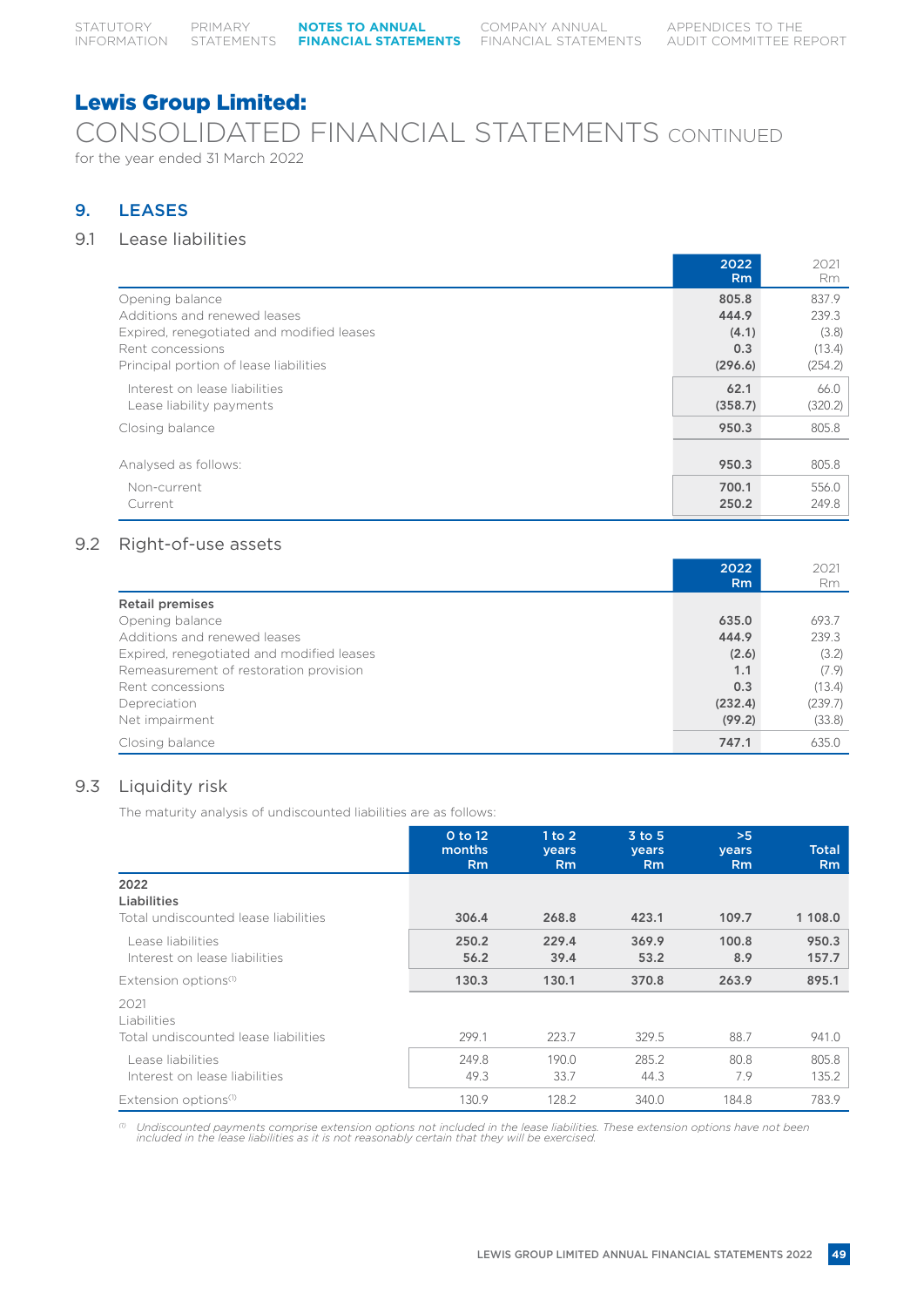# CONSOLIDATED FINANCIAL STATEMENTS CONTINUED for the year ended 31 March 2022

# 9. LEASES

# 9.1 Lease liabilities

|                                                           | 2022<br><b>Rm</b> | 2021<br><b>Rm</b> |
|-----------------------------------------------------------|-------------------|-------------------|
| Opening balance                                           | 805.8             | 837.9             |
| Additions and renewed leases                              | 444.9             | 239.3             |
| Expired, renegotiated and modified leases                 | (4.1)             | (3.8)             |
| Rent concessions                                          | 0.3               | (13.4)            |
| Principal portion of lease liabilities                    | (296.6)           | (254.2)           |
| Interest on lease liabilities<br>Lease liability payments | 62.1<br>(358.7)   | 66.0<br>(320.2)   |
| Closing balance                                           | 950.3             | 805.8             |
| Analysed as follows:                                      | 950.3             | 805.8             |
| Non-current<br>Current                                    | 700.1<br>250.2    | 556.0<br>249.8    |

# 9.2 Right-of-use assets

|                                           | 2022           | 2021    |
|-------------------------------------------|----------------|---------|
|                                           | R <sub>m</sub> | Rm      |
| <b>Retail premises</b>                    |                |         |
| Opening balance                           | 635.0          | 693.7   |
| Additions and renewed leases              | 444.9          | 239.3   |
| Expired, renegotiated and modified leases | (2.6)          | (3.2)   |
| Remeasurement of restoration provision    | 1.1            | (7.9)   |
| Rent concessions                          | 0.3            | (13.4)  |
| Depreciation                              | (232.4)        | (239.7) |
| Net impairment                            | (99.2)         | (33.8)  |
| Closing balance                           | 747.1          | 635.0   |

# 9.3 Liquidity risk

The maturity analysis of undiscounted liabilities are as follows:

|                                                             | 0 to 12<br>months<br><b>Rm</b> | 1 to 2<br>years<br><b>Rm</b> | $3$ to $5$<br><b>vears</b><br><b>Rm</b> | >5<br><b>vears</b><br><b>Rm</b> | <b>Total</b><br>R <sub>m</sub> |
|-------------------------------------------------------------|--------------------------------|------------------------------|-----------------------------------------|---------------------------------|--------------------------------|
| 2022<br>Liabilities<br>Total undiscounted lease liabilities | 306.4                          | 268.8                        | 423.1                                   | 109.7                           | 1 108.0                        |
| Lease liabilities<br>Interest on lease liabilities          | 250.2<br>56.2                  | 229.4<br>39.4                | 369.9<br>53.2                           | 100.8<br>8.9                    | 950.3<br>157.7                 |
| Extension options <sup>(1)</sup>                            | 130.3                          | 130.1                        | 370.8                                   | 263.9                           | 895.1                          |
| 2021<br>Liabilities<br>Total undiscounted lease liabilities | 299.1                          | 223.7                        | 329.5                                   | 88.7                            | 941.0                          |
| Lease liabilities<br>Interest on lease liabilities          | 249.8<br>49.3                  | 190.0<br>33.7                | 285.2<br>44.3                           | 80.8<br>7.9                     | 805.8<br>135.2                 |
| Extension options <sup>(1)</sup>                            | 130.9                          | 128.2                        | 340.0                                   | 184.8                           | 783.9                          |

 $^\circled$  Undiscounted payments comprise extension options not included in the lease liabilities. These extension options have not been included in the lease liabilities as it is not reasonably certain that they will be exerc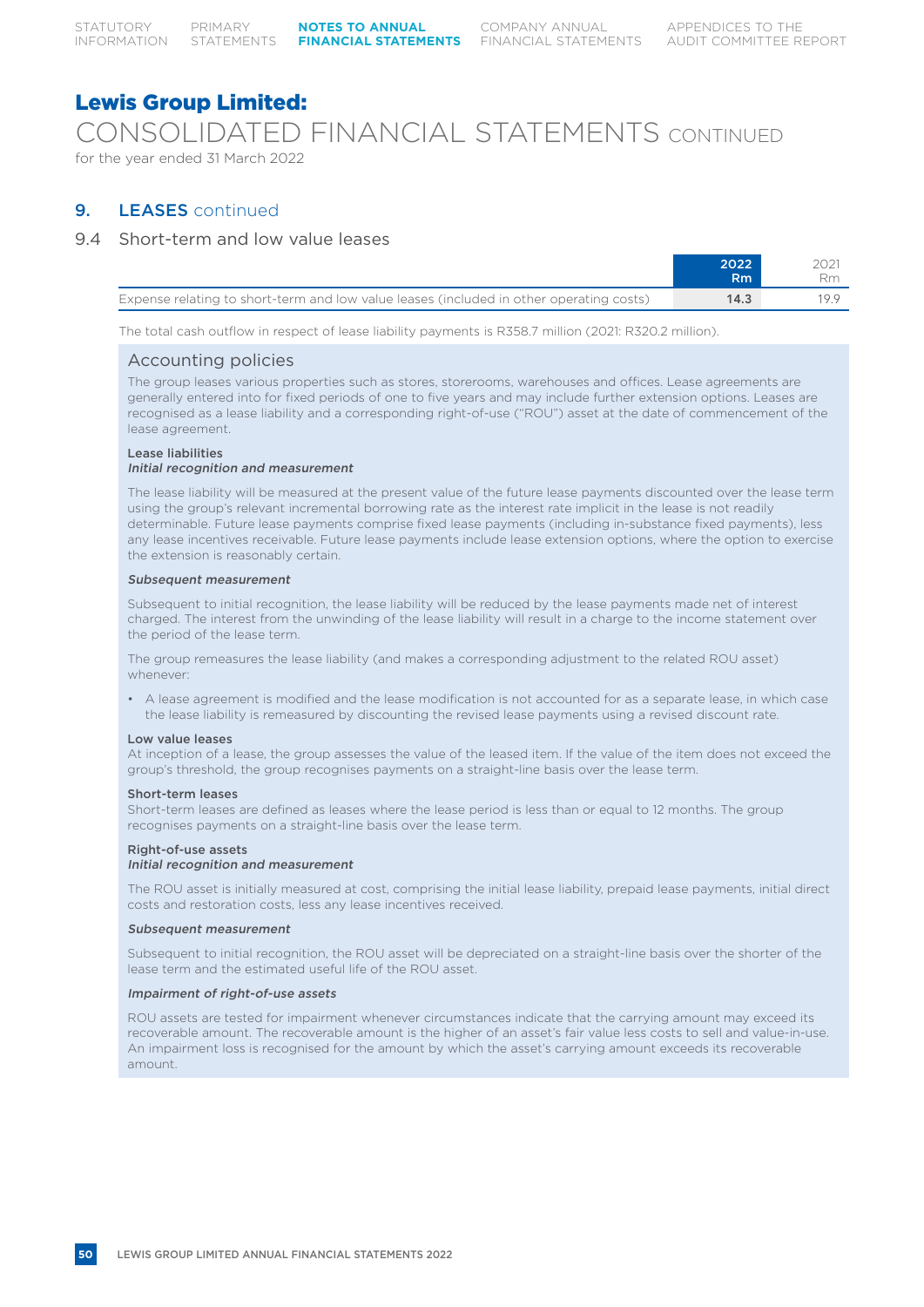# Lewis Group Limited: CONSOLIDATED FINANCIAL STATEMENTS CONTINUED

for the year ended 31 March 2022

# 9. LEASES continued

# 9.4 Short-term and low value leases

|                                                                                         | 2022<br>Rm |      |
|-----------------------------------------------------------------------------------------|------------|------|
| Expense relating to short-term and low value leases (included in other operating costs) | 14.3       | 10 O |

The total cash outflow in respect of lease liability payments is R358.7 million (2021: R320.2 million).

# Accounting policies

The group leases various properties such as stores, storerooms, warehouses and offices. Lease agreements are generally entered into for fixed periods of one to five years and may include further extension options. Leases are recognised as a lease liability and a corresponding right-of-use ("ROU") asset at the date of commencement of the lease agreement.

# Lease liabilities

# Initial recognition and measurement

The lease liability will be measured at the present value of the future lease payments discounted over the lease term using the group's relevant incremental borrowing rate as the interest rate implicit in the lease is not readily determinable. Future lease payments comprise fixed lease payments (including in-substance fixed payments), less any lease incentives receivable. Future lease payments include lease extension options, where the option to exercise the extension is reasonably certain.

### Subsequent measurement

Subsequent to initial recognition, the lease liability will be reduced by the lease payments made net of interest charged. The interest from the unwinding of the lease liability will result in a charge to the income statement over the period of the lease term.

The group remeasures the lease liability (and makes a corresponding adjustment to the related ROU asset) whenever:

• A lease agreement is modified and the lease modification is not accounted for as a separate lease, in which case the lease liability is remeasured by discounting the revised lease payments using a revised discount rate.

# Low value leases

At inception of a lease, the group assesses the value of the leased item. If the value of the item does not exceed the group's threshold, the group recognises payments on a straight-line basis over the lease term.

# Short-term leases

Short-term leases are defined as leases where the lease period is less than or equal to 12 months. The group recognises payments on a straight-line basis over the lease term.

# Right-of-use assets

### Initial recognition and measurement

The ROU asset is initially measured at cost, comprising the initial lease liability, prepaid lease payments, initial direct costs and restoration costs, less any lease incentives received.

### Subsequent measurement

Subsequent to initial recognition, the ROU asset will be depreciated on a straight-line basis over the shorter of the lease term and the estimated useful life of the ROU asset.

### Impairment of right-of-use assets

ROU assets are tested for impairment whenever circumstances indicate that the carrying amount may exceed its recoverable amount. The recoverable amount is the higher of an asset's fair value less costs to sell and value-in-use. An impairment loss is recognised for the amount by which the asset's carrying amount exceeds its recoverable amount.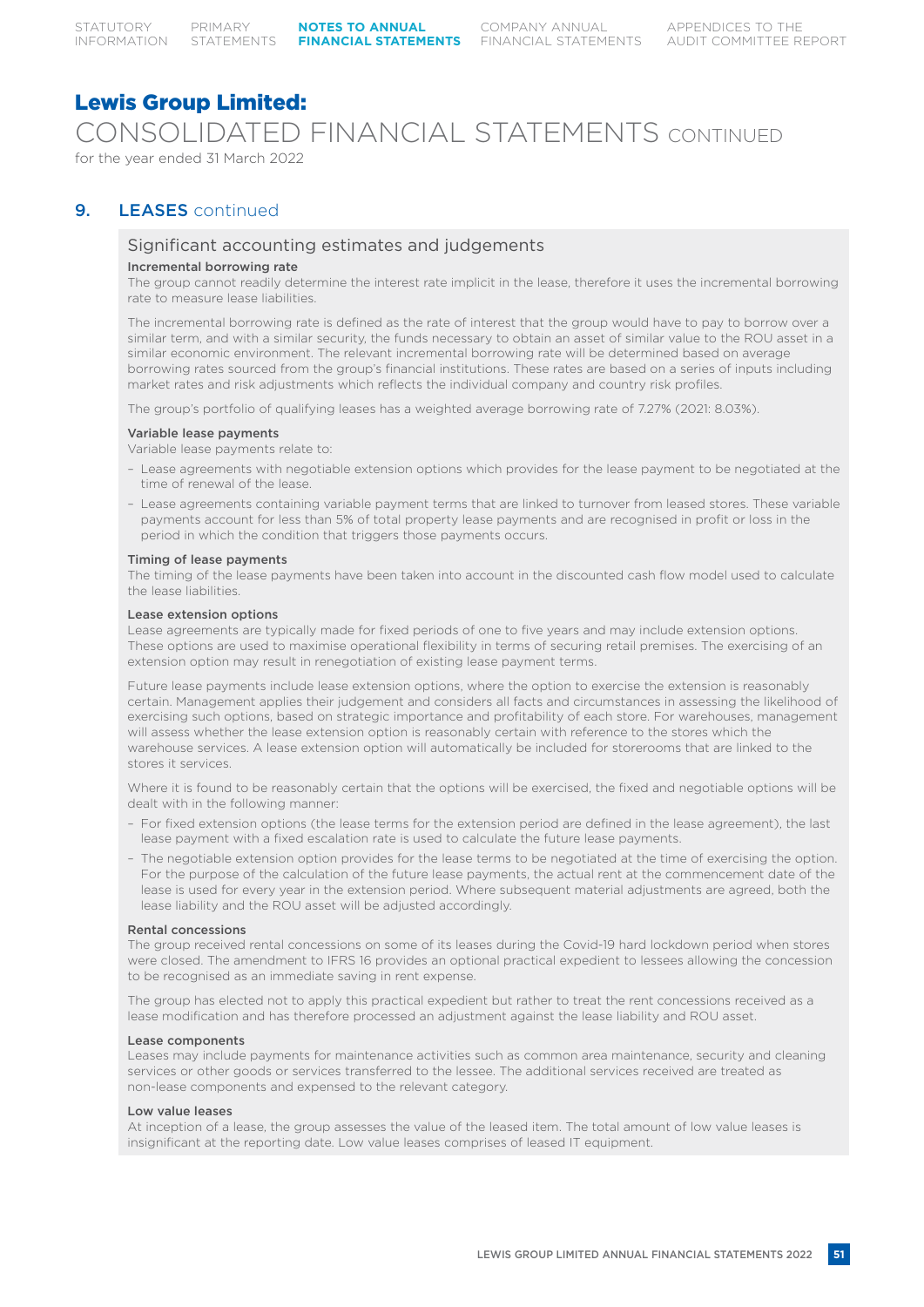CONSOLIDATED FINANCIAL STATEMENTS CONTINUED

for the year ended 31 March 2022

# 9. **LEASES** continued

# Significant accounting estimates and judgements

# Incremental borrowing rate

The group cannot readily determine the interest rate implicit in the lease, therefore it uses the incremental borrowing rate to measure lease liabilities.

The incremental borrowing rate is defined as the rate of interest that the group would have to pay to borrow over a similar term, and with a similar security, the funds necessary to obtain an asset of similar value to the ROU asset in a similar economic environment. The relevant incremental borrowing rate will be determined based on average borrowing rates sourced from the group's financial institutions. These rates are based on a series of inputs including market rates and risk adjustments which reflects the individual company and country risk profiles.

The group's portfolio of qualifying leases has a weighted average borrowing rate of 7.27% (2021: 8.03%).

### Variable lease payments

Variable lease payments relate to:

- Lease agreements with negotiable extension options which provides for the lease payment to be negotiated at the time of renewal of the lease.
- Lease agreements containing variable payment terms that are linked to turnover from leased stores. These variable payments account for less than 5% of total property lease payments and are recognised in profit or loss in the period in which the condition that triggers those payments occurs.

### Timing of lease payments

The timing of the lease payments have been taken into account in the discounted cash flow model used to calculate the lease liabilities.

### Lease extension options

Lease agreements are typically made for fixed periods of one to five years and may include extension options. These options are used to maximise operational flexibility in terms of securing retail premises. The exercising of an extension option may result in renegotiation of existing lease payment terms.

Future lease payments include lease extension options, where the option to exercise the extension is reasonably certain. Management applies their judgement and considers all facts and circumstances in assessing the likelihood of exercising such options, based on strategic importance and profitability of each store. For warehouses, management will assess whether the lease extension option is reasonably certain with reference to the stores which the warehouse services. A lease extension option will automatically be included for storerooms that are linked to the stores it services.

Where it is found to be reasonably certain that the options will be exercised, the fixed and negotiable options will be dealt with in the following manner:

- For fixed extension options (the lease terms for the extension period are defined in the lease agreement), the last lease payment with a fixed escalation rate is used to calculate the future lease payments.
- The negotiable extension option provides for the lease terms to be negotiated at the time of exercising the option. For the purpose of the calculation of the future lease payments, the actual rent at the commencement date of the lease is used for every year in the extension period. Where subsequent material adjustments are agreed, both the lease liability and the ROU asset will be adjusted accordingly.

### Rental concessions

The group received rental concessions on some of its leases during the Covid-19 hard lockdown period when stores were closed. The amendment to IFRS 16 provides an optional practical expedient to lessees allowing the concession to be recognised as an immediate saving in rent expense.

The group has elected not to apply this practical expedient but rather to treat the rent concessions received as a lease modification and has therefore processed an adjustment against the lease liability and ROU asset.

### Lease components

Leases may include payments for maintenance activities such as common area maintenance, security and cleaning services or other goods or services transferred to the lessee. The additional services received are treated as non-lease components and expensed to the relevant category.

### Low value leases

At inception of a lease, the group assesses the value of the leased item. The total amount of low value leases is insignificant at the reporting date. Low value leases comprises of leased IT equipment.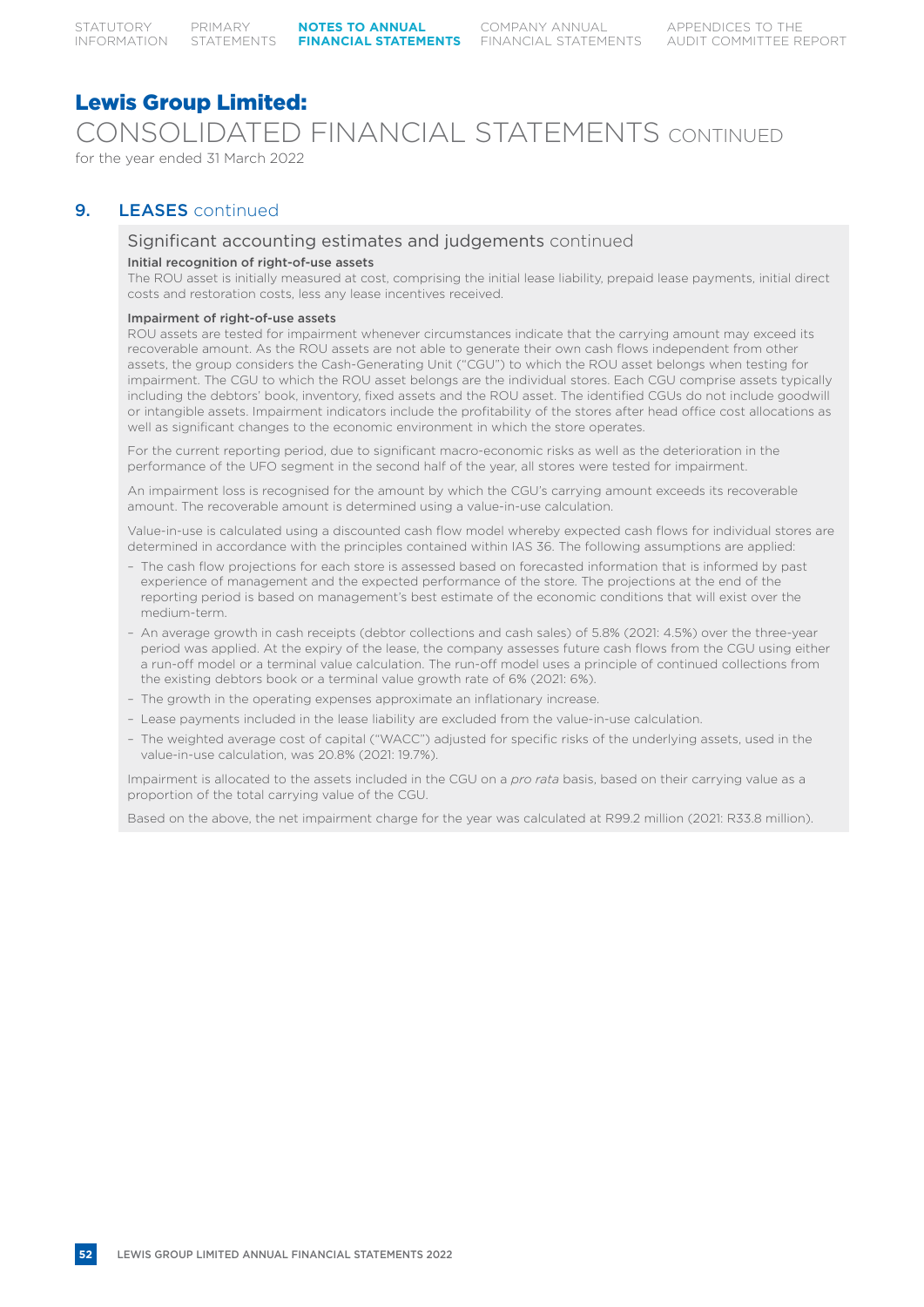# Lewis Group Limited: CONSOLIDATED FINANCIAL STATEMENTS CONTINUED for the year ended 31 March 2022

# 9. **LEASES** continued

# Significant accounting estimates and judgements continued

# Initial recognition of right-of-use assets

The ROU asset is initially measured at cost, comprising the initial lease liability, prepaid lease payments, initial direct costs and restoration costs, less any lease incentives received.

### Impairment of right-of-use assets

ROU assets are tested for impairment whenever circumstances indicate that the carrying amount may exceed its recoverable amount. As the ROU assets are not able to generate their own cash flows independent from other assets, the group considers the Cash-Generating Unit ("CGU") to which the ROU asset belongs when testing for impairment. The CGU to which the ROU asset belongs are the individual stores. Each CGU comprise assets typically including the debtors' book, inventory, fixed assets and the ROU asset. The identified CGUs do not include goodwill or intangible assets. Impairment indicators include the profitability of the stores after head office cost allocations as well as significant changes to the economic environment in which the store operates.

For the current reporting period, due to significant macro-economic risks as well as the deterioration in the performance of the UFO segment in the second half of the year, all stores were tested for impairment.

An impairment loss is recognised for the amount by which the CGU's carrying amount exceeds its recoverable amount. The recoverable amount is determined using a value-in-use calculation.

Value-in-use is calculated using a discounted cash flow model whereby expected cash flows for individual stores are determined in accordance with the principles contained within IAS 36. The following assumptions are applied:

- The cash flow projections for each store is assessed based on forecasted information that is informed by past experience of management and the expected performance of the store. The projections at the end of the reporting period is based on management's best estimate of the economic conditions that will exist over the medium-term.
- An average growth in cash receipts (debtor collections and cash sales) of 5.8% (2021: 4.5%) over the three-year period was applied. At the expiry of the lease, the company assesses future cash flows from the CGU using either a run-off model or a terminal value calculation. The run-off model uses a principle of continued collections from the existing debtors book or a terminal value growth rate of 6% (2021: 6%).
- The growth in the operating expenses approximate an inflationary increase.
- Lease payments included in the lease liability are excluded from the value-in-use calculation.
- The weighted average cost of capital ("WACC") adjusted for specific risks of the underlying assets, used in the value-in-use calculation, was 20.8% (2021: 19.7%).

Impairment is allocated to the assets included in the CGU on a *pro rata* basis, based on their carrying value as a proportion of the total carrying value of the CGU.

Based on the above, the net impairment charge for the year was calculated at R99.2 million (2021: R33.8 million).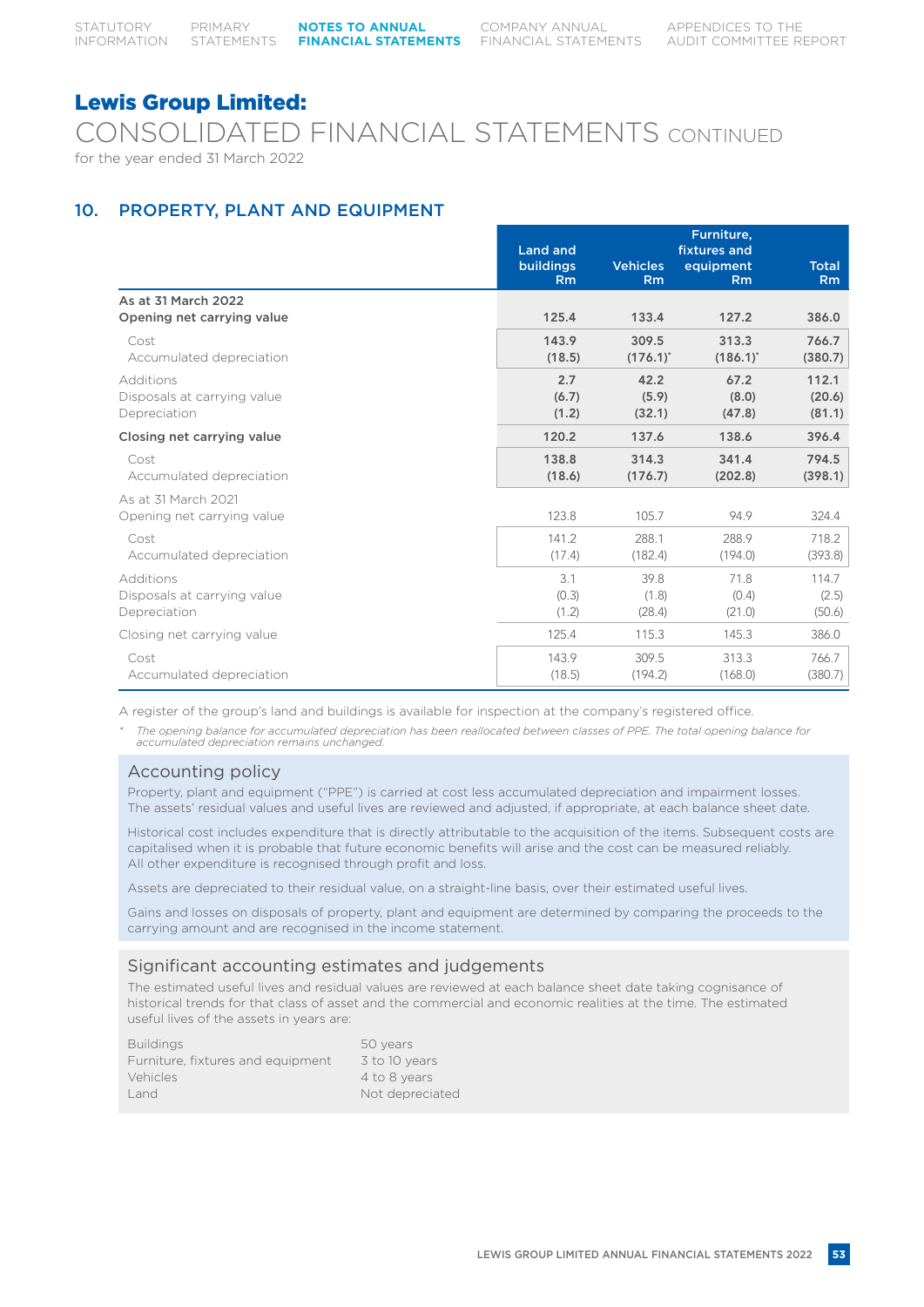CONSOLIDATED FINANCIAL STATEMENTS CONTINUED for the year ended 31 March 2022

# 10. PROPERTY, PLANT AND EQUIPMENT

|                                                          | <b>Land and</b>       |                         | Furniture,<br>fixtures and |                           |
|----------------------------------------------------------|-----------------------|-------------------------|----------------------------|---------------------------|
|                                                          | buildings             | <b>Vehicles</b>         | equipment                  | <b>Total</b>              |
|                                                          | Rm                    | Rm                      | Rm                         | R <sub>m</sub>            |
| As at 31 March 2022<br>Opening net carrying value        | 125.4                 | 133.4                   | 127.2                      | 386.0                     |
| Cost<br>Accumulated depreciation                         | 143.9<br>(18.5)       | 309.5<br>$(176.1)^{*}$  | 313.3<br>$(186.1)^{*}$     | 766.7<br>(380.7)          |
| Additions<br>Disposals at carrying value<br>Depreciation | 2.7<br>(6.7)<br>(1.2) | 42.2<br>(5.9)<br>(32.1) | 67.2<br>(8.0)<br>(47.8)    | 112.1<br>(20.6)<br>(81.1) |
| Closing net carrying value                               | 120.2                 | 137.6                   | 138.6                      | 396.4                     |
| Cost<br>Accumulated depreciation                         | 138.8<br>(18.6)       | 314.3<br>(176.7)        | 341.4<br>(202.8)           | 794.5<br>(398.1)          |
| As at 31 March 2021<br>Opening net carrying value        | 123.8                 | 105.7                   | 94.9                       | 324.4                     |
| Cost<br>Accumulated depreciation                         | 141.2<br>(17.4)       | 288.1<br>(182.4)        | 288.9<br>(194.0)           | 718.2<br>(393.8)          |
| Additions<br>Disposals at carrying value<br>Depreciation | 3.1<br>(0.3)<br>(1.2) | 39.8<br>(1.8)<br>(28.4) | 71.8<br>(0.4)<br>(21.0)    | 114.7<br>(2.5)<br>(50.6)  |
| Closing net carrying value                               | 125.4                 | 115.3                   | 145.3                      | 386.0                     |
| Cost<br>Accumulated depreciation                         | 143.9<br>(18.5)       | 309.5<br>(194.2)        | 313.3<br>(168.0)           | 766.7<br>(380.7)          |

A register of the group's land and buildings is available for inspection at the company's registered office.

*\* The opening balance for accumulated depreciation has been reallocated between classes of PPE. The total opening balance for accumulated depreciation remains unchanged.*

# Accounting policy

Property, plant and equipment ("PPE") is carried at cost less accumulated depreciation and impairment losses. The assets' residual values and useful lives are reviewed and adjusted, if appropriate, at each balance sheet date.

Historical cost includes expenditure that is directly attributable to the acquisition of the items. Subsequent costs are capitalised when it is probable that future economic benefits will arise and the cost can be measured reliably. All other expenditure is recognised through profit and loss.

Assets are depreciated to their residual value, on a straight-line basis, over their estimated useful lives.

Gains and losses on disposals of property, plant and equipment are determined by comparing the proceeds to the carrying amount and are recognised in the income statement.

# Significant accounting estimates and judgements

The estimated useful lives and residual values are reviewed at each balance sheet date taking cognisance of historical trends for that class of asset and the commercial and economic realities at the time. The estimated useful lives of the assets in years are:

| <b>Buildings</b>                  | 50 years        |
|-----------------------------------|-----------------|
| Furniture, fixtures and equipment | 3 to 10 years   |
| Vehicles                          | 4 to 8 years    |
| Land                              | Not depreciated |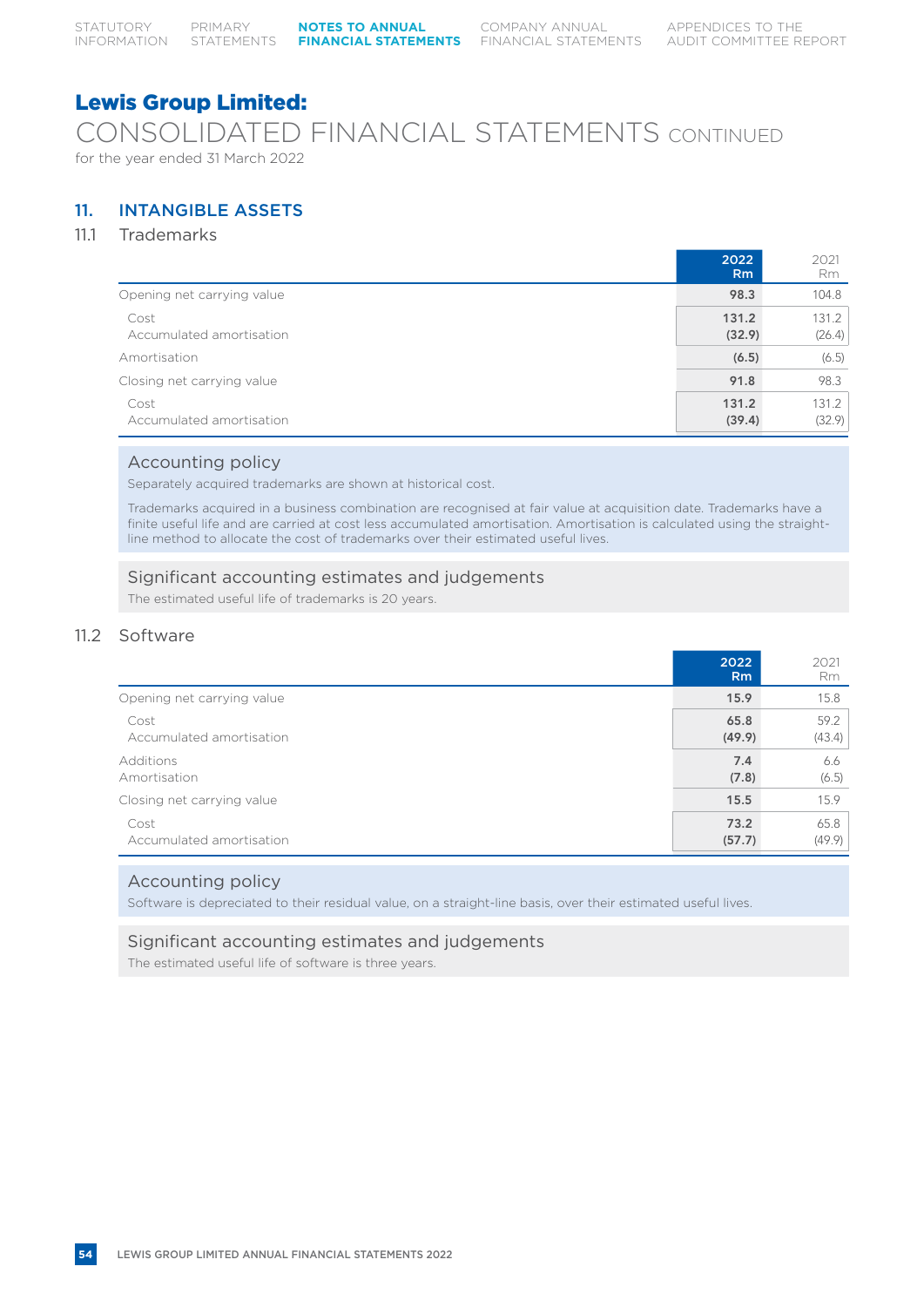CONSOLIDATED FINANCIAL STATEMENTS CONTINUED for the year ended 31 March 2022

# 11. INTANGIBLE ASSETS

# 11.1 Trademarks

|                                  | 2022<br><b>Rm</b> | 2021<br>Rm      |
|----------------------------------|-------------------|-----------------|
| Opening net carrying value       | 98.3              | 104.8           |
| Cost<br>Accumulated amortisation | 131.2<br>(32.9)   | 131.2<br>(26.4) |
| Amortisation                     | (6.5)             | (6.5)           |
| Closing net carrying value       | 91.8              | 98.3            |
| Cost<br>Accumulated amortisation | 131.2<br>(39.4)   | 131.2<br>(32.9) |

# Accounting policy

Separately acquired trademarks are shown at historical cost.

Trademarks acquired in a business combination are recognised at fair value at acquisition date. Trademarks have a finite useful life and are carried at cost less accumulated amortisation. Amortisation is calculated using the straightline method to allocate the cost of trademarks over their estimated useful lives.

# Significant accounting estimates and judgements

The estimated useful life of trademarks is 20 years.

# 11.2 Software

|                            | 2022<br>R <sub>m</sub> | 2021<br>Rm |
|----------------------------|------------------------|------------|
| Opening net carrying value | 15.9                   | 15.8       |
| Cost                       | 65.8                   | 59.2       |
| Accumulated amortisation   | (49.9)                 | (43.4)     |
| Additions                  | 7.4                    | 6.6        |
| Amortisation               | (7.8)                  | (6.5)      |
| Closing net carrying value | 15.5                   | 15.9       |
| Cost                       | 73.2                   | 65.8       |
| Accumulated amortisation   | (57.7)                 | (49.9)     |

# Accounting policy

Software is depreciated to their residual value, on a straight-line basis, over their estimated useful lives.

# Significant accounting estimates and judgements

The estimated useful life of software is three years.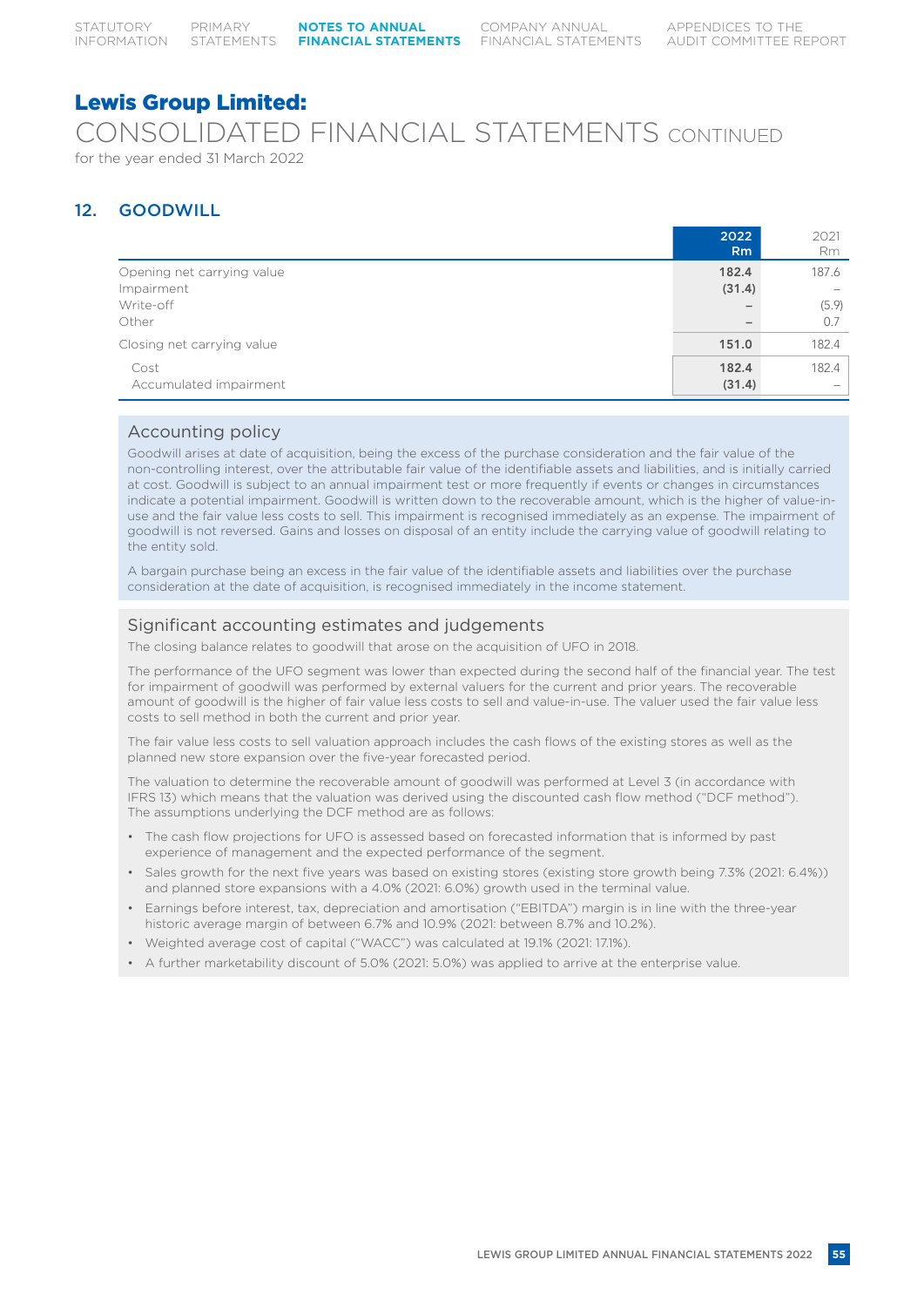# Lewis Group Limited: CONSOLIDATED FINANCIAL STATEMENTS CONTINUED for the year ended 31 March 2022

# 12. GOODWILL

|                                          | 2022<br>R <sub>m</sub>   | 2021<br>Rm                        |
|------------------------------------------|--------------------------|-----------------------------------|
| Opening net carrying value<br>Impairment | 182.4<br>(31.4)          | 187.6                             |
| Write-off<br>Other                       | $\overline{\phantom{0}}$ | (5.9)<br>0.7                      |
| Closing net carrying value               | 151.0                    | 182.4                             |
| Cost<br>Accumulated impairment           | 182.4<br>(31.4)          | 182.4<br>$\overline{\phantom{a}}$ |

# Accounting policy

Goodwill arises at date of acquisition, being the excess of the purchase consideration and the fair value of the non-controlling interest, over the attributable fair value of the identifiable assets and liabilities, and is initially carried at cost. Goodwill is subject to an annual impairment test or more frequently if events or changes in circumstances indicate a potential impairment. Goodwill is written down to the recoverable amount, which is the higher of value-inuse and the fair value less costs to sell. This impairment is recognised immediately as an expense. The impairment of goodwill is not reversed. Gains and losses on disposal of an entity include the carrying value of goodwill relating to the entity sold.

A bargain purchase being an excess in the fair value of the identifiable assets and liabilities over the purchase consideration at the date of acquisition, is recognised immediately in the income statement.

# Significant accounting estimates and judgements

The closing balance relates to goodwill that arose on the acquisition of UFO in 2018.

The performance of the UFO segment was lower than expected during the second half of the financial year. The test for impairment of goodwill was performed by external valuers for the current and prior years. The recoverable amount of goodwill is the higher of fair value less costs to sell and value-in-use. The valuer used the fair value less costs to sell method in both the current and prior year.

The fair value less costs to sell valuation approach includes the cash flows of the existing stores as well as the planned new store expansion over the five-year forecasted period.

The valuation to determine the recoverable amount of goodwill was performed at Level 3 (in accordance with IFRS 13) which means that the valuation was derived using the discounted cash flow method ("DCF method"). The assumptions underlying the DCF method are as follows:

- The cash flow projections for UFO is assessed based on forecasted information that is informed by past experience of management and the expected performance of the segment.
- Sales growth for the next five years was based on existing stores (existing store growth being 7.3% (2021: 6.4%)) and planned store expansions with a 4.0% (2021: 6.0%) growth used in the terminal value.
- Earnings before interest, tax, depreciation and amortisation ("EBITDA") margin is in line with the three-year historic average margin of between 6.7% and 10.9% (2021: between 8.7% and 10.2%).
- Weighted average cost of capital ("WACC") was calculated at 19.1% (2021: 17.1%).
- A further marketability discount of 5.0% (2021: 5.0%) was applied to arrive at the enterprise value.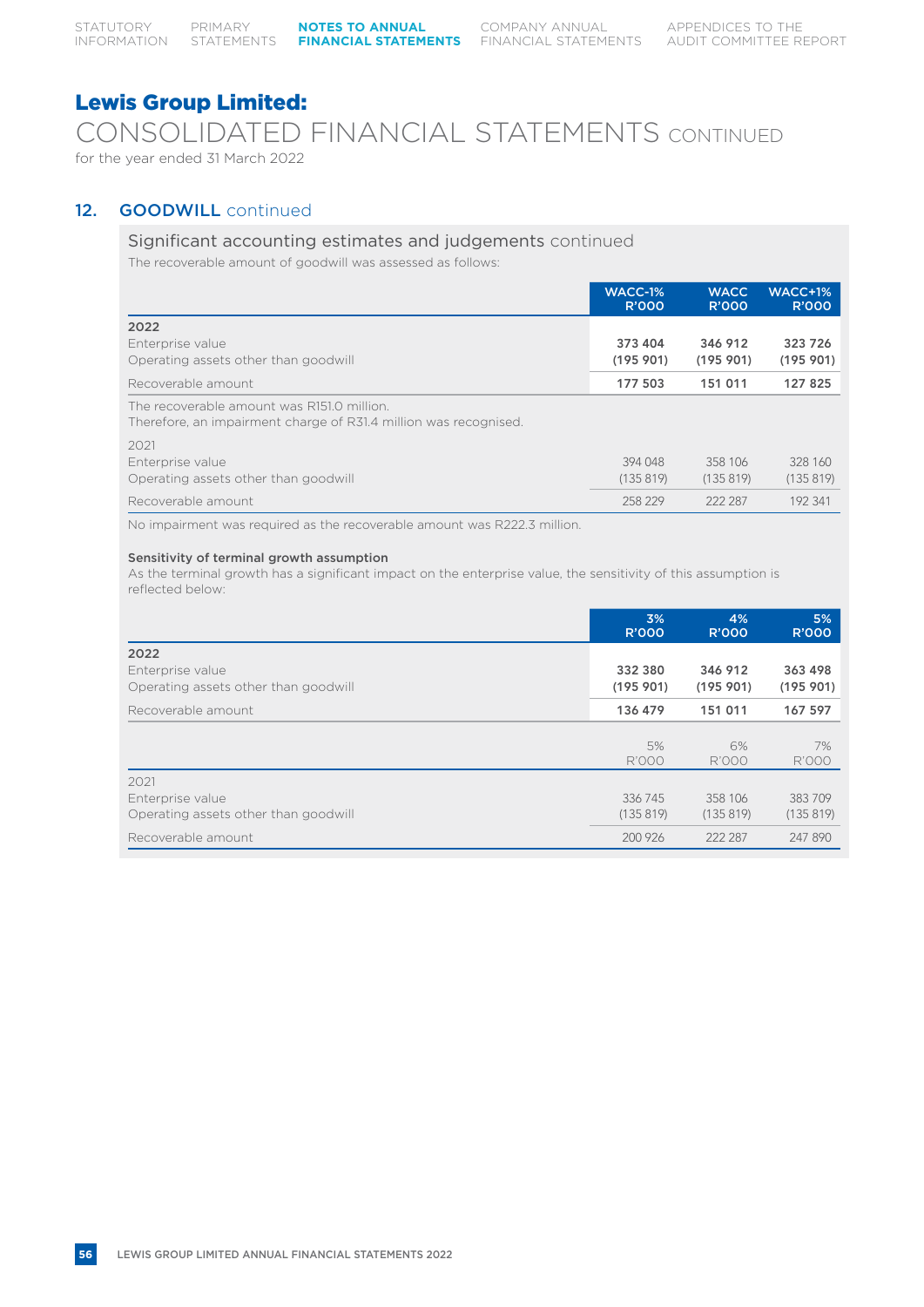CONSOLIDATED FINANCIAL STATEMENTS CONTINUED for the year ended 31 March 2022

# 12. **GOODWILL** continued

# Significant accounting estimates and judgements continued

The recoverable amount of goodwill was assessed as follows:

|                                                                                                                | WACC-1%<br><b>R'000</b> | <b>WACC</b><br><b>R'000</b> | <b>WACC+1%</b><br><b>R'000</b> |
|----------------------------------------------------------------------------------------------------------------|-------------------------|-----------------------------|--------------------------------|
| 2022                                                                                                           |                         |                             |                                |
| Enterprise value<br>Operating assets other than goodwill                                                       | 373 404<br>(195901)     | 346 912<br>(195901)         | 323 726<br>(195901)            |
| Recoverable amount                                                                                             | 177 503                 | 151 011                     | 127 825                        |
| The recoverable amount was R151.0 million.<br>Therefore, an impairment charge of R31.4 million was recognised. |                         |                             |                                |
| 2021                                                                                                           |                         |                             |                                |
| Enterprise value                                                                                               | 394 048                 | 358 106                     | 328 160                        |
| Operating assets other than goodwill                                                                           | (135819)                | (135819)                    | (135819)                       |
| Recoverable amount                                                                                             | 258 229                 | 222 287                     | 192 341                        |

No impairment was required as the recoverable amount was R222.3 million.

# Sensitivity of terminal growth assumption

As the terminal growth has a significant impact on the enterprise value, the sensitivity of this assumption is reflected below:

|                                                                  | 3%<br><b>R'000</b>  | 4%<br><b>R'000</b>  | 5%<br><b>R'000</b>  |
|------------------------------------------------------------------|---------------------|---------------------|---------------------|
| 2022<br>Enterprise value<br>Operating assets other than goodwill | 332 380<br>(195901) | 346 912<br>(195901) | 363 498<br>(195901) |
| Recoverable amount                                               | 136 479             | 151 011             | 167 597             |
|                                                                  | 5%<br><b>R'000</b>  | 6%<br><b>R'000</b>  | 7%<br><b>R'000</b>  |
| 2021<br>Enterprise value<br>Operating assets other than goodwill | 336 745<br>(135819) | 358 106<br>(135819) | 383709<br>(135819)  |
| Recoverable amount                                               | 200 926             | 222 287             | 247 890             |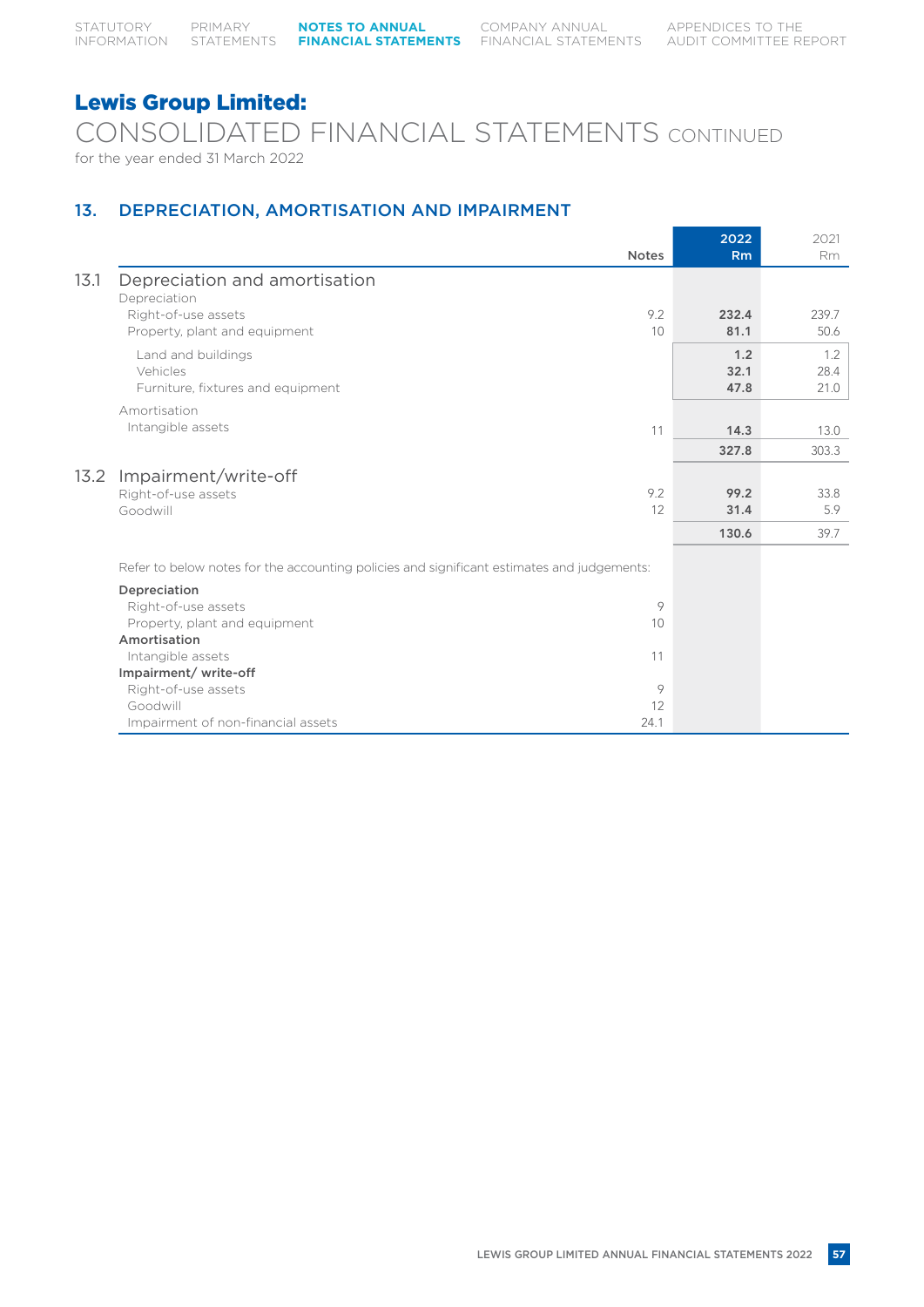CONSOLIDATED FINANCIAL STATEMENTS CONTINUED for the year ended 31 March 2022

# 13. DEPRECIATION, AMORTISATION AND IMPAIRMENT

|      |                                                                                            |              | 2022  | 2021           |
|------|--------------------------------------------------------------------------------------------|--------------|-------|----------------|
|      |                                                                                            | <b>Notes</b> | Rm    | R <sub>m</sub> |
| 13.1 | Depreciation and amortisation<br>Depreciation                                              |              |       |                |
|      | Right-of-use assets                                                                        | 9.2          | 232.4 | 239.7          |
|      | Property, plant and equipment                                                              | 10           | 81.1  | 50.6           |
|      | Land and buildings                                                                         |              | 1.2   | 1.2            |
|      | Vehicles                                                                                   |              | 32.1  | 28.4           |
|      | Furniture, fixtures and equipment                                                          |              | 47.8  | 21.0           |
|      | Amortisation                                                                               |              |       |                |
|      | Intangible assets                                                                          | 11           | 14.3  | 13.0           |
|      |                                                                                            |              | 327.8 | 303.3          |
| 13.2 | Impairment/write-off                                                                       |              |       |                |
|      | Right-of-use assets                                                                        | 9.2          | 99.2  | 33.8           |
|      | Goodwill                                                                                   | 12           | 31.4  | 5.9            |
|      |                                                                                            |              | 130.6 | 39.7           |
|      | Refer to below notes for the accounting policies and significant estimates and judgements: |              |       |                |
|      | Depreciation                                                                               |              |       |                |
|      | Right-of-use assets                                                                        | 9            |       |                |
|      | Property, plant and equipment                                                              | 10           |       |                |
|      | Amortisation                                                                               |              |       |                |
|      | Intangible assets                                                                          | 11           |       |                |
|      | Impairment/write-off                                                                       |              |       |                |
|      | Right-of-use assets                                                                        | $\circ$      |       |                |
|      | Goodwill                                                                                   | 12           |       |                |
|      | Impairment of non-financial assets                                                         | 24.1         |       |                |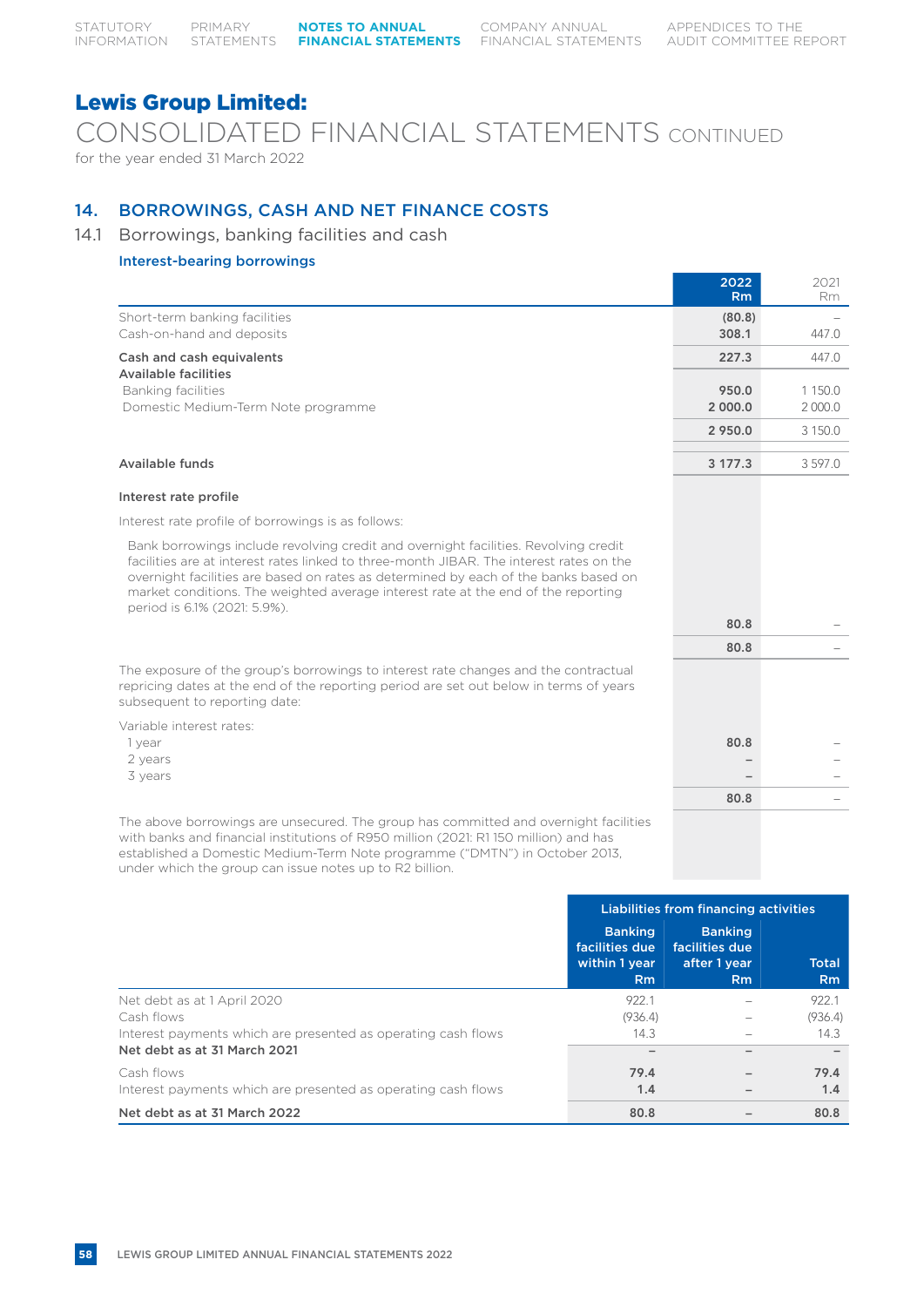CONSOLIDATED FINANCIAL STATEMENTS CONTINUED for the year ended 31 March 2022

# 14. BORROWINGS, CASH AND NET FINANCE COSTS

# 14.1 Borrowings, banking facilities and cash

# Interest-bearing borrowings

|                                                            | 2022<br><b>Rm</b> | 2021<br><b>Rm</b> |
|------------------------------------------------------------|-------------------|-------------------|
| Short-term banking facilities<br>Cash-on-hand and deposits | (80.8)<br>308.1   | 447.0             |
| Cash and cash equivalents                                  | 227.3             | 447.0             |
| <b>Available facilities</b>                                |                   |                   |
| Banking facilities                                         | 950.0             | 1 150.0           |
| Domestic Medium-Term Note programme                        | 2 000.0           | 2 000.0           |
|                                                            | 2 950.0           | 3 150.0           |
|                                                            |                   |                   |
| Available funds                                            | 3 177.3           | 3597.0            |
|                                                            |                   |                   |

### Interest rate profile

Interest rate profile of borrowings is as follows:

Bank borrowings include revolving credit and overnight facilities. Revolving credit facilities are at interest rates linked to three-month JIBAR. The interest rates on the overnight facilities are based on rates as determined by each of the banks based on market conditions. The weighted average interest rate at the end of the reporting period is 6.1% (2021: 5.9%).

Variable interest rates:

- 
- 
- 

The above borrowings are unsecured. The group has committed and overnight facilities with banks and financial institutions of R950 million (2021: R1 150 million) and has established a Domestic Medium-Term Note programme ("DMTN") in October 2013, under which the group can issue notes up to R2 billion.

|                                                                                                             | Liabilities from financing activities                               |                                                                    |                                |
|-------------------------------------------------------------------------------------------------------------|---------------------------------------------------------------------|--------------------------------------------------------------------|--------------------------------|
|                                                                                                             | <b>Banking</b><br>facilities due<br>within 1 year<br>R <sub>m</sub> | <b>Banking</b><br>facilities due<br>after 1 year<br>R <sub>m</sub> | <b>Total</b><br>R <sub>m</sub> |
| Net debt as at 1 April 2020<br>Cash flows<br>Interest payments which are presented as operating cash flows  | 922.1<br>(936.4)<br>14.3                                            |                                                                    | 922.1<br>(936.4)<br>14.3       |
| Net debt as at 31 March 2021<br>Cash flows<br>Interest payments which are presented as operating cash flows | 79.4<br>1.4                                                         |                                                                    | 79.4<br>1.4                    |
| Net debt as at 31 March 2022                                                                                | 80.8                                                                |                                                                    | 80.8                           |

| Deriod is 6.1% (ZUZI: 5.9%).                                                                                                                                                                                |      |  |
|-------------------------------------------------------------------------------------------------------------------------------------------------------------------------------------------------------------|------|--|
|                                                                                                                                                                                                             | 80.8 |  |
|                                                                                                                                                                                                             | 80.8 |  |
| he exposure of the group's borrowings to interest rate changes and the contractual<br>epricing dates at the end of the reporting period are set out below in terms of years<br>ubsequent to reporting date: |      |  |
| ariable interest rates:                                                                                                                                                                                     |      |  |
| 1 year                                                                                                                                                                                                      | 80.8 |  |
| 2 years                                                                                                                                                                                                     |      |  |
| 3 vears                                                                                                                                                                                                     |      |  |
|                                                                                                                                                                                                             | 80.8 |  |
| he above borrowings are unsecured. The group has committed and overnight facilities<br>dilla faca forma al finanza di formatione del al FIAFA no illiano 70001. F1 1EA no illiano canal faca                |      |  |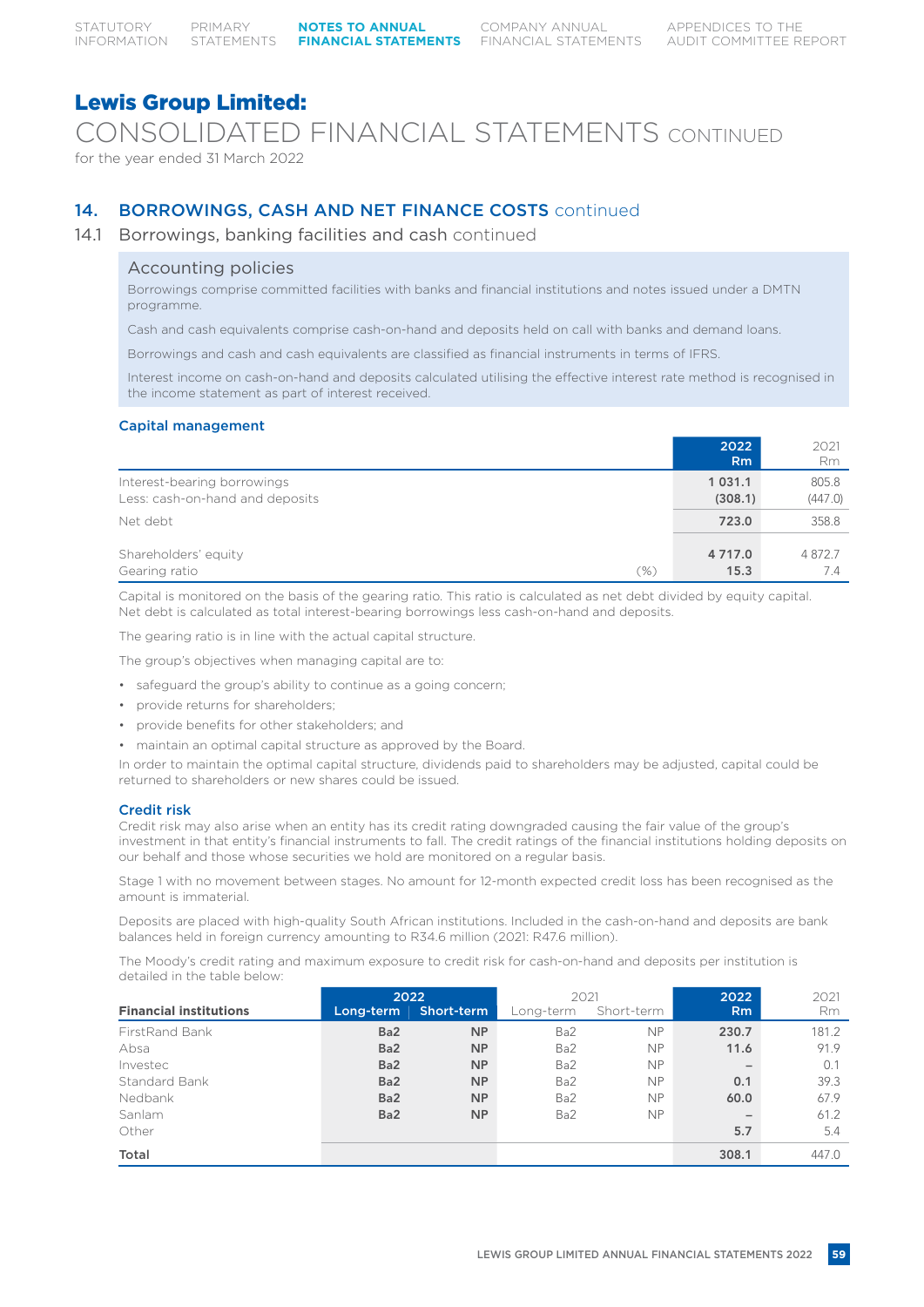CONSOLIDATED FINANCIAL STATEMENTS CONTINUED

for the year ended 31 March 2022

# 14. BORROWINGS, CASH AND NET FINANCE COSTS continued

# 14.1 Borrowings, banking facilities and cash continued

# Accounting policies

Borrowings comprise committed facilities with banks and financial institutions and notes issued under a DMTN programme.

Cash and cash equivalents comprise cash-on-hand and deposits held on call with banks and demand loans.

Borrowings and cash and cash equivalents are classified as financial instruments in terms of IFRS.

Interest income on cash-on-hand and deposits calculated utilising the effective interest rate method is recognised in the income statement as part of interest received.

# Capital management

|                                                                | 2022<br><b>Rm</b>      | 2021<br><b>Rm</b> |
|----------------------------------------------------------------|------------------------|-------------------|
| Interest-bearing borrowings<br>Less: cash-on-hand and deposits | 1 0 3 1 . 1<br>(308.1) | 805.8<br>(447.0)  |
| Net debt                                                       | 723.0                  | 358.8             |
| Shareholders' equity<br>Gearing ratio<br>(%)                   | 4 7 1 7 .0<br>15.3     | 4872.7<br>7.4     |

Capital is monitored on the basis of the gearing ratio. This ratio is calculated as net debt divided by equity capital. Net debt is calculated as total interest-bearing borrowings less cash-on-hand and deposits.

The gearing ratio is in line with the actual capital structure.

The group's objectives when managing capital are to:

- safeguard the group's ability to continue as a going concern;
- provide returns for shareholders;
- provide benefits for other stakeholders; and
- maintain an optimal capital structure as approved by the Board.

In order to maintain the optimal capital structure, dividends paid to shareholders may be adjusted, capital could be returned to shareholders or new shares could be issued.

# Credit risk

Credit risk may also arise when an entity has its credit rating downgraded causing the fair value of the group's investment in that entity's financial instruments to fall. The credit ratings of the financial institutions holding deposits on our behalf and those whose securities we hold are monitored on a regular basis.

Stage 1 with no movement between stages. No amount for 12-month expected credit loss has been recognised as the amount is immaterial.

Deposits are placed with high-quality South African institutions. Included in the cash-on-hand and deposits are bank balances held in foreign currency amounting to R34.6 million (2021: R47.6 million).

The Moody's credit rating and maximum exposure to credit risk for cash-on-hand and deposits per institution is detailed in the table below:

|                               |                 | 2022       | 2021      |            | 2022                            | 2021  |
|-------------------------------|-----------------|------------|-----------|------------|---------------------------------|-------|
| <b>Financial institutions</b> | Long-term       | Short-term | Long-term | Short-term | R <sub>m</sub>                  | Rm    |
| <b>FirstRand Bank</b>         | Ba <sub>2</sub> | <b>NP</b>  | Ba2       | <b>NP</b>  | 230.7                           | 181.2 |
| Absa                          | Ba <sub>2</sub> | <b>NP</b>  | Ba2       | <b>NP</b>  | 11.6                            | 91.9  |
| Investec                      | Ba <sub>2</sub> | <b>NP</b>  | Ba2       | <b>NP</b>  | $\hspace{0.1mm}-\hspace{0.1mm}$ | 0.1   |
| Standard Bank                 | Ba <sub>2</sub> | <b>NP</b>  | Ba2       | <b>NP</b>  | 0.1                             | 39.3  |
| Nedbank                       | Ba <sub>2</sub> | <b>NP</b>  | Ba2       | <b>NP</b>  | 60.0                            | 67.9  |
| Sanlam                        | Ba <sub>2</sub> | <b>NP</b>  | Ba2       | <b>NP</b>  | $\overline{\phantom{m}}$        | 61.2  |
| Other                         |                 |            |           |            | 5.7                             | 5.4   |
| Total                         |                 |            |           |            | 308.1                           | 447.0 |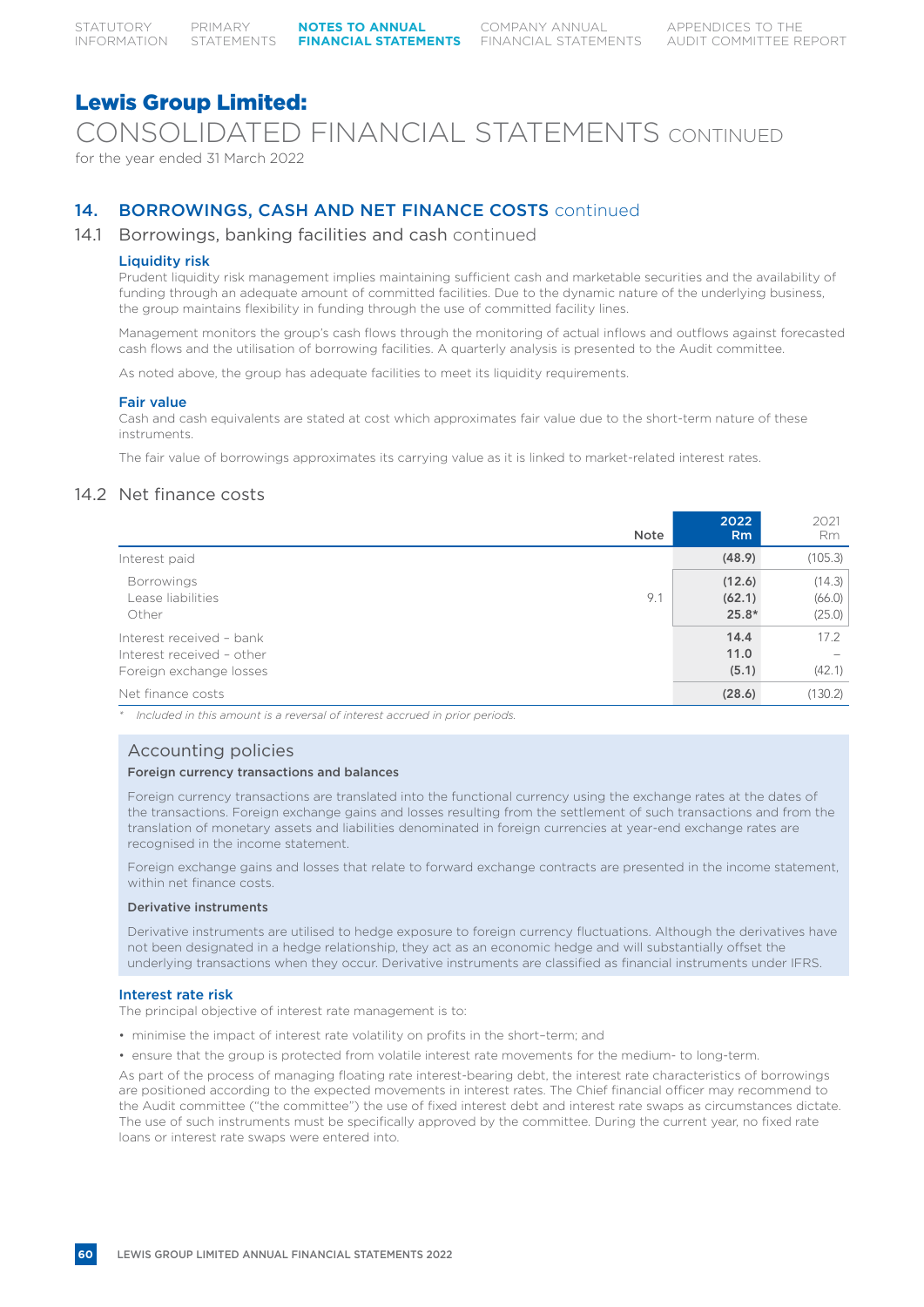CONSOLIDATED FINANCIAL STATEMENTS CONTINUED

for the year ended 31 March 2022

# 14. BORROWINGS, CASH AND NET FINANCE COSTS continued

# 14.1 Borrowings, banking facilities and cash continued

# Liquidity risk

Prudent liquidity risk management implies maintaining sufficient cash and marketable securities and the availability of funding through an adequate amount of committed facilities. Due to the dynamic nature of the underlying business, the group maintains flexibility in funding through the use of committed facility lines.

Management monitors the group's cash flows through the monitoring of actual inflows and outflows against forecasted cash flows and the utilisation of borrowing facilities. A quarterly analysis is presented to the Audit committee.

As noted above, the group has adequate facilities to meet its liquidity requirements.

# Fair value

Cash and cash equivalents are stated at cost which approximates fair value due to the short-term nature of these instruments.

The fair value of borrowings approximates its carrying value as it is linked to market-related interest rates.

# 14.2 Net finance costs

| Note                                                                             | 2022<br>R <sub>m</sub>      | 2021<br>Rm                 |
|----------------------------------------------------------------------------------|-----------------------------|----------------------------|
| Interest paid                                                                    | (48.9)                      | (105.3)                    |
| <b>Borrowings</b><br>9.1<br>Lease liabilities<br>Other                           | (12.6)<br>(62.1)<br>$25.8*$ | (14.3)<br>(66.0)<br>(25.0) |
| Interest received - bank<br>Interest received - other<br>Foreign exchange losses | 14.4<br>11.0<br>(5.1)       | 17.2<br>(42.1)             |
| Net finance costs                                                                | (28.6)                      | (130.2)                    |

*\* Included in this amount is a reversal of interest accrued in prior periods.*

# Accounting policies

# Foreign currency transactions and balances

Foreign currency transactions are translated into the functional currency using the exchange rates at the dates of the transactions. Foreign exchange gains and losses resulting from the settlement of such transactions and from the translation of monetary assets and liabilities denominated in foreign currencies at year-end exchange rates are recognised in the income statement.

Foreign exchange gains and losses that relate to forward exchange contracts are presented in the income statement, within net finance costs.

### Derivative instruments

Derivative instruments are utilised to hedge exposure to foreign currency fluctuations. Although the derivatives have not been designated in a hedge relationship, they act as an economic hedge and will substantially offset the underlying transactions when they occur. Derivative instruments are classified as financial instruments under IFRS.

# Interest rate risk

The principal objective of interest rate management is to:

- minimise the impact of interest rate volatility on profits in the short–term; and
- ensure that the group is protected from volatile interest rate movements for the medium- to long-term.

As part of the process of managing floating rate interest-bearing debt, the interest rate characteristics of borrowings are positioned according to the expected movements in interest rates. The Chief financial officer may recommend to the Audit committee ("the committee") the use of fixed interest debt and interest rate swaps as circumstances dictate. The use of such instruments must be specifically approved by the committee. During the current year, no fixed rate loans or interest rate swaps were entered into.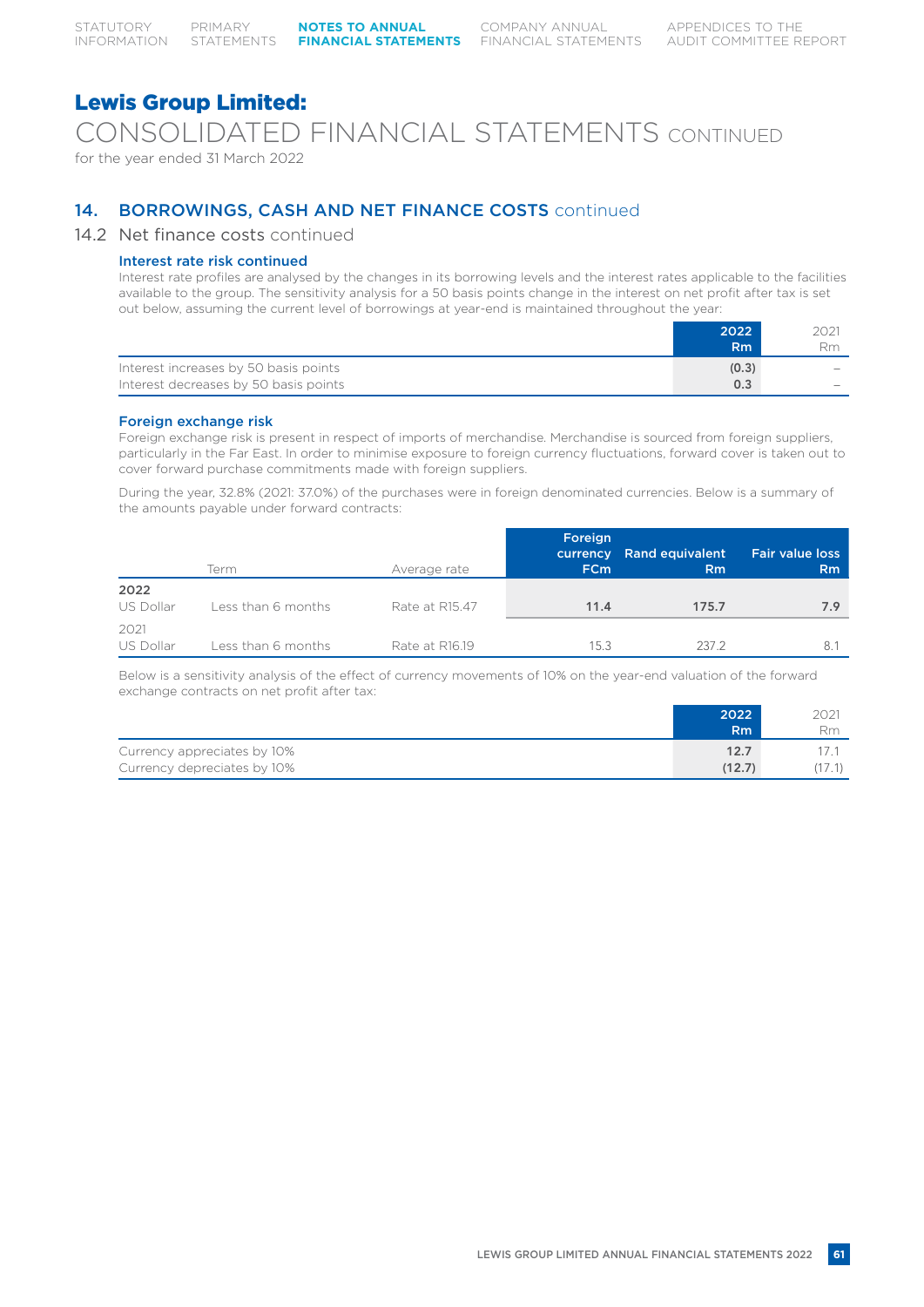CONSOLIDATED FINANCIAL STATEMENTS CONTINUED

for the year ended 31 March 2022

# 14. BORROWINGS, CASH AND NET FINANCE COSTS continued

# 14.2 Net finance costs continued

# Interest rate risk continued

Interest rate profiles are analysed by the changes in its borrowing levels and the interest rates applicable to the facilities available to the group. The sensitivity analysis for a 50 basis points change in the interest on net profit after tax is set out below, assuming the current level of borrowings at year-end is maintained throughout the year:

|                                       | 2022<br>R <sub>m</sub> | 2021<br>Rm               |
|---------------------------------------|------------------------|--------------------------|
| Interest increases by 50 basis points | (0.3)                  | $\overline{\phantom{a}}$ |
| Interest decreases by 50 basis points | 0.3                    | $\overline{\phantom{a}}$ |

# Foreign exchange risk

Foreign exchange risk is present in respect of imports of merchandise. Merchandise is sourced from foreign suppliers, particularly in the Far East. In order to minimise exposure to foreign currency fluctuations, forward cover is taken out to cover forward purchase commitments made with foreign suppliers.

During the year, 32.8% (2021: 37.0%) of the purchases were in foreign denominated currencies. Below is a summary of the amounts payable under forward contracts:

|                   | Term               | Average rate   | Foreign<br><b>FCm</b> | currency Rand equivalent<br><b>Rm</b> | <b>Fair value loss</b><br>Rm |
|-------------------|--------------------|----------------|-----------------------|---------------------------------------|------------------------------|
| 2022<br>US Dollar | Less than 6 months | Rate at R15.47 | 11.4                  | 175.7                                 | 7.9                          |
| 2021<br>US Dollar | Less than 6 months | Rate at R16.19 | 15.3                  | 237.2                                 | 8.                           |

Below is a sensitivity analysis of the effect of currency movements of 10% on the year-end valuation of the forward exchange contracts on net profit after tax:

|                             | 2022<br>'Rm. | 2021<br>Rm |
|-----------------------------|--------------|------------|
| Currency appreciates by 10% | 12.7         |            |
| Currency depreciates by 10% | (12.7)       |            |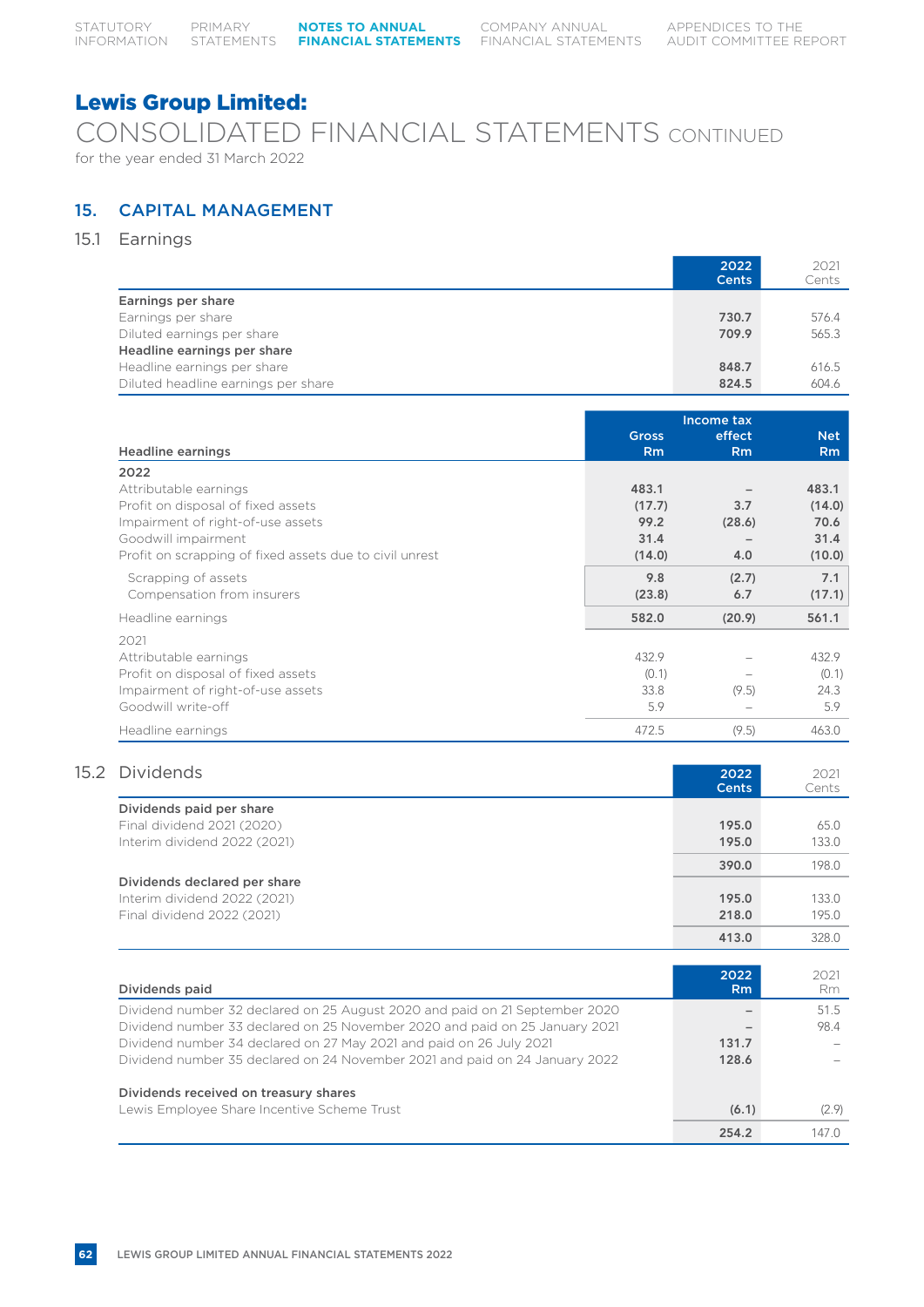CONSOLIDATED FINANCIAL STATEMENTS CONTINUED for the year ended 31 March 2022

# 15. CAPITAL MANAGEMENT

15.1 Earnings

|                                     | 2022<br><b>Cents</b> | 2021<br>Cents |
|-------------------------------------|----------------------|---------------|
| Earnings per share                  |                      |               |
| Earnings per share                  | 730.7                | 576.4         |
| Diluted earnings per share          | 709.9                | 565.3         |
| Headline earnings per share         |                      |               |
| Headline earnings per share         | 848.7                | 616.5         |
| Diluted headline earnings per share | 824.5                | 604.6         |

|                                                         |              | Income tax |            |
|---------------------------------------------------------|--------------|------------|------------|
|                                                         | <b>Gross</b> | effect     | <b>Net</b> |
| <b>Headline earnings</b>                                | <b>Rm</b>    | <b>Rm</b>  | <b>Rm</b>  |
| 2022                                                    |              |            |            |
| Attributable earnings                                   | 483.1        |            | 483.1      |
| Profit on disposal of fixed assets                      | (17.7)       | 3.7        | (14.0)     |
| Impairment of right-of-use assets                       | 99.2         | (28.6)     | 70.6       |
| Goodwill impairment                                     | 31.4         |            | 31.4       |
| Profit on scrapping of fixed assets due to civil unrest | (14.0)       | 4.0        | (10.0)     |
| Scrapping of assets                                     | 9.8          | (2.7)      | 7.1        |
| Compensation from insurers                              | (23.8)       | 6.7        | (17.1)     |
| Headline earnings                                       | 582.0        | (20.9)     | 561.1      |
| 2021                                                    |              |            |            |
| Attributable earnings                                   | 432.9        |            | 432.9      |
| Profit on disposal of fixed assets                      | (0.1)        |            | (0.1)      |
| Impairment of right-of-use assets                       | 33.8         | (9.5)      | 24.3       |
| Goodwill write-off                                      | 5.9          |            | 5.9        |
| Headline earnings                                       | 472.5        | (9.5)      | 463.0      |

# 15.2 Dividends 2021 2021 2022 2021

|                              | <b>Cents</b> | Cents |
|------------------------------|--------------|-------|
| Dividends paid per share     |              |       |
| Final dividend 2021 (2020)   | 195.0        | 65.0  |
| Interim dividend 2022 (2021) | 195.0        | 133.0 |
|                              | 390.0        | 198.0 |
| Dividends declared per share |              |       |
| Interim dividend 2022 (2021) | 195.0        | 133.0 |
| Final dividend 2022 (2021)   | 218.0        | 195.0 |
|                              | 413.0        | 328.0 |

| Dividends paid                                                              | 2022<br>R <sub>m</sub>   | 2021<br>Rm |
|-----------------------------------------------------------------------------|--------------------------|------------|
| Dividend number 32 declared on 25 August 2020 and paid on 21 September 2020 | $\overline{\phantom{a}}$ | 51.5       |
| Dividend number 33 declared on 25 November 2020 and paid on 25 January 2021 |                          | 98.4       |
| Dividend number 34 declared on 27 May 2021 and paid on 26 July 2021         | 131.7                    |            |
| Dividend number 35 declared on 24 November 2021 and paid on 24 January 2022 | 128.6                    |            |
| Dividends received on treasury shares                                       |                          |            |
| Lewis Employee Share Incentive Scheme Trust                                 | (6.1)                    | (2.9)      |
|                                                                             | 254.2                    | 147 O      |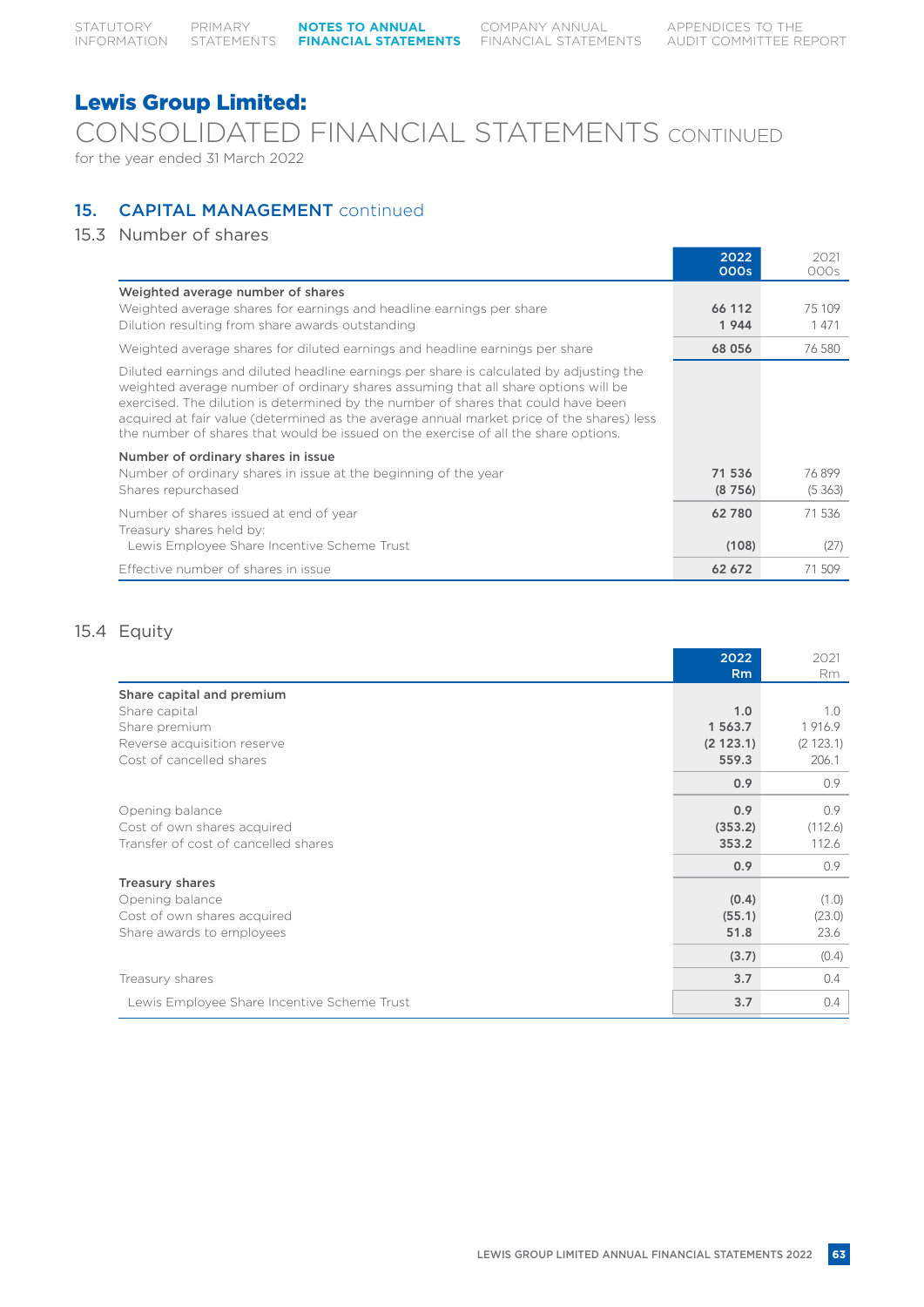CONSOLIDATED FINANCIAL STATEMENTS CONTINUED for the year ended 31 March 2022

# 15. **CAPITAL MANAGEMENT** continued

# 15.3 Number of shares

|                                                                                                                                                                                                                                                                                                                                                                                                                                                         | 2022<br>000s   | 2021<br>000s   |
|---------------------------------------------------------------------------------------------------------------------------------------------------------------------------------------------------------------------------------------------------------------------------------------------------------------------------------------------------------------------------------------------------------------------------------------------------------|----------------|----------------|
| Weighted average number of shares                                                                                                                                                                                                                                                                                                                                                                                                                       |                |                |
| Weighted average shares for earnings and headline earnings per share<br>Dilution resulting from share awards outstanding                                                                                                                                                                                                                                                                                                                                | 66 112<br>1944 | 75 109<br>1471 |
| Weighted average shares for diluted earnings and headline earnings per share                                                                                                                                                                                                                                                                                                                                                                            | 68 056         | 76 580         |
| Diluted earnings and diluted headline earnings per share is calculated by adjusting the<br>weighted average number of ordinary shares assuming that all share options will be<br>exercised. The dilution is determined by the number of shares that could have been<br>acquired at fair value (determined as the average annual market price of the shares) less<br>the number of shares that would be issued on the exercise of all the share options. |                |                |
| Number of ordinary shares in issue                                                                                                                                                                                                                                                                                                                                                                                                                      |                |                |
| Number of ordinary shares in issue at the beginning of the year                                                                                                                                                                                                                                                                                                                                                                                         | 71 536         | 76899          |
| Shares repurchased                                                                                                                                                                                                                                                                                                                                                                                                                                      | (8756)         | (5363)         |
| Number of shares issued at end of year                                                                                                                                                                                                                                                                                                                                                                                                                  | 62780          | 71 536         |
| Treasury shares held by:                                                                                                                                                                                                                                                                                                                                                                                                                                |                |                |
| Lewis Employee Share Incentive Scheme Trust                                                                                                                                                                                                                                                                                                                                                                                                             | (108)          | (27)           |
| Effective number of shares in issue                                                                                                                                                                                                                                                                                                                                                                                                                     | 62 672         | 71509          |

# 15.4 Equity

|                                             | 2022<br><b>Rm</b> | 2021<br>Rm |
|---------------------------------------------|-------------------|------------|
| Share capital and premium                   |                   |            |
| Share capital                               | 1.0               | 1.0        |
| Share premium                               | 1 563.7           | 1916.9     |
| Reverse acquisition reserve                 | (2123.1)          | (2 123.1)  |
| Cost of cancelled shares                    | 559.3             | 206.1      |
|                                             | 0.9               | 0.9        |
| Opening balance                             | 0.9               | 0.9        |
| Cost of own shares acquired                 | (353.2)           | (112.6)    |
| Transfer of cost of cancelled shares        | 353.2             | 112.6      |
|                                             | 0.9               | 0.9        |
| <b>Treasury shares</b>                      |                   |            |
| Opening balance                             | (0.4)             | (1.0)      |
| Cost of own shares acquired                 | (55.1)            | (23.0)     |
| Share awards to employees                   | 51.8              | 23.6       |
|                                             | (3.7)             | (0.4)      |
| Treasury shares                             | 3.7               | 0.4        |
| Lewis Employee Share Incentive Scheme Trust | 3.7               | 0.4        |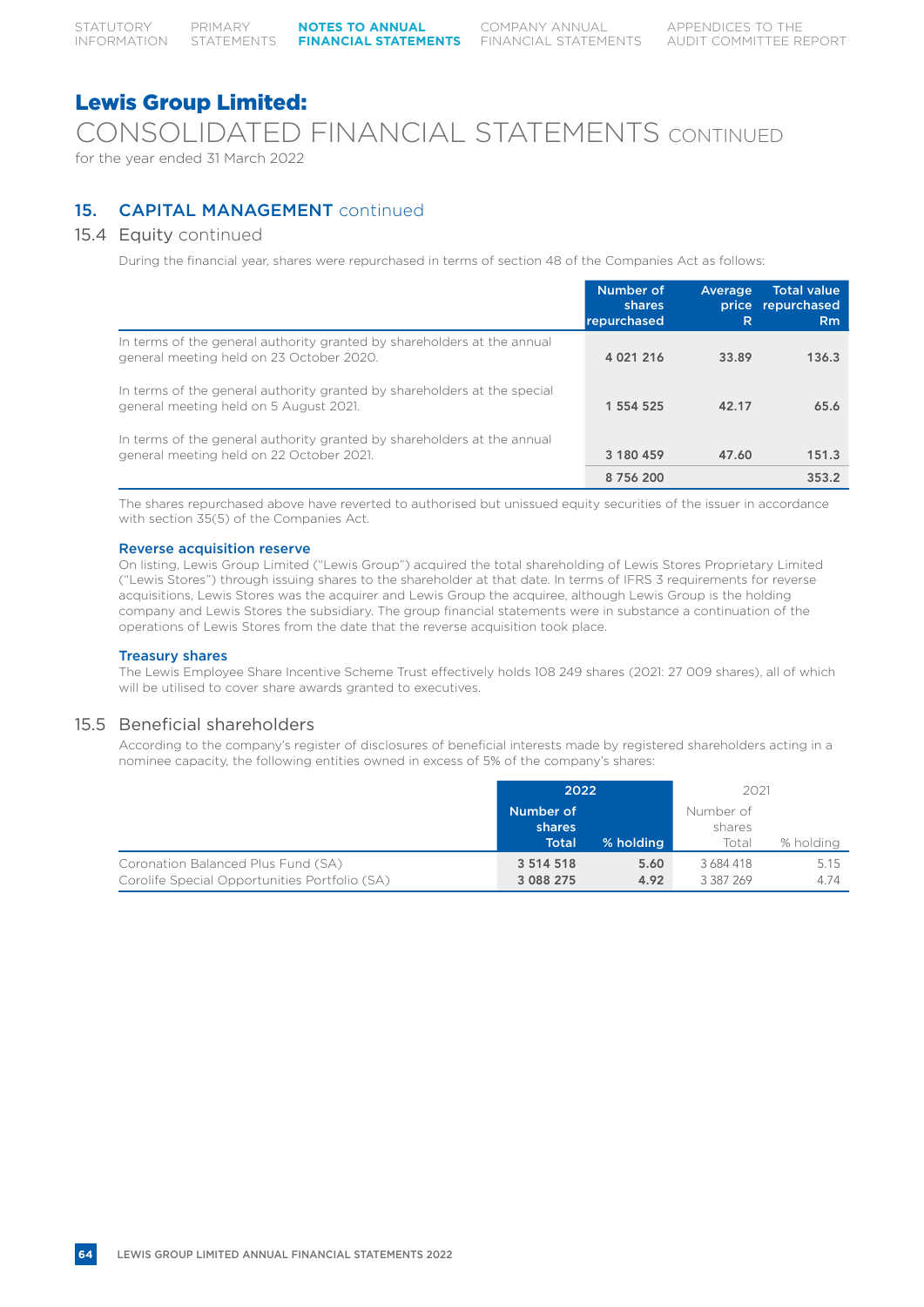CONSOLIDATED FINANCIAL STATEMENTS CONTINUED

for the year ended 31 March 2022

# 15. **CAPITAL MANAGEMENT** continued

# 15.4 Equity continued

During the financial year, shares were repurchased in terms of section 48 of the Companies Act as follows:

|                                                                                                                     | Number of<br>shares<br>repurchased | Average<br>R | <b>Total value</b><br>price repurchased<br>Rm |
|---------------------------------------------------------------------------------------------------------------------|------------------------------------|--------------|-----------------------------------------------|
| In terms of the general authority granted by shareholders at the annual<br>general meeting held on 23 October 2020. | 4 0 21 2 1 6                       | 33.89        | 136.3                                         |
| In terms of the general authority granted by shareholders at the special<br>general meeting held on 5 August 2021.  | 1 554 525                          | 42.17        | 65.6                                          |
| In terms of the general authority granted by shareholders at the annual<br>general meeting held on 22 October 2021. | 3 180 459                          | 47.60        | 151.3                                         |
|                                                                                                                     | 8756200                            |              | 353.2                                         |

The shares repurchased above have reverted to authorised but unissued equity securities of the issuer in accordance with section 35(5) of the Companies Act.

# Reverse acquisition reserve

On listing, Lewis Group Limited ("Lewis Group") acquired the total shareholding of Lewis Stores Proprietary Limited ("Lewis Stores") through issuing shares to the shareholder at that date. In terms of IFRS 3 requirements for reverse acquisitions, Lewis Stores was the acquirer and Lewis Group the acquiree, although Lewis Group is the holding company and Lewis Stores the subsidiary. The group financial statements were in substance a continuation of the operations of Lewis Stores from the date that the reverse acquisition took place.

# Treasury shares

The Lewis Employee Share Incentive Scheme Trust effectively holds 108 249 shares (2021: 27 009 shares), all of which will be utilised to cover share awards granted to executives.

# 15.5 Beneficial shareholders

According to the company's register of disclosures of beneficial interests made by registered shareholders acting in a nominee capacity, the following entities owned in excess of 5% of the company's shares:

|                                               | 2022          |           | 2021      |           |
|-----------------------------------------------|---------------|-----------|-----------|-----------|
|                                               | Number of     |           | Number of |           |
|                                               | shares        |           | shares    |           |
|                                               | <b>Total</b>  | % holding | Total     | % holding |
| Coronation Balanced Plus Fund (SA)            | 3 5 14 5 18   | 5.60      | 3684418   | 5.15      |
| Corolife Special Opportunities Portfolio (SA) | 3 0 8 2 2 7 5 | 4.92      | 3 387 269 | 4.74      |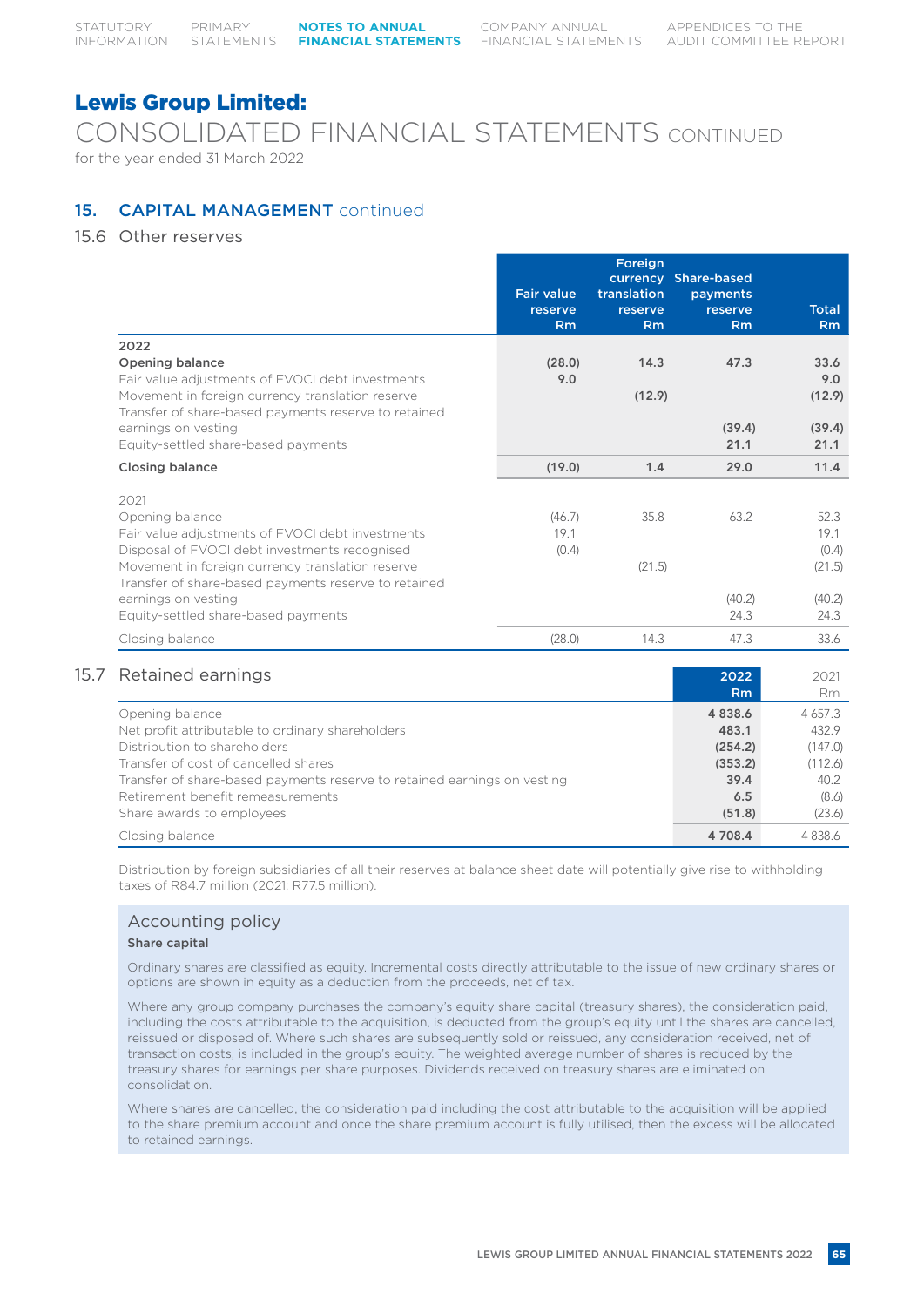CONSOLIDATED FINANCIAL STATEMENTS CONTINUED for the year ended 31 March 2022

# 15. **CAPITAL MANAGEMENT** continued

# 15.6 Other reserves

|                                                                                                                                                              | <b>Fair value</b><br>reserve<br>Rm | Foreign<br>translation<br>reserve<br>Rm | currency Share-based<br>payments<br>reserve<br>Rm | <b>Total</b><br>Rm    |
|--------------------------------------------------------------------------------------------------------------------------------------------------------------|------------------------------------|-----------------------------------------|---------------------------------------------------|-----------------------|
| 2022                                                                                                                                                         |                                    |                                         |                                                   |                       |
| <b>Opening balance</b>                                                                                                                                       | (28.0)                             | 14.3                                    | 47.3                                              | 33.6                  |
| Fair value adjustments of FVOCI debt investments<br>Movement in foreign currency translation reserve<br>Transfer of share-based payments reserve to retained | 9.0                                | (12.9)                                  |                                                   | 9.0<br>(12.9)         |
| earnings on vesting<br>Equity-settled share-based payments                                                                                                   |                                    |                                         | (39.4)<br>21.1                                    | (39.4)<br>21.1        |
| <b>Closing balance</b>                                                                                                                                       | (19.0)                             | 1.4                                     | 29.0                                              | 11.4                  |
| 2021                                                                                                                                                         |                                    |                                         |                                                   |                       |
| Opening balance<br>Fair value adjustments of FVOCI debt investments<br>Disposal of FVOCI debt investments recognised                                         | (46.7)<br>19.1<br>(0.4)            | 35.8                                    | 63.2                                              | 52.3<br>19.1<br>(0.4) |
| Movement in foreign currency translation reserve<br>Transfer of share-based payments reserve to retained                                                     |                                    | (21.5)                                  |                                                   | (21.5)                |
| earnings on vesting<br>Equity-settled share-based payments                                                                                                   |                                    |                                         | (40.2)<br>24.3                                    | (40.2)<br>24.3        |
| Closing balance                                                                                                                                              | (28.0)                             | 14.3                                    | 47.3                                              | 33.6                  |
|                                                                                                                                                              |                                    |                                         |                                                   |                       |

# **15.7 Retained earnings** 2022 2021 2022 2022 2021 2021 2022 2021 2021 2021 2022 2021 2021 2021 2021 2021 2021 2021

|                                                                          | ----        | $  -$       |
|--------------------------------------------------------------------------|-------------|-------------|
|                                                                          | Rm          | Rm          |
| Opening balance                                                          | 4 8 3 8 . 6 | 4 6 5 7 . 3 |
| Net profit attributable to ordinary shareholders                         | 483.1       | 432.9       |
| Distribution to shareholders                                             | (254.2)     | (147.0)     |
| Transfer of cost of cancelled shares                                     | (353.2)     | (112.6)     |
| Transfer of share-based payments reserve to retained earnings on vesting | 39.4        | 40.2        |
| Retirement benefit remeasurements                                        | 6.5         | (8.6)       |
| Share awards to employees                                                | (51.8)      | (23.6)      |
| Closing balance                                                          | 4 708.4     | 4838.6      |

Distribution by foreign subsidiaries of all their reserves at balance sheet date will potentially give rise to withholding taxes of R84.7 million (2021: R77.5 million).

# Accounting policy

# Share capital

Ordinary shares are classified as equity. Incremental costs directly attributable to the issue of new ordinary shares or options are shown in equity as a deduction from the proceeds, net of tax.

Where any group company purchases the company's equity share capital (treasury shares), the consideration paid, including the costs attributable to the acquisition, is deducted from the group's equity until the shares are cancelled, reissued or disposed of. Where such shares are subsequently sold or reissued, any consideration received, net of transaction costs, is included in the group's equity. The weighted average number of shares is reduced by the treasury shares for earnings per share purposes. Dividends received on treasury shares are eliminated on consolidation.

Where shares are cancelled, the consideration paid including the cost attributable to the acquisition will be applied to the share premium account and once the share premium account is fully utilised, then the excess will be allocated to retained earnings.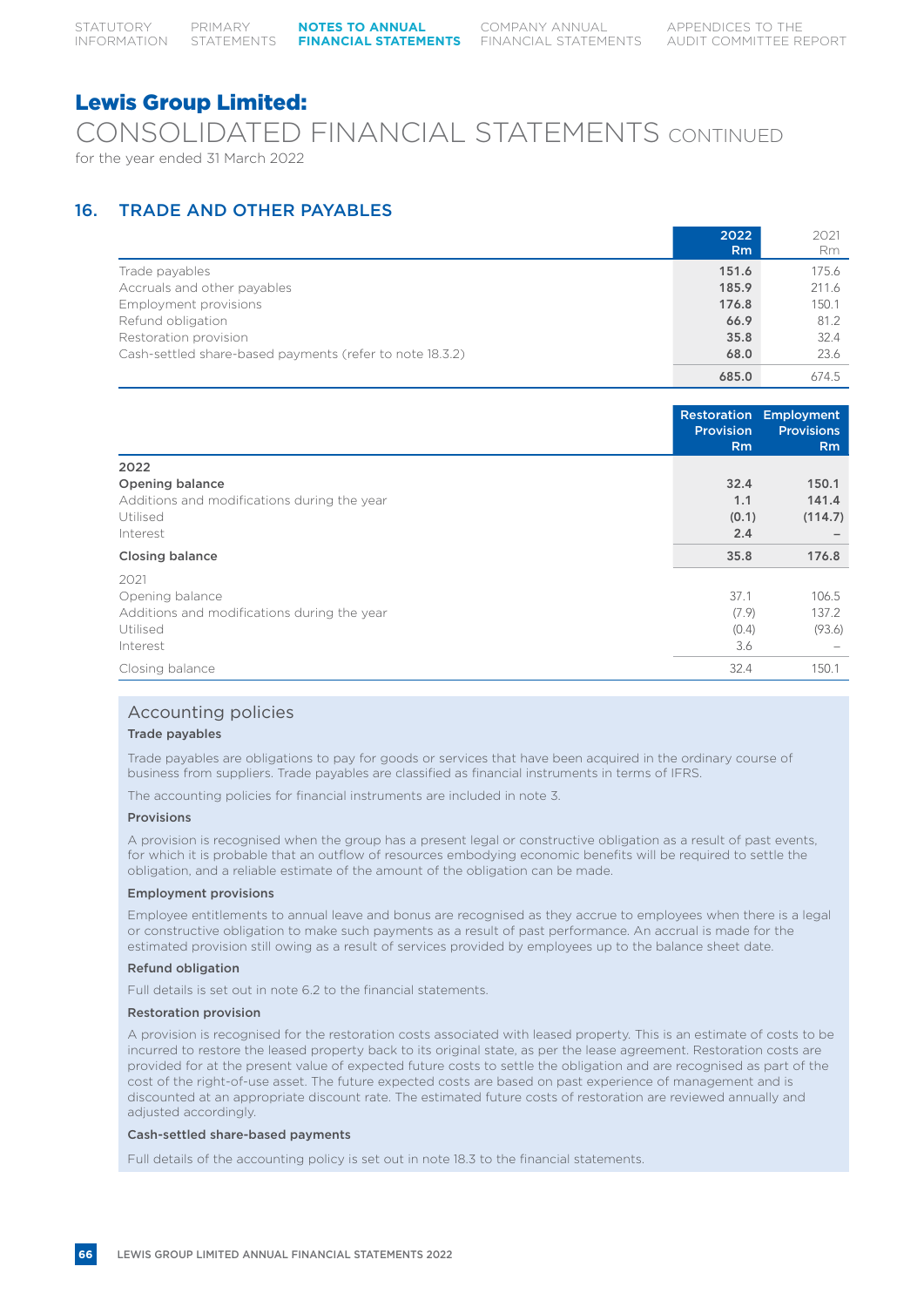# CONSOLIDATED FINANCIAL STATEMENTS CONTINUED for the year ended 31 March 2022

# 16. TRADE AND OTHER PAYABLES

|                                                          | 2022<br>R <sub>m</sub> | 2021<br>Rm |
|----------------------------------------------------------|------------------------|------------|
| Trade payables                                           | 151.6                  | 175.6      |
| Accruals and other payables                              | 185.9                  | 211.6      |
| Employment provisions                                    | 176.8                  | 150.1      |
| Refund obligation                                        | 66.9                   | 81.2       |
| Restoration provision                                    | 35.8                   | 32.4       |
| Cash-settled share-based payments (refer to note 18.3.2) | 68.0                   | 23.6       |
|                                                          | 685.0                  | 674.5      |

|                                             | Restoration<br>Provision<br><b>Rm</b> | Employment<br><b>Provisions</b><br>Rm |
|---------------------------------------------|---------------------------------------|---------------------------------------|
| 2022                                        |                                       |                                       |
| <b>Opening balance</b>                      | 32.4                                  | 150.1                                 |
| Additions and modifications during the year | 1.1                                   | 141.4                                 |
| Utilised                                    | (0.1)                                 | (114.7)                               |
| Interest                                    | 2.4                                   |                                       |
| <b>Closing balance</b>                      | 35.8                                  | 176.8                                 |
| 2021                                        |                                       |                                       |
| Opening balance                             | 37.1                                  | 106.5                                 |
| Additions and modifications during the year | (7.9)                                 | 137.2                                 |
| Utilised                                    | (0.4)                                 | (93.6)                                |
| Interest                                    | 3.6                                   |                                       |
| Closing balance                             | 32.4                                  | 150.1                                 |

# Accounting policies

# Trade payables

Trade payables are obligations to pay for goods or services that have been acquired in the ordinary course of business from suppliers. Trade payables are classified as financial instruments in terms of IFRS.

The accounting policies for financial instruments are included in note 3.

# Provisions

A provision is recognised when the group has a present legal or constructive obligation as a result of past events, for which it is probable that an outflow of resources embodying economic benefits will be required to settle the obligation, and a reliable estimate of the amount of the obligation can be made.

# Employment provisions

Employee entitlements to annual leave and bonus are recognised as they accrue to employees when there is a legal or constructive obligation to make such payments as a result of past performance. An accrual is made for the estimated provision still owing as a result of services provided by employees up to the balance sheet date.

# Refund obligation

Full details is set out in note 6.2 to the financial statements.

# Restoration provision

A provision is recognised for the restoration costs associated with leased property. This is an estimate of costs to be incurred to restore the leased property back to its original state, as per the lease agreement. Restoration costs are provided for at the present value of expected future costs to settle the obligation and are recognised as part of the cost of the right-of-use asset. The future expected costs are based on past experience of management and is discounted at an appropriate discount rate. The estimated future costs of restoration are reviewed annually and adjusted accordingly.

# Cash-settled share-based payments

Full details of the accounting policy is set out in note 18.3 to the financial statements.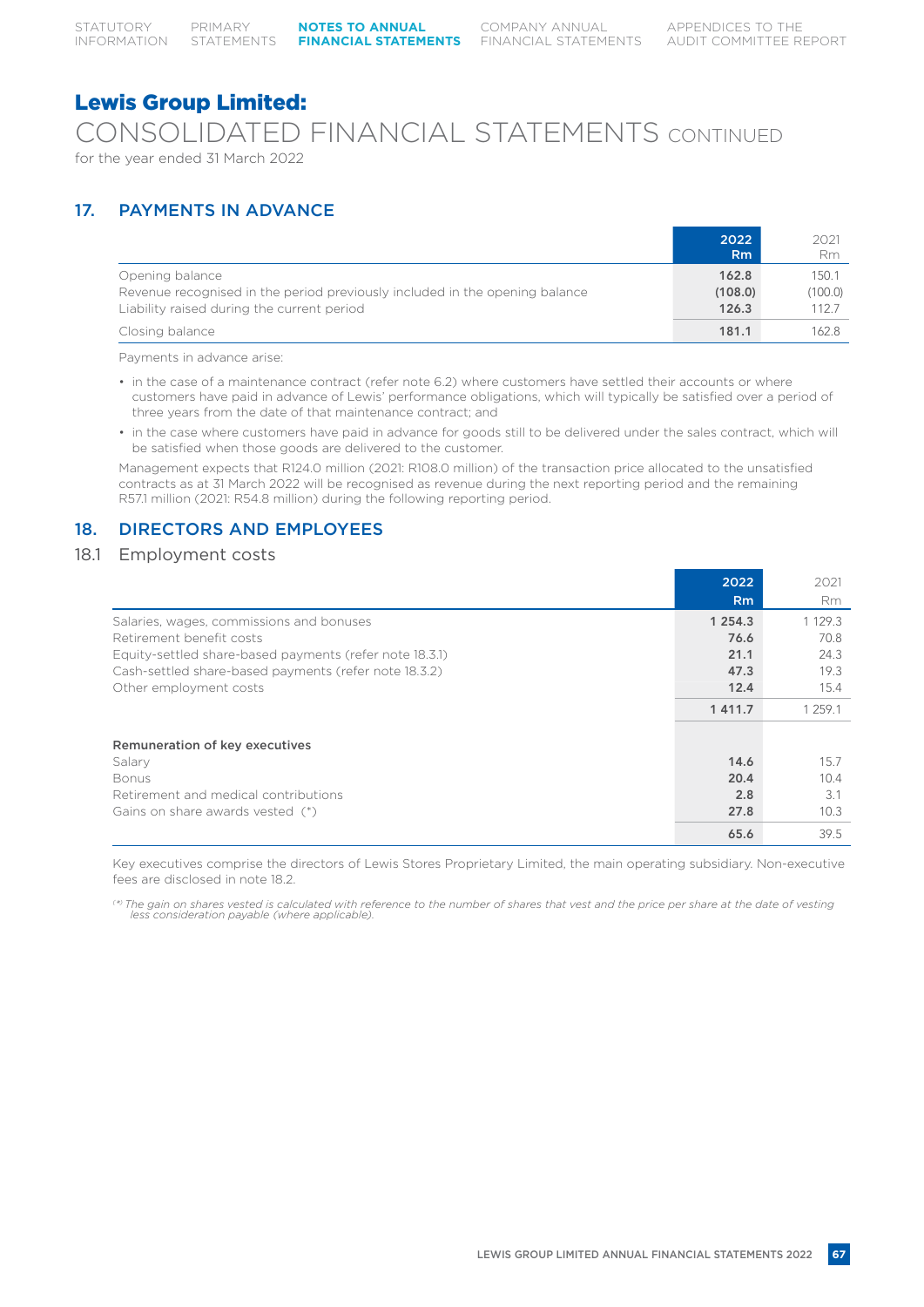CONSOLIDATED FINANCIAL STATEMENTS CONTINUED for the year ended 31 March 2022

# 17. PAYMENTS IN ADVANCE

|                                                                                                                                              | 2022<br>R <sub>m</sub>    | 2021<br>Rm                |
|----------------------------------------------------------------------------------------------------------------------------------------------|---------------------------|---------------------------|
| Opening balance<br>Revenue recognised in the period previously included in the opening balance<br>Liability raised during the current period | 162.8<br>(108.0)<br>126.3 | 150.1<br>(100.0)<br>112.7 |
| Closing balance                                                                                                                              | 181.1                     | 162.8                     |

Payments in advance arise:

- in the case of a maintenance contract (refer note 6.2) where customers have settled their accounts or where customers have paid in advance of Lewis' performance obligations, which will typically be satisfied over a period of three years from the date of that maintenance contract; and
- in the case where customers have paid in advance for goods still to be delivered under the sales contract, which will be satisfied when those goods are delivered to the customer.

Management expects that R124.0 million (2021: R108.0 million) of the transaction price allocated to the unsatisfied contracts as at 31 March 2022 will be recognised as revenue during the next reporting period and the remaining R57.1 million (2021: R54.8 million) during the following reporting period.

# 18. DIRECTORS AND EMPLOYEES

# 18.1 Employment costs

|                                                         | 2022           | 2021        |
|---------------------------------------------------------|----------------|-------------|
|                                                         | R <sub>m</sub> | <b>Rm</b>   |
| Salaries, wages, commissions and bonuses                | 1 2 5 4 . 3    | 1 1 2 9 . 3 |
| Retirement benefit costs                                | 76.6           | 70.8        |
| Equity-settled share-based payments (refer note 18.3.1) | 21.1           | 24.3        |
| Cash-settled share-based payments (refer note 18.3.2)   | 47.3           | 19.3        |
| Other employment costs                                  | 12.4           | 15.4        |
|                                                         | 1411.7         | 1 259.1     |
| Remuneration of key executives                          |                |             |
| Salary                                                  | 14.6           | 15.7        |
| <b>Bonus</b>                                            | 20.4           | 10.4        |
| Retirement and medical contributions                    | 2.8            | 3.1         |
| Gains on share awards vested (*)                        | 27.8           | 10.3        |
|                                                         | 65.6           | 39.5        |

Key executives comprise the directors of Lewis Stores Proprietary Limited, the main operating subsidiary. Non-executive fees are disclosed in note 18.2.

*( \*) The gain on shares vested is calculated with reference to the number of shares that vest and the price per share at the date of vesting less consideration payable (where applicable).*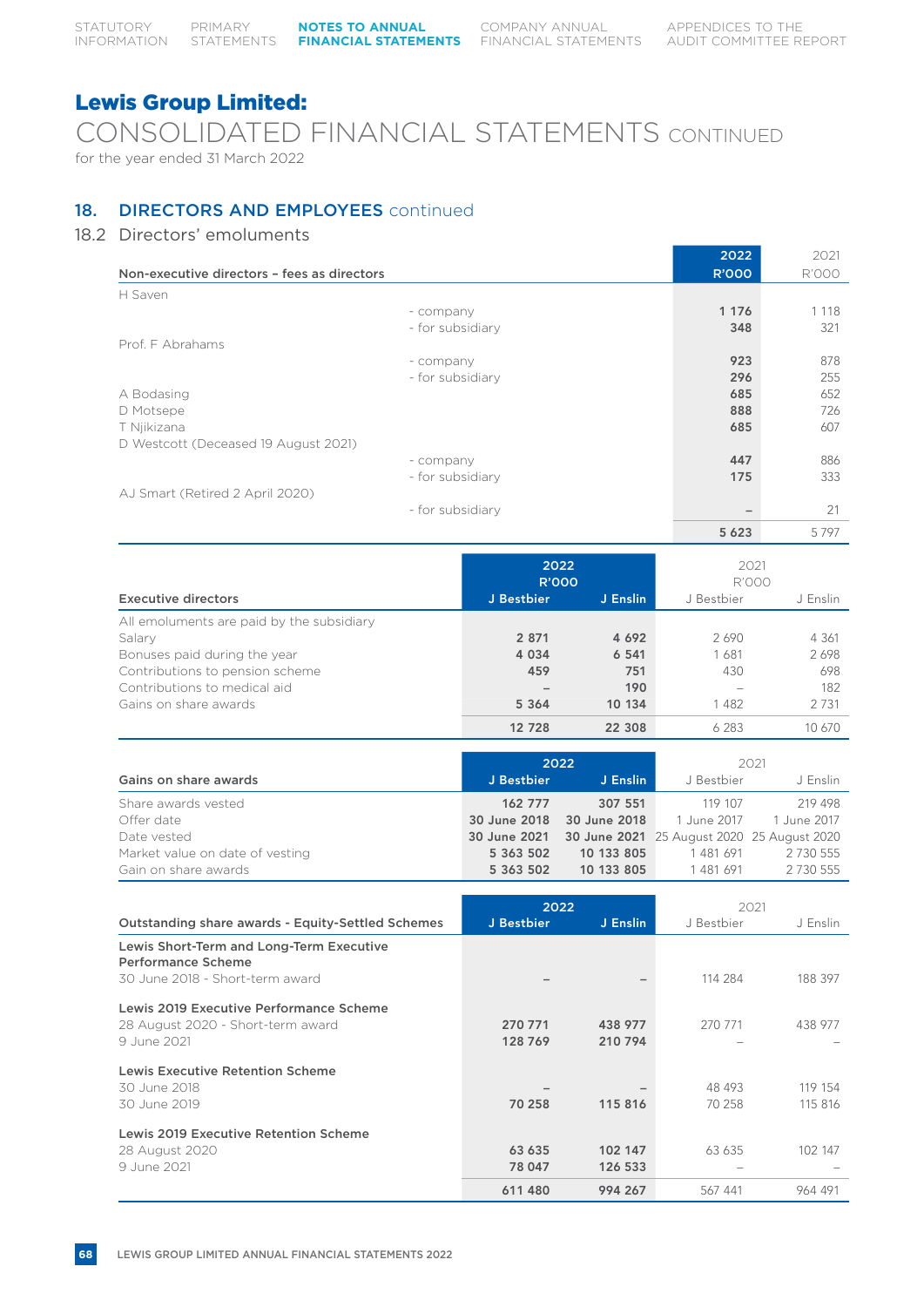CONSOLIDATED FINANCIAL STATEMENTS CONTINUED for the year ended 31 March 2022

# 18. DIRECTORS AND EMPLOYEES continued

# 18.2 Directors' emoluments

|                                             | 2022         | 2021         |
|---------------------------------------------|--------------|--------------|
| Non-executive directors - fees as directors | <b>R'000</b> | <b>R'000</b> |
| H Saven                                     |              |              |
| - company                                   | 1 1 7 6      | 1 1 1 8      |
| - for subsidiary                            | 348          | 321          |
| Prof. F Abrahams                            |              |              |
| - company                                   | 923          | 878          |
| - for subsidiary                            | 296          | 255          |
| A Bodasing                                  | 685          | 652          |
| D Motsepe                                   | 888          | 726          |
| T Njikizana                                 | 685          | 607          |
| D Westcott (Deceased 19 August 2021)        |              |              |
| - company                                   | 447          | 886          |
| - for subsidiary                            | 175          | 333          |
| AJ Smart (Retired 2 April 2020)             |              |              |
| - for subsidiary                            |              | 21           |
|                                             | 5 6 2 3      | 5797         |

|                                           |            | 2022<br><b>R'000</b> |            | 2021<br><b>R'000</b> |  |
|-------------------------------------------|------------|----------------------|------------|----------------------|--|
| <b>Executive directors</b>                | J Bestbier | J Enslin             | J Bestbier | J Enslin             |  |
| All emoluments are paid by the subsidiary |            |                      |            |                      |  |
| Salary                                    | 2 8 7 1    | 4 6 9 2              | 2690       | 4 361                |  |
| Bonuses paid during the year              | 4 0 3 4    | 6 5 4 1              | 1681       | 2698                 |  |
| Contributions to pension scheme           | 459        | 751                  | 430        | 698                  |  |
| Contributions to medical aid              |            | 190                  |            | 182                  |  |
| Gains on share awards                     | 5 3 6 4    | 10 134               | 1482       | 2 7 3 1              |  |
|                                           | 12 728     | 22 308               | 6 283      | 10 670               |  |

|                                 | 2022       |                           | 2021        |                                                         |
|---------------------------------|------------|---------------------------|-------------|---------------------------------------------------------|
| Gains on share awards           | J Bestbier | J Enslin                  | J Bestbier  | J Enslin                                                |
| Share awards vested             | 162 777    | 307 551                   | 119 107     | 219 498                                                 |
| Offer date                      |            | 30 June 2018 30 June 2018 | 1 June 2017 | 1 June 2017                                             |
| Date vested                     |            |                           |             | 30 June 2021 30 June 2021 25 August 2020 25 August 2020 |
| Market value on date of vesting | 5 363 502  | 10 133 805                | 1481691     | 2 7 3 0 5 5 5                                           |
| Gain on share awards            | 5 363 502  | 10 133 805                | 1481691     | 2 730 555                                               |

|                                                                                             | 2022               |                    | 2021       |          |
|---------------------------------------------------------------------------------------------|--------------------|--------------------|------------|----------|
| <b>Outstanding share awards - Equity-Settled Schemes</b>                                    | J Bestbier         | J Enslin           | J Bestbier | J Enslin |
| Lewis Short-Term and Long-Term Executive<br>Performance Scheme                              |                    |                    |            |          |
| 30 June 2018 - Short-term award                                                             |                    |                    | 114 284    | 188 397  |
| Lewis 2019 Executive Performance Scheme<br>28 August 2020 - Short-term award<br>9 June 2021 | 270 771<br>128 769 | 438 977<br>210 794 | 270 771    | 438 977  |
|                                                                                             |                    |                    |            |          |
| <b>Lewis Executive Retention Scheme</b>                                                     |                    |                    |            |          |
| 30 June 2018                                                                                |                    |                    | 48 493     | 119 154  |
| 30 June 2019                                                                                | 70 258             | 115816             | 70 258     | 115 816  |
| Lewis 2019 Executive Retention Scheme                                                       |                    |                    |            |          |
| 28 August 2020                                                                              | 63 635             | 102 147            | 63 635     | 102 147  |
| 9 June 2021                                                                                 | 78 047             | 126 533            |            |          |
|                                                                                             | 611 480            | 994 267            | 567 441    | 964 491  |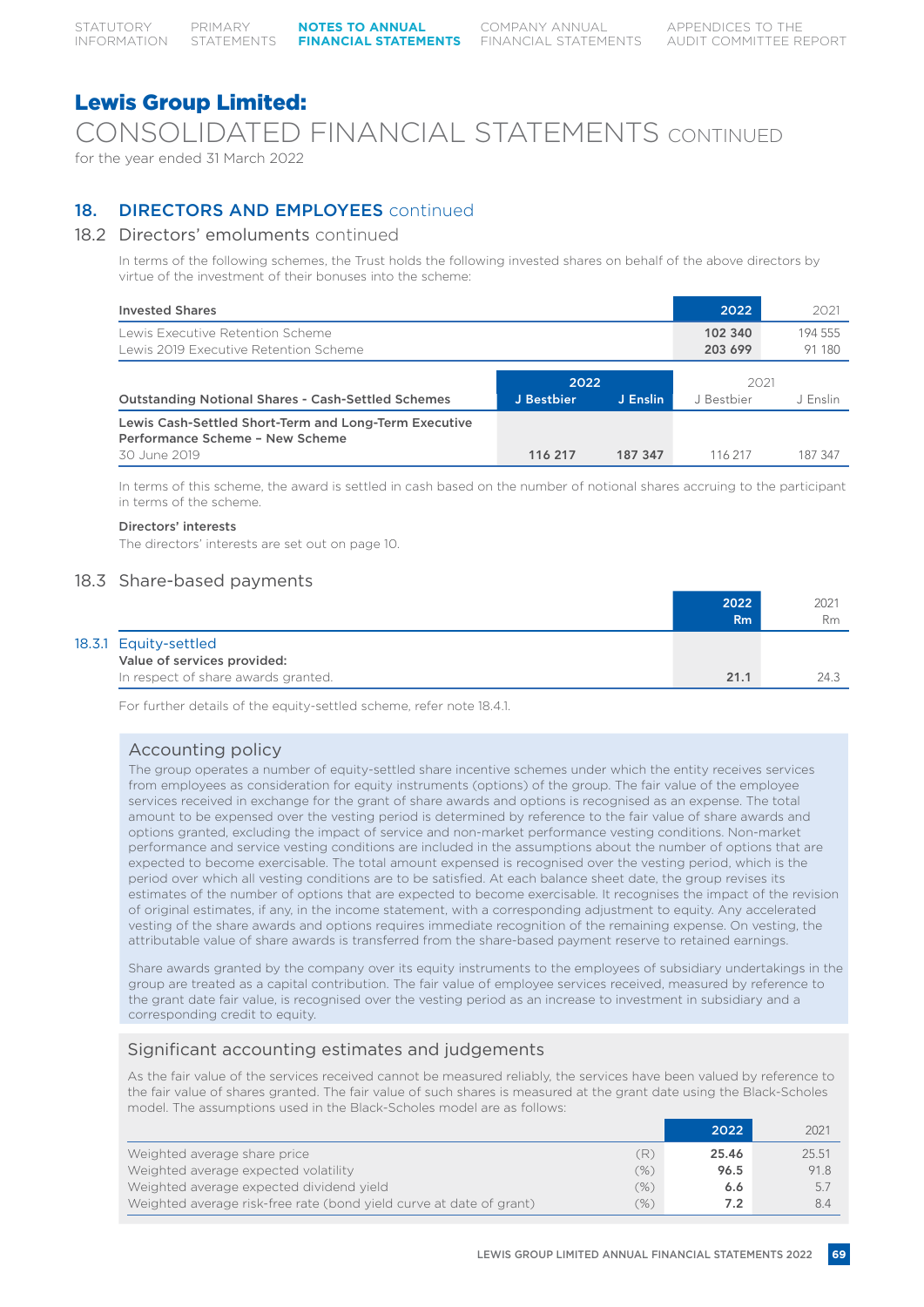# CONSOLIDATED FINANCIAL STATEMENTS CONTINUED

for the year ended 31 March 2022

# 18. **DIRECTORS AND EMPLOYEES** continued

# 18.2 Directors' emoluments continued

In terms of the following schemes, the Trust holds the following invested shares on behalf of the above directors by virtue of the investment of their bonuses into the scheme:

| <b>Invested Shares</b>                                                                   |                    |          | 2022               | 2021              |
|------------------------------------------------------------------------------------------|--------------------|----------|--------------------|-------------------|
| Lewis Executive Retention Scheme<br>Lewis 2019 Executive Retention Scheme                |                    |          | 102 340<br>203 699 | 194 555<br>91 180 |
| <b>Outstanding Notional Shares - Cash-Settled Schemes</b>                                | 2022<br>J Bestbier | J Enslin | 2021<br>J Bestbier | J Enslin          |
| Lewis Cash-Settled Short-Term and Long-Term Executive<br>Performance Scheme - New Scheme |                    |          |                    |                   |
| 30 June 2019                                                                             | 116 217            | 187 347  | 116 217            | 187 347           |

In terms of this scheme, the award is settled in cash based on the number of notional shares accruing to the participant in terms of the scheme.

# Directors' interests

The directors' interests are set out on page 10.

# 18.3 Share-based payments

|                                     | 2022<br>Rm | 2021<br>Rm |
|-------------------------------------|------------|------------|
| 18.3.1 Equity-settled               |            |            |
| Value of services provided:         |            |            |
| In respect of share awards granted. | 21.1       | 24.3       |

For further details of the equity-settled scheme, refer note 18.4.1.

# Accounting policy

The group operates a number of equity-settled share incentive schemes under which the entity receives services from employees as consideration for equity instruments (options) of the group. The fair value of the employee services received in exchange for the grant of share awards and options is recognised as an expense. The total amount to be expensed over the vesting period is determined by reference to the fair value of share awards and options granted, excluding the impact of service and non-market performance vesting conditions. Non-market performance and service vesting conditions are included in the assumptions about the number of options that are expected to become exercisable. The total amount expensed is recognised over the vesting period, which is the period over which all vesting conditions are to be satisfied. At each balance sheet date, the group revises its estimates of the number of options that are expected to become exercisable. It recognises the impact of the revision of original estimates, if any, in the income statement, with a corresponding adjustment to equity. Any accelerated vesting of the share awards and options requires immediate recognition of the remaining expense. On vesting, the attributable value of share awards is transferred from the share-based payment reserve to retained earnings.

Share awards granted by the company over its equity instruments to the employees of subsidiary undertakings in the group are treated as a capital contribution. The fair value of employee services received, measured by reference to the grant date fair value, is recognised over the vesting period as an increase to investment in subsidiary and a corresponding credit to equity.

# Significant accounting estimates and judgements

As the fair value of the services received cannot be measured reliably, the services have been valued by reference to the fair value of shares granted. The fair value of such shares is measured at the grant date using the Black-Scholes model. The assumptions used in the Black-Scholes model are as follows:

|                                                                     |      | 2022  | 2021  |
|---------------------------------------------------------------------|------|-------|-------|
| Weighted average share price                                        | R)   | 25.46 | 25.51 |
| Weighted average expected volatility                                | (%)  | 96.5  | 91.8  |
| Weighted average expected dividend vield                            | (%)  | 6.6   | 5.7   |
| Weighted average risk-free rate (bond yield curve at date of grant) | (96) | 7.2   | 8.4   |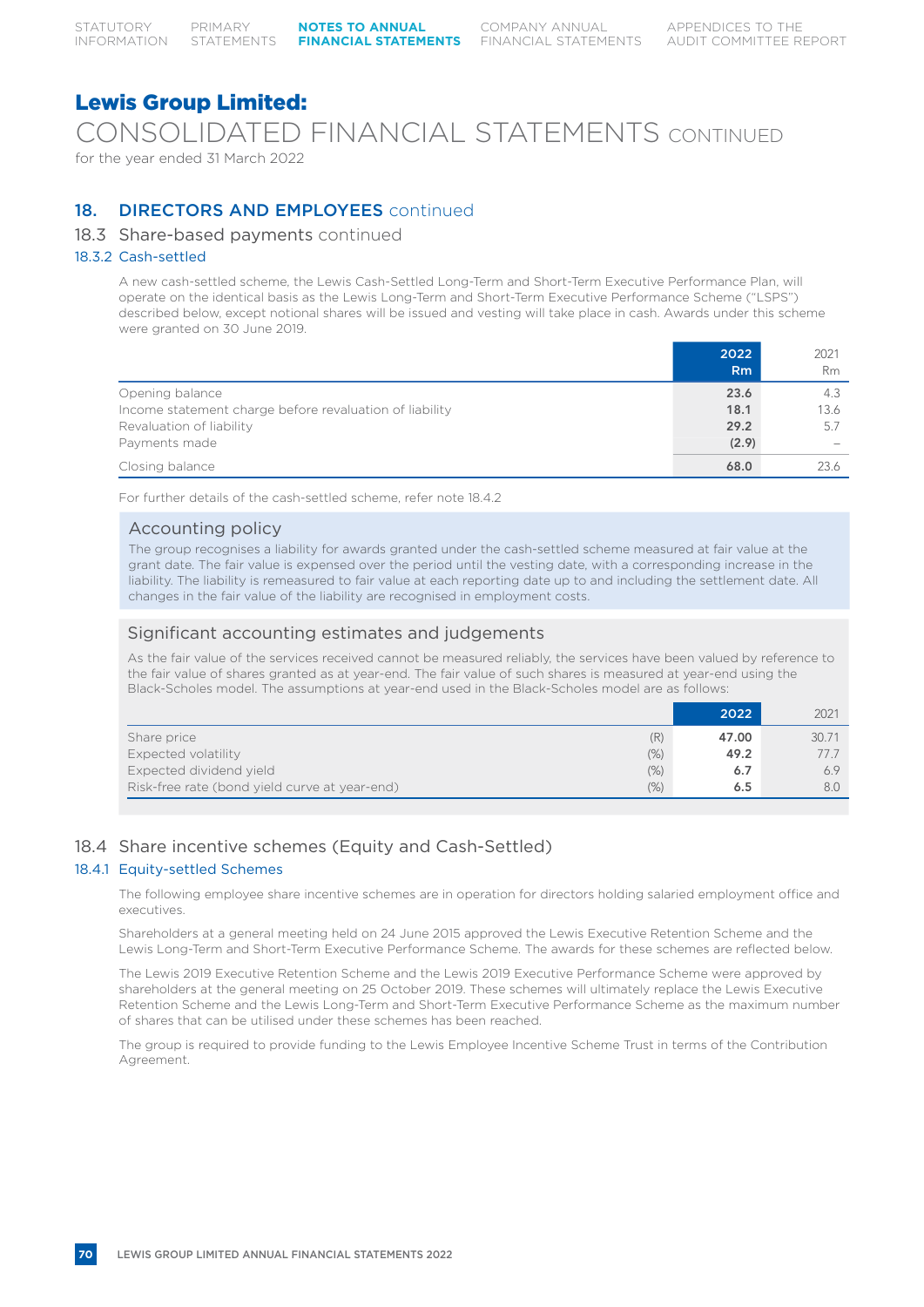CONSOLIDATED FINANCIAL STATEMENTS CONTINUED

for the year ended 31 March 2022

# 18. **DIRECTORS AND EMPLOYEES** continued

# 18.3 Share-based payments continued

# 18.3.2 Cash-settled

A new cash-settled scheme, the Lewis Cash-Settled Long-Term and Short-Term Executive Performance Plan, will operate on the identical basis as the Lewis Long-Term and Short-Term Executive Performance Scheme ("LSPS") described below, except notional shares will be issued and vesting will take place in cash. Awards under this scheme were granted on 30 June 2019.

|                                                         | 2022<br>Rm | 2021<br><b>Rm</b>        |
|---------------------------------------------------------|------------|--------------------------|
| Opening balance                                         | 23.6       | 4.3                      |
| Income statement charge before revaluation of liability | 18.1       | 13.6                     |
| Revaluation of liability                                | 29.2       | 5.7                      |
| Payments made                                           | (2.9)      | $\overline{\phantom{a}}$ |
| Closing balance                                         | 68.0       | 23.6                     |

For further details of the cash-settled scheme, refer note 18.4.2

# Accounting policy

The group recognises a liability for awards granted under the cash-settled scheme measured at fair value at the grant date. The fair value is expensed over the period until the vesting date, with a corresponding increase in the liability. The liability is remeasured to fair value at each reporting date up to and including the settlement date. All changes in the fair value of the liability are recognised in employment costs.

# Significant accounting estimates and judgements

As the fair value of the services received cannot be measured reliably, the services have been valued by reference to the fair value of shares granted as at year-end. The fair value of such shares is measured at year-end using the Black-Scholes model. The assumptions at year-end used in the Black-Scholes model are as follows:

|                                                       | 2022  | 2021  |
|-------------------------------------------------------|-------|-------|
| (R)<br>Share price                                    | 47.00 | 30.71 |
| Expected volatility<br>(% )                           | 49.2  | 777   |
| Expected dividend yield<br>(% )                       | 6.7   |       |
| Risk-free rate (bond yield curve at year-end)<br>(% ) | 6.5   | 8.0   |

# 18.4 Share incentive schemes (Equity and Cash-Settled)

# 18.4.1 Equity-settled Schemes

The following employee share incentive schemes are in operation for directors holding salaried employment office and executives.

Shareholders at a general meeting held on 24 June 2015 approved the Lewis Executive Retention Scheme and the Lewis Long-Term and Short-Term Executive Performance Scheme. The awards for these schemes are reflected below.

The Lewis 2019 Executive Retention Scheme and the Lewis 2019 Executive Performance Scheme were approved by shareholders at the general meeting on 25 October 2019. These schemes will ultimately replace the Lewis Executive Retention Scheme and the Lewis Long-Term and Short-Term Executive Performance Scheme as the maximum number of shares that can be utilised under these schemes has been reached.

The group is required to provide funding to the Lewis Employee Incentive Scheme Trust in terms of the Contribution Agreement.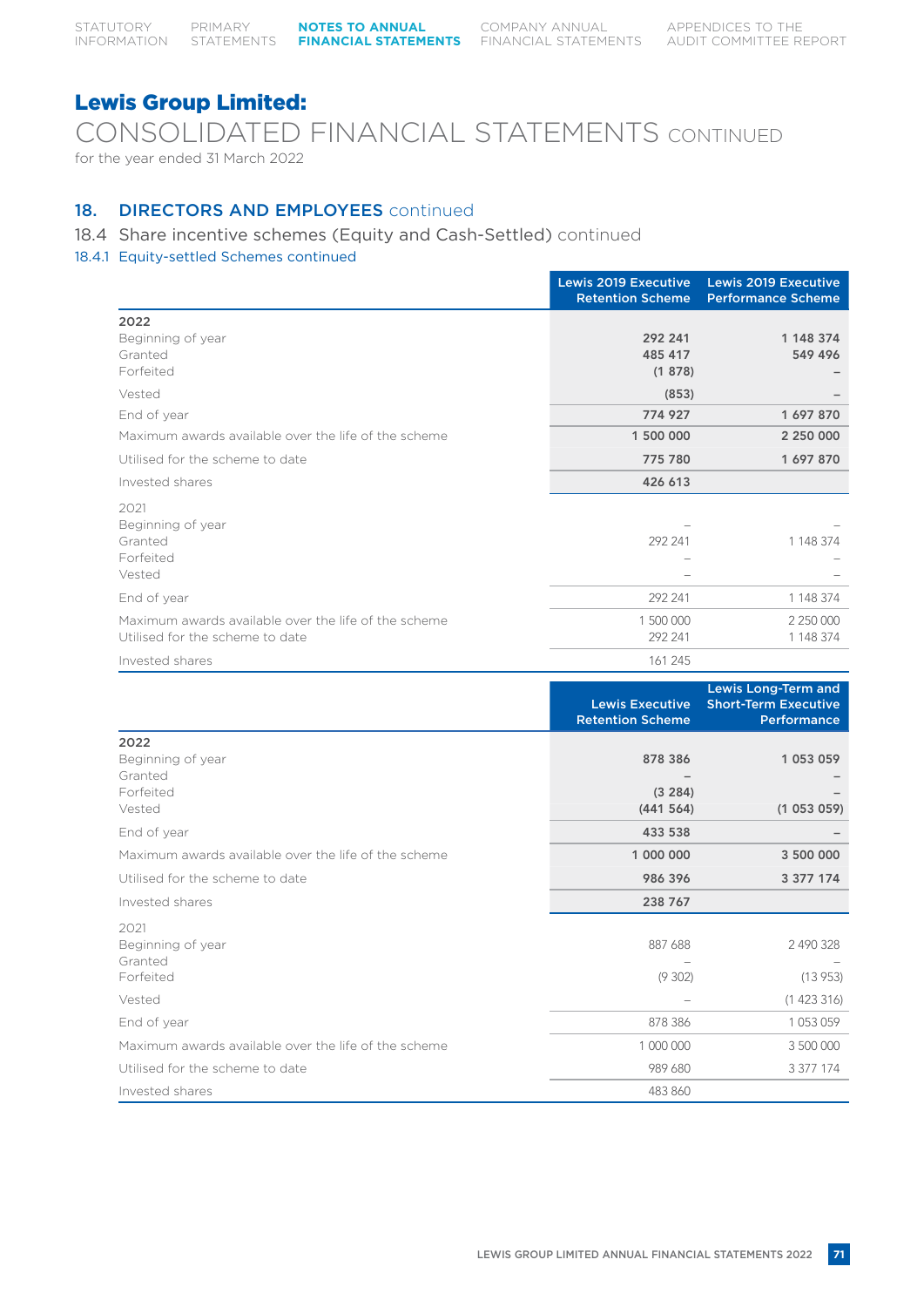CONSOLIDATED FINANCIAL STATEMENTS CONTINUED for the year ended 31 March 2022

### 18. DIRECTORS AND EMPLOYEES continued

### 18.4 Share incentive schemes (Equity and Cash-Settled) continued

### 18.4.1 Equity-settled Schemes continued

|                                                                                         | <b>Lewis 2019 Executive</b><br><b>Retention Scheme</b> | <b>Lewis 2019 Executive</b><br><b>Performance Scheme</b> |
|-----------------------------------------------------------------------------------------|--------------------------------------------------------|----------------------------------------------------------|
| 2022<br>Beginning of year<br>Granted<br>Forfeited                                       | 292 241<br>485 417<br>(1878)                           | 1 148 374<br>549 496                                     |
| Vested                                                                                  | (853)                                                  |                                                          |
| End of year                                                                             | 774927                                                 | 1697870                                                  |
| Maximum awards available over the life of the scheme                                    | 1 500 000                                              | 2 250 000                                                |
| Utilised for the scheme to date                                                         | 775 780                                                | 1697870                                                  |
| Invested shares                                                                         | 426 613                                                |                                                          |
| 2021<br>Beginning of year<br>Granted<br>Forfeited<br>Vested                             | 292 241                                                | 1 148 374                                                |
| End of year                                                                             | 292 241                                                | 1 148 374                                                |
| Maximum awards available over the life of the scheme<br>Utilised for the scheme to date | 1 500 000<br>292 241                                   | 2 250 000<br>1 148 374                                   |
| Invested shares                                                                         | 161 245                                                |                                                          |

|                                                             | <b>Lewis Executive</b><br><b>Retention Scheme</b> | Lewis Long-Term and<br><b>Short-Term Executive</b><br>Performance |
|-------------------------------------------------------------|---------------------------------------------------|-------------------------------------------------------------------|
| 2022<br>Beginning of year<br>Granted<br>Forfeited<br>Vested | 878 386<br>(3 284)<br>(441564)                    | 1 053 059<br>(1053059)                                            |
| End of year                                                 | 433 538                                           |                                                                   |
| Maximum awards available over the life of the scheme        | 1 000 000                                         | 3 500 000                                                         |
| Utilised for the scheme to date                             | 986 396                                           | 3 377 174                                                         |
| Invested shares                                             | 238 767                                           |                                                                   |
| 2021<br>Beginning of year<br>Granted<br>Forfeited           | 887 688<br>(9302)                                 | 2 490 328<br>(13953)                                              |
| Vested                                                      |                                                   | (1423316)                                                         |
| End of year                                                 | 878 386                                           | 1053059                                                           |
| Maximum awards available over the life of the scheme        | 1 000 000                                         | 3 500 000                                                         |
| Utilised for the scheme to date                             | 989 680                                           | 3 377 174                                                         |
| Invested shares                                             | 483 860                                           |                                                                   |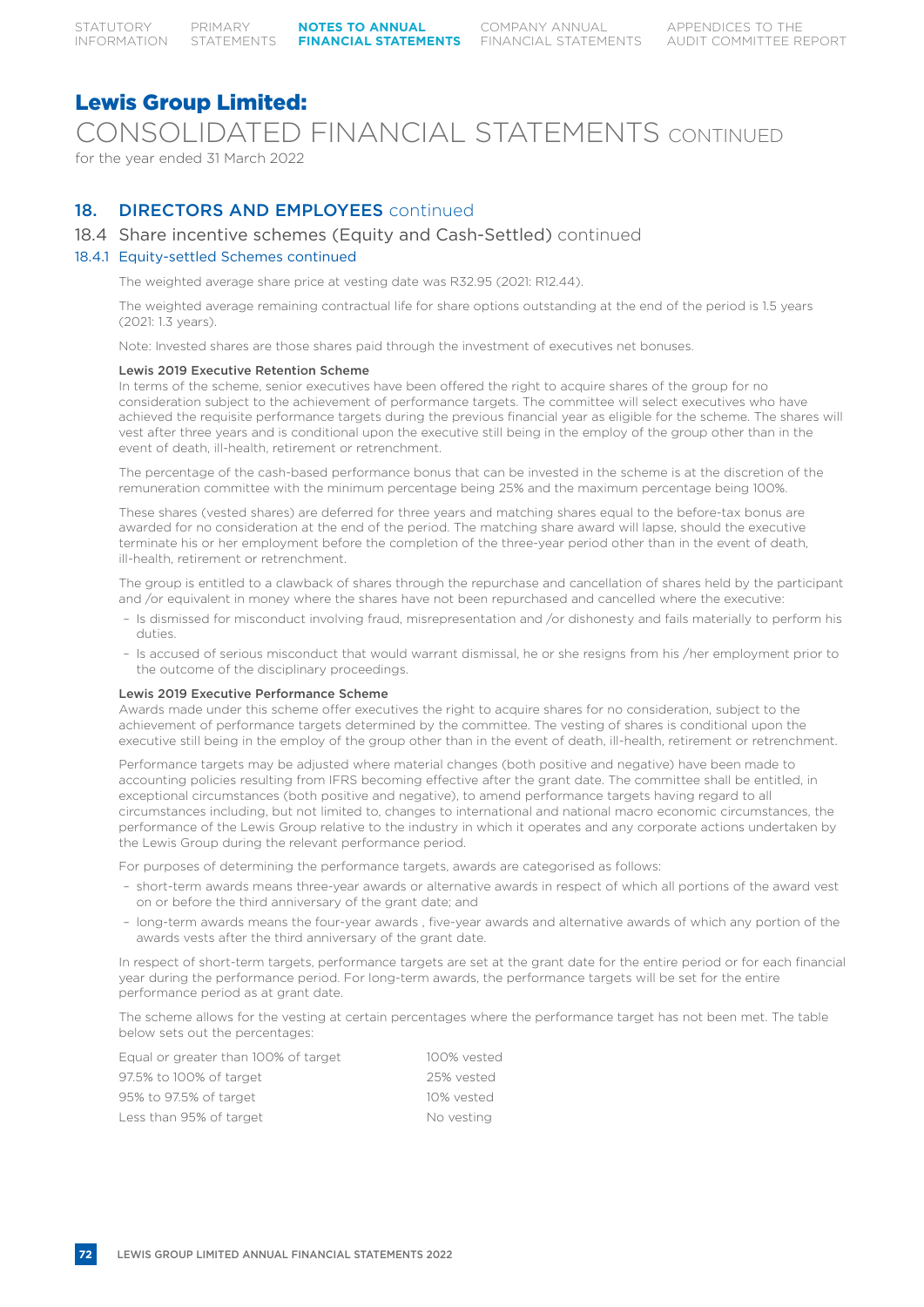CONSOLIDATED FINANCIAL STATEMENTS CONTINUED

for the year ended 31 March 2022

## 18. **DIRECTORS AND EMPLOYEES** continued

### 18.4 Share incentive schemes (Equity and Cash-Settled) continued

#### 18.4.1 Equity-settled Schemes continued

The weighted average share price at vesting date was R32.95 (2021: R12.44).

The weighted average remaining contractual life for share options outstanding at the end of the period is 1.5 years (2021: 1.3 years).

Note: Invested shares are those shares paid through the investment of executives net bonuses.

#### Lewis 2019 Executive Retention Scheme

In terms of the scheme, senior executives have been offered the right to acquire shares of the group for no consideration subject to the achievement of performance targets. The committee will select executives who have achieved the requisite performance targets during the previous financial year as eligible for the scheme. The shares will vest after three years and is conditional upon the executive still being in the employ of the group other than in the event of death, ill-health, retirement or retrenchment.

The percentage of the cash-based performance bonus that can be invested in the scheme is at the discretion of the remuneration committee with the minimum percentage being 25% and the maximum percentage being 100%.

These shares (vested shares) are deferred for three years and matching shares equal to the before-tax bonus are awarded for no consideration at the end of the period. The matching share award will lapse, should the executive terminate his or her employment before the completion of the three-year period other than in the event of death, ill-health, retirement or retrenchment.

The group is entitled to a clawback of shares through the repurchase and cancellation of shares held by the participant and /or equivalent in money where the shares have not been repurchased and cancelled where the executive:

- Is dismissed for misconduct involving fraud, misrepresentation and /or dishonesty and fails materially to perform his duties.
- Is accused of serious misconduct that would warrant dismissal, he or she resigns from his /her employment prior to the outcome of the disciplinary proceedings.

#### Lewis 2019 Executive Performance Scheme

Awards made under this scheme offer executives the right to acquire shares for no consideration, subject to the achievement of performance targets determined by the committee. The vesting of shares is conditional upon the executive still being in the employ of the group other than in the event of death, ill-health, retirement or retrenchment.

Performance targets may be adjusted where material changes (both positive and negative) have been made to accounting policies resulting from IFRS becoming effective after the grant date. The committee shall be entitled, in exceptional circumstances (both positive and negative), to amend performance targets having regard to all circumstances including, but not limited to, changes to international and national macro economic circumstances, the performance of the Lewis Group relative to the industry in which it operates and any corporate actions undertaken by the Lewis Group during the relevant performance period.

For purposes of determining the performance targets, awards are categorised as follows:

- short-term awards means three-year awards or alternative awards in respect of which all portions of the award vest on or before the third anniversary of the grant date; and
- long-term awards means the four-year awards , five-year awards and alternative awards of which any portion of the awards vests after the third anniversary of the grant date.

In respect of short-term targets, performance targets are set at the grant date for the entire period or for each financial year during the performance period. For long-term awards, the performance targets will be set for the entire performance period as at grant date.

The scheme allows for the vesting at certain percentages where the performance target has not been met. The table below sets out the percentages:

| Equal or greater than 100% of target | 100% vested |
|--------------------------------------|-------------|
| 97.5% to 100% of target              | 25% vested  |
| 95% to 97.5% of target               | 10% vested  |
| Less than 95% of target              | No vesting  |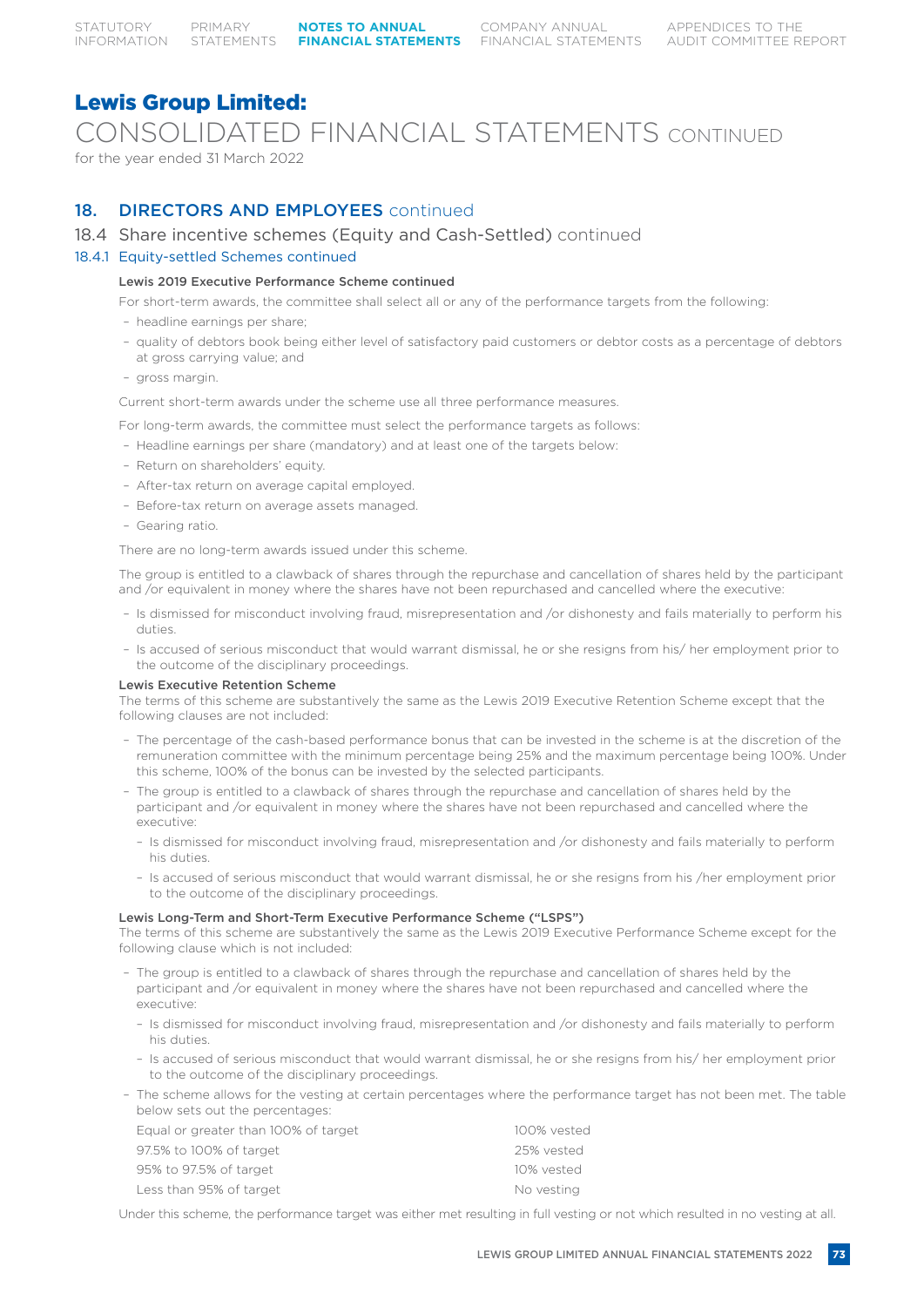CONSOLIDATED FINANCIAL STATEMENTS CONTINUED

for the year ended 31 March 2022

## 18. **DIRECTORS AND EMPLOYEES** continued

18.4 Share incentive schemes (Equity and Cash-Settled) continued

### 18.4.1 Equity-settled Schemes continued

#### Lewis 2019 Executive Performance Scheme continued

For short-term awards, the committee shall select all or any of the performance targets from the following:

- headline earnings per share;
- quality of debtors book being either level of satisfactory paid customers or debtor costs as a percentage of debtors at gross carrying value; and
- gross margin.

Current short-term awards under the scheme use all three performance measures.

For long-term awards, the committee must select the performance targets as follows:

- Headline earnings per share (mandatory) and at least one of the targets below:
- Return on shareholders' equity.
- After-tax return on average capital employed.
- Before-tax return on average assets managed.
- Gearing ratio.

There are no long-term awards issued under this scheme.

The group is entitled to a clawback of shares through the repurchase and cancellation of shares held by the participant and /or equivalent in money where the shares have not been repurchased and cancelled where the executive:

- Is dismissed for misconduct involving fraud, misrepresentation and /or dishonesty and fails materially to perform his duties.
- Is accused of serious misconduct that would warrant dismissal, he or she resigns from his/ her employment prior to the outcome of the disciplinary proceedings.

#### Lewis Executive Retention Scheme

The terms of this scheme are substantively the same as the Lewis 2019 Executive Retention Scheme except that the following clauses are not included:

- The percentage of the cash-based performance bonus that can be invested in the scheme is at the discretion of the remuneration committee with the minimum percentage being 25% and the maximum percentage being 100%. Under this scheme, 100% of the bonus can be invested by the selected participants.
- The group is entitled to a clawback of shares through the repurchase and cancellation of shares held by the participant and /or equivalent in money where the shares have not been repurchased and cancelled where the executive:
	- Is dismissed for misconduct involving fraud, misrepresentation and /or dishonesty and fails materially to perform his duties.
	- Is accused of serious misconduct that would warrant dismissal, he or she resigns from his /her employment prior to the outcome of the disciplinary proceedings.

#### Lewis Long-Term and Short-Term Executive Performance Scheme ("LSPS")

The terms of this scheme are substantively the same as the Lewis 2019 Executive Performance Scheme except for the following clause which is not included:

- The group is entitled to a clawback of shares through the repurchase and cancellation of shares held by the participant and /or equivalent in money where the shares have not been repurchased and cancelled where the executive:
	- Is dismissed for misconduct involving fraud, misrepresentation and /or dishonesty and fails materially to perform his duties.
	- Is accused of serious misconduct that would warrant dismissal, he or she resigns from his/ her employment prior to the outcome of the disciplinary proceedings.
- The scheme allows for the vesting at certain percentages where the performance target has not been met. The table below sets out the percentages:

| Equal or greater than 100% of target | 100% vested |
|--------------------------------------|-------------|
| 97.5% to 100% of target              | 25% vested  |
| 95% to 97.5% of target               | 10% vested  |
| Less than 95% of target              | No vesting  |
|                                      |             |

Under this scheme, the performance target was either met resulting in full vesting or not which resulted in no vesting at all.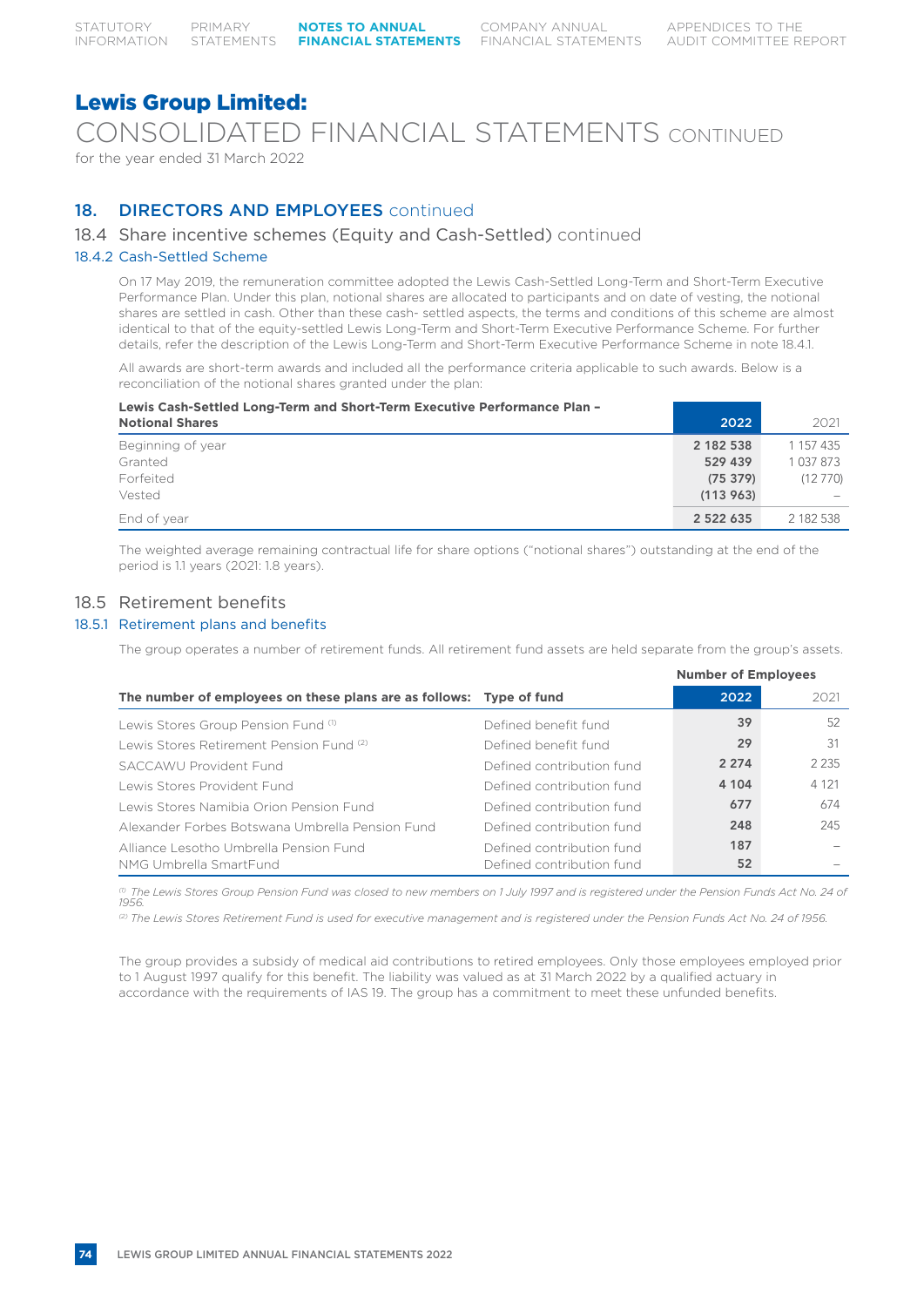CONSOLIDATED FINANCIAL STATEMENTS CONTINUED

for the year ended 31 March 2022

## 18. **DIRECTORS AND EMPLOYEES** continued

### 18.4 Share incentive schemes (Equity and Cash-Settled) continued

#### 18.4.2 Cash-Settled Scheme

On 17 May 2019, the remuneration committee adopted the Lewis Cash-Settled Long-Term and Short-Term Executive Performance Plan. Under this plan, notional shares are allocated to participants and on date of vesting, the notional shares are settled in cash. Other than these cash- settled aspects, the terms and conditions of this scheme are almost identical to that of the equity-settled Lewis Long-Term and Short-Term Executive Performance Scheme. For further details, refer the description of the Lewis Long-Term and Short-Term Executive Performance Scheme in note 18.4.1.

All awards are short-term awards and included all the performance criteria applicable to such awards. Below is a reconciliation of the notional shares granted under the plan:

| Lewis Cash-Settled Long-Term and Short-Term Executive Performance Plan -<br><b>Notional Shares</b> | 2022          | 2021          |
|----------------------------------------------------------------------------------------------------|---------------|---------------|
| Beginning of year                                                                                  | 2 182 538     | 1 157 435     |
| Granted                                                                                            | 529 439       | 1 0 3 7 8 7 3 |
| Forfeited                                                                                          | (75379)       | (12770)       |
| Vested                                                                                             | (113963)      |               |
| End of year                                                                                        | 2 5 2 2 6 3 5 | 2 182 538     |

The weighted average remaining contractual life for share options ("notional shares") outstanding at the end of the period is 1.1 years (2021: 1.8 years).

### 18.5 Retirement benefits

### 18.5.1 Retirement plans and benefits

The group operates a number of retirement funds. All retirement fund assets are held separate from the group's assets.

|                                                                     |                           | <b>Number of Employees</b> |         |
|---------------------------------------------------------------------|---------------------------|----------------------------|---------|
| The number of employees on these plans are as follows: Type of fund |                           | 2022                       | 2021    |
| Lewis Stores Group Pension Fund (1)                                 | Defined benefit fund      | 39                         | 52      |
| Lewis Stores Retirement Pension Fund (2)                            | Defined benefit fund      | 29                         | 31      |
| SACCAWU Provident Fund                                              | Defined contribution fund | 2 2 7 4                    | 2 2 3 5 |
| Lewis Stores Provident Fund                                         | Defined contribution fund | 4 104                      | 4 1 2 1 |
| Lewis Stores Namibia Orion Pension Fund                             | Defined contribution fund | 677                        | 674     |
| Alexander Forbes Botswana Umbrella Pension Fund                     | Defined contribution fund | 248                        | 245     |
| Alliance Lesotho Umbrella Pension Fund                              | Defined contribution fund | 187                        |         |
| NMG Umbrella SmartFund                                              | Defined contribution fund | 52                         |         |

*(1) The Lewis Stores Group Pension Fund was closed to new members on 1 July 1997 and is registered under the Pension Funds Act No. 24 of 1956.*

*(2) The Lewis Stores Retirement Fund is used for executive management and is registered under the Pension Funds Act No. 24 of 1956.*

The group provides a subsidy of medical aid contributions to retired employees. Only those employees employed prior to 1 August 1997 qualify for this benefit. The liability was valued as at 31 March 2022 by a qualified actuary in accordance with the requirements of IAS 19. The group has a commitment to meet these unfunded benefits.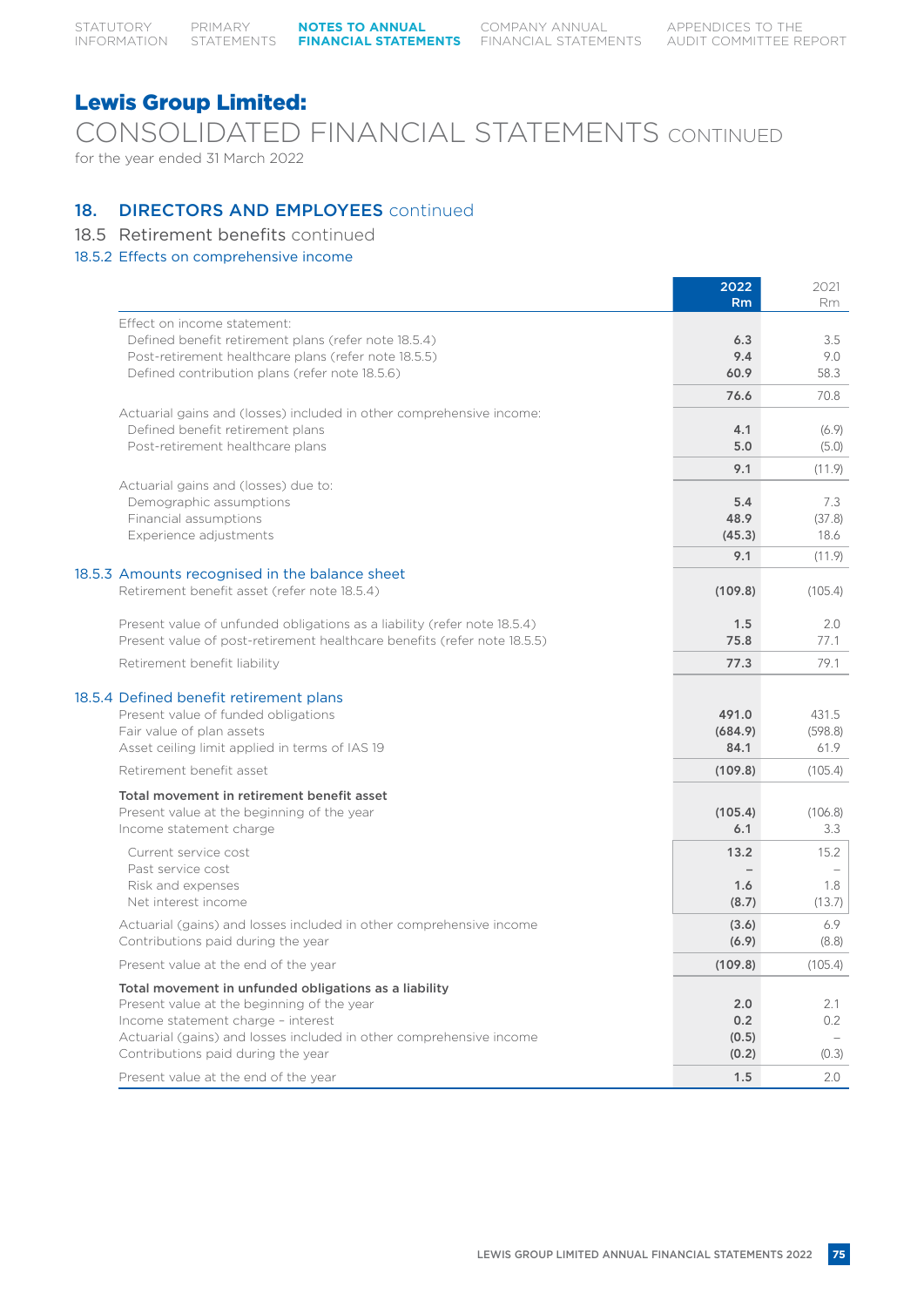COMPANY ANNUAL FINANCIAL STATEMENTS

## Lewis Group Limited:

CONSOLIDATED FINANCIAL STATEMENTS CONTINUED

for the year ended 31 March 2022

### 18. DIRECTORS AND EMPLOYEES continued

- 18.5 Retirement benefits continued
- 18.5.2 Effects on comprehensive income

|                                                                                     | 2022      | 2021    |
|-------------------------------------------------------------------------------------|-----------|---------|
|                                                                                     | <b>Rm</b> | Rm.     |
| Effect on income statement:<br>Defined benefit retirement plans (refer note 18.5.4) | 6.3       | 3.5     |
| Post-retirement healthcare plans (refer note 18.5.5)                                | 9.4       | 9.0     |
| Defined contribution plans (refer note 18.5.6)                                      | 60.9      | 58.3    |
|                                                                                     | 76.6      | 70.8    |
| Actuarial gains and (losses) included in other comprehensive income:                |           |         |
| Defined benefit retirement plans                                                    | 4.1       | (6.9)   |
| Post-retirement healthcare plans                                                    | 5.0       | (5.0)   |
|                                                                                     | 9.1       | (11.9)  |
| Actuarial gains and (losses) due to:                                                |           |         |
| Demographic assumptions                                                             | 5.4       | 7.3     |
| Financial assumptions                                                               | 48.9      | (37.8)  |
| Experience adjustments                                                              | (45.3)    | 18.6    |
| 18.5.3 Amounts recognised in the balance sheet                                      | 9.1       | (11.9)  |
| Retirement benefit asset (refer note 18.5.4)                                        | (109.8)   | (105.4) |
|                                                                                     |           |         |
| Present value of unfunded obligations as a liability (refer note 18.5.4)            | 1.5       | 2.0     |
| Present value of post-retirement healthcare benefits (refer note 18.5.5)            | 75.8      | 77.1    |
| Retirement benefit liability                                                        | 77.3      | 79.1    |
| 18.5.4 Defined benefit retirement plans                                             |           |         |
| Present value of funded obligations                                                 | 491.0     | 431.5   |
| Fair value of plan assets                                                           | (684.9)   | (598.8) |
| Asset ceiling limit applied in terms of IAS 19                                      | 84.1      | 61.9    |
| Retirement benefit asset                                                            | (109.8)   | (105.4) |
| Total movement in retirement benefit asset                                          |           |         |
| Present value at the beginning of the year                                          | (105.4)   | (106.8) |
| Income statement charge                                                             | 6.1       | 3.3     |
| Current service cost                                                                | 13.2      | 15.2    |
| Past service cost                                                                   |           |         |
| Risk and expenses                                                                   | 1.6       | 1.8     |
| Net interest income                                                                 | (8.7)     | (13.7)  |
| Actuarial (gains) and losses included in other comprehensive income                 | (3.6)     | 6.9     |
| Contributions paid during the year                                                  | (6.9)     | (8.8)   |
| Present value at the end of the year                                                | (109.8)   | (105.4) |
| Total movement in unfunded obligations as a liability                               |           |         |
| Present value at the beginning of the year                                          | 2.0       | 2.1     |
| Income statement charge - interest                                                  | 0.2       | 0.2     |
| Actuarial (gains) and losses included in other comprehensive income                 | (0.5)     |         |
| Contributions paid during the year                                                  | (0.2)     | (0.3)   |
| Present value at the end of the year                                                | 1.5       | 2.0     |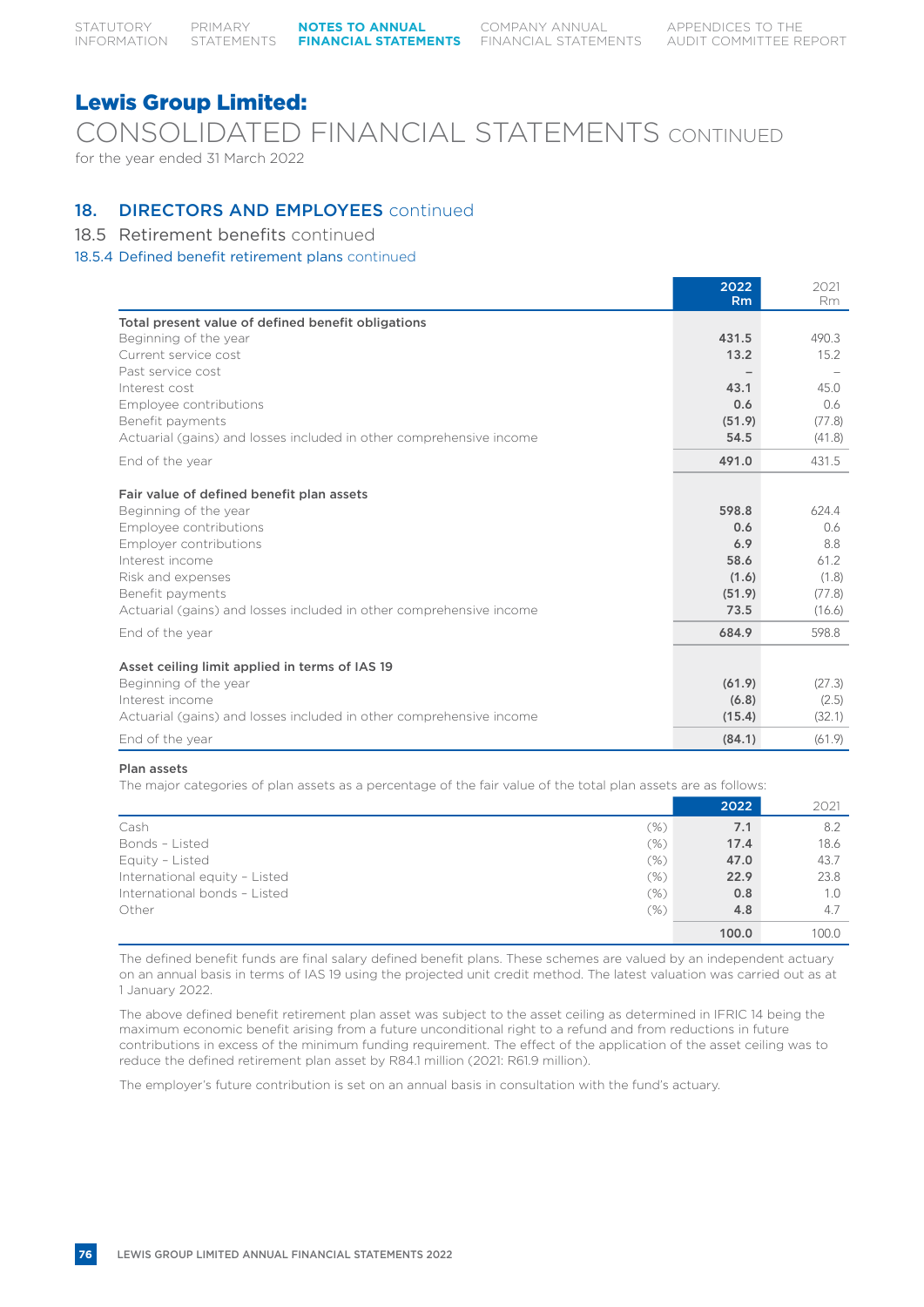COMPANY ANNUAL

## Lewis Group Limited:

## CONSOLIDATED FINANCIAL STATEMENTS CONTINUED for the year ended 31 March 2022

## 18. **DIRECTORS AND EMPLOYEES** continued

## 18.5 Retirement benefits continued

### 18.5.4 Defined benefit retirement plans continued

|                                                                     | 2022<br>Rm | 2021<br>Rm |
|---------------------------------------------------------------------|------------|------------|
| Total present value of defined benefit obligations                  |            |            |
| Beginning of the year                                               | 431.5      | 490.3      |
| Current service cost                                                | 13.2       | 15.2       |
| Past service cost                                                   |            |            |
| Interest cost                                                       | 43.1       | 45.0       |
| Employee contributions                                              | 0.6        | 0.6        |
| Benefit payments                                                    | (51.9)     | (77.8)     |
| Actuarial (gains) and losses included in other comprehensive income | 54.5       | (41.8)     |
| End of the year                                                     | 491.0      | 431.5      |
| Fair value of defined benefit plan assets                           |            |            |
| Beginning of the year                                               | 598.8      | 624.4      |
| Employee contributions                                              | 0.6        | 0.6        |
| Employer contributions                                              | 6.9        | 8.8        |
| Interest income                                                     | 58.6       | 61.2       |
| Risk and expenses                                                   | (1.6)      | (1.8)      |
| Benefit payments                                                    | (51.9)     | (77.8)     |
| Actuarial (gains) and losses included in other comprehensive income | 73.5       | (16.6)     |
| End of the year                                                     | 684.9      | 598.8      |
| Asset ceiling limit applied in terms of IAS 19                      |            |            |
| Beginning of the year                                               | (61.9)     | (27.3)     |
| Interest income                                                     | (6.8)      | (2.5)      |
| Actuarial (gains) and losses included in other comprehensive income | (15.4)     | (32.1)     |
| End of the year                                                     | (84.1)     | (61.9)     |

#### Plan assets

The major categories of plan assets as a percentage of the fair value of the total plan assets are as follows:

|                               |         | 2022  | 2021  |
|-------------------------------|---------|-------|-------|
| Cash                          | $(\% )$ | 7.1   | 8.2   |
| Bonds - Listed                | (%)     | 17.4  | 18.6  |
| Equity - Listed               | (%)     | 47.0  | 43.7  |
| International equity - Listed | (%)     | 22.9  | 23.8  |
| International bonds - Listed  | (%)     | 0.8   | 1.0   |
| Other                         | (%)     | 4.8   | 4.7   |
|                               |         | 100.0 | 100.0 |

The defined benefit funds are final salary defined benefit plans. These schemes are valued by an independent actuary on an annual basis in terms of IAS 19 using the projected unit credit method. The latest valuation was carried out as at 1 January 2022.

The above defined benefit retirement plan asset was subject to the asset ceiling as determined in IFRIC 14 being the maximum economic benefit arising from a future unconditional right to a refund and from reductions in future contributions in excess of the minimum funding requirement. The effect of the application of the asset ceiling was to reduce the defined retirement plan asset by R84.1 million (2021: R61.9 million).

The employer's future contribution is set on an annual basis in consultation with the fund's actuary.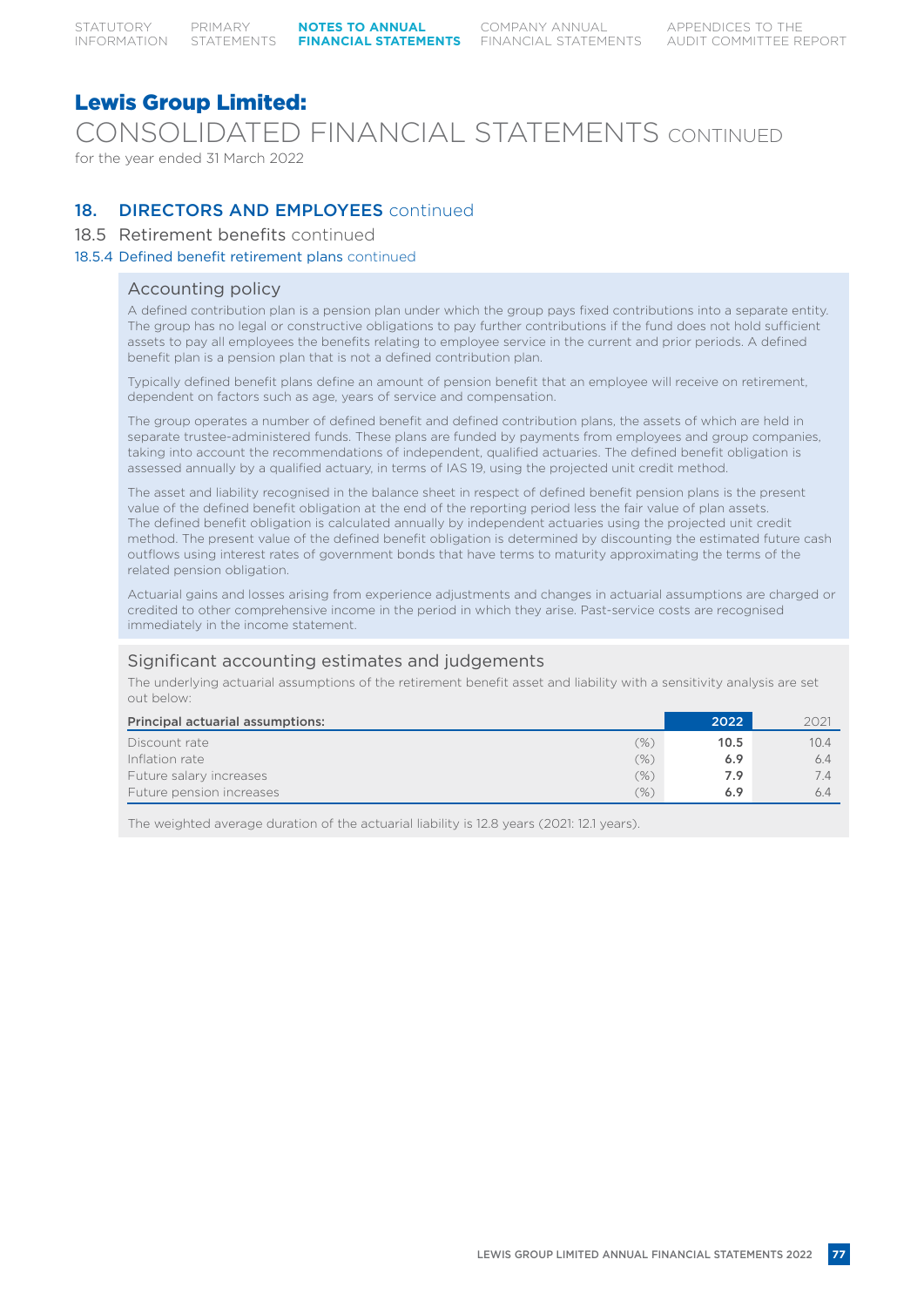CONSOLIDATED FINANCIAL STATEMENTS CONTINUED

for the year ended 31 March 2022

## 18. **DIRECTORS AND EMPLOYEES** continued

### 18.5 Retirement benefits continued

#### 18.5.4 Defined benefit retirement plans continued

### Accounting policy

A defined contribution plan is a pension plan under which the group pays fixed contributions into a separate entity. The group has no legal or constructive obligations to pay further contributions if the fund does not hold sufficient assets to pay all employees the benefits relating to employee service in the current and prior periods. A defined benefit plan is a pension plan that is not a defined contribution plan.

Typically defined benefit plans define an amount of pension benefit that an employee will receive on retirement, dependent on factors such as age, years of service and compensation.

The group operates a number of defined benefit and defined contribution plans, the assets of which are held in separate trustee-administered funds. These plans are funded by payments from employees and group companies, taking into account the recommendations of independent, qualified actuaries. The defined benefit obligation is assessed annually by a qualified actuary, in terms of IAS 19, using the projected unit credit method.

The asset and liability recognised in the balance sheet in respect of defined benefit pension plans is the present value of the defined benefit obligation at the end of the reporting period less the fair value of plan assets. The defined benefit obligation is calculated annually by independent actuaries using the projected unit credit method. The present value of the defined benefit obligation is determined by discounting the estimated future cash outflows using interest rates of government bonds that have terms to maturity approximating the terms of the related pension obligation.

Actuarial gains and losses arising from experience adjustments and changes in actuarial assumptions are charged or credited to other comprehensive income in the period in which they arise. Past-service costs are recognised immediately in the income statement.

### Significant accounting estimates and judgements

The underlying actuarial assumptions of the retirement benefit asset and liability with a sensitivity analysis are set out below:

| Principal actuarial assumptions: | 2022 | 2021 |
|----------------------------------|------|------|
| (%)<br>Discount rate             | 10.5 | 10.4 |
| $(\% )$<br>Inflation rate        | 6.9  | 6.4  |
| Future salary increases<br>(%)   | 7.9  | 74   |
| Future pension increases<br>(% ) | 6.9  | 6.4  |

The weighted average duration of the actuarial liability is 12.8 years (2021: 12.1 years).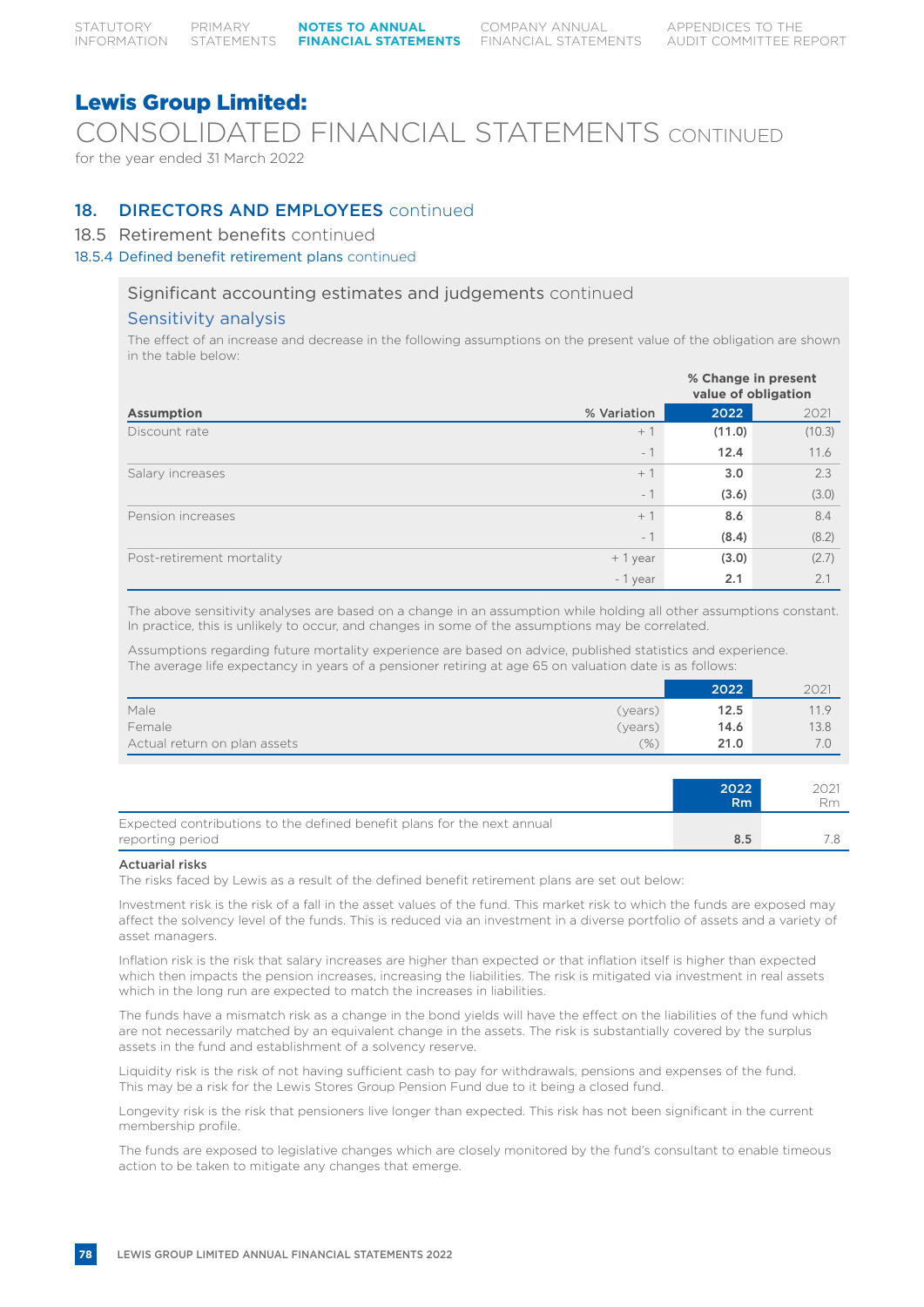CONSOLIDATED FINANCIAL STATEMENTS CONTINUED

for the year ended 31 March 2022

## 18. **DIRECTORS AND EMPLOYEES** continued

### 18.5 Retirement benefits continued

### 18.5.4 Defined benefit retirement plans continued

### Significant accounting estimates and judgements continued

### Sensitivity analysis

The effect of an increase and decrease in the following assumptions on the present value of the obligation are shown in the table below:

|                           |             |        | % Change in present<br>value of obligation |
|---------------------------|-------------|--------|--------------------------------------------|
| <b>Assumption</b>         | % Variation | 2022   | 2021                                       |
| Discount rate             | $+1$        | (11.0) | (10.3)                                     |
|                           | $-1$        | 12.4   | 11.6                                       |
| Salary increases          | $+1$        | 3.0    | 2.3                                        |
|                           | $-1$        | (3.6)  | (3.0)                                      |
| Pension increases         | $+1$        | 8.6    | 8.4                                        |
|                           | $-1$        | (8.4)  | (8.2)                                      |
| Post-retirement mortality | $+1$ year   | (3.0)  | (2.7)                                      |
|                           | - 1 year    | 2.1    | 2.1                                        |

The above sensitivity analyses are based on a change in an assumption while holding all other assumptions constant. In practice, this is unlikely to occur, and changes in some of the assumptions may be correlated.

Assumptions regarding future mortality experience are based on advice, published statistics and experience. The average life expectancy in years of a pensioner retiring at age 65 on valuation date is as follows:

|                              | 2022         | 2021 |
|------------------------------|--------------|------|
| Male<br>(years)              | 12.5         | 11.9 |
| Female<br>(years)            | 14.6         | 13.8 |
| Actual return on plan assets | (% )<br>21.0 |      |

|                                                                                             | 2022<br>R <sub>m</sub> | 2021<br>Rm |
|---------------------------------------------------------------------------------------------|------------------------|------------|
| Expected contributions to the defined benefit plans for the next annual<br>reporting period | 8.5                    |            |

#### Actuarial risks

The risks faced by Lewis as a result of the defined benefit retirement plans are set out below:

Investment risk is the risk of a fall in the asset values of the fund. This market risk to which the funds are exposed may affect the solvency level of the funds. This is reduced via an investment in a diverse portfolio of assets and a variety of asset managers.

Inflation risk is the risk that salary increases are higher than expected or that inflation itself is higher than expected which then impacts the pension increases, increasing the liabilities. The risk is mitigated via investment in real assets which in the long run are expected to match the increases in liabilities.

The funds have a mismatch risk as a change in the bond yields will have the effect on the liabilities of the fund which are not necessarily matched by an equivalent change in the assets. The risk is substantially covered by the surplus assets in the fund and establishment of a solvency reserve.

Liquidity risk is the risk of not having sufficient cash to pay for withdrawals, pensions and expenses of the fund. This may be a risk for the Lewis Stores Group Pension Fund due to it being a closed fund.

Longevity risk is the risk that pensioners live longer than expected. This risk has not been significant in the current membership profile.

The funds are exposed to legislative changes which are closely monitored by the fund's consultant to enable timeous action to be taken to mitigate any changes that emerge.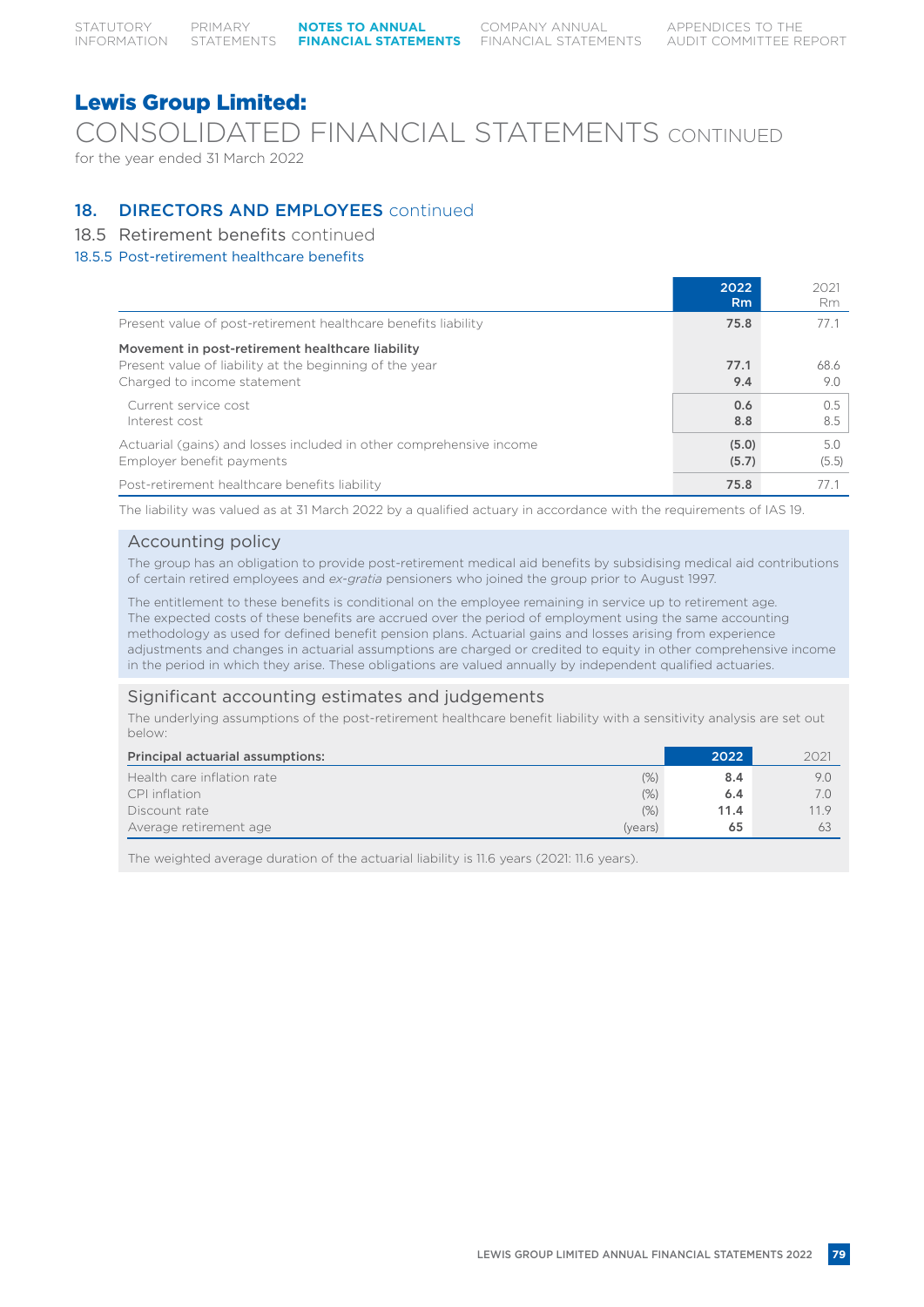CONSOLIDATED FINANCIAL STATEMENTS CONTINUED

for the year ended 31 March 2022

### 18. **DIRECTORS AND EMPLOYEES** continued

### 18.5 Retirement benefits continued

### 18.5.5 Post-retirement healthcare benefits

|                                                                                                                                            | 2022<br>Rm.    | 2021<br>Rm   |
|--------------------------------------------------------------------------------------------------------------------------------------------|----------------|--------------|
| Present value of post-retirement healthcare benefits liability                                                                             | 75.8           | 77.1         |
| Movement in post-retirement healthcare liability<br>Present value of liability at the beginning of the year<br>Charged to income statement | 77.1<br>9.4    | 68.6<br>9.0  |
| Current service cost<br>Interest cost                                                                                                      | 0.6<br>8.8     | 0.5<br>8.5   |
| Actuarial (gains) and losses included in other comprehensive income<br>Employer benefit payments                                           | (5.0)<br>(5.7) | 5.0<br>(5.5) |
| Post-retirement healthcare benefits liability                                                                                              | 75.8           | 771          |

The liability was valued as at 31 March 2022 by a qualified actuary in accordance with the requirements of IAS 19.

### Accounting policy

The group has an obligation to provide post-retirement medical aid benefits by subsidising medical aid contributions of certain retired employees and *ex-gratia* pensioners who joined the group prior to August 1997.

The entitlement to these benefits is conditional on the employee remaining in service up to retirement age. The expected costs of these benefits are accrued over the period of employment using the same accounting methodology as used for defined benefit pension plans. Actuarial gains and losses arising from experience adjustments and changes in actuarial assumptions are charged or credited to equity in other comprehensive income in the period in which they arise. These obligations are valued annually by independent qualified actuaries.

### Significant accounting estimates and judgements

The underlying assumptions of the post-retirement healthcare benefit liability with a sensitivity analysis are set out below:

| Principal actuarial assumptions:   | 2022 | 2021 |
|------------------------------------|------|------|
| (% )<br>Health care inflation rate | 8.4  | 9.0  |
| (%)<br>CPI inflation               | 6.4  |      |
| (%)<br>Discount rate               | 11.4 | 11.9 |
| Average retirement age<br>(years)  | 65   | 63   |

The weighted average duration of the actuarial liability is 11.6 years (2021: 11.6 years).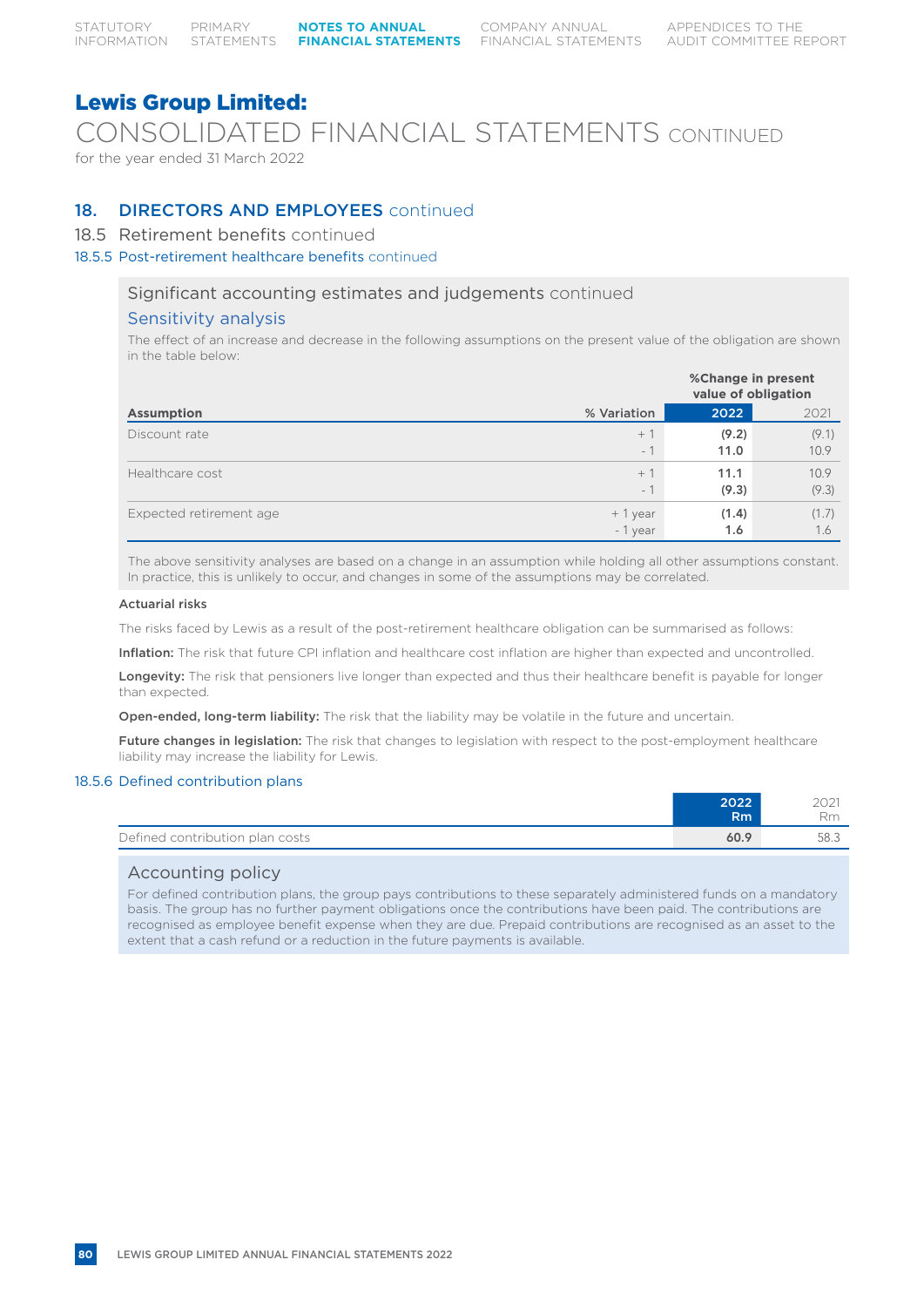CONSOLIDATED FINANCIAL STATEMENTS CONTINUED

for the year ended 31 March 2022

### 18. **DIRECTORS AND EMPLOYEES** continued

### 18.5 Retirement benefits continued

### 18.5.5 Post-retirement healthcare benefits continued

### Significant accounting estimates and judgements continued

### Sensitivity analysis

The effect of an increase and decrease in the following assumptions on the present value of the obligation are shown in the table below:

|                         |                               |               | %Change in present<br>value of obligation |  |  |
|-------------------------|-------------------------------|---------------|-------------------------------------------|--|--|
| <b>Assumption</b>       | % Variation                   | 2022          | 2021                                      |  |  |
| Discount rate           | $+$ $\rightarrow$<br>$-1$     | (9.2)<br>11.0 | (9.1)<br>10.9                             |  |  |
| Healthcare cost         | $+1$<br>$\overline{1}$<br>$-$ | 11.1<br>(9.3) | 10.9<br>(9.3)                             |  |  |
| Expected retirement age | $+1$ year<br>$-1$ year        | (1.4)<br>1.6  | (1.7)<br>1.6                              |  |  |

The above sensitivity analyses are based on a change in an assumption while holding all other assumptions constant. In practice, this is unlikely to occur, and changes in some of the assumptions may be correlated.

#### Actuarial risks

The risks faced by Lewis as a result of the post-retirement healthcare obligation can be summarised as follows:

Inflation: The risk that future CPI inflation and healthcare cost inflation are higher than expected and uncontrolled.

Longevity: The risk that pensioners live longer than expected and thus their healthcare benefit is payable for longer than expected.

Open-ended, long-term liability: The risk that the liability may be volatile in the future and uncertain.

Future changes in legislation: The risk that changes to legislation with respect to the post-employment healthcare liability may increase the liability for Lewis.

### 18.5.6 Defined contribution plans

|                                 | 2022 | 2021        |
|---------------------------------|------|-------------|
|                                 | Rm   | $D_{\rm m}$ |
| Defined contribution plan costs | 60.9 | 58.3        |

### Accounting policy

For defined contribution plans, the group pays contributions to these separately administered funds on a mandatory basis. The group has no further payment obligations once the contributions have been paid. The contributions are recognised as employee benefit expense when they are due. Prepaid contributions are recognised as an asset to the extent that a cash refund or a reduction in the future payments is available.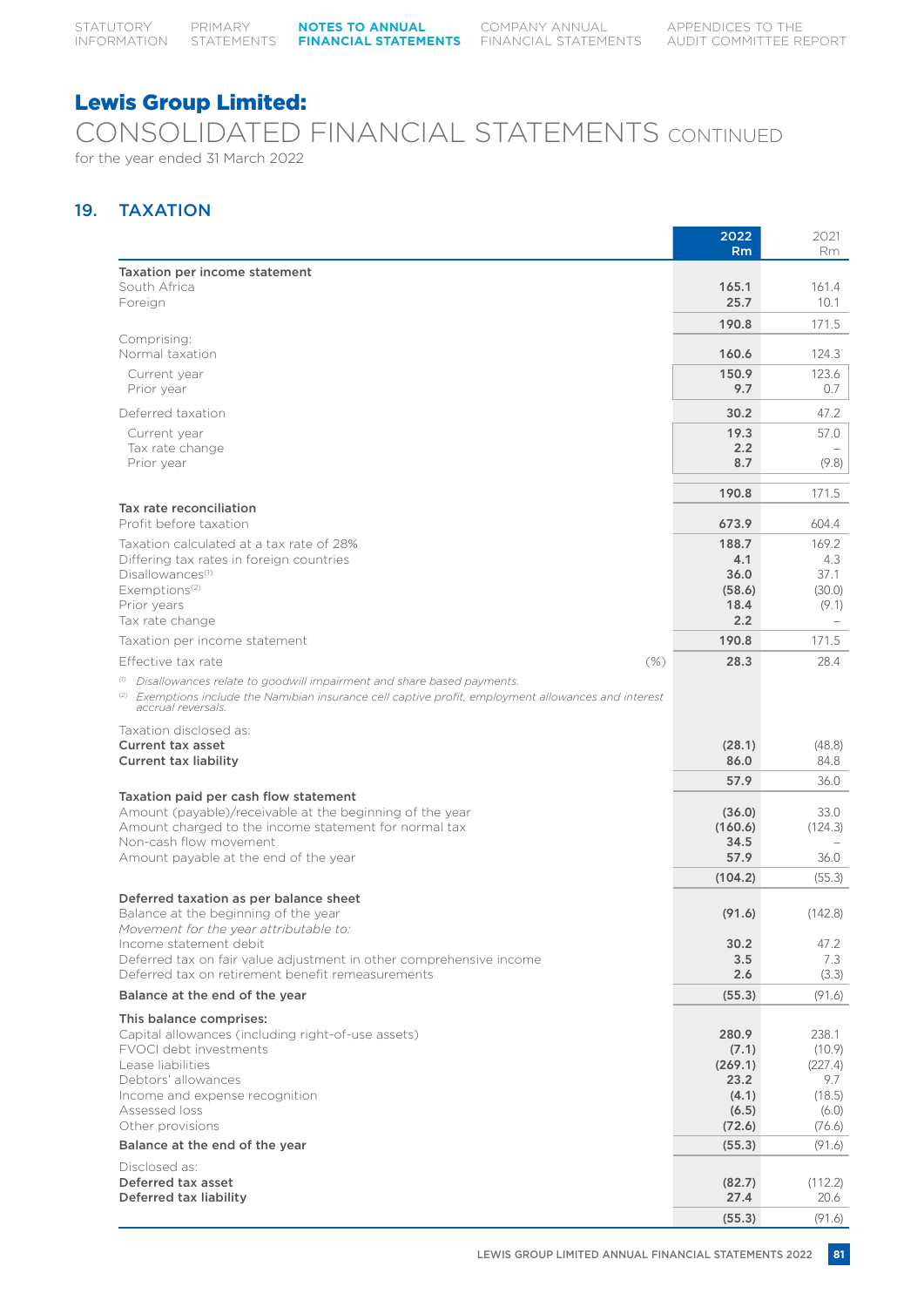## CONSOLIDATED FINANCIAL STATEMENTS CONTINUED for the year ended 31 March 2022

## 19. TAXATION

|                                                                                                                                                                                                                              | 2022<br><b>Rm</b> | 2021<br>Rm.       |
|------------------------------------------------------------------------------------------------------------------------------------------------------------------------------------------------------------------------------|-------------------|-------------------|
| Taxation per income statement                                                                                                                                                                                                |                   |                   |
| South Africa<br>Foreign                                                                                                                                                                                                      | 165.1<br>25.7     | 161.4<br>10.1     |
|                                                                                                                                                                                                                              | 190.8             | 171.5             |
| Comprising:                                                                                                                                                                                                                  |                   |                   |
| Normal taxation                                                                                                                                                                                                              | 160.6<br>150.9    | 124.3<br>123.6    |
| Current year<br>Prior year                                                                                                                                                                                                   | 9.7               | 0.7               |
| Deferred taxation                                                                                                                                                                                                            | 30.2              | 47.2              |
| Current year                                                                                                                                                                                                                 | 19.3              | 57.0              |
| Tax rate change<br>Prior year                                                                                                                                                                                                | 2.2<br>8.7        | (9.8)             |
|                                                                                                                                                                                                                              | 190.8             | 171.5             |
| Tax rate reconciliation                                                                                                                                                                                                      |                   |                   |
| Profit before taxation                                                                                                                                                                                                       | 673.9             | 604.4             |
| Taxation calculated at a tax rate of 28%<br>Differing tax rates in foreign countries                                                                                                                                         | 188.7<br>4.1      | 169.2<br>4.3      |
| Disallowances <sup>(1)</sup>                                                                                                                                                                                                 | 36.0              | 37.1              |
| Exemptions <sup>(2)</sup><br>Prior years                                                                                                                                                                                     | (58.6)<br>18.4    | (30.0)<br>(9.1)   |
| Tax rate change                                                                                                                                                                                                              | 2.2               |                   |
| Taxation per income statement                                                                                                                                                                                                | 190.8             | 171.5             |
| $(\% )$<br>Effective tax rate                                                                                                                                                                                                | 28.3              | 28.4              |
| $\left( 1\right)$<br>Disallowances relate to goodwill impairment and share based payments.<br>Exemptions include the Namibian insurance cell captive profit, employment allowances and interest<br>(2)<br>accrual reversals. |                   |                   |
| Taxation disclosed as:                                                                                                                                                                                                       |                   |                   |
| <b>Current tax asset</b><br><b>Current tax liability</b>                                                                                                                                                                     | (28.1)<br>86.0    | (48.8)<br>84.8    |
|                                                                                                                                                                                                                              | 57.9              | 36.0              |
| Taxation paid per cash flow statement<br>Amount (payable)/receivable at the beginning of the year                                                                                                                            | (36.0)            | 33.0              |
| Amount charged to the income statement for normal tax                                                                                                                                                                        | (160.6)           | (124.3)           |
| Non-cash flow movement<br>Amount payable at the end of the year                                                                                                                                                              | 34.5<br>57.9      | 36.0              |
|                                                                                                                                                                                                                              | (104.2)           | (55.3)            |
| Deferred taxation as per balance sheet                                                                                                                                                                                       |                   |                   |
| Balance at the beginning of the year<br>Movement for the year attributable to:                                                                                                                                               | (91.6)            | (142.8)           |
| Income statement debit                                                                                                                                                                                                       | 30.2              | 47.2              |
| Deferred tax on fair value adjustment in other comprehensive income<br>Deferred tax on retirement benefit remeasurements                                                                                                     | 3.5<br>2.6        | 7.3<br>(3.3)      |
| Balance at the end of the year                                                                                                                                                                                               | (55.3)            | (91.6)            |
| This balance comprises:                                                                                                                                                                                                      |                   |                   |
| Capital allowances (including right-of-use assets)                                                                                                                                                                           | 280.9             | 238.1             |
| FVOCI debt investments<br>Lease liabilities                                                                                                                                                                                  | (7.1)<br>(269.1)  | (10.9)<br>(227.4) |
| Debtors' allowances                                                                                                                                                                                                          | 23.2              | 9.7               |
| Income and expense recognition                                                                                                                                                                                               | (4.1)             | (18.5)            |
| Assessed loss<br>Other provisions                                                                                                                                                                                            | (6.5)<br>(72.6)   | (6.0)<br>(76.6)   |
| Balance at the end of the year                                                                                                                                                                                               | (55.3)            | (91.6)            |
| Disclosed as:                                                                                                                                                                                                                |                   |                   |
| Deferred tax asset<br>Deferred tax liability                                                                                                                                                                                 | (82.7)<br>27.4    | (112.2)<br>20.6   |
|                                                                                                                                                                                                                              | (55.3)            | (91.6)            |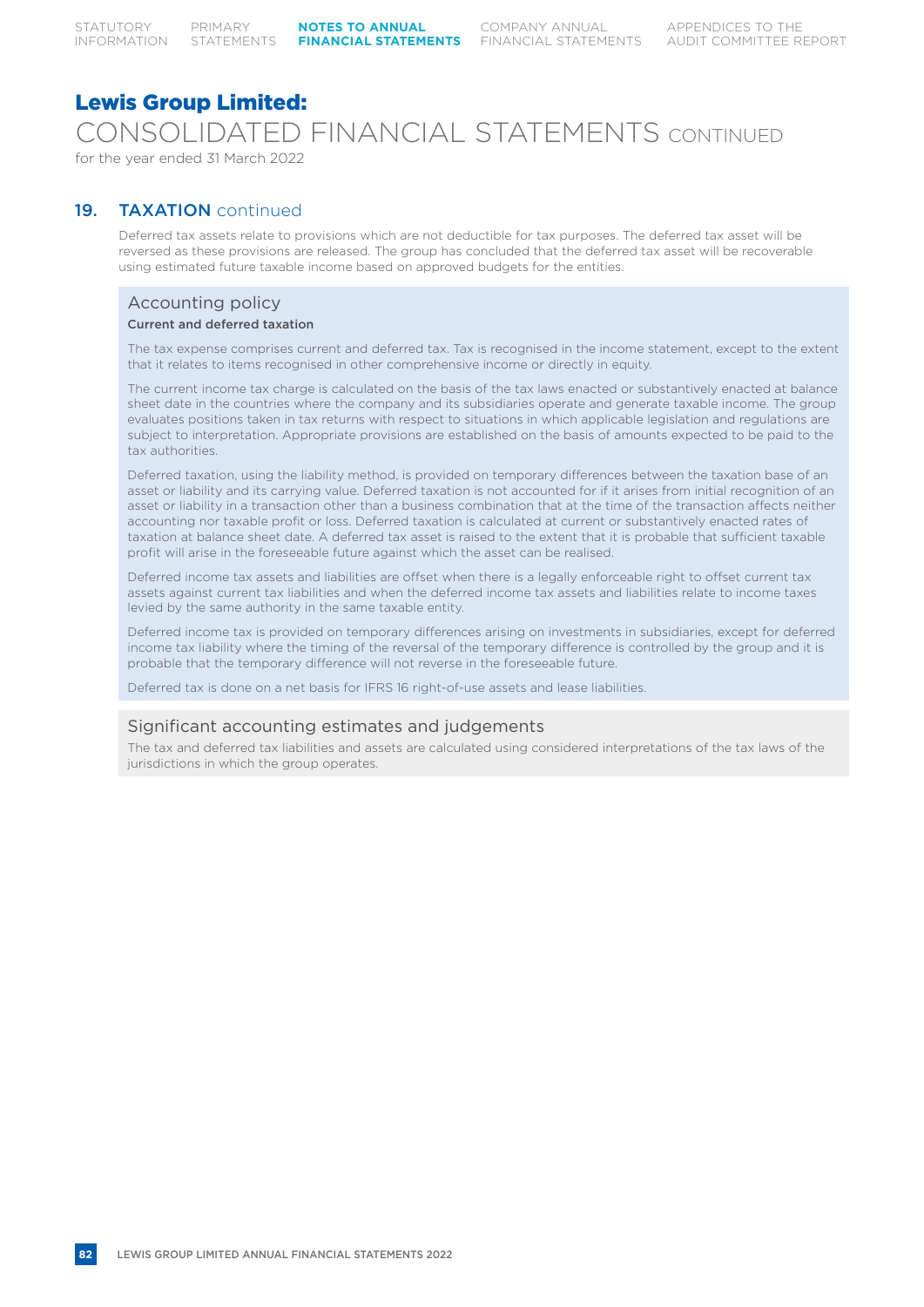## Lewis Group Limited: CONSOLIDATED FINANCIAL STATEMENTS CONTINUED for the year ended 31 March 2022

### 19. TAXATION continued

Deferred tax assets relate to provisions which are not deductible for tax purposes. The deferred tax asset will be reversed as these provisions are released. The group has concluded that the deferred tax asset will be recoverable using estimated future taxable income based on approved budgets for the entities.

## Accounting policy

#### Current and deferred taxation

The tax expense comprises current and deferred tax. Tax is recognised in the income statement, except to the extent that it relates to items recognised in other comprehensive income or directly in equity.

The current income tax charge is calculated on the basis of the tax laws enacted or substantively enacted at balance sheet date in the countries where the company and its subsidiaries operate and generate taxable income. The group evaluates positions taken in tax returns with respect to situations in which applicable legislation and regulations are subject to interpretation. Appropriate provisions are established on the basis of amounts expected to be paid to the tax authorities.

Deferred taxation, using the liability method, is provided on temporary differences between the taxation base of an asset or liability and its carrying value. Deferred taxation is not accounted for if it arises from initial recognition of an asset or liability in a transaction other than a business combination that at the time of the transaction affects neither accounting nor taxable profit or loss. Deferred taxation is calculated at current or substantively enacted rates of taxation at balance sheet date. A deferred tax asset is raised to the extent that it is probable that sufficient taxable profit will arise in the foreseeable future against which the asset can be realised.

Deferred income tax assets and liabilities are offset when there is a legally enforceable right to offset current tax assets against current tax liabilities and when the deferred income tax assets and liabilities relate to income taxes levied by the same authority in the same taxable entity.

Deferred income tax is provided on temporary differences arising on investments in subsidiaries, except for deferred income tax liability where the timing of the reversal of the temporary difference is controlled by the group and it is probable that the temporary difference will not reverse in the foreseeable future.

Deferred tax is done on a net basis for IFRS 16 right-of-use assets and lease liabilities.

### Significant accounting estimates and judgements

The tax and deferred tax liabilities and assets are calculated using considered interpretations of the tax laws of the jurisdictions in which the group operates.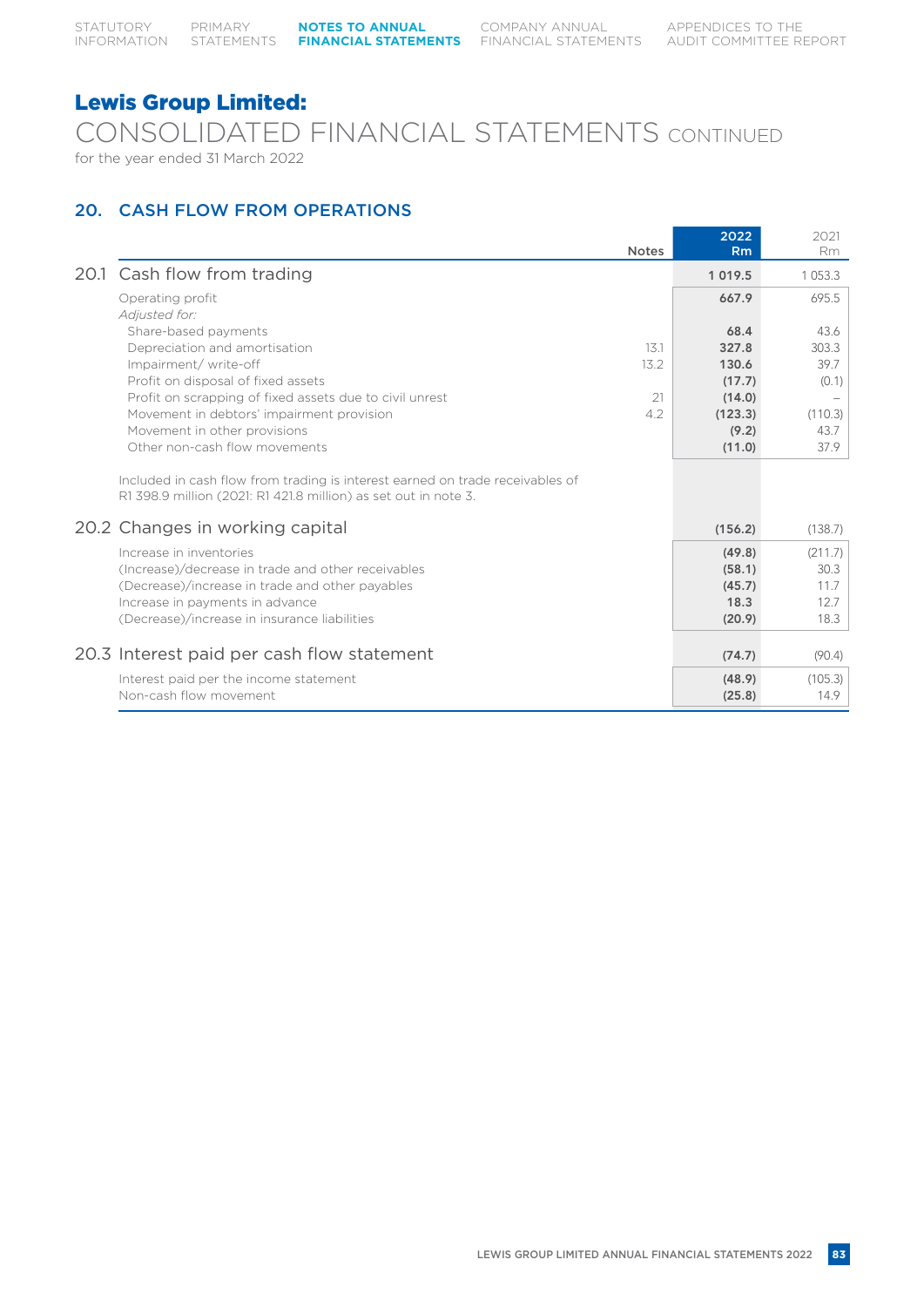CONSOLIDATED FINANCIAL STATEMENTS CONTINUED for the year ended 31 March 2022

## 20. CASH FLOW FROM OPERATIONS

|                                                                                                                                                  | <b>Notes</b> | 2022<br>Rm  | 2021<br>Rm  |
|--------------------------------------------------------------------------------------------------------------------------------------------------|--------------|-------------|-------------|
| 20.1 Cash flow from trading                                                                                                                      |              | 1 0 1 9 . 5 | 1 0 5 3 . 3 |
| Operating profit                                                                                                                                 |              | 667.9       | 695.5       |
| Adjusted for:                                                                                                                                    |              |             |             |
| Share-based payments                                                                                                                             |              | 68.4        | 43.6        |
| Depreciation and amortisation                                                                                                                    | 13.1         | 327.8       | 303.3       |
| Impairment/write-off                                                                                                                             | 13.2         | 130.6       | 39.7        |
| Profit on disposal of fixed assets                                                                                                               |              | (17.7)      | (0.1)       |
| Profit on scrapping of fixed assets due to civil unrest                                                                                          | 21           | (14.0)      |             |
| Movement in debtors' impairment provision                                                                                                        | 4.2          | (123.3)     | (110.3)     |
| Movement in other provisions                                                                                                                     |              | (9.2)       | 43.7        |
| Other non-cash flow movements                                                                                                                    |              | (11.0)      | 37.9        |
| Included in cash flow from trading is interest earned on trade receivables of<br>R1 398.9 million (2021: R1 421.8 million) as set out in note 3. |              |             |             |
| 20.2 Changes in working capital                                                                                                                  |              | (156.2)     | (138.7)     |
| Increase in inventories                                                                                                                          |              | (49.8)      | (211.7)     |
| (Increase)/decrease in trade and other receivables                                                                                               |              | (58.1)      | 30.3        |
| (Decrease)/increase in trade and other payables                                                                                                  |              | (45.7)      | 11.7        |
| Increase in payments in advance                                                                                                                  |              | 18.3        | 12.7        |
| (Decrease)/increase in insurance liabilities                                                                                                     |              | (20.9)      | 18.3        |
|                                                                                                                                                  |              |             |             |
| 20.3 Interest paid per cash flow statement                                                                                                       |              | (74.7)      | (90.4)      |
| Interest paid per the income statement                                                                                                           |              | (48.9)      | (105.3)     |
| Non-cash flow movement                                                                                                                           |              | (25.8)      | 14.9        |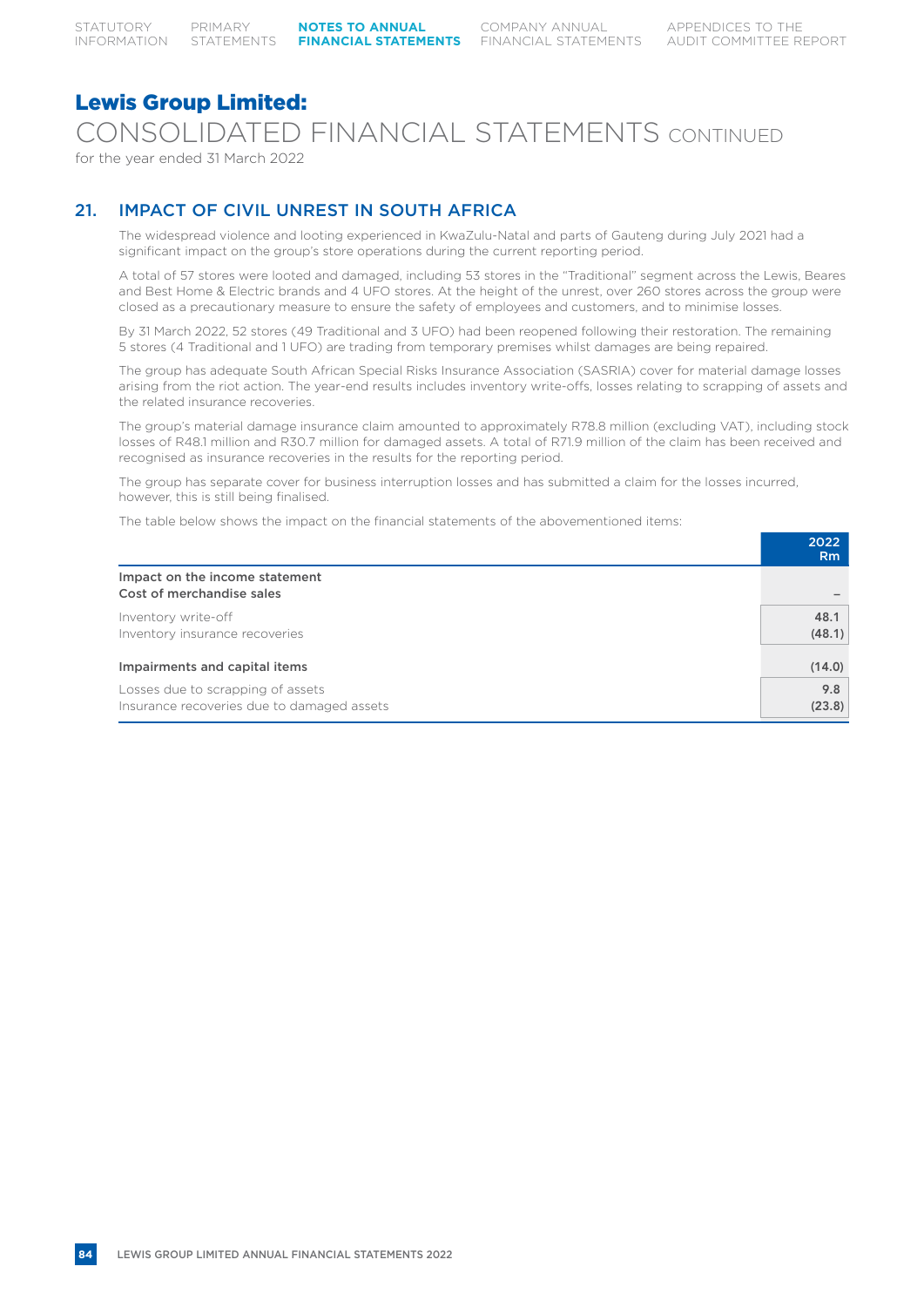CONSOLIDATED FINANCIAL STATEMENTS CONTINUED

for the year ended 31 March 2022

## 21. IMPACT OF CIVIL UNREST IN SOUTH AFRICA

The widespread violence and looting experienced in KwaZulu-Natal and parts of Gauteng during July 2021 had a significant impact on the group's store operations during the current reporting period.

A total of 57 stores were looted and damaged, including 53 stores in the "Traditional" segment across the Lewis, Beares and Best Home & Electric brands and 4 UFO stores. At the height of the unrest, over 260 stores across the group were closed as a precautionary measure to ensure the safety of employees and customers, and to minimise losses.

By 31 March 2022, 52 stores (49 Traditional and 3 UFO) had been reopened following their restoration. The remaining 5 stores (4 Traditional and 1 UFO) are trading from temporary premises whilst damages are being repaired.

The group has adequate South African Special Risks Insurance Association (SASRIA) cover for material damage losses arising from the riot action. The year-end results includes inventory write-offs, losses relating to scrapping of assets and the related insurance recoveries.

The group's material damage insurance claim amounted to approximately R78.8 million (excluding VAT), including stock losses of R48.1 million and R30.7 million for damaged assets. A total of R71.9 million of the claim has been received and recognised as insurance recoveries in the results for the reporting period.

The group has separate cover for business interruption losses and has submitted a claim for the losses incurred, however, this is still being finalised.

The table below shows the impact on the financial statements of the abovementioned items:

|                                                                                 | 2022<br><b>Rm</b> |
|---------------------------------------------------------------------------------|-------------------|
| Impact on the income statement<br>Cost of merchandise sales                     |                   |
| Inventory write-off<br>Inventory insurance recoveries                           | 48.1<br>(48.1)    |
| Impairments and capital items                                                   | (14.0)            |
| Losses due to scrapping of assets<br>Insurance recoveries due to damaged assets | 9.8<br>(23.8)     |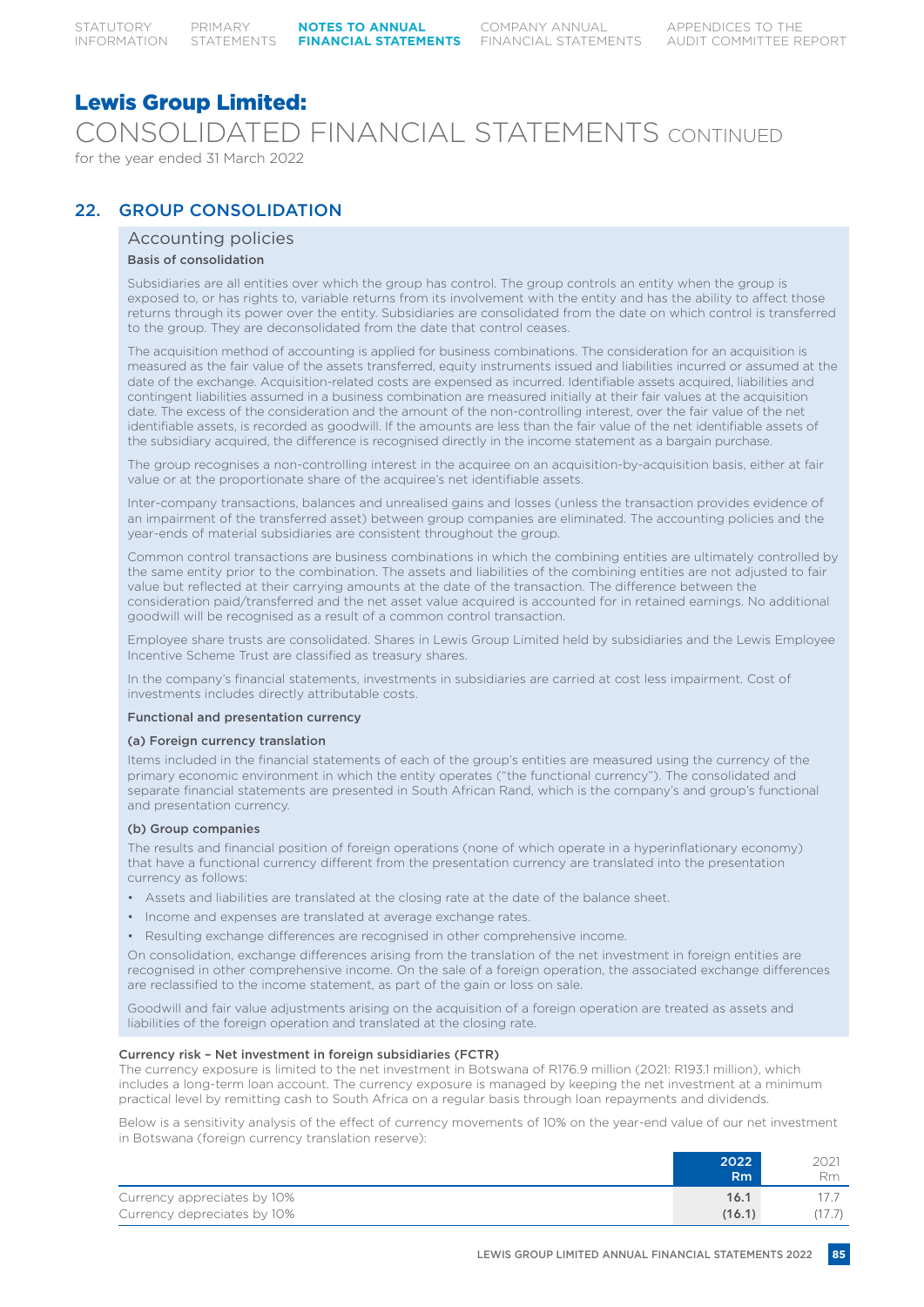CONSOLIDATED FINANCIAL STATEMENTS CONTINUED for the year ended 31 March 2022

### 22. GROUP CONSOLIDATION

### Accounting policies

#### Basis of consolidation

Subsidiaries are all entities over which the group has control. The group controls an entity when the group is exposed to, or has rights to, variable returns from its involvement with the entity and has the ability to affect those returns through its power over the entity. Subsidiaries are consolidated from the date on which control is transferred to the group. They are deconsolidated from the date that control ceases.

The acquisition method of accounting is applied for business combinations. The consideration for an acquisition is measured as the fair value of the assets transferred, equity instruments issued and liabilities incurred or assumed at the date of the exchange. Acquisition-related costs are expensed as incurred. Identifiable assets acquired, liabilities and contingent liabilities assumed in a business combination are measured initially at their fair values at the acquisition date. The excess of the consideration and the amount of the non-controlling interest, over the fair value of the net identifiable assets, is recorded as goodwill. If the amounts are less than the fair value of the net identifiable assets of the subsidiary acquired, the difference is recognised directly in the income statement as a bargain purchase.

The group recognises a non-controlling interest in the acquiree on an acquisition-by-acquisition basis, either at fair value or at the proportionate share of the acquiree's net identifiable assets.

Inter-company transactions, balances and unrealised gains and losses (unless the transaction provides evidence of an impairment of the transferred asset) between group companies are eliminated. The accounting policies and the year-ends of material subsidiaries are consistent throughout the group.

Common control transactions are business combinations in which the combining entities are ultimately controlled by the same entity prior to the combination. The assets and liabilities of the combining entities are not adjusted to fair value but reflected at their carrying amounts at the date of the transaction. The difference between the consideration paid/transferred and the net asset value acquired is accounted for in retained earnings. No additional goodwill will be recognised as a result of a common control transaction.

Employee share trusts are consolidated. Shares in Lewis Group Limited held by subsidiaries and the Lewis Employee Incentive Scheme Trust are classified as treasury shares.

In the company's financial statements, investments in subsidiaries are carried at cost less impairment. Cost of investments includes directly attributable costs.

#### Functional and presentation currency

#### (a) Foreign currency translation

Items included in the financial statements of each of the group's entities are measured using the currency of the primary economic environment in which the entity operates ("the functional currency"). The consolidated and separate financial statements are presented in South African Rand, which is the company's and group's functional and presentation currency.

#### (b) Group companies

The results and financial position of foreign operations (none of which operate in a hyperinflationary economy) that have a functional currency different from the presentation currency are translated into the presentation currency as follows:

- Assets and liabilities are translated at the closing rate at the date of the balance sheet.
- Income and expenses are translated at average exchange rates.
- Resulting exchange differences are recognised in other comprehensive income.

On consolidation, exchange differences arising from the translation of the net investment in foreign entities are recognised in other comprehensive income. On the sale of a foreign operation, the associated exchange differences are reclassified to the income statement, as part of the gain or loss on sale.

Goodwill and fair value adjustments arising on the acquisition of a foreign operation are treated as assets and liabilities of the foreign operation and translated at the closing rate.

#### Currency risk – Net investment in foreign subsidiaries (FCTR)

The currency exposure is limited to the net investment in Botswana of R176.9 million (2021: R193.1 million), which includes a long-term loan account. The currency exposure is managed by keeping the net investment at a minimum practical level by remitting cash to South Africa on a regular basis through loan repayments and dividends.

Below is a sensitivity analysis of the effect of currency movements of 10% on the year-end value of our net investment in Botswana (foreign currency translation reserve):

|                             | 2022<br>'Rm | 2021<br><b>Rm</b> |
|-----------------------------|-------------|-------------------|
| Currency appreciates by 10% | 16.1        |                   |
| Currency depreciates by 10% | (16.1)      |                   |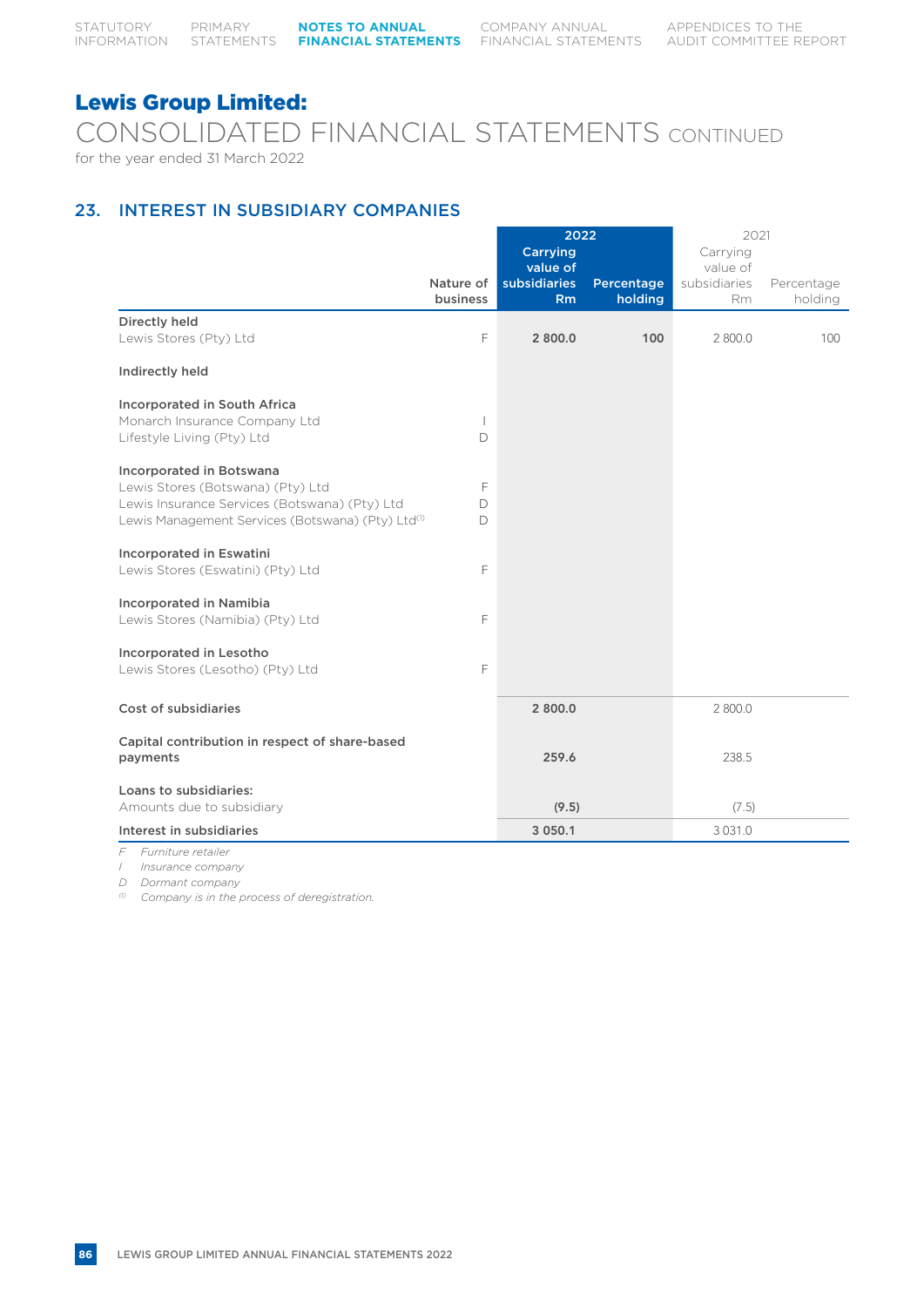CONSOLIDATED FINANCIAL STATEMENTS CONTINUED for the year ended 31 March 2022

## 23. INTEREST IN SUBSIDIARY COMPANIES

|                                                               | 2021           |                     | 2022       |              |            |
|---------------------------------------------------------------|----------------|---------------------|------------|--------------|------------|
|                                                               |                | Carrying            |            | Carrying     |            |
|                                                               |                | value of            |            | value of     |            |
|                                                               | Nature of      | <b>subsidiaries</b> | Percentage | subsidiaries | Percentage |
|                                                               | business       | Rm                  | holding    | <b>Rm</b>    | holding    |
| Directly held                                                 |                |                     |            |              |            |
| Lewis Stores (Pty) Ltd                                        | E              | 2 800.0             | 100        | 2 800.0      | 100        |
|                                                               |                |                     |            |              |            |
| Indirectly held                                               |                |                     |            |              |            |
| <b>Incorporated in South Africa</b>                           |                |                     |            |              |            |
| Monarch Insurance Company Ltd                                 | $\overline{1}$ |                     |            |              |            |
| Lifestyle Living (Pty) Ltd                                    | D              |                     |            |              |            |
|                                                               |                |                     |            |              |            |
| Incorporated in Botswana                                      |                |                     |            |              |            |
| Lewis Stores (Botswana) (Pty) Ltd                             | F              |                     |            |              |            |
| Lewis Insurance Services (Botswana) (Pty) Ltd                 | D              |                     |            |              |            |
| Lewis Management Services (Botswana) (Pty) Ltd <sup>(1)</sup> | D              |                     |            |              |            |
|                                                               |                |                     |            |              |            |
| <b>Incorporated in Eswatini</b>                               |                |                     |            |              |            |
| Lewis Stores (Eswatini) (Pty) Ltd                             | F              |                     |            |              |            |
|                                                               |                |                     |            |              |            |
| <b>Incorporated in Namibia</b>                                |                |                     |            |              |            |
| Lewis Stores (Namibia) (Pty) Ltd                              | F              |                     |            |              |            |
|                                                               |                |                     |            |              |            |
| Incorporated in Lesotho                                       |                |                     |            |              |            |
| Lewis Stores (Lesotho) (Pty) Ltd                              | F              |                     |            |              |            |
|                                                               |                |                     |            |              |            |
| Cost of subsidiaries                                          |                | 2 800.0             |            | 2 800.0      |            |
|                                                               |                |                     |            |              |            |
| Capital contribution in respect of share-based                |                |                     |            |              |            |
| payments                                                      |                | 259.6               |            | 238.5        |            |
|                                                               |                |                     |            |              |            |
| Loans to subsidiaries:                                        |                |                     |            |              |            |
| Amounts due to subsidiary                                     |                | (9.5)               |            | (7.5)        |            |
| Interest in subsidiaries                                      |                | 3 050.1             |            | 3 0 3 1 . 0  |            |

*F Furniture retailer*

*I Insurance company*

*D Dormant company*

*(1) Company is in the process of deregistration.*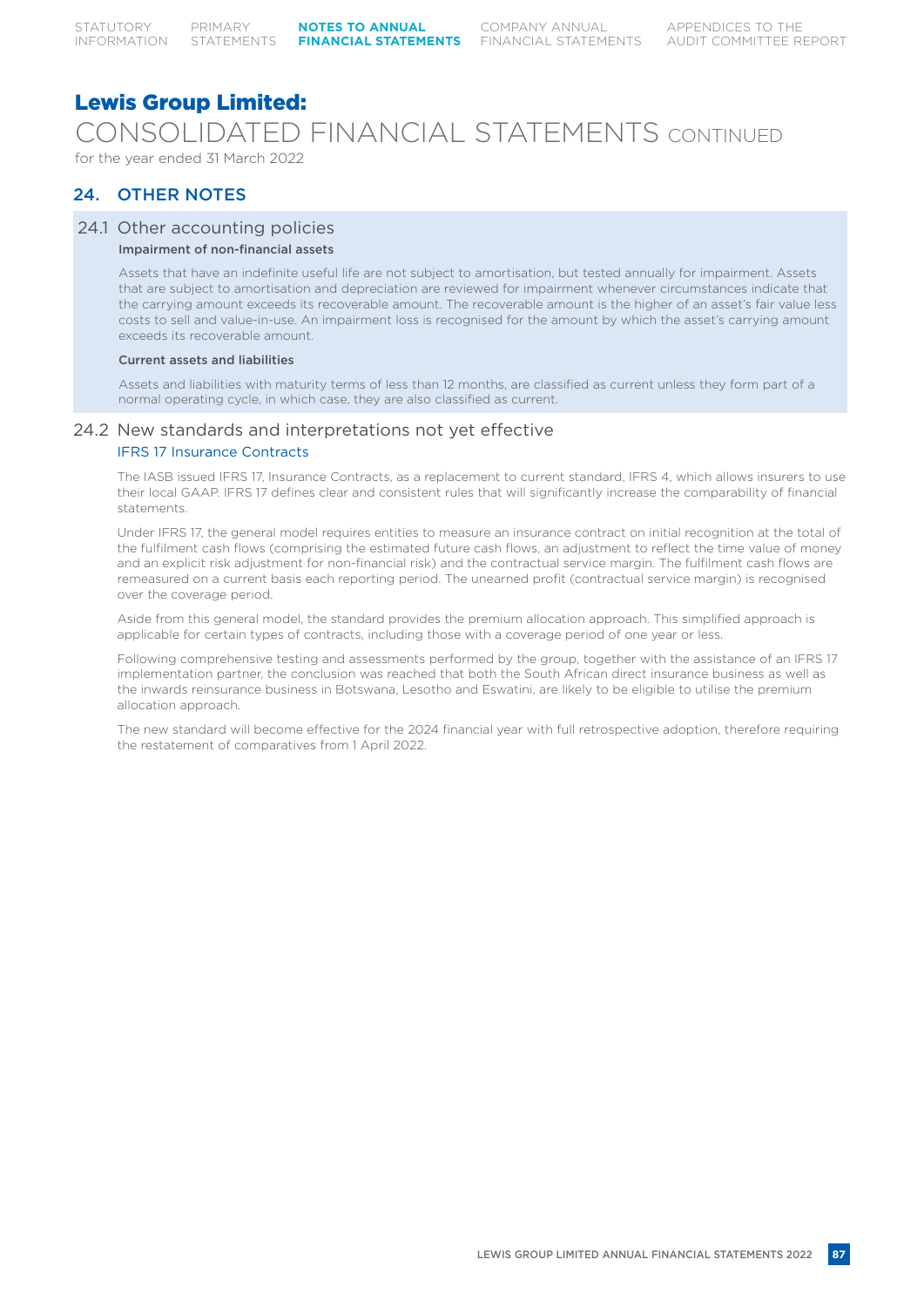# CONSOLIDATED FINANCIAL STATEMENTS CONTINUED

for the year ended 31 March 2022

## 24. OTHER NOTES

### 24.1 Other accounting policies

### Impairment of non-financial assets

Assets that have an indefinite useful life are not subject to amortisation, but tested annually for impairment. Assets that are subject to amortisation and depreciation are reviewed for impairment whenever circumstances indicate that the carrying amount exceeds its recoverable amount. The recoverable amount is the higher of an asset's fair value less costs to sell and value-in-use. An impairment loss is recognised for the amount by which the asset's carrying amount exceeds its recoverable amount.

#### Current assets and liabilities

Assets and liabilities with maturity terms of less than 12 months, are classified as current unless they form part of a normal operating cycle, in which case, they are also classified as current.

### 24.2 New standards and interpretations not yet effective

#### IFRS 17 Insurance Contracts

The IASB issued IFRS 17, Insurance Contracts, as a replacement to current standard, IFRS 4, which allows insurers to use their local GAAP. IFRS 17 defines clear and consistent rules that will significantly increase the comparability of financial statements.

Under IFRS 17, the general model requires entities to measure an insurance contract on initial recognition at the total of the fulfilment cash flows (comprising the estimated future cash flows, an adjustment to reflect the time value of money and an explicit risk adjustment for non-financial risk) and the contractual service margin. The fulfilment cash flows are remeasured on a current basis each reporting period. The unearned profit (contractual service margin) is recognised over the coverage period.

Aside from this general model, the standard provides the premium allocation approach. This simplified approach is applicable for certain types of contracts, including those with a coverage period of one year or less.

Following comprehensive testing and assessments performed by the group, together with the assistance of an IFRS 17 implementation partner, the conclusion was reached that both the South African direct insurance business as well as the inwards reinsurance business in Botswana, Lesotho and Eswatini, are likely to be eligible to utilise the premium allocation approach.

The new standard will become effective for the 2024 financial year with full retrospective adoption, therefore requiring the restatement of comparatives from 1 April 2022.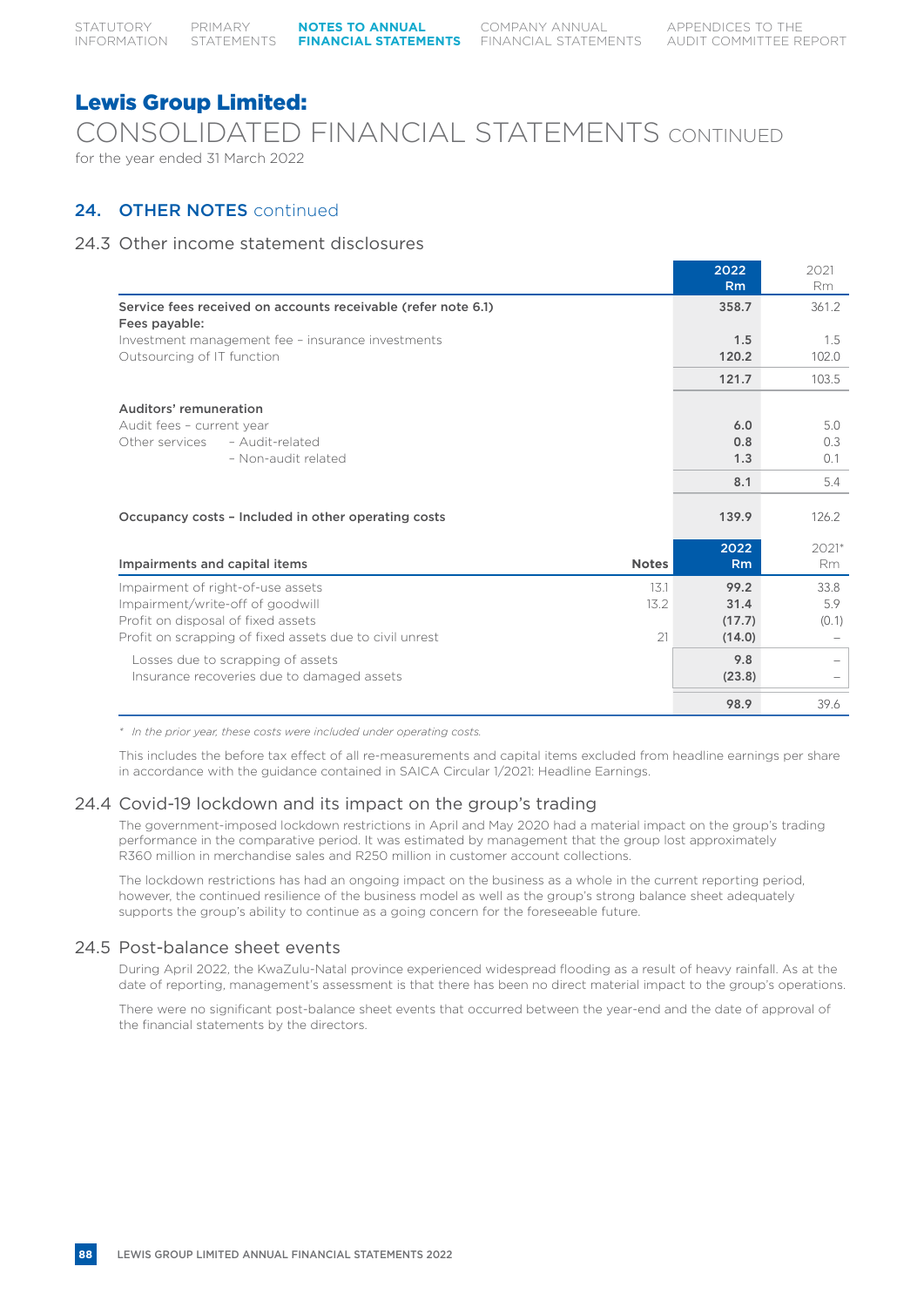Lewis Group Limited: CONSOLIDATED FINANCIAL STATEMENTS CONTINUED for the year ended 31 March 2022

## 24. OTHER NOTES continued

### 24.3 Other income statement disclosures

|                                                                                                             |              | 2022<br>Rm             | 2021<br><b>Rm</b>    |
|-------------------------------------------------------------------------------------------------------------|--------------|------------------------|----------------------|
| Service fees received on accounts receivable (refer note 6.1)<br>Fees payable:                              |              | 358.7                  | 361.2                |
| Investment management fee - insurance investments<br>Outsourcing of IT function                             |              | 1.5<br>120.2           | 1.5<br>102.0         |
|                                                                                                             |              | 121.7                  | 103.5                |
| Auditors' remuneration<br>Audit fees - current year                                                         |              | 6.0                    | 5.0                  |
| Other services<br>- Audit-related<br>- Non-audit related                                                    |              | 0.8<br>1.3             | 0.3<br>0.1           |
|                                                                                                             |              | 8.1                    | 5.4                  |
| Occupancy costs - Included in other operating costs                                                         |              | 139.9                  | 126.2                |
| Impairments and capital items                                                                               | <b>Notes</b> | 2022<br>Rm             | $2021*$<br>Rm.       |
| Impairment of right-of-use assets<br>Impairment/write-off of goodwill<br>Profit on disposal of fixed assets | 131<br>13.2  | 99.2<br>31.4<br>(17.7) | 33.8<br>5.9<br>(0.1) |
| Profit on scrapping of fixed assets due to civil unrest                                                     | 21           | (14.0)                 |                      |
| Losses due to scrapping of assets<br>Insurance recoveries due to damaged assets                             |              | 9.8<br>(23.8)          | $\qquad \qquad -$    |
|                                                                                                             |              | 98.9                   | 39.6                 |

*\* In the prior year, these costs were included under operating costs.*

This includes the before tax effect of all re-measurements and capital items excluded from headline earnings per share in accordance with the guidance contained in SAICA Circular 1/2021: Headline Earnings.

### 24.4 Covid-19 lockdown and its impact on the group's trading

The government-imposed lockdown restrictions in April and May 2020 had a material impact on the group's trading performance in the comparative period. It was estimated by management that the group lost approximately R360 million in merchandise sales and R250 million in customer account collections.

The lockdown restrictions has had an ongoing impact on the business as a whole in the current reporting period, however, the continued resilience of the business model as well as the group's strong balance sheet adequately supports the group's ability to continue as a going concern for the foreseeable future.

### 24.5 Post-balance sheet events

During April 2022, the KwaZulu-Natal province experienced widespread flooding as a result of heavy rainfall. As at the date of reporting, management's assessment is that there has been no direct material impact to the group's operations.

There were no significant post-balance sheet events that occurred between the year-end and the date of approval of the financial statements by the directors.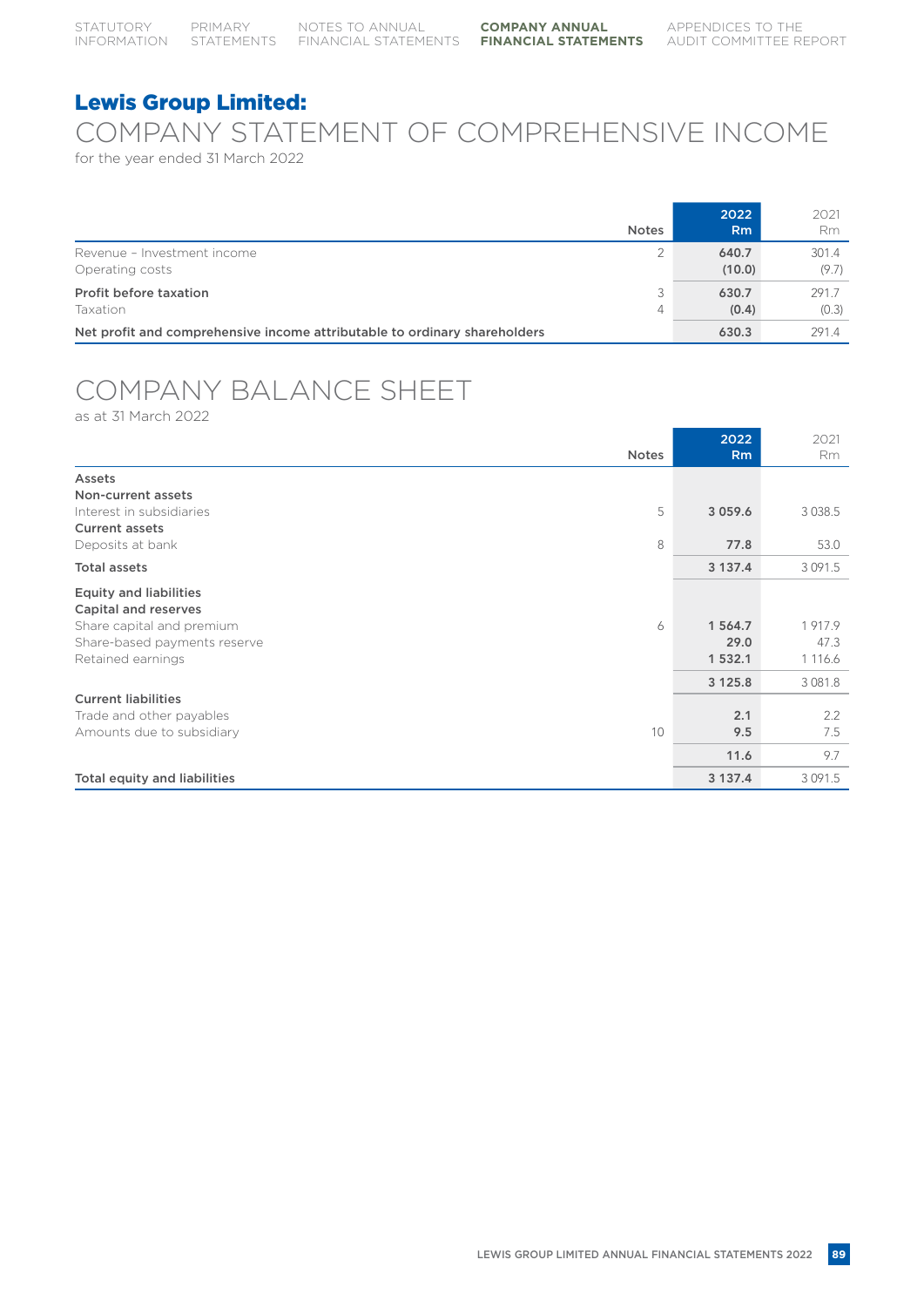# COMPANY STATEMENT OF COMPREHENSIVE INCOME

for the year ended 31 March 2022

|                                                                           | <b>Notes</b> | 2022<br>R <sub>m</sub> | 2021<br><b>Rm</b> |
|---------------------------------------------------------------------------|--------------|------------------------|-------------------|
| Revenue - Investment income                                               | 2            | 640.7                  | 301.4             |
| Operating costs                                                           |              | (10.0)                 | (9.7)             |
| Profit before taxation                                                    | ◡            | 630.7                  | 291.7             |
| Taxation                                                                  | 4            | (0.4)                  | (0.3)             |
| Net profit and comprehensive income attributable to ordinary shareholders |              | 630.3                  | 291.4             |

# COMPANY BALANCE SHEET

as at 31 March 2022

|                                                       | <b>Notes</b> | 2022<br><b>Rm</b> | 2021<br>Rm  |
|-------------------------------------------------------|--------------|-------------------|-------------|
| Assets                                                |              |                   |             |
| Non-current assets                                    |              |                   |             |
| Interest in subsidiaries                              | 5            | 3 0 5 9 . 6       | 3038.5      |
| <b>Current assets</b>                                 |              |                   |             |
| Deposits at bank                                      | 8            | 77.8              | 53.0        |
| <b>Total assets</b>                                   |              | 3 137.4           | 3 0 9 1 .5  |
| <b>Equity and liabilities</b><br>Capital and reserves |              |                   |             |
| Share capital and premium                             | 6            | 1 564.7           | 1917.9      |
| Share-based payments reserve                          |              | 29.0              | 47.3        |
| Retained earnings                                     |              | 1 532.1           | 1 1 1 6.6   |
|                                                       |              | 3 1 2 5 . 8       | 3 0 8 1 . 8 |
| <b>Current liabilities</b>                            |              |                   |             |
| Trade and other payables                              |              | 2.1               | 2.2         |
| Amounts due to subsidiary                             | 10           | 9.5               | 7.5         |
|                                                       |              | 11.6              | 9.7         |
| Total equity and liabilities                          |              | 3 137.4           | 3 0 9 1 .5  |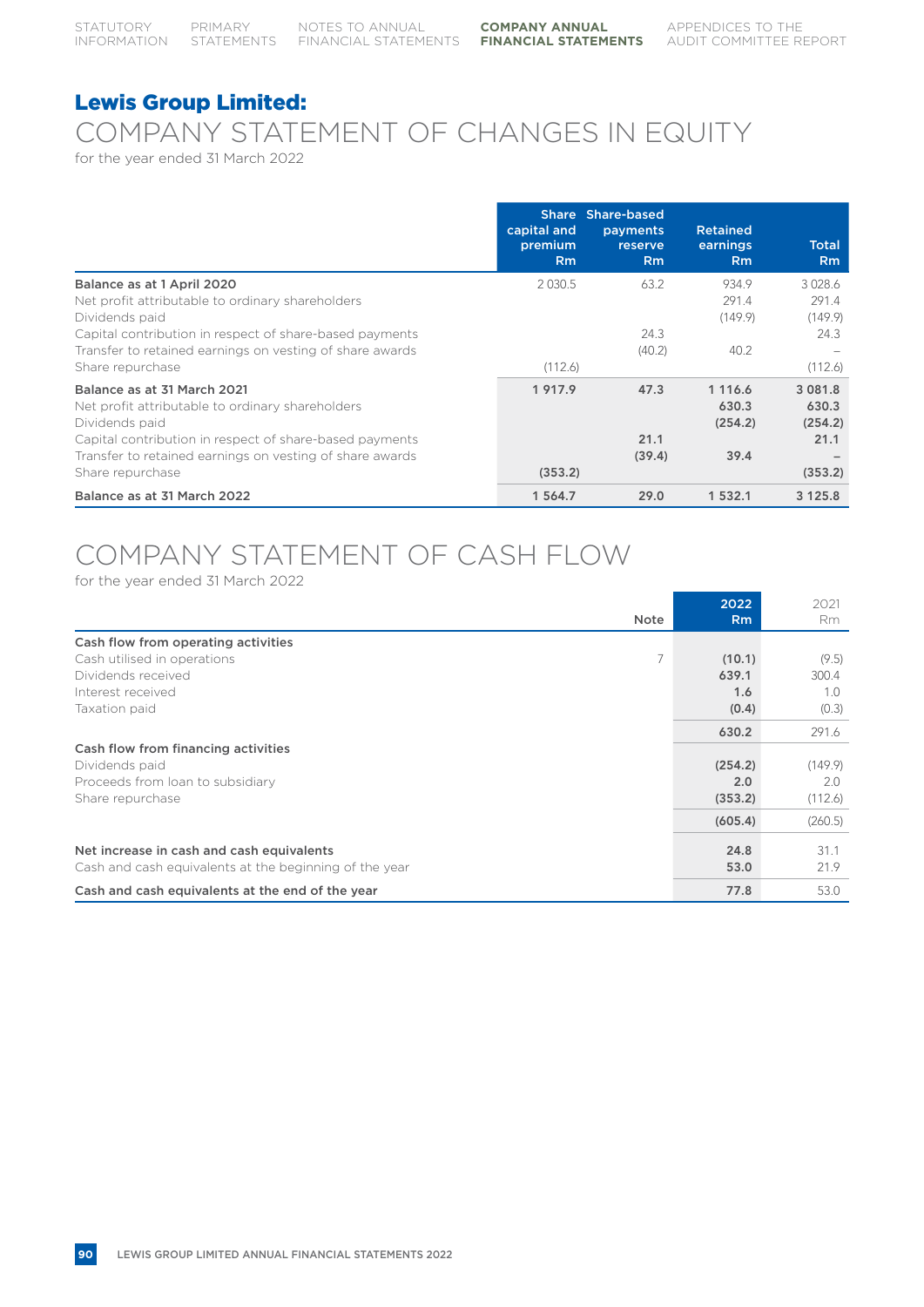# COMPANY STATEMENT OF CHANGES IN EQUITY

for the year ended 31 March 2022

|                                                                                                   | capital and<br>premium<br><b>Rm</b> | Share Share-based<br>payments<br>reserve<br><b>Rm</b> | <b>Retained</b><br>earnings<br><b>Rm</b> | <b>Total</b><br>Rm              |
|---------------------------------------------------------------------------------------------------|-------------------------------------|-------------------------------------------------------|------------------------------------------|---------------------------------|
| Balance as at 1 April 2020                                                                        | 2 0 3 0.5                           | 63.2                                                  | 934.9                                    | 3028.6                          |
| Net profit attributable to ordinary shareholders<br>Dividends paid                                |                                     |                                                       | 291.4<br>(149.9)                         | 291.4<br>(149.9)                |
| Capital contribution in respect of share-based payments                                           |                                     | 24.3                                                  |                                          | 24.3                            |
| Transfer to retained earnings on vesting of share awards                                          |                                     | (40.2)                                                | 40.2                                     |                                 |
| Share repurchase                                                                                  | (112.6)                             |                                                       |                                          | (112.6)                         |
| Balance as at 31 March 2021<br>Net profit attributable to ordinary shareholders<br>Dividends paid | 1 917.9                             | 47.3                                                  | 1 1 1 6 . 6<br>630.3<br>(254.2)          | 3 0 8 1 . 8<br>630.3<br>(254.2) |
| Capital contribution in respect of share-based payments                                           |                                     | 21.1                                                  |                                          | 21.1                            |
| Transfer to retained earnings on vesting of share awards                                          |                                     | (39.4)                                                | 39.4                                     |                                 |
| Share repurchase                                                                                  | (353.2)                             |                                                       |                                          | (353.2)                         |
| Balance as at 31 March 2022                                                                       | 1 564.7                             | 29.0                                                  | 1 532.1                                  | 3 1 2 5 . 8                     |

# COMPANY STATEMENT OF CASH FLOW

for the year ended 31 March 2022

|                                                        | <b>Note</b> | 2022<br><b>Rm</b> | 2021<br>Rm |
|--------------------------------------------------------|-------------|-------------------|------------|
|                                                        |             |                   |            |
| Cash flow from operating activities                    |             |                   |            |
| Cash utilised in operations                            | 7           | (10.1)            | (9.5)      |
| Dividends received                                     |             | 639.1             | 300.4      |
| Interest received                                      |             | 1.6               | 1.0        |
| Taxation paid                                          |             | (0.4)             | (0.3)      |
|                                                        |             | 630.2             | 291.6      |
| Cash flow from financing activities                    |             |                   |            |
| Dividends paid                                         |             | (254.2)           | (149.9)    |
| Proceeds from loan to subsidiary                       |             | 2.0               | 2.0        |
| Share repurchase                                       |             | (353.2)           | (112.6)    |
|                                                        |             | (605.4)           | (260.5)    |
| Net increase in cash and cash equivalents              |             | 24.8              | 31.1       |
| Cash and cash equivalents at the beginning of the year |             | 53.0              | 21.9       |
|                                                        |             |                   |            |
| Cash and cash equivalents at the end of the year       |             | 77.8              | 53.0       |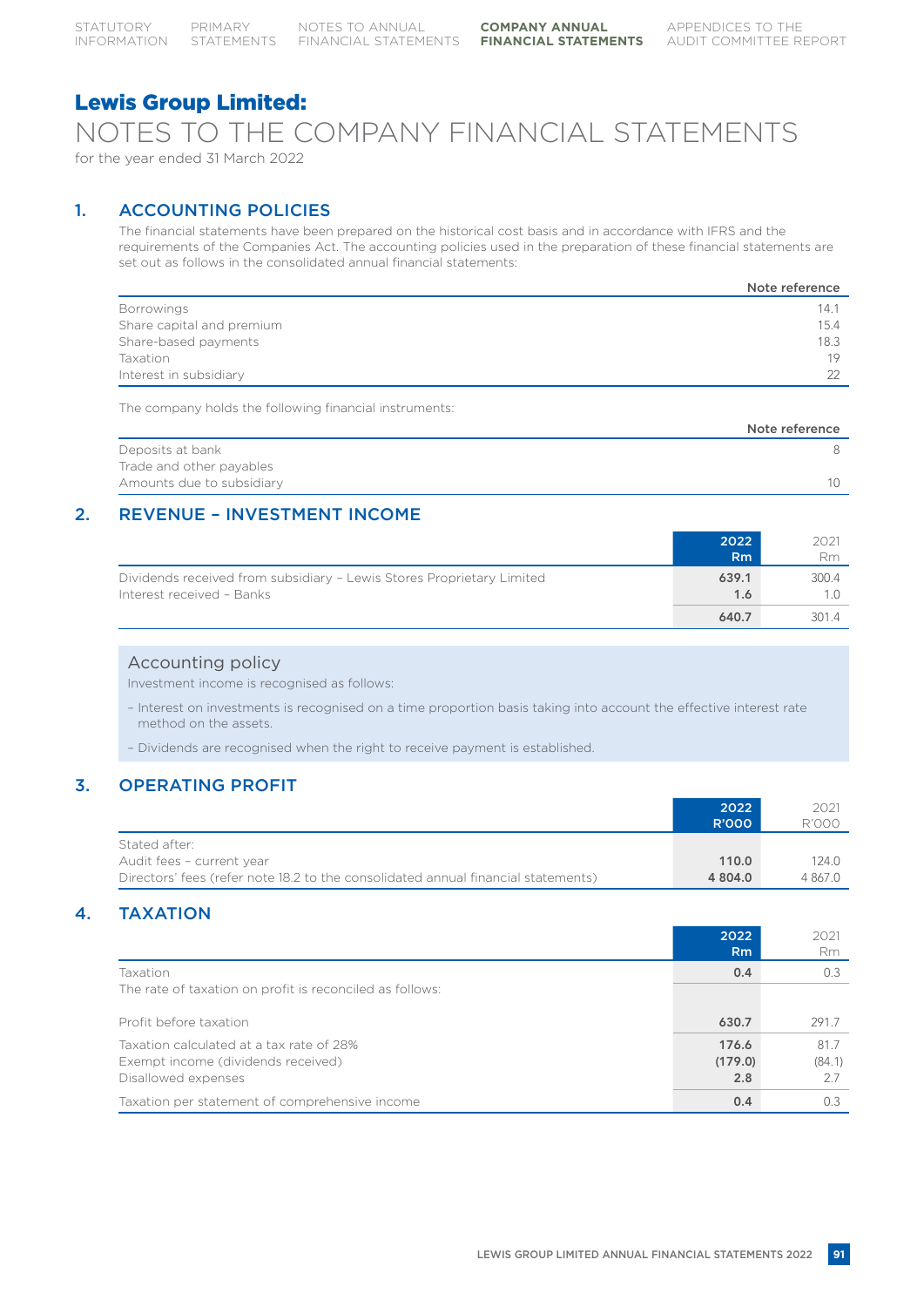## NOTES TO THE COMPANY FINANCIAL STATEMENTS for the year ended 31 March 2022

# 1. ACCOUNTING POLICIES

The financial statements have been prepared on the historical cost basis and in accordance with IFRS and the requirements of the Companies Act. The accounting policies used in the preparation of these financial statements are set out as follows in the consolidated annual financial statements:

|                           | Note reference |
|---------------------------|----------------|
| <b>Borrowings</b>         | 14.7           |
| Share capital and premium | 15.4           |
| Share-based payments      | 18.3           |
| <b>Taxation</b>           | 19             |
| Interest in subsidiary    | 22             |

The company holds the following financial instruments:

|                           | Note reference |
|---------------------------|----------------|
| Deposits at bank          |                |
| Trade and other payables  |                |
| Amounts due to subsidiary | $10^{-1}$      |
|                           |                |

## 2. REVENUE – INVESTMENT INCOME

|                                                                                                    | 2022<br>R <sub>m</sub> | 2021<br>Rm |
|----------------------------------------------------------------------------------------------------|------------------------|------------|
| Dividends received from subsidiary - Lewis Stores Proprietary Limited<br>Interest received - Banks | 639.1<br>1.6           | 300.4      |
|                                                                                                    | 640.7                  | 3014       |

### Accounting policy

Investment income is recognised as follows:

- Interest on investments is recognised on a time proportion basis taking into account the effective interest rate method on the assets.
- Dividends are recognised when the right to receive payment is established.

## 3. OPERATING PROFIT

|                                                                                   | 2022    | 2021         |
|-----------------------------------------------------------------------------------|---------|--------------|
|                                                                                   | R'000   | <b>R'000</b> |
| Stated after:                                                                     |         |              |
| Audit fees - current year                                                         | 110.0   | 124.0        |
| Directors' fees (refer note 18.2 to the consolidated annual financial statements) | 4 804.0 | 4 867.0      |

## 4. TAXATION

|                                                          | 2022    | 2021   |
|----------------------------------------------------------|---------|--------|
|                                                          | Rm      | Rm     |
| Taxation                                                 | 0.4     | 0.3    |
| The rate of taxation on profit is reconciled as follows: |         |        |
|                                                          |         |        |
| Profit before taxation                                   | 630.7   | 291.7  |
| Taxation calculated at a tax rate of 28%                 | 176.6   | 81.7   |
| Exempt income (dividends received)                       | (179.0) | (84.1) |
| Disallowed expenses                                      | 2.8     | 2.7    |
| Taxation per statement of comprehensive income           | 0.4     | 0.3    |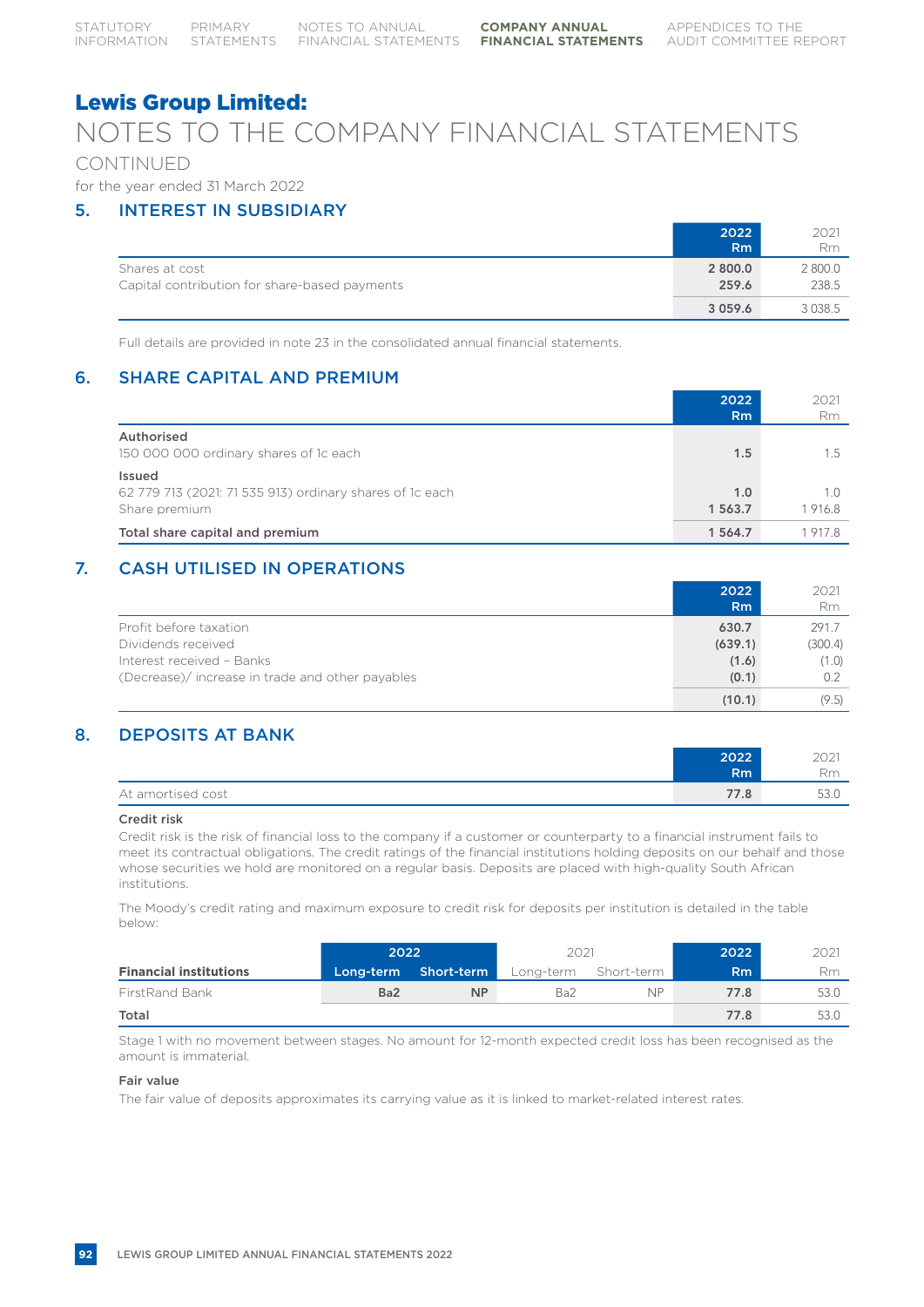# NOTES TO THE COMPANY FINANCIAL STATEMENTS

## CONTINUED

for the year ended 31 March 2022

## 5. INTEREST IN SUBSIDIARY

|                                                                 | 2022             | 2021             |
|-----------------------------------------------------------------|------------------|------------------|
|                                                                 | Rm               | Rm               |
| Shares at cost<br>Capital contribution for share-based payments | 2 800.0<br>259.6 | 2 800.0<br>238.5 |
|                                                                 | 3 0 5 9 . 6      | 3038.5           |

Full details are provided in note 23 in the consolidated annual financial statements.

## 6. SHARE CAPITAL AND PREMIUM

|                                                                                     | 2022<br>Rm     | 2021<br>Rm    |
|-------------------------------------------------------------------------------------|----------------|---------------|
| Authorised<br>150 000 000 ordinary shares of 1c each                                | 1.5            | 1.5           |
| Issued<br>62 779 713 (2021: 71 535 913) ordinary shares of 1c each<br>Share premium | 1.0<br>1 563.7 | 1.0<br>1916.8 |
| Total share capital and premium                                                     | 1 564.7        | 19178         |

## 7. CASH UTILISED IN OPERATIONS

|                                                 | 2022<br>R <sub>m</sub> | 2021<br>Rm |
|-------------------------------------------------|------------------------|------------|
| Profit before taxation                          | 630.7                  | 291.7      |
| Dividends received                              | (639.1)                | (300.4)    |
| Interest received - Banks                       | (1.6)                  | (1.0)      |
| (Decrease)/increase in trade and other payables | (0.1)                  | 0.2        |
|                                                 | (10.1)                 | (9.5)      |

## 8. DEPOSITS AT BANK

|                   | 2022           | 201<br>ZUZ |
|-------------------|----------------|------------|
|                   | R <sub>m</sub> | Rm         |
| At amortised cost | 77.8           | 53.0       |

### Credit risk

Credit risk is the risk of financial loss to the company if a customer or counterparty to a financial instrument fails to meet its contractual obligations. The credit ratings of the financial institutions holding deposits on our behalf and those whose securities we hold are monitored on a regular basis. Deposits are placed with high-quality South African institutions.

The Moody's credit rating and maximum exposure to credit risk for deposits per institution is detailed in the table below:

|                               | 2022            |                      | 2021                 |           | 2022 | 2021 |
|-------------------------------|-----------------|----------------------|----------------------|-----------|------|------|
| <b>Financial institutions</b> |                 | Long-term Short-term | Long-term Short-term |           | Rm   | Rm   |
| <b>FirstRand Bank</b>         | Ba <sub>2</sub> | <b>NP</b>            | Ba <sub>2</sub>      | <b>NP</b> | 77.8 | 53.0 |
| Total                         |                 |                      |                      |           | 77.8 | 53.0 |

Stage 1 with no movement between stages. No amount for 12-month expected credit loss has been recognised as the amount is immaterial.

#### Fair value

The fair value of deposits approximates its carrying value as it is linked to market-related interest rates.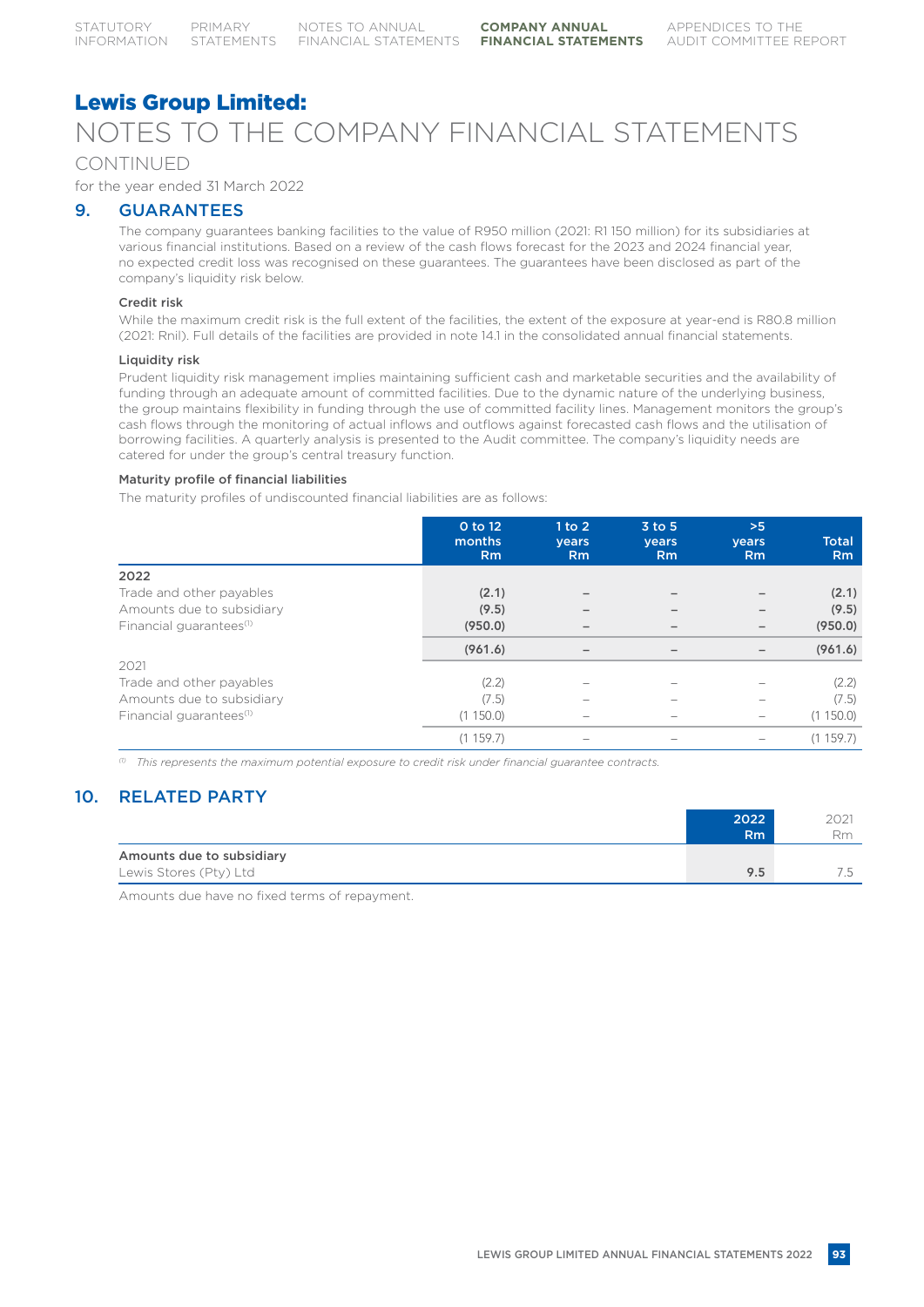# Lewis Group Limited: NOTES TO THE COMPANY FINANCIAL STATEMENTS

### CONTINUED

for the year ended 31 March 2022

### 9. GUARANTEES

The company guarantees banking facilities to the value of R950 million (2021: R1 150 million) for its subsidiaries at various financial institutions. Based on a review of the cash flows forecast for the 2023 and 2024 financial year, no expected credit loss was recognised on these guarantees. The guarantees have been disclosed as part of the company's liquidity risk below.

#### Credit risk

While the maximum credit risk is the full extent of the facilities, the extent of the exposure at year-end is R80.8 million (2021: Rnil). Full details of the facilities are provided in note 14.1 in the consolidated annual financial statements.

#### Liquidity risk

Prudent liquidity risk management implies maintaining sufficient cash and marketable securities and the availability of funding through an adequate amount of committed facilities. Due to the dynamic nature of the underlying business, the group maintains flexibility in funding through the use of committed facility lines. Management monitors the group's cash flows through the monitoring of actual inflows and outflows against forecasted cash flows and the utilisation of borrowing facilities. A quarterly analysis is presented to the Audit committee. The company's liquidity needs are catered for under the group's central treasury function.

#### Maturity profile of financial liabilities

The maturity profiles of undiscounted financial liabilities are as follows:

|                                     | 0 to 12<br>months<br>Rm | 1 to 2<br><b>years</b><br><b>Rm</b> | $3$ to $5$<br>years<br><b>Rm</b> | >5<br><b>vears</b><br>Rm | <b>Total</b><br><b>Rm</b> |
|-------------------------------------|-------------------------|-------------------------------------|----------------------------------|--------------------------|---------------------------|
| 2022                                |                         |                                     |                                  |                          |                           |
| Trade and other payables            | (2.1)                   |                                     |                                  |                          | (2.1)                     |
| Amounts due to subsidiary           | (9.5)                   |                                     |                                  |                          | (9.5)                     |
| Financial quarantees <sup>(1)</sup> | (950.0)                 |                                     |                                  |                          | (950.0)                   |
|                                     | (961.6)                 |                                     |                                  |                          | (961.6)                   |
| 2021                                |                         |                                     |                                  |                          |                           |
| Trade and other payables            | (2.2)                   |                                     |                                  |                          | (2.2)                     |
| Amounts due to subsidiary           | (7.5)                   | $\overline{\phantom{a}}$            |                                  |                          | (7.5)                     |
| Financial guarantees <sup>(1)</sup> | (1150.0)                |                                     |                                  |                          | (1150.0)                  |
|                                     | (1159.7)                |                                     |                                  |                          | (1159.7)                  |

*(1) This represents the maximum potential exposure to credit risk under financial guarantee contracts.*

### 10. RELATED PARTY

|                                                     | 2022<br>Rm | 2021<br>Rm |
|-----------------------------------------------------|------------|------------|
| Amounts due to subsidiary<br>Lewis Stores (Pty) Ltd | 9.5        |            |

Amounts due have no fixed terms of repayment.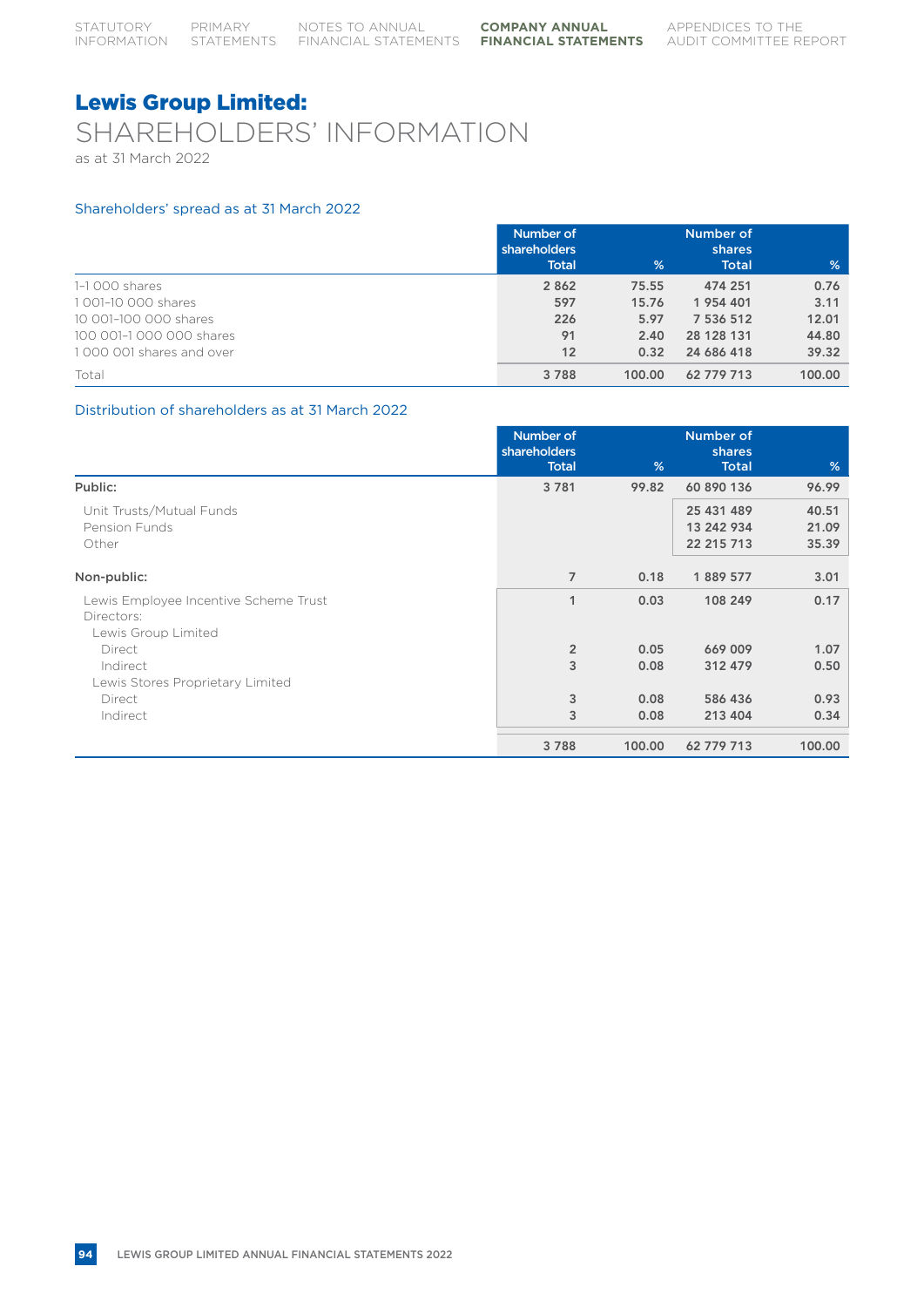## Lewis Group Limited: SHAREHOLDERS' INFORMATION as at 31 March 2022

### Shareholders' spread as at 31 March 2022

|                          | Number of<br>shareholders<br><b>Total</b> | %      | Number of<br><b>shares</b><br><b>Total</b> | %      |
|--------------------------|-------------------------------------------|--------|--------------------------------------------|--------|
| 1-1 000 shares           | 2 8 6 2                                   | 75.55  | 474 251                                    | 0.76   |
| 1001-10 000 shares       | 597                                       | 15.76  | 1 954 401                                  | 3.11   |
| 10 001-100 000 shares    | 226                                       | 5.97   | 7 536 512                                  | 12.01  |
| 100 001-1 000 000 shares | 91                                        | 2.40   | 28 128 131                                 | 44.80  |
| 1000 001 shares and over | 12                                        | 0.32   | 24 686 418                                 | 39.32  |
| Total                    | 3788                                      | 100.00 | 62 779 713                                 | 100.00 |

### Distribution of shareholders as at 31 March 2022

|                                                     | Number of<br>shareholders |        | Number of<br>shares |        |
|-----------------------------------------------------|---------------------------|--------|---------------------|--------|
|                                                     | <b>Total</b>              | %      | <b>Total</b>        | %      |
| Public:                                             | 3781                      | 99.82  | 60 890 136          | 96.99  |
| Unit Trusts/Mutual Funds                            |                           |        | 25 431 489          | 40.51  |
| <b>Pension Funds</b>                                |                           |        | 13 242 934          | 21.09  |
| Other                                               |                           |        | 22 215 713          | 35.39  |
| Non-public:                                         | $\overline{7}$            | 0.18   | 1889 577            | 3.01   |
|                                                     |                           |        |                     |        |
| Lewis Employee Incentive Scheme Trust<br>Directors: | 1                         | 0.03   | 108 249             | 0.17   |
| Lewis Group Limited                                 |                           |        |                     |        |
| Direct                                              | $\overline{2}$            | 0.05   | 669 009             | 1.07   |
| Indirect                                            | 3                         | 0.08   | 312 479             | 0.50   |
| Lewis Stores Proprietary Limited                    |                           |        |                     |        |
| Direct                                              | 3                         | 0.08   | 586 436             | 0.93   |
| Indirect                                            | 3                         | 0.08   | 213 404             | 0.34   |
|                                                     | 3788                      | 100.00 | 62 779 713          | 100.00 |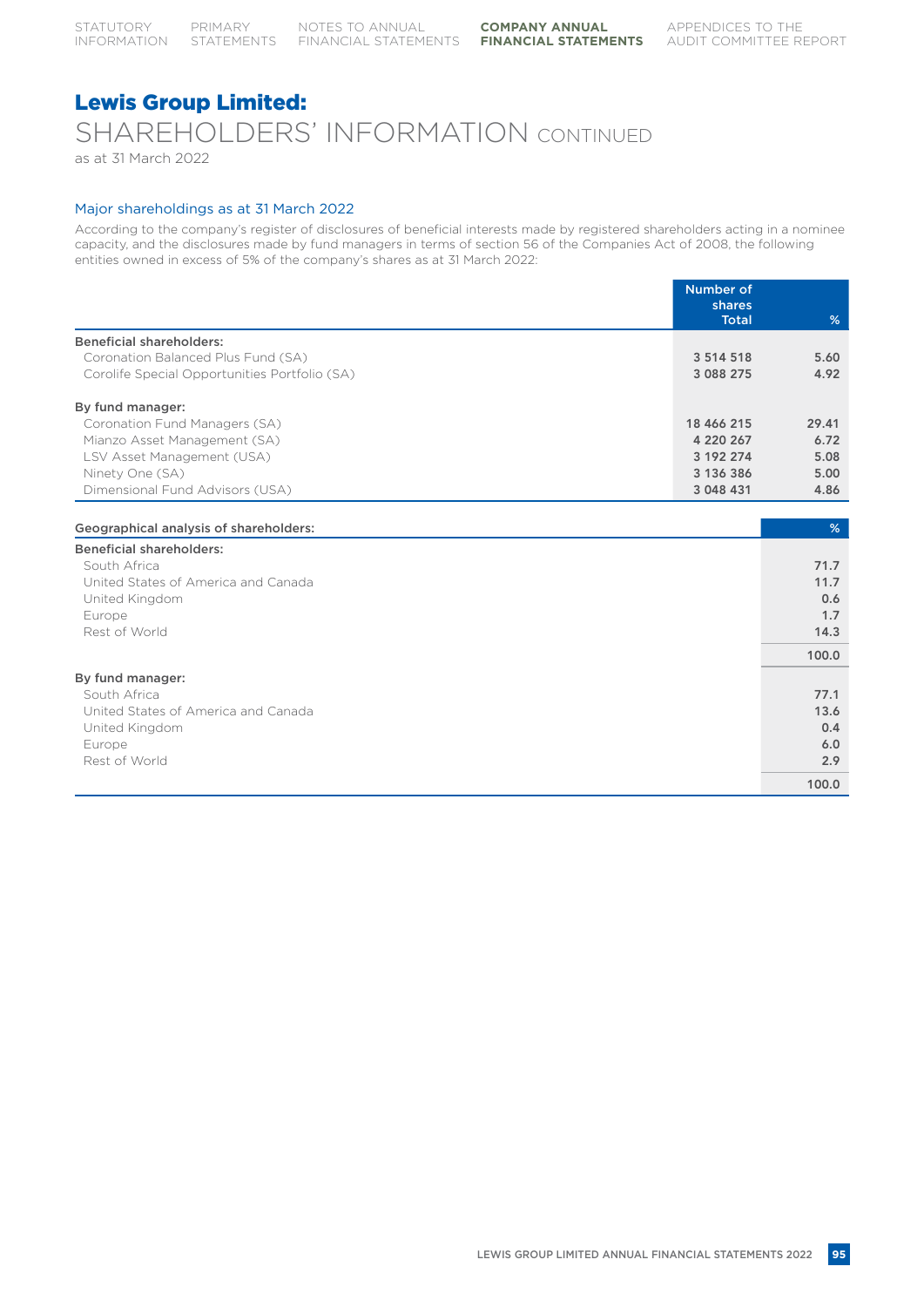## Lewis Group Limited: SHAREHOLDERS' INFORMATION CONTINUED as at 31 March 2022

#### Major shareholdings as at 31 March 2022

According to the company's register of disclosures of beneficial interests made by registered shareholders acting in a nominee capacity, and the disclosures made by fund managers in terms of section 56 of the Companies Act of 2008, the following entities owned in excess of 5% of the company's shares as at 31 March 2022:

|                                               | <b>Number of</b><br>shares |       |
|-----------------------------------------------|----------------------------|-------|
|                                               | <b>Total</b>               | %     |
| <b>Beneficial shareholders:</b>               |                            |       |
| Coronation Balanced Plus Fund (SA)            | 3 5 1 4 5 1 8              | 5.60  |
| Corolife Special Opportunities Portfolio (SA) | 3 0 8 2 2 7 5              | 4.92  |
| By fund manager:                              |                            |       |
| Coronation Fund Managers (SA)                 | 18 466 215                 | 29.41 |
| Mianzo Asset Management (SA)                  | 4 220 267                  | 6.72  |
| LSV Asset Management (USA)                    | 3 192 274                  | 5.08  |
| Ninety One (SA)                               | 3 136 386                  | 5.00  |
| Dimensional Fund Advisors (USA)               | 3 048 431                  | 4.86  |
|                                               |                            |       |
| Geographical analysis of shareholders:        |                            | %     |
| <b>Beneficial shareholders:</b>               |                            |       |
| South Africa                                  |                            | 71.7  |
| United States of America and Canada           |                            | 11.7  |
| United Kingdom                                |                            | 0.6   |
| Europe                                        |                            | 1.7   |
| Rest of World                                 |                            | 14.3  |
|                                               |                            | 100.0 |
| By fund manager:                              |                            |       |
| South Africa                                  |                            | 77.1  |
| United States of America and Canada           |                            | 13.6  |
| United Kingdom                                |                            | 0.4   |
| Europe                                        |                            | 6.0   |
| Rest of World                                 |                            | 2.9   |
|                                               |                            | 100.0 |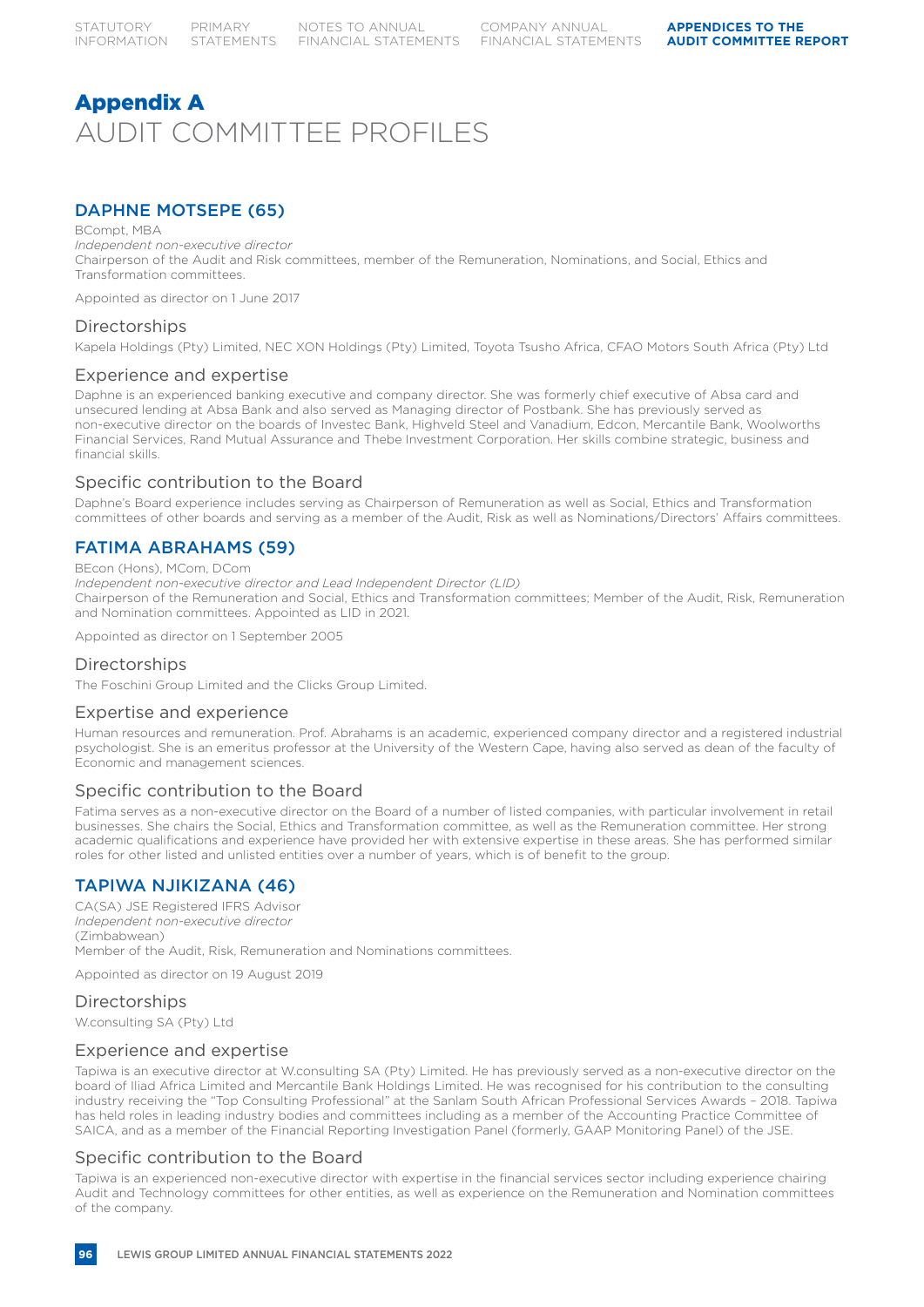# Appendix A AUDIT COMMITTEE PROFILES

## DAPHNE MOTSEPE (65)

#### BCompt, MBA

*Independent non-executive director* Chairperson of the Audit and Risk committees, member of the Remuneration, Nominations, and Social, Ethics and Transformation committees.

Appointed as director on 1 June 2017

### **Directorships**

Kapela Holdings (Pty) Limited, NEC XON Holdings (Pty) Limited, Toyota Tsusho Africa, CFAO Motors South Africa (Pty) Ltd

### Experience and expertise

Daphne is an experienced banking executive and company director. She was formerly chief executive of Absa card and unsecured lending at Absa Bank and also served as Managing director of Postbank. She has previously served as non-executive director on the boards of Investec Bank, Highveld Steel and Vanadium, Edcon, Mercantile Bank, Woolworths Financial Services, Rand Mutual Assurance and Thebe Investment Corporation. Her skills combine strategic, business and financial skills.

### Specific contribution to the Board

Daphne's Board experience includes serving as Chairperson of Remuneration as well as Social, Ethics and Transformation committees of other boards and serving as a member of the Audit, Risk as well as Nominations/Directors' Affairs committees.

### FATIMA ABRAHAMS (59)

#### BEcon (Hons), MCom, DCom

*Independent non-executive director and Lead Independent Director (LID)* Chairperson of the Remuneration and Social, Ethics and Transformation committees; Member of the Audit, Risk, Remuneration and Nomination committees. Appointed as LID in 2021.

Appointed as director on 1 September 2005

### Directorships

The Foschini Group Limited and the Clicks Group Limited.

### Expertise and experience

Human resources and remuneration. Prof. Abrahams is an academic, experienced company director and a registered industrial psychologist. She is an emeritus professor at the University of the Western Cape, having also served as dean of the faculty of Economic and management sciences.

### Specific contribution to the Board

Fatima serves as a non-executive director on the Board of a number of listed companies, with particular involvement in retail businesses. She chairs the Social, Ethics and Transformation committee, as well as the Remuneration committee. Her strong academic qualifications and experience have provided her with extensive expertise in these areas. She has performed similar roles for other listed and unlisted entities over a number of years, which is of benefit to the group.

### TAPIWA NJIKIZANA (46)

CA(SA) JSE Registered IFRS Advisor *Independent non-executive director* (Zimbabwean) Member of the Audit, Risk, Remuneration and Nominations committees.

Appointed as director on 19 August 2019

### **Directorships**

W.consulting SA (Pty) Ltd

### Experience and expertise

Tapiwa is an executive director at W.consulting SA (Pty) Limited. He has previously served as a non-executive director on the board of Iliad Africa Limited and Mercantile Bank Holdings Limited. He was recognised for his contribution to the consulting industry receiving the "Top Consulting Professional" at the Sanlam South African Professional Services Awards – 2018. Tapiwa has held roles in leading industry bodies and committees including as a member of the Accounting Practice Committee of SAICA, and as a member of the Financial Reporting Investigation Panel (formerly, GAAP Monitoring Panel) of the JSE.

### Specific contribution to the Board

Tapiwa is an experienced non-executive director with expertise in the financial services sector including experience chairing Audit and Technology committees for other entities, as well as experience on the Remuneration and Nomination committees of the company.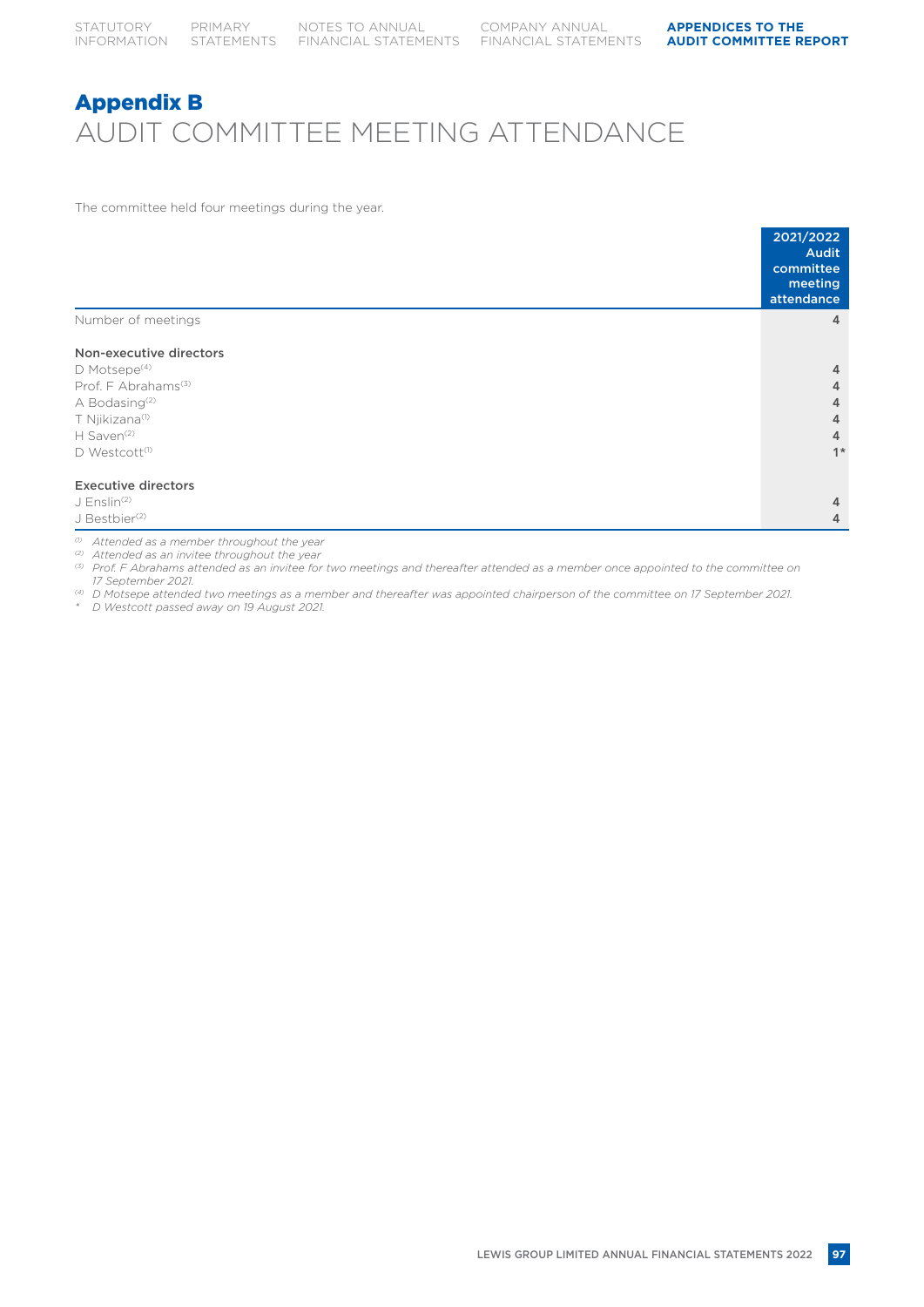# Appendix B AUDIT COMMITTEE MEETING ATTENDANCE

The committee held four meetings during the year.

|                                 | 2021/2022<br><b>Audit</b><br>committee<br>meeting<br>attendance |
|---------------------------------|-----------------------------------------------------------------|
| Number of meetings              | 4                                                               |
| Non-executive directors         |                                                                 |
| $D$ Motsepe <sup>(4)</sup>      | 4                                                               |
| Prof. F Abrahams <sup>(3)</sup> | 4                                                               |
| A Bodasing <sup>(2)</sup>       | 4                                                               |
| T Njikizana <sup>(1)</sup>      | 4                                                               |
| H Saven <sup>(2)</sup>          | 4                                                               |
| D Westcott <sup>(1)</sup>       | $1*$                                                            |
| <b>Executive directors</b>      |                                                                 |
| $J$ Enslin <sup>(2)</sup>       | 4                                                               |
| J Bestbier <sup>(2)</sup>       | 4                                                               |

*(1) Attended as a member throughout the year*

*(2) Attended as an invitee throughout the year*

*(3) Prof. F Abrahams attended as an invitee for two meetings and thereafter attended as a member once appointed to the committee on 17 September 2021.*

*(4) D Motsepe attended two meetings as a member and thereafter was appointed chairperson of the committee on 17 September 2021. \* D Westcott passed away on 19 August 2021.*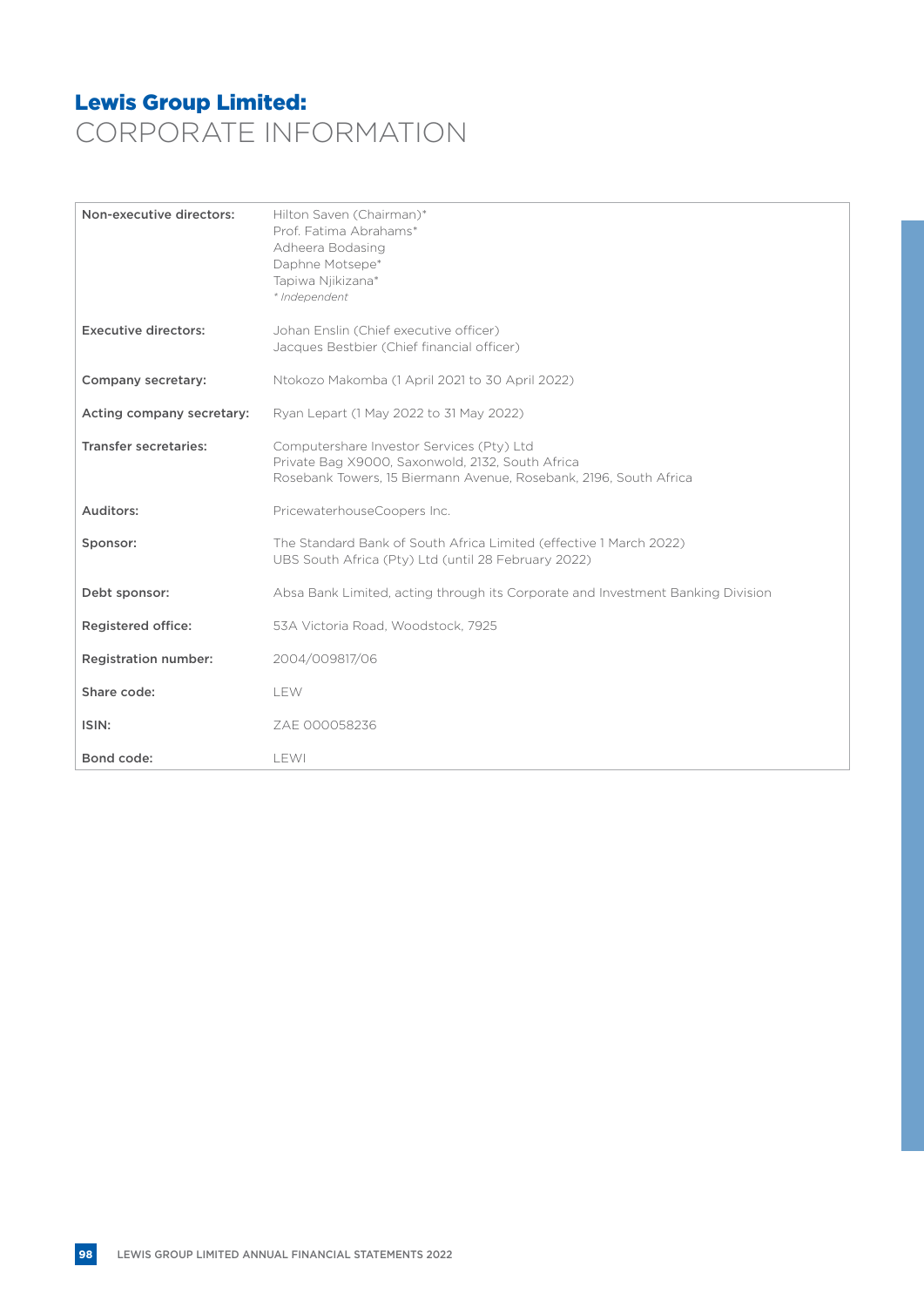## Lewis Group Limited: CORPORATE INFORMATION

| Non-executive directors:     | Hilton Saven (Chairman)*<br>Prof. Fatima Abrahams*<br>Adheera Bodasing<br>Daphne Motsepe*<br>Tapiwa Njikizana*<br>* Independent                                    |
|------------------------------|--------------------------------------------------------------------------------------------------------------------------------------------------------------------|
| <b>Executive directors:</b>  | Johan Enslin (Chief executive officer)<br>Jacques Bestbier (Chief financial officer)                                                                               |
| Company secretary:           | Ntokozo Makomba (1 April 2021 to 30 April 2022)                                                                                                                    |
| Acting company secretary:    | Ryan Lepart (1 May 2022 to 31 May 2022)                                                                                                                            |
| <b>Transfer secretaries:</b> | Computershare Investor Services (Pty) Ltd<br>Private Bag X9000, Saxonwold, 2132, South Africa<br>Rosebank Towers, 15 Biermann Avenue, Rosebank, 2196, South Africa |
| Auditors:                    | PricewaterhouseCoopers Inc.                                                                                                                                        |
| Sponsor:                     | The Standard Bank of South Africa Limited (effective 1 March 2022)<br>UBS South Africa (Pty) Ltd (until 28 February 2022)                                          |
| Debt sponsor:                | Absa Bank Limited, acting through its Corporate and Investment Banking Division                                                                                    |
| <b>Registered office:</b>    | 53A Victoria Road, Woodstock, 7925                                                                                                                                 |
| <b>Registration number:</b>  | 2004/009817/06                                                                                                                                                     |
| Share code:                  | <b>LEW</b>                                                                                                                                                         |
| ISIN:                        | ZAE 000058236                                                                                                                                                      |
| Bond code:                   | LEWI                                                                                                                                                               |